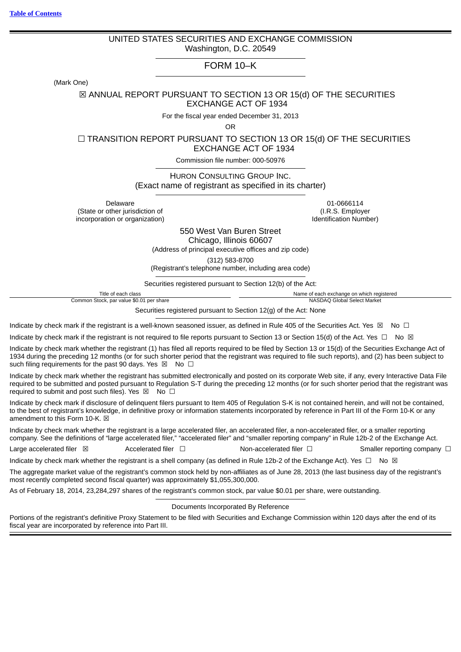# UNITED STATES SECURITIES AND EXCHANGE COMMISSION Washington, D.C. 20549

FORM 10–K

(Mark One)

# ☒ ANNUAL REPORT PURSUANT TO SECTION 13 OR 15(d) OF THE SECURITIES EXCHANGE ACT OF 1934

For the fiscal year ended December 31, 2013

OR

 $\Box$  TRANSITION REPORT PURSUANT TO SECTION 13 OR 15(d) OF THE SECURITIES EXCHANGE ACT OF 1934

Commission file number: 000-50976

# HURON CONSULTING GROUP INC. (Exact name of registrant as specified in its charter)

Delaware 01-0666114 (State or other jurisdiction of incorporation or organization)

(I.R.S. Employer Identification Number)

550 West Van Buren Street

Chicago, Illinois 60607

(Address of principal executive offices and zip code)

(312) 583-8700

(Registrant's telephone number, including area code)

Securities registered pursuant to Section 12(b) of the Act:

Common Stock, par value \$0.01 per share

Title of each class<br>
Title of each exchange on which registered<br>
NASDAQ Global Select Market<br>
NASDAQ Global Select Market

Securities registered pursuant to Section 12(g) of the Act: None

Indicate by check mark if the registrant is a well-known seasoned issuer, as defined in Rule 405 of the Securities Act. Yes  $\boxtimes$  No  $\Box$ 

Indicate by check mark if the registrant is not required to file reports pursuant to Section 13 or Section 15(d) of the Act. Yes □ No ⊠

Indicate by check mark whether the registrant (1) has filed all reports required to be filed by Section 13 or 15(d) of the Securities Exchange Act of 1934 during the preceding 12 months (or for such shorter period that the registrant was required to file such reports), and (2) has been subject to such filing requirements for the past 90 days. Yes  $\boxtimes$  No  $\Box$ 

Indicate by check mark whether the registrant has submitted electronically and posted on its corporate Web site, if any, every Interactive Data File required to be submitted and posted pursuant to Regulation S-T during the preceding 12 months (or for such shorter period that the registrant was required to submit and post such files). Yes  $\boxtimes$  No  $\Box$ 

Indicate by check mark if disclosure of delinquent filers pursuant to Item 405 of Regulation S-K is not contained herein, and will not be contained, to the best of registrant's knowledge, in definitive proxy or information statements incorporated by reference in Part III of the Form 10-K or any amendment to this Form 10-K.  $\boxtimes$ 

Indicate by check mark whether the registrant is a large accelerated filer, an accelerated filer, a non-accelerated filer, or a smaller reporting company. See the definitions of "large accelerated filer," "accelerated filer" and "smaller reporting company" in Rule 12b-2 of the Exchange Act.

Large accelerated filer **⊠** Accelerated filer <del>□</del> Non-accelerated filer □ Smaller reporting company □

Indicate by check mark whether the registrant is a shell company (as defined in Rule 12b-2 of the Exchange Act). Yes  $\Box$  No  $\boxtimes$ 

The aggregate market value of the registrant's common stock held by non-affiliates as of June 28, 2013 (the last business day of the registrant's most recently completed second fiscal quarter) was approximately \$1,055,300,000.

As of February 18, 2014, 23,284,297 shares of the registrant's common stock, par value \$0.01 per share, were outstanding.

### Documents Incorporated By Reference

Portions of the registrant's definitive Proxy Statement to be filed with Securities and Exchange Commission within 120 days after the end of its fiscal year are incorporated by reference into Part III.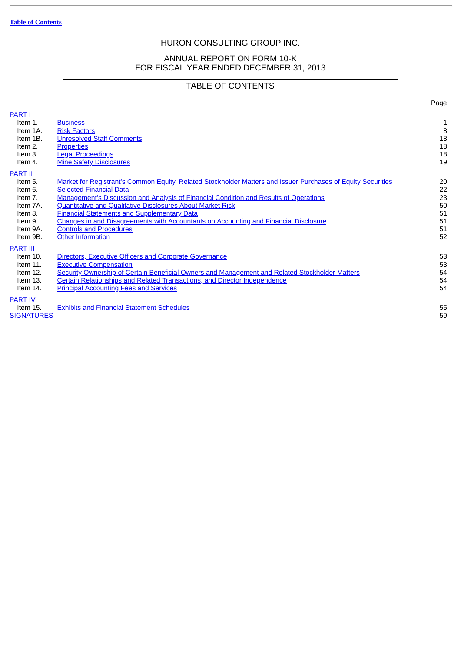# HURON CONSULTING GROUP INC.

# ANNUAL REPORT ON FORM 10-K FOR FISCAL YEAR ENDED DECEMBER 31, 2013

# TABLE OF CONTENTS

Page

<span id="page-1-0"></span>

| PART I<br>Item 1.<br>Item 1A.<br>Item 1B.<br>Item 2.<br>Item 3.<br>Item 4.                                | <b>Business</b><br><b>Risk Factors</b><br><b>Unresolved Staff Comments</b><br><b>Properties</b><br><b>Legal Proceedings</b><br><b>Mine Safety Disclosures</b>                                                                                                                                                                                                                                                                                                                                                                   | $\mathbf{1}$<br>8<br>18<br>18<br>18<br>19    |
|-----------------------------------------------------------------------------------------------------------|---------------------------------------------------------------------------------------------------------------------------------------------------------------------------------------------------------------------------------------------------------------------------------------------------------------------------------------------------------------------------------------------------------------------------------------------------------------------------------------------------------------------------------|----------------------------------------------|
| <b>PART II</b><br>Item 5.<br>Item 6.<br>Item 7.<br>Item 7A.<br>Item 8.<br>Item 9.<br>Item 9A.<br>Item 9B. | Market for Registrant's Common Equity, Related Stockholder Matters and Issuer Purchases of Equity Securities<br><b>Selected Financial Data</b><br>Management's Discussion and Analysis of Financial Condition and Results of Operations<br><b>Quantitative and Qualitative Disclosures About Market Risk</b><br><b>Financial Statements and Supplementary Data</b><br><b>Changes in and Disagreements with Accountants on Accounting and Financial Disclosure</b><br><b>Controls and Procedures</b><br><b>Other Information</b> | 20<br>22<br>23<br>50<br>51<br>51<br>51<br>52 |
| <b>PART III</b><br>Item $10.$<br>Item $11$ .<br>Item $12$ .<br>Item $13.$<br>Item $14.$                   | Directors, Executive Officers and Corporate Governance<br><b>Executive Compensation</b><br>Security Ownership of Certain Beneficial Owners and Management and Related Stockholder Matters<br>Certain Relationships and Related Transactions, and Director Independence<br><b>Principal Accounting Fees and Services</b>                                                                                                                                                                                                         | 53<br>53<br>54<br>54<br>54                   |
| <b>PART IV</b><br>Item $15.$<br><b>SIGNATURES</b>                                                         | <b>Exhibits and Financial Statement Schedules</b>                                                                                                                                                                                                                                                                                                                                                                                                                                                                               | 55<br>59                                     |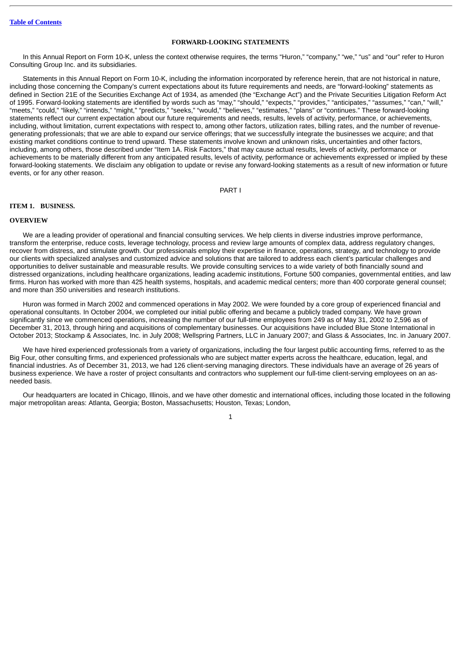#### **FORWARD-LOOKING STATEMENTS**

In this Annual Report on Form 10-K, unless the context otherwise requires, the terms "Huron," "company," "we," "us" and "our" refer to Huron Consulting Group Inc. and its subsidiaries.

Statements in this Annual Report on Form 10-K, including the information incorporated by reference herein, that are not historical in nature, including those concerning the Company's current expectations about its future requirements and needs, are "forward-looking" statements as defined in Section 21E of the Securities Exchange Act of 1934, as amended (the "Exchange Act") and the Private Securities Litigation Reform Act of 1995. Forward-looking statements are identified by words such as "may," "should," "expects," "provides," "anticipates," "assumes," "can," "will," "meets," "could," "likely," "intends," "might," "predicts," "seeks," "would," "believes," "estimates," "plans" or "continues." These forward-looking statements reflect our current expectation about our future requirements and needs, results, levels of activity, performance, or achievements, including, without limitation, current expectations with respect to, among other factors, utilization rates, billing rates, and the number of revenuegenerating professionals; that we are able to expand our service offerings; that we successfully integrate the businesses we acquire; and that existing market conditions continue to trend upward. These statements involve known and unknown risks, uncertainties and other factors, including, among others, those described under "Item 1A. Risk Factors," that may cause actual results, levels of activity, performance or achievements to be materially different from any anticipated results, levels of activity, performance or achievements expressed or implied by these forward-looking statements. We disclaim any obligation to update or revise any forward-looking statements as a result of new information or future events, or for any other reason.

PART I

#### <span id="page-2-1"></span><span id="page-2-0"></span>**ITEM 1. BUSINESS.**

#### **OVERVIEW**

We are a leading provider of operational and financial consulting services. We help clients in diverse industries improve performance, transform the enterprise, reduce costs, leverage technology, process and review large amounts of complex data, address regulatory changes, recover from distress, and stimulate growth. Our professionals employ their expertise in finance, operations, strategy, and technology to provide our clients with specialized analyses and customized advice and solutions that are tailored to address each client's particular challenges and opportunities to deliver sustainable and measurable results. We provide consulting services to a wide variety of both financially sound and distressed organizations, including healthcare organizations, leading academic institutions, Fortune 500 companies, governmental entities, and law firms. Huron has worked with more than 425 health systems, hospitals, and academic medical centers; more than 400 corporate general counsel; and more than 350 universities and research institutions.

Huron was formed in March 2002 and commenced operations in May 2002. We were founded by a core group of experienced financial and operational consultants. In October 2004, we completed our initial public offering and became a publicly traded company. We have grown significantly since we commenced operations, increasing the number of our full-time employees from 249 as of May 31, 2002 to 2,596 as of December 31, 2013, through hiring and acquisitions of complementary businesses. Our acquisitions have included Blue Stone International in October 2013; Stockamp & Associates, Inc. in July 2008; Wellspring Partners, LLC in January 2007; and Glass & Associates, Inc. in January 2007.

We have hired experienced professionals from a variety of organizations, including the four largest public accounting firms, referred to as the Big Four, other consulting firms, and experienced professionals who are subject matter experts across the healthcare, education, legal, and financial industries. As of December 31, 2013, we had 126 client-serving managing directors. These individuals have an average of 26 years of business experience. We have a roster of project consultants and contractors who supplement our full-time client-serving employees on an asneeded basis.

Our headquarters are located in Chicago, Illinois, and we have other domestic and international offices, including those located in the following major metropolitan areas: Atlanta, Georgia; Boston, Massachusetts; Houston, Texas; London,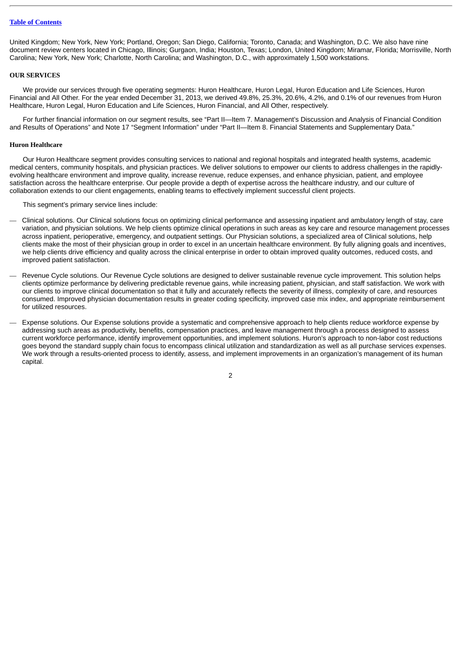United Kingdom; New York, New York; Portland, Oregon; San Diego, California; Toronto, Canada; and Washington, D.C. We also have nine document review centers located in Chicago, Illinois; Gurgaon, India; Houston, Texas; London, United Kingdom; Miramar, Florida; Morrisville, North Carolina; New York, New York; Charlotte, North Carolina; and Washington, D.C., with approximately 1,500 workstations.

## **OUR SERVICES**

We provide our services through five operating segments: Huron Healthcare, Huron Legal, Huron Education and Life Sciences, Huron Financial and All Other. For the year ended December 31, 2013, we derived 49.8%, 25.3%, 20.6%, 4.2%, and 0.1% of our revenues from Huron Healthcare, Huron Legal, Huron Education and Life Sciences, Huron Financial, and All Other, respectively.

For further financial information on our segment results, see "Part II—Item 7. Management's Discussion and Analysis of Financial Condition and Results of Operations" and Note 17 "Segment Information" under "Part II—Item 8. Financial Statements and Supplementary Data."

#### **Huron Healthcare**

Our Huron Healthcare segment provides consulting services to national and regional hospitals and integrated health systems, academic medical centers, community hospitals, and physician practices. We deliver solutions to empower our clients to address challenges in the rapidlyevolving healthcare environment and improve quality, increase revenue, reduce expenses, and enhance physician, patient, and employee satisfaction across the healthcare enterprise. Our people provide a depth of expertise across the healthcare industry, and our culture of collaboration extends to our client engagements, enabling teams to effectively implement successful client projects.

This segment's primary service lines include:

- Clinical solutions. Our Clinical solutions focus on optimizing clinical performance and assessing inpatient and ambulatory length of stay, care variation, and physician solutions. We help clients optimize clinical operations in such areas as key care and resource management processes across inpatient, perioperative, emergency, and outpatient settings. Our Physician solutions, a specialized area of Clinical solutions, help clients make the most of their physician group in order to excel in an uncertain healthcare environment. By fully aligning goals and incentives, we help clients drive efficiency and quality across the clinical enterprise in order to obtain improved quality outcomes, reduced costs, and improved patient satisfaction.
- Revenue Cycle solutions. Our Revenue Cycle solutions are designed to deliver sustainable revenue cycle improvement. This solution helps clients optimize performance by delivering predictable revenue gains, while increasing patient, physician, and staff satisfaction. We work with our clients to improve clinical documentation so that it fully and accurately reflects the severity of illness, complexity of care, and resources consumed. Improved physician documentation results in greater coding specificity, improved case mix index, and appropriate reimbursement for utilized resources.
- Expense solutions. Our Expense solutions provide a systematic and comprehensive approach to help clients reduce workforce expense by addressing such areas as productivity, benefits, compensation practices, and leave management through a process designed to assess current workforce performance, identify improvement opportunities, and implement solutions. Huron's approach to non-labor cost reductions goes beyond the standard supply chain focus to encompass clinical utilization and standardization as well as all purchase services expenses. We work through a results-oriented process to identify, assess, and implement improvements in an organization's management of its human capital.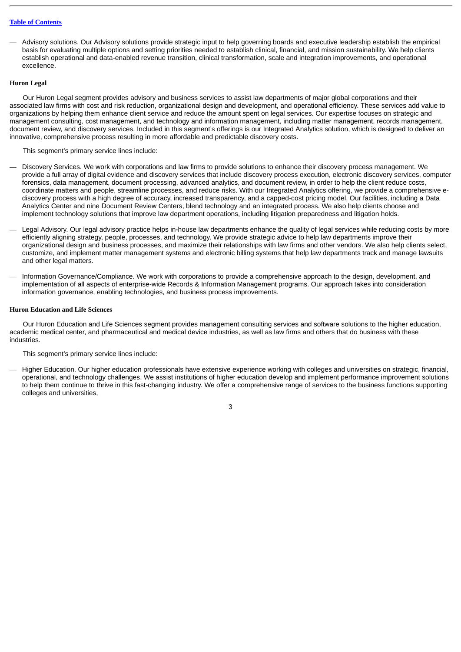— Advisory solutions. Our Advisory solutions provide strategic input to help governing boards and executive leadership establish the empirical basis for evaluating multiple options and setting priorities needed to establish clinical, financial, and mission sustainability. We help clients establish operational and data-enabled revenue transition, clinical transformation, scale and integration improvements, and operational excellence.

### **Huron Legal**

Our Huron Legal segment provides advisory and business services to assist law departments of major global corporations and their associated law firms with cost and risk reduction, organizational design and development, and operational efficiency. These services add value to organizations by helping them enhance client service and reduce the amount spent on legal services. Our expertise focuses on strategic and management consulting, cost management, and technology and information management, including matter management, records management, document review, and discovery services. Included in this segment's offerings is our Integrated Analytics solution, which is designed to deliver an innovative, comprehensive process resulting in more affordable and predictable discovery costs.

This segment's primary service lines include:

- Discovery Services. We work with corporations and law firms to provide solutions to enhance their discovery process management. We provide a full array of digital evidence and discovery services that include discovery process execution, electronic discovery services, computer forensics, data management, document processing, advanced analytics, and document review, in order to help the client reduce costs, coordinate matters and people, streamline processes, and reduce risks. With our Integrated Analytics offering, we provide a comprehensive ediscovery process with a high degree of accuracy, increased transparency, and a capped-cost pricing model. Our facilities, including a Data Analytics Center and nine Document Review Centers, blend technology and an integrated process. We also help clients choose and implement technology solutions that improve law department operations, including litigation preparedness and litigation holds.
- Legal Advisory. Our legal advisory practice helps in-house law departments enhance the quality of legal services while reducing costs by more efficiently aligning strategy, people, processes, and technology. We provide strategic advice to help law departments improve their organizational design and business processes, and maximize their relationships with law firms and other vendors. We also help clients select, customize, and implement matter management systems and electronic billing systems that help law departments track and manage lawsuits and other legal matters.
- Information Governance/Compliance. We work with corporations to provide a comprehensive approach to the design, development, and implementation of all aspects of enterprise-wide Records & Information Management programs. Our approach takes into consideration information governance, enabling technologies, and business process improvements.

### **Huron Education and Life Sciences**

Our Huron Education and Life Sciences segment provides management consulting services and software solutions to the higher education, academic medical center, and pharmaceutical and medical device industries, as well as law firms and others that do business with these industries.

This segment's primary service lines include:

— Higher Education. Our higher education professionals have extensive experience working with colleges and universities on strategic, financial, operational, and technology challenges. We assist institutions of higher education develop and implement performance improvement solutions to help them continue to thrive in this fast-changing industry. We offer a comprehensive range of services to the business functions supporting colleges and universities,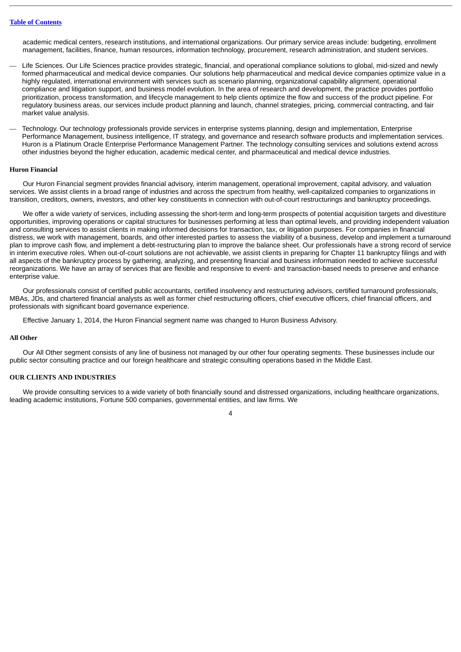academic medical centers, research institutions, and international organizations. Our primary service areas include: budgeting, enrollment management, facilities, finance, human resources, information technology, procurement, research administration, and student services.

- Life Sciences. Our Life Sciences practice provides strategic, financial, and operational compliance solutions to global, mid-sized and newly formed pharmaceutical and medical device companies. Our solutions help pharmaceutical and medical device companies optimize value in a highly regulated, international environment with services such as scenario planning, organizational capability alignment, operational compliance and litigation support, and business model evolution. In the area of research and development, the practice provides portfolio prioritization, process transformation, and lifecycle management to help clients optimize the flow and success of the product pipeline. For regulatory business areas, our services include product planning and launch, channel strategies, pricing, commercial contracting, and fair market value analysis.
- Technology. Our technology professionals provide services in enterprise systems planning, design and implementation, Enterprise Performance Management, business intelligence, IT strategy, and governance and research software products and implementation services. Huron is a Platinum Oracle Enterprise Performance Management Partner. The technology consulting services and solutions extend across other industries beyond the higher education, academic medical center, and pharmaceutical and medical device industries.

#### **Huron Financial**

Our Huron Financial segment provides financial advisory, interim management, operational improvement, capital advisory, and valuation services. We assist clients in a broad range of industries and across the spectrum from healthy, well-capitalized companies to organizations in transition, creditors, owners, investors, and other key constituents in connection with out-of-court restructurings and bankruptcy proceedings.

We offer a wide variety of services, including assessing the short-term and long-term prospects of potential acquisition targets and divestiture opportunities, improving operations or capital structures for businesses performing at less than optimal levels, and providing independent valuation and consulting services to assist clients in making informed decisions for transaction, tax, or litigation purposes. For companies in financial distress, we work with management, boards, and other interested parties to assess the viability of a business, develop and implement a turnaround plan to improve cash flow, and implement a debt-restructuring plan to improve the balance sheet. Our professionals have a strong record of service in interim executive roles. When out-of-court solutions are not achievable, we assist clients in preparing for Chapter 11 bankruptcy filings and with all aspects of the bankruptcy process by gathering, analyzing, and presenting financial and business information needed to achieve successful reorganizations. We have an array of services that are flexible and responsive to event- and transaction-based needs to preserve and enhance enterprise value.

Our professionals consist of certified public accountants, certified insolvency and restructuring advisors, certified turnaround professionals, MBAs, JDs, and chartered financial analysts as well as former chief restructuring officers, chief executive officers, chief financial officers, and professionals with significant board governance experience.

Effective January 1, 2014, the Huron Financial segment name was changed to Huron Business Advisory.

#### **All Other**

Our All Other segment consists of any line of business not managed by our other four operating segments. These businesses include our public sector consulting practice and our foreign healthcare and strategic consulting operations based in the Middle East.

### **OUR CLIENTS AND INDUSTRIES**

We provide consulting services to a wide variety of both financially sound and distressed organizations, including healthcare organizations, leading academic institutions, Fortune 500 companies, governmental entities, and law firms. We

 $\overline{A}$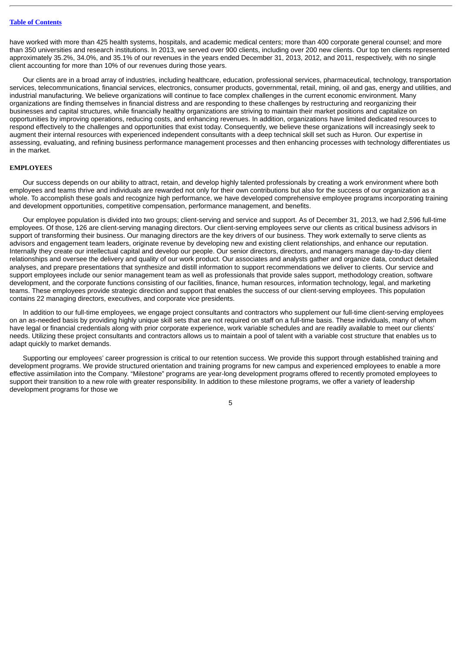have worked with more than 425 health systems, hospitals, and academic medical centers; more than 400 corporate general counsel; and more than 350 universities and research institutions. In 2013, we served over 900 clients, including over 200 new clients. Our top ten clients represented approximately 35.2%, 34.0%, and 35.1% of our revenues in the years ended December 31, 2013, 2012, and 2011, respectively, with no single client accounting for more than 10% of our revenues during those years.

Our clients are in a broad array of industries, including healthcare, education, professional services, pharmaceutical, technology, transportation services, telecommunications, financial services, electronics, consumer products, governmental, retail, mining, oil and gas, energy and utilities, and industrial manufacturing. We believe organizations will continue to face complex challenges in the current economic environment. Many organizations are finding themselves in financial distress and are responding to these challenges by restructuring and reorganizing their businesses and capital structures, while financially healthy organizations are striving to maintain their market positions and capitalize on opportunities by improving operations, reducing costs, and enhancing revenues. In addition, organizations have limited dedicated resources to respond effectively to the challenges and opportunities that exist today. Consequently, we believe these organizations will increasingly seek to augment their internal resources with experienced independent consultants with a deep technical skill set such as Huron. Our expertise in assessing, evaluating, and refining business performance management processes and then enhancing processes with technology differentiates us in the market.

#### **EMPLOYEES**

Our success depends on our ability to attract, retain, and develop highly talented professionals by creating a work environment where both employees and teams thrive and individuals are rewarded not only for their own contributions but also for the success of our organization as a whole. To accomplish these goals and recognize high performance, we have developed comprehensive employee programs incorporating training and development opportunities, competitive compensation, performance management, and benefits.

Our employee population is divided into two groups; client-serving and service and support. As of December 31, 2013, we had 2,596 full-time employees. Of those, 126 are client-serving managing directors. Our client-serving employees serve our clients as critical business advisors in support of transforming their business. Our managing directors are the key drivers of our business. They work externally to serve clients as advisors and engagement team leaders, originate revenue by developing new and existing client relationships, and enhance our reputation. Internally they create our intellectual capital and develop our people. Our senior directors, directors, and managers manage day-to-day client relationships and oversee the delivery and quality of our work product. Our associates and analysts gather and organize data, conduct detailed analyses, and prepare presentations that synthesize and distill information to support recommendations we deliver to clients. Our service and support employees include our senior management team as well as professionals that provide sales support, methodology creation, software development, and the corporate functions consisting of our facilities, finance, human resources, information technology, legal, and marketing teams. These employees provide strategic direction and support that enables the success of our client-serving employees. This population contains 22 managing directors, executives, and corporate vice presidents.

In addition to our full-time employees, we engage project consultants and contractors who supplement our full-time client-serving employees on an as-needed basis by providing highly unique skill sets that are not required on staff on a full-time basis. These individuals, many of whom have legal or financial credentials along with prior corporate experience, work variable schedules and are readily available to meet our clients' needs. Utilizing these project consultants and contractors allows us to maintain a pool of talent with a variable cost structure that enables us to adapt quickly to market demands.

Supporting our employees' career progression is critical to our retention success. We provide this support through established training and development programs. We provide structured orientation and training programs for new campus and experienced employees to enable a more effective assimilation into the Company. "Milestone" programs are year-long development programs offered to recently promoted employees to support their transition to a new role with greater responsibility. In addition to these milestone programs, we offer a variety of leadership development programs for those we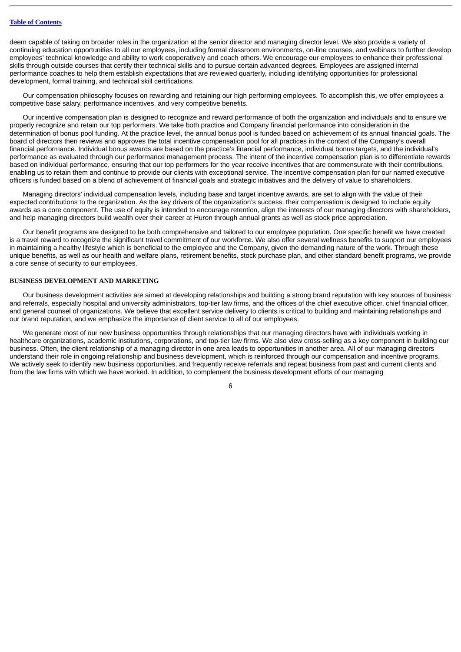deem capable of taking on broader roles in the organization at the senior director and managing director level. We also provide a variety of continuing education opportunities to all our employees, including formal classroom environments, on-line courses, and webinars to further develop employees' technical knowledge and ability to work cooperatively and coach others. We encourage our employees to enhance their professional skills through outside courses that certify their technical skills and to pursue certain advanced degrees. Employees are assigned internal performance coaches to help them establish expectations that are reviewed quarterly, including identifying opportunities for professional development, formal training, and technical skill certifications.

Our compensation philosophy focuses on rewarding and retaining our high performing employees. To accomplish this, we offer employees a competitive base salary, performance incentives, and very competitive benefits.

Our incentive compensation plan is designed to recognize and reward performance of both the organization and individuals and to ensure we properly recognize and retain our top performers. We take both practice and Company financial performance into consideration in the determination of bonus pool funding. At the practice level, the annual bonus pool is funded based on achievement of its annual financial goals. The board of directors then reviews and approves the total incentive compensation pool for all practices in the context of the Company's overall financial performance. Individual bonus awards are based on the practice's financial performance, individual bonus targets, and the individual's performance as evaluated through our performance management process. The intent of the incentive compensation plan is to differentiate rewards based on individual performance, ensuring that our top performers for the year receive incentives that are commensurate with their contributions, enabling us to retain them and continue to provide our clients with exceptional service. The incentive compensation plan for our named executive officers is funded based on a blend of achievement of financial goals and strategic initiatives and the delivery of value to shareholders.

Managing directors' individual compensation levels, including base and target incentive awards, are set to align with the value of their expected contributions to the organization. As the key drivers of the organization's success, their compensation is designed to include equity awards as a core component. The use of equity is intended to encourage retention, align the interests of our managing directors with shareholders, and help managing directors build wealth over their career at Huron through annual grants as well as stock price appreciation.

Our benefit programs are designed to be both comprehensive and tailored to our employee population. One specific benefit we have created is a travel reward to recognize the significant travel commitment of our workforce. We also offer several wellness benefits to support our employees in maintaining a healthy lifestyle which is beneficial to the employee and the Company, given the demanding nature of the work. Through these unique benefits, as well as our health and welfare plans, retirement benefits, stock purchase plan, and other standard benefit programs, we provide a core sense of security to our employees.

### **BUSINESS DEVELOPMENT AND MARKETING**

Our business development activities are aimed at developing relationships and building a strong brand reputation with key sources of business and referrals, especially hospital and university administrators, top-tier law firms, and the offices of the chief executive officer, chief financial officer, and general counsel of organizations. We believe that excellent service delivery to clients is critical to building and maintaining relationships and our brand reputation, and we emphasize the importance of client service to all of our employees.

We generate most of our new business opportunities through relationships that our managing directors have with individuals working in healthcare organizations, academic institutions, corporations, and top-tier law firms. We also view cross-selling as a key component in building our business. Often, the client relationship of a managing director in one area leads to opportunities in another area. All of our managing directors understand their role in ongoing relationship and business development, which is reinforced through our compensation and incentive programs. We actively seek to identify new business opportunities, and frequently receive referrals and repeat business from past and current clients and from the law firms with which we have worked. In addition, to complement the business development efforts of our managing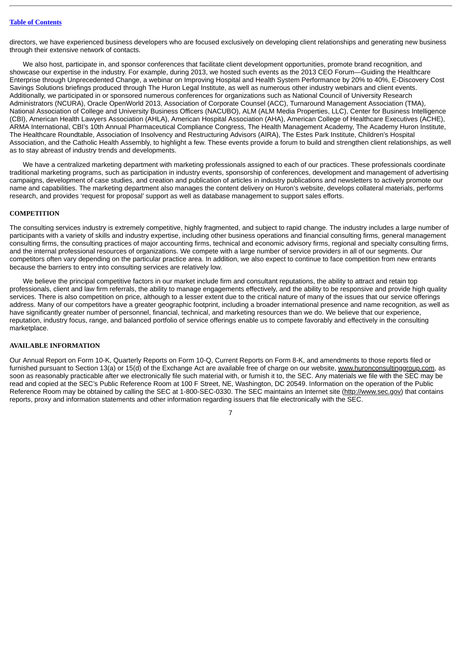directors, we have experienced business developers who are focused exclusively on developing client relationships and generating new business through their extensive network of contacts.

We also host, participate in, and sponsor conferences that facilitate client development opportunities, promote brand recognition, and showcase our expertise in the industry. For example, during 2013, we hosted such events as the 2013 CEO Forum—Guiding the Healthcare Enterprise through Unprecedented Change, a webinar on Improving Hospital and Health System Performance by 20% to 40%, E-Discovery Cost Savings Solutions briefings produced through The Huron Legal Institute, as well as numerous other industry webinars and client events. Additionally, we participated in or sponsored numerous conferences for organizations such as National Council of University Research Administrators (NCURA), Oracle OpenWorld 2013, Association of Corporate Counsel (ACC), Turnaround Management Association (TMA), National Association of College and University Business Officers (NACUBO), ALM (ALM Media Properties, LLC), Center for Business Intelligence (CBI), American Health Lawyers Association (AHLA), American Hospital Association (AHA), American College of Healthcare Executives (ACHE), ARMA International, CBI's 10th Annual Pharmaceutical Compliance Congress, The Health Management Academy, The Academy Huron Institute, The Healthcare Roundtable, Association of Insolvency and Restructuring Advisors (AIRA), The Estes Park Institute, Children's Hospital Association, and the Catholic Health Assembly, to highlight a few. These events provide a forum to build and strengthen client relationships, as well as to stay abreast of industry trends and developments.

We have a centralized marketing department with marketing professionals assigned to each of our practices. These professionals coordinate traditional marketing programs, such as participation in industry events, sponsorship of conferences, development and management of advertising campaigns, development of case studies, and creation and publication of articles in industry publications and newsletters to actively promote our name and capabilities. The marketing department also manages the content delivery on Huron's website, develops collateral materials, performs research, and provides 'request for proposal' support as well as database management to support sales efforts.

### **COMPETITION**

The consulting services industry is extremely competitive, highly fragmented, and subject to rapid change. The industry includes a large number of participants with a variety of skills and industry expertise, including other business operations and financial consulting firms, general management consulting firms, the consulting practices of major accounting firms, technical and economic advisory firms, regional and specialty consulting firms, and the internal professional resources of organizations. We compete with a large number of service providers in all of our segments. Our competitors often vary depending on the particular practice area. In addition, we also expect to continue to face competition from new entrants because the barriers to entry into consulting services are relatively low.

We believe the principal competitive factors in our market include firm and consultant reputations, the ability to attract and retain top professionals, client and law firm referrals, the ability to manage engagements effectively, and the ability to be responsive and provide high quality services. There is also competition on price, although to a lesser extent due to the critical nature of many of the issues that our service offerings address. Many of our competitors have a greater geographic footprint, including a broader international presence and name recognition, as well as have significantly greater number of personnel, financial, technical, and marketing resources than we do. We believe that our experience, reputation, industry focus, range, and balanced portfolio of service offerings enable us to compete favorably and effectively in the consulting marketplace.

### **AVAILABLE INFORMATION**

Our Annual Report on Form 10-K, Quarterly Reports on Form 10-Q, Current Reports on Form 8-K, and amendments to those reports filed or furnished pursuant to Section 13(a) or 15(d) of the Exchange Act are available free of charge on our website, www.huronconsultinggroup.com, as soon as reasonably practicable after we electronically file such material with, or furnish it to, the SEC. Any materials we file with the SEC may be read and copied at the SEC's Public Reference Room at 100 F Street, NE, Washington, DC 20549. Information on the operation of the Public Reference Room may be obtained by calling the SEC at 1-800-SEC-0330. The SEC maintains an Internet site (http://www.sec.gov) that contains reports, proxy and information statements and other information regarding issuers that file electronically with the SEC.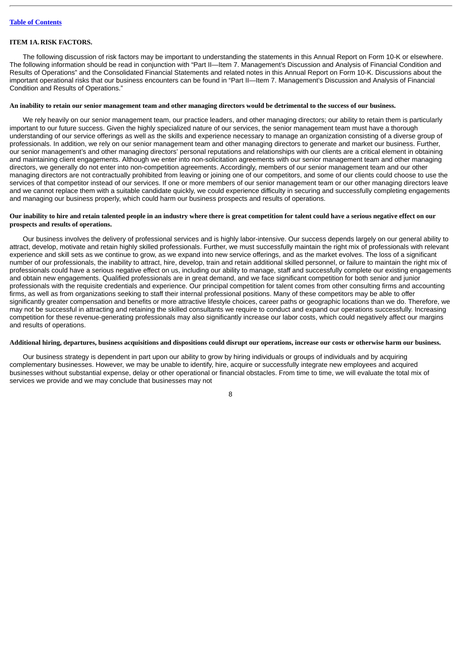### <span id="page-9-0"></span>**ITEM 1A. RISK FACTORS.**

The following discussion of risk factors may be important to understanding the statements in this Annual Report on Form 10-K or elsewhere. The following information should be read in conjunction with "Part II—Item 7. Management's Discussion and Analysis of Financial Condition and Results of Operations" and the Consolidated Financial Statements and related notes in this Annual Report on Form 10-K. Discussions about the important operational risks that our business encounters can be found in "Part II—Item 7. Management's Discussion and Analysis of Financial Condition and Results of Operations."

#### **An inability to retain our senior management team and other managing directors would be detrimental to the success of our business.**

We rely heavily on our senior management team, our practice leaders, and other managing directors; our ability to retain them is particularly important to our future success. Given the highly specialized nature of our services, the senior management team must have a thorough understanding of our service offerings as well as the skills and experience necessary to manage an organization consisting of a diverse group of professionals. In addition, we rely on our senior management team and other managing directors to generate and market our business. Further, our senior management's and other managing directors' personal reputations and relationships with our clients are a critical element in obtaining and maintaining client engagements. Although we enter into non-solicitation agreements with our senior management team and other managing directors, we generally do not enter into non-competition agreements. Accordingly, members of our senior management team and our other managing directors are not contractually prohibited from leaving or joining one of our competitors, and some of our clients could choose to use the services of that competitor instead of our services. If one or more members of our senior management team or our other managing directors leave and we cannot replace them with a suitable candidate quickly, we could experience difficulty in securing and successfully completing engagements and managing our business properly, which could harm our business prospects and results of operations.

### **Our inability to hire and retain talented people in an industry where there is great competition for talent could have a serious negative effect on our prospects and results of operations.**

Our business involves the delivery of professional services and is highly labor-intensive. Our success depends largely on our general ability to attract, develop, motivate and retain highly skilled professionals. Further, we must successfully maintain the right mix of professionals with relevant experience and skill sets as we continue to grow, as we expand into new service offerings, and as the market evolves. The loss of a significant number of our professionals, the inability to attract, hire, develop, train and retain additional skilled personnel, or failure to maintain the right mix of professionals could have a serious negative effect on us, including our ability to manage, staff and successfully complete our existing engagements and obtain new engagements. Qualified professionals are in great demand, and we face significant competition for both senior and junior professionals with the requisite credentials and experience. Our principal competition for talent comes from other consulting firms and accounting firms, as well as from organizations seeking to staff their internal professional positions. Many of these competitors may be able to offer significantly greater compensation and benefits or more attractive lifestyle choices, career paths or geographic locations than we do. Therefore, we may not be successful in attracting and retaining the skilled consultants we require to conduct and expand our operations successfully. Increasing competition for these revenue-generating professionals may also significantly increase our labor costs, which could negatively affect our margins and results of operations.

#### **Additional hiring, departures, business acquisitions and dispositions could disrupt our operations, increase our costs or otherwise harm our business.**

Our business strategy is dependent in part upon our ability to grow by hiring individuals or groups of individuals and by acquiring complementary businesses. However, we may be unable to identify, hire, acquire or successfully integrate new employees and acquired businesses without substantial expense, delay or other operational or financial obstacles. From time to time, we will evaluate the total mix of services we provide and we may conclude that businesses may not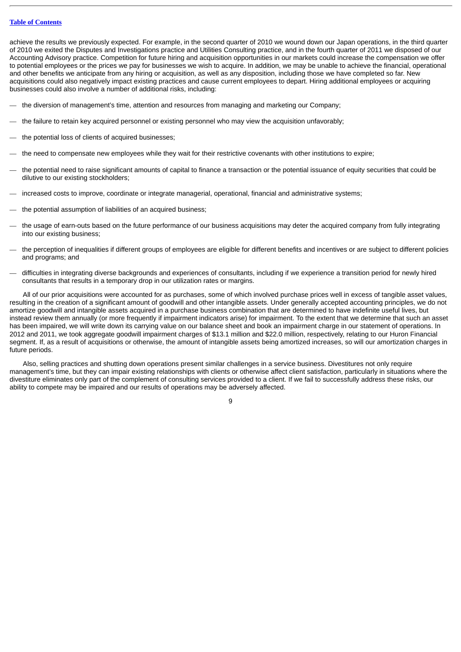achieve the results we previously expected. For example, in the second quarter of 2010 we wound down our Japan operations, in the third quarter of 2010 we exited the Disputes and Investigations practice and Utilities Consulting practice, and in the fourth quarter of 2011 we disposed of our Accounting Advisory practice. Competition for future hiring and acquisition opportunities in our markets could increase the compensation we offer to potential employees or the prices we pay for businesses we wish to acquire. In addition, we may be unable to achieve the financial, operational and other benefits we anticipate from any hiring or acquisition, as well as any disposition, including those we have completed so far. New acquisitions could also negatively impact existing practices and cause current employees to depart. Hiring additional employees or acquiring businesses could also involve a number of additional risks, including:

- the diversion of management's time, attention and resources from managing and marketing our Company;
- the failure to retain key acquired personnel or existing personnel who may view the acquisition unfavorably;
- the potential loss of clients of acquired businesses;
- the need to compensate new employees while they wait for their restrictive covenants with other institutions to expire;
- the potential need to raise significant amounts of capital to finance a transaction or the potential issuance of equity securities that could be dilutive to our existing stockholders;
- increased costs to improve, coordinate or integrate managerial, operational, financial and administrative systems;
- the potential assumption of liabilities of an acquired business;
- the usage of earn-outs based on the future performance of our business acquisitions may deter the acquired company from fully integrating into our existing business;
- the perception of inequalities if different groups of employees are eligible for different benefits and incentives or are subject to different policies and programs; and
- difficulties in integrating diverse backgrounds and experiences of consultants, including if we experience a transition period for newly hired consultants that results in a temporary drop in our utilization rates or margins.

All of our prior acquisitions were accounted for as purchases, some of which involved purchase prices well in excess of tangible asset values, resulting in the creation of a significant amount of goodwill and other intangible assets. Under generally accepted accounting principles, we do not amortize goodwill and intangible assets acquired in a purchase business combination that are determined to have indefinite useful lives, but instead review them annually (or more frequently if impairment indicators arise) for impairment. To the extent that we determine that such an asset has been impaired, we will write down its carrying value on our balance sheet and book an impairment charge in our statement of operations. In 2012 and 2011, we took aggregate goodwill impairment charges of \$13.1 million and \$22.0 million, respectively, relating to our Huron Financial segment. If, as a result of acquisitions or otherwise, the amount of intangible assets being amortized increases, so will our amortization charges in future periods.

Also, selling practices and shutting down operations present similar challenges in a service business. Divestitures not only require management's time, but they can impair existing relationships with clients or otherwise affect client satisfaction, particularly in situations where the divestiture eliminates only part of the complement of consulting services provided to a client. If we fail to successfully address these risks, our ability to compete may be impaired and our results of operations may be adversely affected.

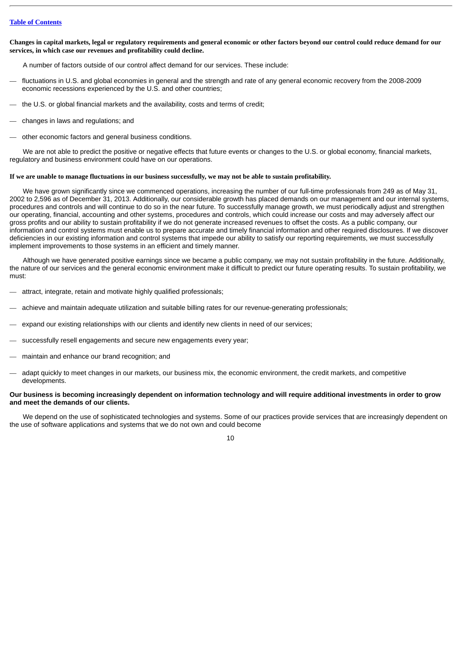### **Changes in capital markets, legal or regulatory requirements and general economic or other factors beyond our control could reduce demand for our services, in which case our revenues and profitability could decline.**

A number of factors outside of our control affect demand for our services. These include:

- fluctuations in U.S. and global economies in general and the strength and rate of any general economic recovery from the 2008-2009 economic recessions experienced by the U.S. and other countries;
- the U.S. or global financial markets and the availability, costs and terms of credit;
- changes in laws and regulations; and
- other economic factors and general business conditions.

We are not able to predict the positive or negative effects that future events or changes to the U.S. or global economy, financial markets, regulatory and business environment could have on our operations.

### **If we are unable to manage fluctuations in our business successfully, we may not be able to sustain profitability.**

We have grown significantly since we commenced operations, increasing the number of our full-time professionals from 249 as of May 31, 2002 to 2,596 as of December 31, 2013. Additionally, our considerable growth has placed demands on our management and our internal systems, procedures and controls and will continue to do so in the near future. To successfully manage growth, we must periodically adjust and strengthen our operating, financial, accounting and other systems, procedures and controls, which could increase our costs and may adversely affect our gross profits and our ability to sustain profitability if we do not generate increased revenues to offset the costs. As a public company, our information and control systems must enable us to prepare accurate and timely financial information and other required disclosures. If we discover deficiencies in our existing information and control systems that impede our ability to satisfy our reporting requirements, we must successfully implement improvements to those systems in an efficient and timely manner.

Although we have generated positive earnings since we became a public company, we may not sustain profitability in the future. Additionally, the nature of our services and the general economic environment make it difficult to predict our future operating results. To sustain profitability, we must:

- attract, integrate, retain and motivate highly qualified professionals;
- achieve and maintain adequate utilization and suitable billing rates for our revenue-generating professionals;
- expand our existing relationships with our clients and identify new clients in need of our services;
- successfully resell engagements and secure new engagements every year;
- maintain and enhance our brand recognition; and
- adapt quickly to meet changes in our markets, our business mix, the economic environment, the credit markets, and competitive developments.

### **Our business is becoming increasingly dependent on information technology and will require additional investments in order to grow and meet the demands of our clients.**

We depend on the use of sophisticated technologies and systems. Some of our practices provide services that are increasingly dependent on the use of software applications and systems that we do not own and could become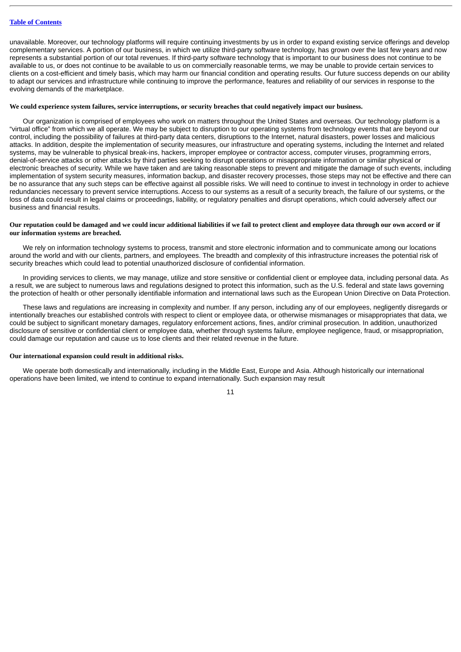unavailable. Moreover, our technology platforms will require continuing investments by us in order to expand existing service offerings and develop complementary services. A portion of our business, in which we utilize third-party software technology, has grown over the last few years and now represents a substantial portion of our total revenues. If third-party software technology that is important to our business does not continue to be available to us, or does not continue to be available to us on commercially reasonable terms, we may be unable to provide certain services to clients on a cost-efficient and timely basis, which may harm our financial condition and operating results. Our future success depends on our ability to adapt our services and infrastructure while continuing to improve the performance, features and reliability of our services in response to the evolving demands of the marketplace.

#### **We could experience system failures, service interruptions, or security breaches that could negatively impact our business.**

Our organization is comprised of employees who work on matters throughout the United States and overseas. Our technology platform is a "virtual office" from which we all operate. We may be subject to disruption to our operating systems from technology events that are beyond our control, including the possibility of failures at third-party data centers, disruptions to the Internet, natural disasters, power losses and malicious attacks. In addition, despite the implementation of security measures, our infrastructure and operating systems, including the Internet and related systems, may be vulnerable to physical break-ins, hackers, improper employee or contractor access, computer viruses, programming errors, denial-of-service attacks or other attacks by third parties seeking to disrupt operations or misappropriate information or similar physical or electronic breaches of security. While we have taken and are taking reasonable steps to prevent and mitigate the damage of such events, including implementation of system security measures, information backup, and disaster recovery processes, those steps may not be effective and there can be no assurance that any such steps can be effective against all possible risks. We will need to continue to invest in technology in order to achieve redundancies necessary to prevent service interruptions. Access to our systems as a result of a security breach, the failure of our systems, or the loss of data could result in legal claims or proceedings, liability, or regulatory penalties and disrupt operations, which could adversely affect our business and financial results.

### **Our reputation could be damaged and we could incur additional liabilities if we fail to protect client and employee data through our own accord or if our information systems are breached.**

We rely on information technology systems to process, transmit and store electronic information and to communicate among our locations around the world and with our clients, partners, and employees. The breadth and complexity of this infrastructure increases the potential risk of security breaches which could lead to potential unauthorized disclosure of confidential information.

In providing services to clients, we may manage, utilize and store sensitive or confidential client or employee data, including personal data. As a result, we are subject to numerous laws and regulations designed to protect this information, such as the U.S. federal and state laws governing the protection of health or other personally identifiable information and international laws such as the European Union Directive on Data Protection.

These laws and regulations are increasing in complexity and number. If any person, including any of our employees, negligently disregards or intentionally breaches our established controls with respect to client or employee data, or otherwise mismanages or misappropriates that data, we could be subject to significant monetary damages, regulatory enforcement actions, fines, and/or criminal prosecution. In addition, unauthorized disclosure of sensitive or confidential client or employee data, whether through systems failure, employee negligence, fraud, or misappropriation, could damage our reputation and cause us to lose clients and their related revenue in the future.

#### **Our international expansion could result in additional risks.**

We operate both domestically and internationally, including in the Middle East, Europe and Asia. Although historically our international operations have been limited, we intend to continue to expand internationally. Such expansion may result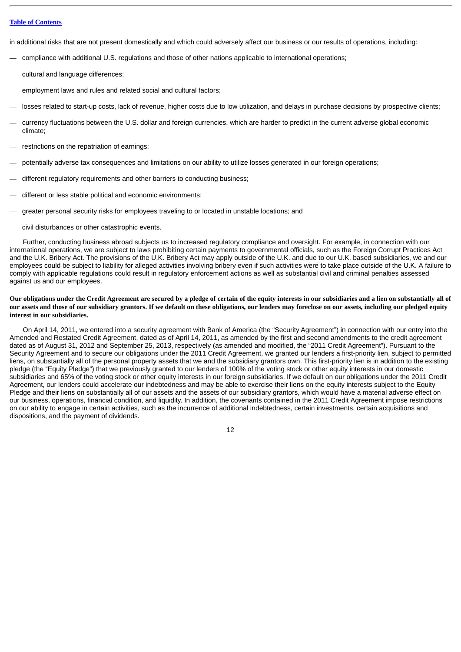in additional risks that are not present domestically and which could adversely affect our business or our results of operations, including:

- compliance with additional U.S. regulations and those of other nations applicable to international operations;
- cultural and language differences;
- employment laws and rules and related social and cultural factors;
- losses related to start-up costs, lack of revenue, higher costs due to low utilization, and delays in purchase decisions by prospective clients;
- currency fluctuations between the U.S. dollar and foreign currencies, which are harder to predict in the current adverse global economic climate;
- restrictions on the repatriation of earnings;
- potentially adverse tax consequences and limitations on our ability to utilize losses generated in our foreign operations;
- different regulatory requirements and other barriers to conducting business;
- different or less stable political and economic environments;
- greater personal security risks for employees traveling to or located in unstable locations; and
- civil disturbances or other catastrophic events.

Further, conducting business abroad subjects us to increased regulatory compliance and oversight. For example, in connection with our international operations, we are subject to laws prohibiting certain payments to governmental officials, such as the Foreign Corrupt Practices Act and the U.K. Bribery Act. The provisions of the U.K. Bribery Act may apply outside of the U.K. and due to our U.K. based subsidiaries, we and our employees could be subject to liability for alleged activities involving bribery even if such activities were to take place outside of the U.K. A failure to comply with applicable regulations could result in regulatory enforcement actions as well as substantial civil and criminal penalties assessed against us and our employees.

### **Our obligations under the Credit Agreement are secured by a pledge of certain of the equity interests in our subsidiaries and a lien on substantially all of our assets and those of our subsidiary grantors. If we default on these obligations, our lenders may foreclose on our assets, including our pledged equity interest in our subsidiaries.**

On April 14, 2011, we entered into a security agreement with Bank of America (the "Security Agreement") in connection with our entry into the Amended and Restated Credit Agreement, dated as of April 14, 2011, as amended by the first and second amendments to the credit agreement dated as of August 31, 2012 and September 25, 2013, respectively (as amended and modified, the "2011 Credit Agreement"). Pursuant to the Security Agreement and to secure our obligations under the 2011 Credit Agreement, we granted our lenders a first-priority lien, subject to permitted liens, on substantially all of the personal property assets that we and the subsidiary grantors own. This first-priority lien is in addition to the existing pledge (the "Equity Pledge") that we previously granted to our lenders of 100% of the voting stock or other equity interests in our domestic subsidiaries and 65% of the voting stock or other equity interests in our foreign subsidiaries. If we default on our obligations under the 2011 Credit Agreement, our lenders could accelerate our indebtedness and may be able to exercise their liens on the equity interests subject to the Equity Pledge and their liens on substantially all of our assets and the assets of our subsidiary grantors, which would have a material adverse effect on our business, operations, financial condition, and liquidity. In addition, the covenants contained in the 2011 Credit Agreement impose restrictions on our ability to engage in certain activities, such as the incurrence of additional indebtedness, certain investments, certain acquisitions and dispositions, and the payment of dividends.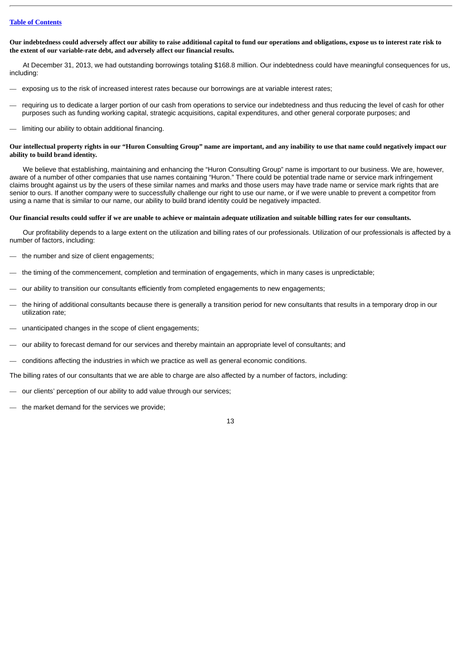**Our indebtedness could adversely affect our ability to raise additional capital to fund our operations and obligations, expose us to interest rate risk to the extent of our variable-rate debt, and adversely affect our financial results.**

At December 31, 2013, we had outstanding borrowings totaling \$168.8 million. Our indebtedness could have meaningful consequences for us, including:

- exposing us to the risk of increased interest rates because our borrowings are at variable interest rates;
- requiring us to dedicate a larger portion of our cash from operations to service our indebtedness and thus reducing the level of cash for other purposes such as funding working capital, strategic acquisitions, capital expenditures, and other general corporate purposes; and
- limiting our ability to obtain additional financing.

### **Our intellectual property rights in our "Huron Consulting Group" name are important, and any inability to use that name could negatively impact our ability to build brand identity.**

We believe that establishing, maintaining and enhancing the "Huron Consulting Group" name is important to our business. We are, however, aware of a number of other companies that use names containing "Huron." There could be potential trade name or service mark infringement claims brought against us by the users of these similar names and marks and those users may have trade name or service mark rights that are senior to ours. If another company were to successfully challenge our right to use our name, or if we were unable to prevent a competitor from using a name that is similar to our name, our ability to build brand identity could be negatively impacted.

## **Our financial results could suffer if we are unable to achieve or maintain adequate utilization and suitable billing rates for our consultants.**

Our profitability depends to a large extent on the utilization and billing rates of our professionals. Utilization of our professionals is affected by a number of factors, including:

- the number and size of client engagements;
- the timing of the commencement, completion and termination of engagements, which in many cases is unpredictable;
- our ability to transition our consultants efficiently from completed engagements to new engagements;
- the hiring of additional consultants because there is generally a transition period for new consultants that results in a temporary drop in our utilization rate;
- unanticipated changes in the scope of client engagements;
- our ability to forecast demand for our services and thereby maintain an appropriate level of consultants; and
- conditions affecting the industries in which we practice as well as general economic conditions.

The billing rates of our consultants that we are able to charge are also affected by a number of factors, including:

- our clients' perception of our ability to add value through our services;
- the market demand for the services we provide;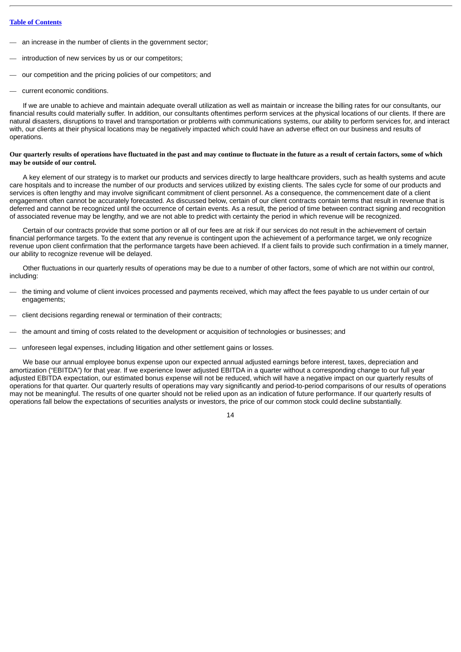- an increase in the number of clients in the government sector;
- introduction of new services by us or our competitors;
- our competition and the pricing policies of our competitors; and
- current economic conditions.

If we are unable to achieve and maintain adequate overall utilization as well as maintain or increase the billing rates for our consultants, our financial results could materially suffer. In addition, our consultants oftentimes perform services at the physical locations of our clients. If there are natural disasters, disruptions to travel and transportation or problems with communications systems, our ability to perform services for, and interact with, our clients at their physical locations may be negatively impacted which could have an adverse effect on our business and results of operations.

### **Our quarterly results of operations have fluctuated in the past and may continue to fluctuate in the future as a result of certain factors, some of which may be outside of our control.**

A key element of our strategy is to market our products and services directly to large healthcare providers, such as health systems and acute care hospitals and to increase the number of our products and services utilized by existing clients. The sales cycle for some of our products and services is often lengthy and may involve significant commitment of client personnel. As a consequence, the commencement date of a client engagement often cannot be accurately forecasted. As discussed below, certain of our client contracts contain terms that result in revenue that is deferred and cannot be recognized until the occurrence of certain events. As a result, the period of time between contract signing and recognition of associated revenue may be lengthy, and we are not able to predict with certainty the period in which revenue will be recognized.

Certain of our contracts provide that some portion or all of our fees are at risk if our services do not result in the achievement of certain financial performance targets. To the extent that any revenue is contingent upon the achievement of a performance target, we only recognize revenue upon client confirmation that the performance targets have been achieved. If a client fails to provide such confirmation in a timely manner, our ability to recognize revenue will be delayed.

Other fluctuations in our quarterly results of operations may be due to a number of other factors, some of which are not within our control, including:

- the timing and volume of client invoices processed and payments received, which may affect the fees payable to us under certain of our engagements;
- client decisions regarding renewal or termination of their contracts;
- the amount and timing of costs related to the development or acquisition of technologies or businesses; and
- unforeseen legal expenses, including litigation and other settlement gains or losses.

We base our annual employee bonus expense upon our expected annual adjusted earnings before interest, taxes, depreciation and amortization ("EBITDA") for that year. If we experience lower adjusted EBITDA in a quarter without a corresponding change to our full year adjusted EBITDA expectation, our estimated bonus expense will not be reduced, which will have a negative impact on our quarterly results of operations for that quarter. Our quarterly results of operations may vary significantly and period-to-period comparisons of our results of operations may not be meaningful. The results of one quarter should not be relied upon as an indication of future performance. If our quarterly results of operations fall below the expectations of securities analysts or investors, the price of our common stock could decline substantially.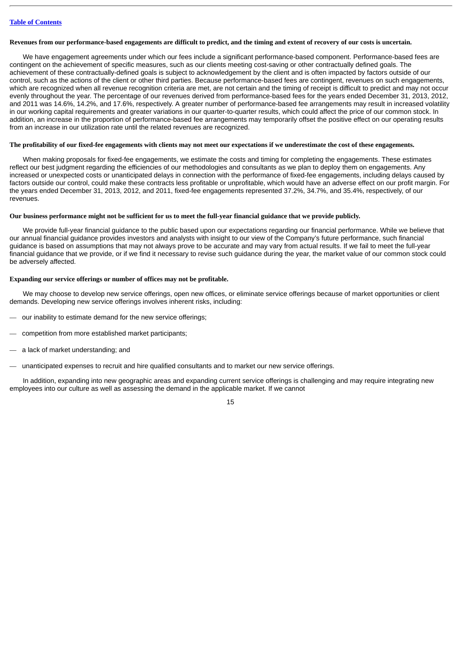#### **Revenues from our performance-based engagements are difficult to predict, and the timing and extent of recovery of our costs is uncertain.**

We have engagement agreements under which our fees include a significant performance-based component. Performance-based fees are contingent on the achievement of specific measures, such as our clients meeting cost-saving or other contractually defined goals. The achievement of these contractually-defined goals is subject to acknowledgement by the client and is often impacted by factors outside of our control, such as the actions of the client or other third parties. Because performance-based fees are contingent, revenues on such engagements, which are recognized when all revenue recognition criteria are met, are not certain and the timing of receipt is difficult to predict and may not occur evenly throughout the year. The percentage of our revenues derived from performance-based fees for the years ended December 31, 2013, 2012, and 2011 was 14.6%, 14.2%, and 17.6%, respectively. A greater number of performance-based fee arrangements may result in increased volatility in our working capital requirements and greater variations in our quarter-to-quarter results, which could affect the price of our common stock. In addition, an increase in the proportion of performance-based fee arrangements may temporarily offset the positive effect on our operating results from an increase in our utilization rate until the related revenues are recognized.

#### **The profitability of our fixed-fee engagements with clients may not meet our expectations if we underestimate the cost of these engagements.**

When making proposals for fixed-fee engagements, we estimate the costs and timing for completing the engagements. These estimates reflect our best judgment regarding the efficiencies of our methodologies and consultants as we plan to deploy them on engagements. Any increased or unexpected costs or unanticipated delays in connection with the performance of fixed-fee engagements, including delays caused by factors outside our control, could make these contracts less profitable or unprofitable, which would have an adverse effect on our profit margin. For the years ended December 31, 2013, 2012, and 2011, fixed-fee engagements represented 37.2%, 34.7%, and 35.4%, respectively, of our revenues.

### **Our business performance might not be sufficient for us to meet the full-year financial guidance that we provide publicly.**

We provide full-year financial guidance to the public based upon our expectations regarding our financial performance. While we believe that our annual financial guidance provides investors and analysts with insight to our view of the Company's future performance, such financial guidance is based on assumptions that may not always prove to be accurate and may vary from actual results. If we fail to meet the full-year financial guidance that we provide, or if we find it necessary to revise such guidance during the year, the market value of our common stock could be adversely affected.

#### **Expanding our service offerings or number of offices may not be profitable.**

We may choose to develop new service offerings, open new offices, or eliminate service offerings because of market opportunities or client demands. Developing new service offerings involves inherent risks, including:

- our inability to estimate demand for the new service offerings;
- competition from more established market participants;
- a lack of market understanding; and
- unanticipated expenses to recruit and hire qualified consultants and to market our new service offerings.

In addition, expanding into new geographic areas and expanding current service offerings is challenging and may require integrating new employees into our culture as well as assessing the demand in the applicable market. If we cannot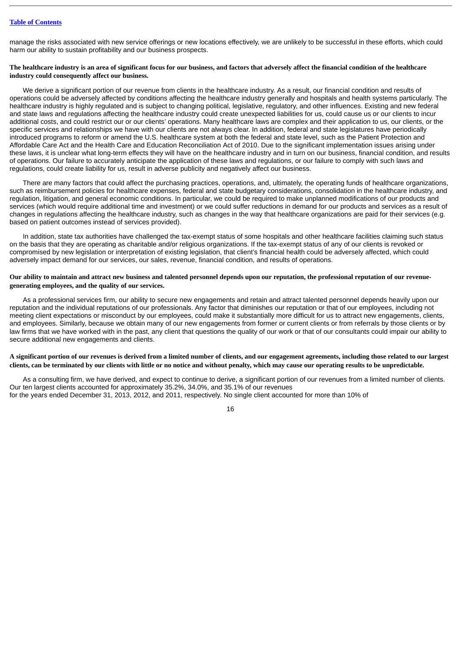manage the risks associated with new service offerings or new locations effectively, we are unlikely to be successful in these efforts, which could harm our ability to sustain profitability and our business prospects.

### **The healthcare industry is an area of significant focus for our business, and factors that adversely affect the financial condition of the healthcare industry could consequently affect our business.**

We derive a significant portion of our revenue from clients in the healthcare industry. As a result, our financial condition and results of operations could be adversely affected by conditions affecting the healthcare industry generally and hospitals and health systems particularly. The healthcare industry is highly regulated and is subject to changing political, legislative, regulatory, and other influences. Existing and new federal and state laws and regulations affecting the healthcare industry could create unexpected liabilities for us, could cause us or our clients to incur additional costs, and could restrict our or our clients' operations. Many healthcare laws are complex and their application to us, our clients, or the specific services and relationships we have with our clients are not always clear. In addition, federal and state legislatures have periodically introduced programs to reform or amend the U.S. healthcare system at both the federal and state level, such as the Patient Protection and Affordable Care Act and the Health Care and Education Reconciliation Act of 2010. Due to the significant implementation issues arising under these laws, it is unclear what long-term effects they will have on the healthcare industry and in turn on our business, financial condition, and results of operations. Our failure to accurately anticipate the application of these laws and regulations, or our failure to comply with such laws and regulations, could create liability for us, result in adverse publicity and negatively affect our business.

There are many factors that could affect the purchasing practices, operations, and, ultimately, the operating funds of healthcare organizations, such as reimbursement policies for healthcare expenses, federal and state budgetary considerations, consolidation in the healthcare industry, and regulation, litigation, and general economic conditions. In particular, we could be required to make unplanned modifications of our products and services (which would require additional time and investment) or we could suffer reductions in demand for our products and services as a result of changes in regulations affecting the healthcare industry, such as changes in the way that healthcare organizations are paid for their services (e.g. based on patient outcomes instead of services provided).

In addition, state tax authorities have challenged the tax-exempt status of some hospitals and other healthcare facilities claiming such status on the basis that they are operating as charitable and/or religious organizations. If the tax-exempt status of any of our clients is revoked or compromised by new legislation or interpretation of existing legislation, that client's financial health could be adversely affected, which could adversely impact demand for our services, our sales, revenue, financial condition, and results of operations.

### **Our ability to maintain and attract new business and talented personnel depends upon our reputation, the professional reputation of our revenuegenerating employees, and the quality of our services.**

As a professional services firm, our ability to secure new engagements and retain and attract talented personnel depends heavily upon our reputation and the individual reputations of our professionals. Any factor that diminishes our reputation or that of our employees, including not meeting client expectations or misconduct by our employees, could make it substantially more difficult for us to attract new engagements, clients, and employees. Similarly, because we obtain many of our new engagements from former or current clients or from referrals by those clients or by law firms that we have worked with in the past, any client that questions the quality of our work or that of our consultants could impair our ability to secure additional new engagements and clients.

### **A significant portion of our revenues is derived from a limited number of clients, and our engagement agreements, including those related to our largest clients, can be terminated by our clients with little or no notice and without penalty, which may cause our operating results to be unpredictable.**

As a consulting firm, we have derived, and expect to continue to derive, a significant portion of our revenues from a limited number of clients. Our ten largest clients accounted for approximately 35.2%, 34.0%, and 35.1% of our revenues for the years ended December 31, 2013, 2012, and 2011, respectively. No single client accounted for more than 10% of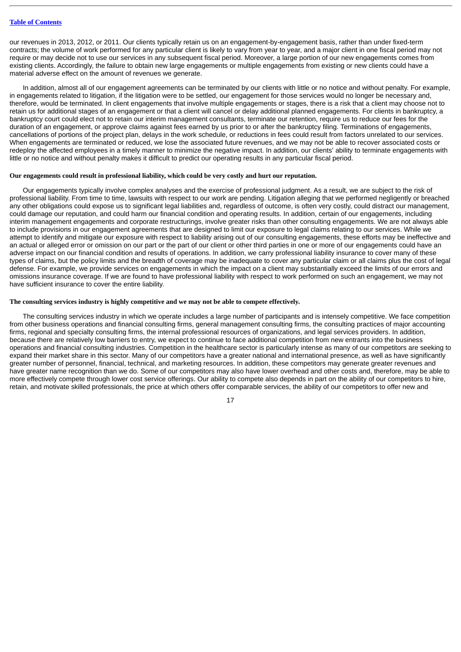our revenues in 2013, 2012, or 2011. Our clients typically retain us on an engagement-by-engagement basis, rather than under fixed-term contracts; the volume of work performed for any particular client is likely to vary from year to year, and a major client in one fiscal period may not require or may decide not to use our services in any subsequent fiscal period. Moreover, a large portion of our new engagements comes from existing clients. Accordingly, the failure to obtain new large engagements or multiple engagements from existing or new clients could have a material adverse effect on the amount of revenues we generate.

In addition, almost all of our engagement agreements can be terminated by our clients with little or no notice and without penalty. For example, in engagements related to litigation, if the litigation were to be settled, our engagement for those services would no longer be necessary and, therefore, would be terminated. In client engagements that involve multiple engagements or stages, there is a risk that a client may choose not to retain us for additional stages of an engagement or that a client will cancel or delay additional planned engagements. For clients in bankruptcy, a bankruptcy court could elect not to retain our interim management consultants, terminate our retention, require us to reduce our fees for the duration of an engagement, or approve claims against fees earned by us prior to or after the bankruptcy filing. Terminations of engagements, cancellations of portions of the project plan, delays in the work schedule, or reductions in fees could result from factors unrelated to our services. When engagements are terminated or reduced, we lose the associated future revenues, and we may not be able to recover associated costs or redeploy the affected employees in a timely manner to minimize the negative impact. In addition, our clients' ability to terminate engagements with little or no notice and without penalty makes it difficult to predict our operating results in any particular fiscal period.

### **Our engagements could result in professional liability, which could be very costly and hurt our reputation.**

Our engagements typically involve complex analyses and the exercise of professional judgment. As a result, we are subject to the risk of professional liability. From time to time, lawsuits with respect to our work are pending. Litigation alleging that we performed negligently or breached any other obligations could expose us to significant legal liabilities and, regardless of outcome, is often very costly, could distract our management, could damage our reputation, and could harm our financial condition and operating results. In addition, certain of our engagements, including interim management engagements and corporate restructurings, involve greater risks than other consulting engagements. We are not always able to include provisions in our engagement agreements that are designed to limit our exposure to legal claims relating to our services. While we attempt to identify and mitigate our exposure with respect to liability arising out of our consulting engagements, these efforts may be ineffective and an actual or alleged error or omission on our part or the part of our client or other third parties in one or more of our engagements could have an adverse impact on our financial condition and results of operations. In addition, we carry professional liability insurance to cover many of these types of claims, but the policy limits and the breadth of coverage may be inadequate to cover any particular claim or all claims plus the cost of legal defense. For example, we provide services on engagements in which the impact on a client may substantially exceed the limits of our errors and omissions insurance coverage. If we are found to have professional liability with respect to work performed on such an engagement, we may not have sufficient insurance to cover the entire liability.

### **The consulting services industry is highly competitive and we may not be able to compete effectively.**

The consulting services industry in which we operate includes a large number of participants and is intensely competitive. We face competition from other business operations and financial consulting firms, general management consulting firms, the consulting practices of major accounting firms, regional and specialty consulting firms, the internal professional resources of organizations, and legal services providers. In addition, because there are relatively low barriers to entry, we expect to continue to face additional competition from new entrants into the business operations and financial consulting industries. Competition in the healthcare sector is particularly intense as many of our competitors are seeking to expand their market share in this sector. Many of our competitors have a greater national and international presence, as well as have significantly greater number of personnel, financial, technical, and marketing resources. In addition, these competitors may generate greater revenues and have greater name recognition than we do. Some of our competitors may also have lower overhead and other costs and, therefore, may be able to more effectively compete through lower cost service offerings. Our ability to compete also depends in part on the ability of our competitors to hire, retain, and motivate skilled professionals, the price at which others offer comparable services, the ability of our competitors to offer new and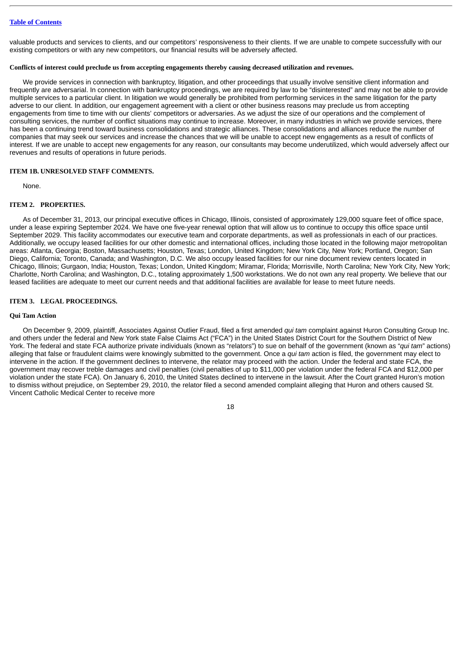valuable products and services to clients, and our competitors' responsiveness to their clients. If we are unable to compete successfully with our existing competitors or with any new competitors, our financial results will be adversely affected.

### **Conflicts of interest could preclude us from accepting engagements thereby causing decreased utilization and revenues.**

We provide services in connection with bankruptcy, litigation, and other proceedings that usually involve sensitive client information and frequently are adversarial. In connection with bankruptcy proceedings, we are required by law to be "disinterested" and may not be able to provide multiple services to a particular client. In litigation we would generally be prohibited from performing services in the same litigation for the party adverse to our client. In addition, our engagement agreement with a client or other business reasons may preclude us from accepting engagements from time to time with our clients' competitors or adversaries. As we adjust the size of our operations and the complement of consulting services, the number of conflict situations may continue to increase. Moreover, in many industries in which we provide services, there has been a continuing trend toward business consolidations and strategic alliances. These consolidations and alliances reduce the number of companies that may seek our services and increase the chances that we will be unable to accept new engagements as a result of conflicts of interest. If we are unable to accept new engagements for any reason, our consultants may become underutilized, which would adversely affect our revenues and results of operations in future periods.

#### <span id="page-19-0"></span>**ITEM 1B. UNRESOLVED STAFF COMMENTS.**

None.

#### <span id="page-19-1"></span>**ITEM 2. PROPERTIES.**

As of December 31, 2013, our principal executive offices in Chicago, Illinois, consisted of approximately 129,000 square feet of office space, under a lease expiring September 2024. We have one five-year renewal option that will allow us to continue to occupy this office space until September 2029. This facility accommodates our executive team and corporate departments, as well as professionals in each of our practices. Additionally, we occupy leased facilities for our other domestic and international offices, including those located in the following major metropolitan areas: Atlanta, Georgia; Boston, Massachusetts; Houston, Texas; London, United Kingdom; New York City, New York; Portland, Oregon; San Diego, California; Toronto, Canada; and Washington, D.C. We also occupy leased facilities for our nine document review centers located in Chicago, Illinois; Gurgaon, India; Houston, Texas; London, United Kingdom; Miramar, Florida; Morrisville, North Carolina; New York City, New York; Charlotte, North Carolina; and Washington, D.C., totaling approximately 1,500 workstations. We do not own any real property. We believe that our leased facilities are adequate to meet our current needs and that additional facilities are available for lease to meet future needs.

### <span id="page-19-2"></span>**ITEM 3. LEGAL PROCEEDINGS.**

### **Qui Tam Action**

On December 9, 2009, plaintiff, Associates Against Outlier Fraud, filed a first amended *qui tam* complaint against Huron Consulting Group Inc. and others under the federal and New York state False Claims Act ("FCA") in the United States District Court for the Southern District of New York. The federal and state FCA authorize private individuals (known as "relators") to sue on behalf of the government (known as "*qui tam*" actions) alleging that false or fraudulent claims were knowingly submitted to the government. Once a *qui tam* action is filed, the government may elect to intervene in the action. If the government declines to intervene, the relator may proceed with the action. Under the federal and state FCA, the government may recover treble damages and civil penalties (civil penalties of up to \$11,000 per violation under the federal FCA and \$12,000 per violation under the state FCA). On January 6, 2010, the United States declined to intervene in the lawsuit. After the Court granted Huron's motion to dismiss without prejudice, on September 29, 2010, the relator filed a second amended complaint alleging that Huron and others caused St. Vincent Catholic Medical Center to receive more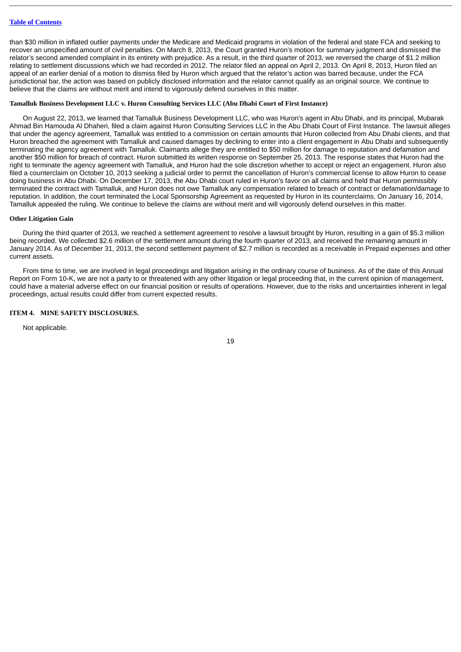than \$30 million in inflated outlier payments under the Medicare and Medicaid programs in violation of the federal and state FCA and seeking to recover an unspecified amount of civil penalties. On March 8, 2013, the Court granted Huron's motion for summary judgment and dismissed the relator's second amended complaint in its entirety with prejudice. As a result, in the third quarter of 2013, we reversed the charge of \$1.2 million relating to settlement discussions which we had recorded in 2012. The relator filed an appeal on April 2, 2013. On April 8, 2013, Huron filed an appeal of an earlier denial of a motion to dismiss filed by Huron which argued that the relator's action was barred because, under the FCA jurisdictional bar, the action was based on publicly disclosed information and the relator cannot qualify as an original source. We continue to believe that the claims are without merit and intend to vigorously defend ourselves in this matter.

#### **Tamalluk Business Development LLC v. Huron Consulting Services LLC (Abu Dhabi Court of First Instance)**

On August 22, 2013, we learned that Tamalluk Business Development LLC, who was Huron's agent in Abu Dhabi, and its principal, Mubarak Ahmad Bin Hamouda Al Dhaheri, filed a claim against Huron Consulting Services LLC in the Abu Dhabi Court of First Instance. The lawsuit alleges that under the agency agreement, Tamalluk was entitled to a commission on certain amounts that Huron collected from Abu Dhabi clients, and that Huron breached the agreement with Tamalluk and caused damages by declining to enter into a client engagement in Abu Dhabi and subsequently terminating the agency agreement with Tamalluk. Claimants allege they are entitled to \$50 million for damage to reputation and defamation and another \$50 million for breach of contract. Huron submitted its written response on September 25, 2013. The response states that Huron had the right to terminate the agency agreement with Tamalluk, and Huron had the sole discretion whether to accept or reject an engagement. Huron also filed a counterclaim on October 10, 2013 seeking a judicial order to permit the cancellation of Huron's commercial license to allow Huron to cease doing business in Abu Dhabi. On December 17, 2013, the Abu Dhabi court ruled in Huron's favor on all claims and held that Huron permissibly terminated the contract with Tamalluk, and Huron does not owe Tamalluk any compensation related to breach of contract or defamation/damage to reputation. In addition, the court terminated the Local Sponsorship Agreement as requested by Huron in its counterclaims. On January 16, 2014, Tamalluk appealed the ruling. We continue to believe the claims are without merit and will vigorously defend ourselves in this matter.

#### **Other Litigation Gain**

During the third quarter of 2013, we reached a settlement agreement to resolve a lawsuit brought by Huron, resulting in a gain of \$5.3 million being recorded. We collected \$2.6 million of the settlement amount during the fourth quarter of 2013, and received the remaining amount in January 2014. As of December 31, 2013, the second settlement payment of \$2.7 million is recorded as a receivable in Prepaid expenses and other current assets.

From time to time, we are involved in legal proceedings and litigation arising in the ordinary course of business. As of the date of this Annual Report on Form 10-K, we are not a party to or threatened with any other litigation or legal proceeding that, in the current opinion of management, could have a material adverse effect on our financial position or results of operations. However, due to the risks and uncertainties inherent in legal proceedings, actual results could differ from current expected results.

#### <span id="page-20-0"></span>**ITEM 4. MINE SAFETY DISCLOSURES.**

Not applicable.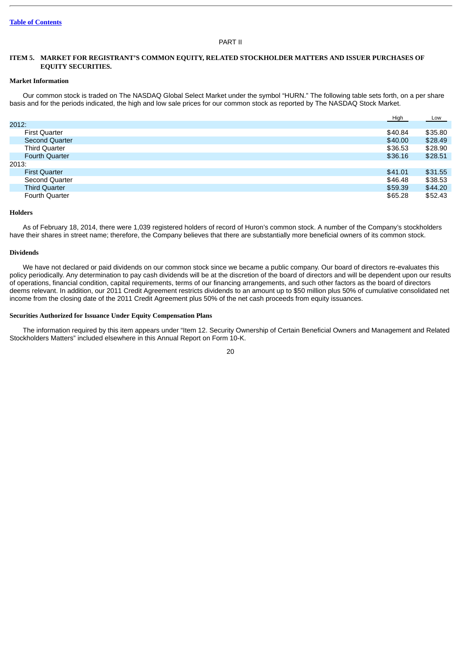### PART II

### <span id="page-21-1"></span><span id="page-21-0"></span>**ITEM 5. MARKET FOR REGISTRANT'S COMMON EQUITY, RELATED STOCKHOLDER MATTERS AND ISSUER PURCHASES OF EQUITY SECURITIES.**

## **Market Information**

Our common stock is traded on The NASDAQ Global Select Market under the symbol "HURN." The following table sets forth, on a per share basis and for the periods indicated, the high and low sale prices for our common stock as reported by The NASDAQ Stock Market.

|                       | High    | Low     |
|-----------------------|---------|---------|
| 2012:                 |         |         |
| <b>First Quarter</b>  | \$40.84 | \$35.80 |
| Second Quarter        | \$40.00 | \$28.49 |
| <b>Third Quarter</b>  | \$36.53 | \$28.90 |
| <b>Fourth Quarter</b> | \$36.16 | \$28.51 |
| 2013:                 |         |         |
| <b>First Quarter</b>  | \$41.01 | \$31.55 |
| Second Quarter        | \$46.48 | \$38.53 |
| <b>Third Quarter</b>  | \$59.39 | \$44.20 |
| Fourth Quarter        | \$65.28 | \$52.43 |

#### **Holders**

As of February 18, 2014, there were 1,039 registered holders of record of Huron's common stock. A number of the Company's stockholders have their shares in street name; therefore, the Company believes that there are substantially more beneficial owners of its common stock.

#### **Dividends**

We have not declared or paid dividends on our common stock since we became a public company. Our board of directors re-evaluates this policy periodically. Any determination to pay cash dividends will be at the discretion of the board of directors and will be dependent upon our results of operations, financial condition, capital requirements, terms of our financing arrangements, and such other factors as the board of directors deems relevant. In addition, our 2011 Credit Agreement restricts dividends to an amount up to \$50 million plus 50% of cumulative consolidated net income from the closing date of the 2011 Credit Agreement plus 50% of the net cash proceeds from equity issuances.

#### **Securities Authorized for Issuance Under Equity Compensation Plans**

The information required by this item appears under "Item 12. Security Ownership of Certain Beneficial Owners and Management and Related Stockholders Matters" included elsewhere in this Annual Report on Form 10-K.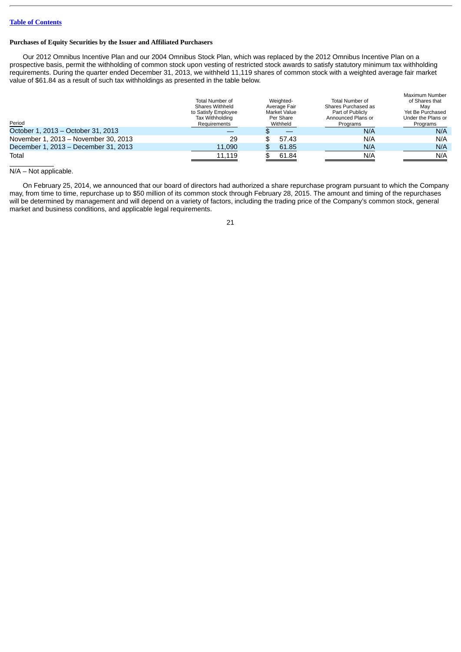## **Purchases of Equity Securities by the Issuer and Affiliated Purchasers**

Our 2012 Omnibus Incentive Plan and our 2004 Omnibus Stock Plan, which was replaced by the 2012 Omnibus Incentive Plan on a prospective basis, permit the withholding of common stock upon vesting of restricted stock awards to satisfy statutory minimum tax withholding requirements. During the quarter ended December 31, 2013, we withheld 11,119 shares of common stock with a weighted average fair market value of \$61.84 as a result of such tax withholdings as presented in the table below.

|                                      | Total Number of<br>Shares Withheld<br>to Satisfy Employee |  | Weighted-<br>Average Fair |  | Market Value |  | Total Number of<br>Shares Purchased as<br>Part of Publicly |  | Maximum Number<br>of Shares that<br>May<br>Yet Be Purchased |  |                    |  |          |
|--------------------------------------|-----------------------------------------------------------|--|---------------------------|--|--------------|--|------------------------------------------------------------|--|-------------------------------------------------------------|--|--------------------|--|----------|
|                                      | Tax Withholding                                           |  | Per Share                 |  |              |  |                                                            |  | Announced Plans or                                          |  | Under the Plans or |  |          |
| Period                               | Requirements                                              |  | Withheld                  |  |              |  |                                                            |  |                                                             |  | Programs           |  | Programs |
| October 1, 2013 – October 31, 2013   |                                                           |  |                           |  | N/A          |  | N/A                                                        |  |                                                             |  |                    |  |          |
| November 1, 2013 - November 30, 2013 | 29                                                        |  | 57.43                     |  | N/A          |  | N/A                                                        |  |                                                             |  |                    |  |          |
| December 1, 2013 - December 31, 2013 | 11,090                                                    |  | 61.85                     |  | N/A          |  | N/A                                                        |  |                                                             |  |                    |  |          |
| Total                                | 11.119                                                    |  | 61.84                     |  | N/A          |  | N/A                                                        |  |                                                             |  |                    |  |          |

N/A – Not applicable.

On February 25, 2014, we announced that our board of directors had authorized a share repurchase program pursuant to which the Company may, from time to time, repurchase up to \$50 million of its common stock through February 28, 2015. The amount and timing of the repurchases will be determined by management and will depend on a variety of factors, including the trading price of the Company's common stock, general market and business conditions, and applicable legal requirements.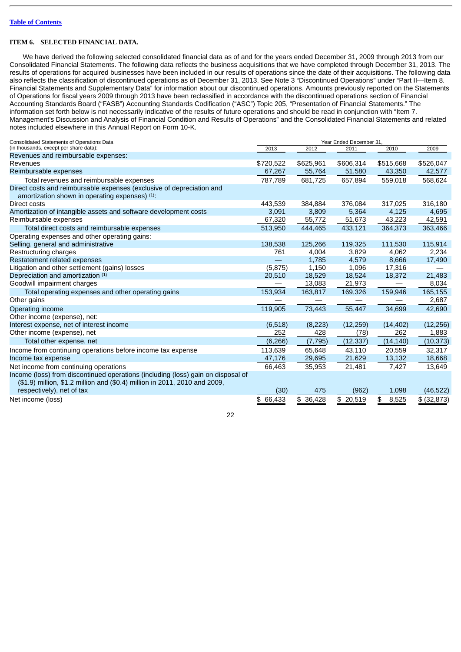### <span id="page-23-0"></span>**ITEM 6. SELECTED FINANCIAL DATA.**

We have derived the following selected consolidated financial data as of and for the years ended December 31, 2009 through 2013 from our Consolidated Financial Statements. The following data reflects the business acquisitions that we have completed through December 31, 2013. The results of operations for acquired businesses have been included in our results of operations since the date of their acquisitions. The following data also reflects the classification of discontinued operations as of December 31, 2013. See Note 3 "Discontinued Operations" under "Part II—Item 8. Financial Statements and Supplementary Data" for information about our discontinued operations. Amounts previously reported on the Statements of Operations for fiscal years 2009 through 2013 have been reclassified in accordance with the discontinued operations section of Financial Accounting Standards Board ("FASB") Accounting Standards Codification ("ASC") Topic 205, "Presentation of Financial Statements." The information set forth below is not necessarily indicative of the results of future operations and should be read in conjunction with "Item 7. Management's Discussion and Analysis of Financial Condition and Results of Operations" and the Consolidated Financial Statements and related notes included elsewhere in this Annual Report on Form 10-K.

| <b>Consolidated Statements of Operations Data</b>                                                                                                              | Year Ended December 31,         |              |           |                                |                 |
|----------------------------------------------------------------------------------------------------------------------------------------------------------------|---------------------------------|--------------|-----------|--------------------------------|-----------------|
| (in thousands, except per share data):                                                                                                                         | 2013                            | 2012         | 2011      | 2010                           | 2009            |
| Revenues and reimbursable expenses:                                                                                                                            |                                 |              |           |                                |                 |
| Revenues                                                                                                                                                       | \$720,522                       | \$625,961    | \$606,314 | \$515,668                      | \$526,047       |
| Reimbursable expenses                                                                                                                                          | 67.267                          | 55,764       | 51,580    | 43,350                         | 42,577          |
| Total revenues and reimbursable expenses                                                                                                                       | 787,789                         | 681.725      | 657,894   | 559.018                        | 568.624         |
| Direct costs and reimbursable expenses (exclusive of depreciation and<br>amortization shown in operating expenses) (1):                                        |                                 |              |           |                                |                 |
| Direct costs                                                                                                                                                   | 443.539                         | 384.884      | 376.084   | 317.025                        | 316.180         |
| Amortization of intangible assets and software development costs                                                                                               | 3,091                           | 3,809        | 5,364     | 4,125                          | 4,695           |
| Reimbursable expenses                                                                                                                                          | 67,320                          | 55,772       | 51,673    | 43,223                         | 42,591          |
| Total direct costs and reimbursable expenses                                                                                                                   | 513,950                         | 444,465      | 433,121   | 364,373                        | 363,466         |
| Operating expenses and other operating gains:                                                                                                                  |                                 |              |           |                                |                 |
| Selling, general and administrative                                                                                                                            | 138,538                         | 125,266      | 119,325   | 111,530                        | 115,914         |
| Restructuring charges                                                                                                                                          | 761                             | 4.004        | 3,829     | 4,062                          | 2,234           |
| Restatement related expenses                                                                                                                                   |                                 | 1,785        | 4,579     | 8,666                          | 17,490          |
| Litigation and other settlement (gains) losses                                                                                                                 | (5, 875)                        | 1,150        | 1,096     | 17,316                         |                 |
| Depreciation and amortization (1)                                                                                                                              | 20,510                          | 18,529       | 18,524    | 18,372                         | 21,483          |
| Goodwill impairment charges                                                                                                                                    | $\hspace{0.1mm}-\hspace{0.1mm}$ | 13,083       | 21,973    | $\qquad \qquad \longleftarrow$ | 8,034           |
| Total operating expenses and other operating gains                                                                                                             | 153,934                         | 163,817      | 169.326   | 159,946                        | 165,155         |
| Other gains                                                                                                                                                    |                                 |              |           |                                | 2,687           |
| Operating income                                                                                                                                               | 119,905                         | 73,443       | 55,447    | 34,699                         | 42,690          |
| Other income (expense), net:                                                                                                                                   |                                 |              |           |                                |                 |
| Interest expense, net of interest income                                                                                                                       | (6,518)                         | (8, 223)     | (12, 259) | (14, 402)                      | (12, 256)       |
| Other income (expense), net                                                                                                                                    | 252                             | 428          | (78)      | 262                            | 1,883           |
| Total other expense, net                                                                                                                                       | (6, 266)                        | (7, 795)     | (12, 337) | (14, 140)                      | (10, 373)       |
| Income from continuing operations before income tax expense                                                                                                    | 113,639                         | 65,648       | 43,110    | 20,559                         | 32,317          |
| Income tax expense                                                                                                                                             | 47,176                          | 29,695       | 21,629    | 13,132                         | 18,668          |
| Net income from continuing operations                                                                                                                          | 66,463                          | 35,953       | 21,481    | 7,427                          | 13,649          |
| Income (loss) from discontinued operations (including (loss) gain on disposal of<br>(\$1.9) million, \$1.2 million and (\$0.4) million in 2011, 2010 and 2009, |                                 |              |           |                                |                 |
| respectively), net of tax                                                                                                                                      | (30)                            | 475          | (962)     | 1,098                          | (46,522)        |
| Net income (loss)                                                                                                                                              | 66,433                          | 36,428<br>\$ | 20,519    | \$<br>8,525                    | (32, 873)<br>\$ |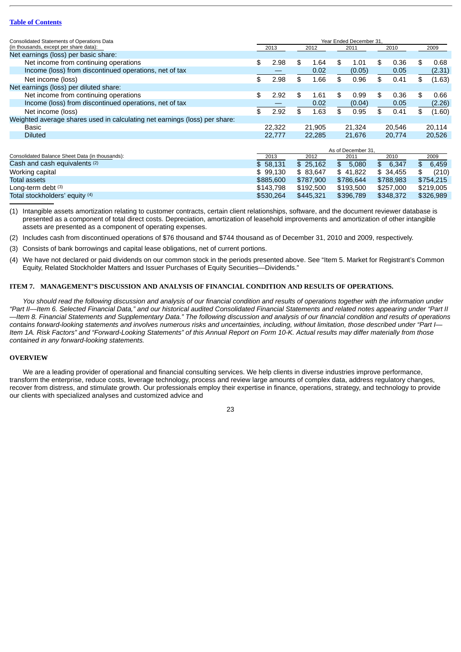| <b>Consolidated Statements of Operations Data</b>                          | Year Ended December 31. |        |     |        |    |                 |            |              |
|----------------------------------------------------------------------------|-------------------------|--------|-----|--------|----|-----------------|------------|--------------|
| (in thousands, except per share data):                                     |                         | 2013   |     | 2012   |    | 2011            | 2010       | 2009         |
| Net earnings (loss) per basic share:                                       |                         |        |     |        |    |                 |            |              |
| Net income from continuing operations                                      | \$                      | 2.98   | \$  | 1.64   | \$ | 1.01            | \$<br>0.36 | \$<br>0.68   |
| Income (loss) from discontinued operations, net of tax                     |                         |        |     | 0.02   |    | (0.05)          | 0.05       | (2.31)       |
| Net income (loss)                                                          | \$                      | 2.98   | \$. | 1.66   | \$ | 0.96            | \$<br>0.41 | \$<br>(1.63) |
| Net earnings (loss) per diluted share:                                     |                         |        |     |        |    |                 |            |              |
| Net income from continuing operations                                      | \$                      | 2.92   | \$  | 1.61   | \$ | 0.99            | \$<br>0.36 | \$<br>0.66   |
| Income (loss) from discontinued operations, net of tax                     |                         |        |     | 0.02   |    | (0.04)          | 0.05       | (2.26)       |
| Net income (loss)                                                          | \$                      | 2.92   | \$  | 1.63   | \$ | 0.95            | \$<br>0.41 | \$<br>(1.60) |
| Weighted average shares used in calculating net earnings (loss) per share: |                         |        |     |        |    |                 |            |              |
| <b>Basic</b>                                                               |                         | 22.322 |     | 21.905 |    | 21.324          | 20.546     | 20.114       |
| <b>Diluted</b>                                                             |                         | 22,777 |     | 22.285 |    | 21,676          | 20.774     | 20,526       |
|                                                                            |                         |        |     |        |    | $A - 1$ $B - 1$ |            |              |

|                                                 | As of December 31. |           |              |             |           |
|-------------------------------------------------|--------------------|-----------|--------------|-------------|-----------|
| Consolidated Balance Sheet Data (in thousands): | 2013               | 2012      | 2011         | 2010        | 2009      |
| Cash and cash equivalents (2)                   | \$58.131           | \$25.162  | 5.080<br>\$. | 6.347<br>\$ | 6.459     |
| Working capital                                 | \$99.130           | \$ 83.647 | \$41.822     | \$34.455    | (210)     |
| Total assets                                    | \$885,600          | \$787,900 | \$786.644    | \$788.983   | \$754.215 |
| Long-term debt $(3)$                            | \$143.798          | \$192.500 | \$193.500    | \$257,000   | \$219,005 |
| Total stockholders' equity (4)                  | \$530.264          | \$445,321 | \$396.789    | \$348.372   | \$326,989 |

(1) Intangible assets amortization relating to customer contracts, certain client relationships, software, and the document reviewer database is presented as a component of total direct costs. Depreciation, amortization of leasehold improvements and amortization of other intangible assets are presented as a component of operating expenses.

(2) Includes cash from discontinued operations of \$76 thousand and \$744 thousand as of December 31, 2010 and 2009, respectively.

(3) Consists of bank borrowings and capital lease obligations, net of current portions.

(4) We have not declared or paid dividends on our common stock in the periods presented above. See "Item 5. Market for Registrant's Common Equity, Related Stockholder Matters and Issuer Purchases of Equity Securities—Dividends."

### <span id="page-24-0"></span>**ITEM 7. MANAGEMENT'S DISCUSSION AND ANALYSIS OF FINANCIAL CONDITION AND RESULTS OF OPERATIONS.**

*You should read the following discussion and analysis of our financial condition and results of operations together with the information under "Part II—Item 6. Selected Financial Data," and our historical audited Consolidated Financial Statements and related notes appearing under "Part II —Item 8. Financial Statements and Supplementary Data." The following discussion and analysis of our financial condition and results of operations contains forward-looking statements and involves numerous risks and uncertainties, including, without limitation, those described under "Part I— Item 1A. Risk Factors" and "Forward-Looking Statements" of this Annual Report on Form 10-K. Actual results may differ materially from those contained in any forward-looking statements.*

### **OVERVIEW**

We are a leading provider of operational and financial consulting services. We help clients in diverse industries improve performance, transform the enterprise, reduce costs, leverage technology, process and review large amounts of complex data, address regulatory changes, recover from distress, and stimulate growth. Our professionals employ their expertise in finance, operations, strategy, and technology to provide our clients with specialized analyses and customized advice and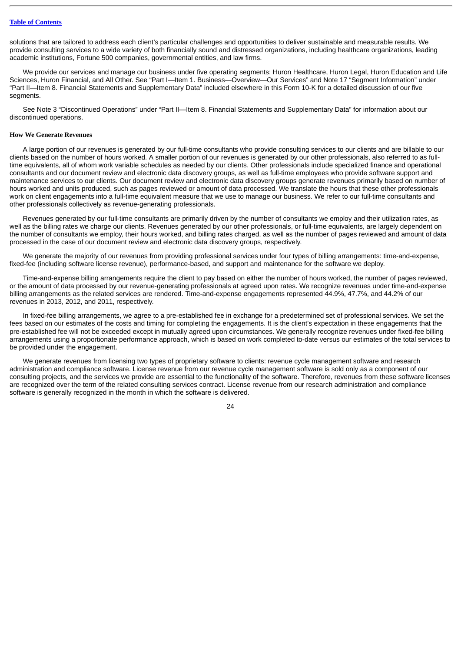solutions that are tailored to address each client's particular challenges and opportunities to deliver sustainable and measurable results. We provide consulting services to a wide variety of both financially sound and distressed organizations, including healthcare organizations, leading academic institutions, Fortune 500 companies, governmental entities, and law firms.

We provide our services and manage our business under five operating segments: Huron Healthcare, Huron Legal, Huron Education and Life Sciences, Huron Financial, and All Other. See "Part I—Item 1. Business—Overview—Our Services" and Note 17 "Segment Information" under "Part II—Item 8. Financial Statements and Supplementary Data" included elsewhere in this Form 10-K for a detailed discussion of our five segments.

See Note 3 "Discontinued Operations" under "Part II—Item 8. Financial Statements and Supplementary Data" for information about our discontinued operations.

### **How We Generate Revenues**

A large portion of our revenues is generated by our full-time consultants who provide consulting services to our clients and are billable to our clients based on the number of hours worked. A smaller portion of our revenues is generated by our other professionals, also referred to as fulltime equivalents, all of whom work variable schedules as needed by our clients. Other professionals include specialized finance and operational consultants and our document review and electronic data discovery groups, as well as full-time employees who provide software support and maintenance services to our clients. Our document review and electronic data discovery groups generate revenues primarily based on number of hours worked and units produced, such as pages reviewed or amount of data processed. We translate the hours that these other professionals work on client engagements into a full-time equivalent measure that we use to manage our business. We refer to our full-time consultants and other professionals collectively as revenue-generating professionals.

Revenues generated by our full-time consultants are primarily driven by the number of consultants we employ and their utilization rates, as well as the billing rates we charge our clients. Revenues generated by our other professionals, or full-time equivalents, are largely dependent on the number of consultants we employ, their hours worked, and billing rates charged, as well as the number of pages reviewed and amount of data processed in the case of our document review and electronic data discovery groups, respectively.

We generate the majority of our revenues from providing professional services under four types of billing arrangements: time-and-expense, fixed-fee (including software license revenue), performance-based, and support and maintenance for the software we deploy.

Time-and-expense billing arrangements require the client to pay based on either the number of hours worked, the number of pages reviewed, or the amount of data processed by our revenue-generating professionals at agreed upon rates. We recognize revenues under time-and-expense billing arrangements as the related services are rendered. Time-and-expense engagements represented 44.9%, 47.7%, and 44.2% of our revenues in 2013, 2012, and 2011, respectively.

In fixed-fee billing arrangements, we agree to a pre-established fee in exchange for a predetermined set of professional services. We set the fees based on our estimates of the costs and timing for completing the engagements. It is the client's expectation in these engagements that the pre-established fee will not be exceeded except in mutually agreed upon circumstances. We generally recognize revenues under fixed-fee billing arrangements using a proportionate performance approach, which is based on work completed to-date versus our estimates of the total services to be provided under the engagement.

We generate revenues from licensing two types of proprietary software to clients: revenue cycle management software and research administration and compliance software. License revenue from our revenue cycle management software is sold only as a component of our consulting projects, and the services we provide are essential to the functionality of the software. Therefore, revenues from these software licenses are recognized over the term of the related consulting services contract. License revenue from our research administration and compliance software is generally recognized in the month in which the software is delivered.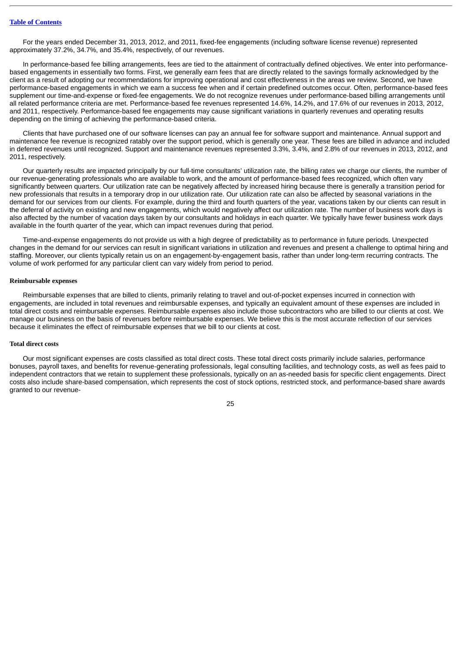For the years ended December 31, 2013, 2012, and 2011, fixed-fee engagements (including software license revenue) represented approximately 37.2%, 34.7%, and 35.4%, respectively, of our revenues.

In performance-based fee billing arrangements, fees are tied to the attainment of contractually defined objectives. We enter into performancebased engagements in essentially two forms. First, we generally earn fees that are directly related to the savings formally acknowledged by the client as a result of adopting our recommendations for improving operational and cost effectiveness in the areas we review. Second, we have performance-based engagements in which we earn a success fee when and if certain predefined outcomes occur. Often, performance-based fees supplement our time-and-expense or fixed-fee engagements. We do not recognize revenues under performance-based billing arrangements until all related performance criteria are met. Performance-based fee revenues represented 14.6%, 14.2%, and 17.6% of our revenues in 2013, 2012, and 2011, respectively. Performance-based fee engagements may cause significant variations in quarterly revenues and operating results depending on the timing of achieving the performance-based criteria.

Clients that have purchased one of our software licenses can pay an annual fee for software support and maintenance. Annual support and maintenance fee revenue is recognized ratably over the support period, which is generally one year. These fees are billed in advance and included in deferred revenues until recognized. Support and maintenance revenues represented 3.3%, 3.4%, and 2.8% of our revenues in 2013, 2012, and 2011, respectively.

Our quarterly results are impacted principally by our full-time consultants' utilization rate, the billing rates we charge our clients, the number of our revenue-generating professionals who are available to work, and the amount of performance-based fees recognized, which often vary significantly between quarters. Our utilization rate can be negatively affected by increased hiring because there is generally a transition period for new professionals that results in a temporary drop in our utilization rate. Our utilization rate can also be affected by seasonal variations in the demand for our services from our clients. For example, during the third and fourth quarters of the year, vacations taken by our clients can result in the deferral of activity on existing and new engagements, which would negatively affect our utilization rate. The number of business work days is also affected by the number of vacation days taken by our consultants and holidays in each quarter. We typically have fewer business work days available in the fourth quarter of the year, which can impact revenues during that period.

Time-and-expense engagements do not provide us with a high degree of predictability as to performance in future periods. Unexpected changes in the demand for our services can result in significant variations in utilization and revenues and present a challenge to optimal hiring and staffing. Moreover, our clients typically retain us on an engagement-by-engagement basis, rather than under long-term recurring contracts. The volume of work performed for any particular client can vary widely from period to period.

#### **Reimbursable expenses**

Reimbursable expenses that are billed to clients, primarily relating to travel and out-of-pocket expenses incurred in connection with engagements, are included in total revenues and reimbursable expenses, and typically an equivalent amount of these expenses are included in total direct costs and reimbursable expenses. Reimbursable expenses also include those subcontractors who are billed to our clients at cost. We manage our business on the basis of revenues before reimbursable expenses. We believe this is the most accurate reflection of our services because it eliminates the effect of reimbursable expenses that we bill to our clients at cost.

### **Total direct costs**

Our most significant expenses are costs classified as total direct costs. These total direct costs primarily include salaries, performance bonuses, payroll taxes, and benefits for revenue-generating professionals, legal consulting facilities, and technology costs, as well as fees paid to independent contractors that we retain to supplement these professionals, typically on an as-needed basis for specific client engagements. Direct costs also include share-based compensation, which represents the cost of stock options, restricted stock, and performance-based share awards granted to our revenue-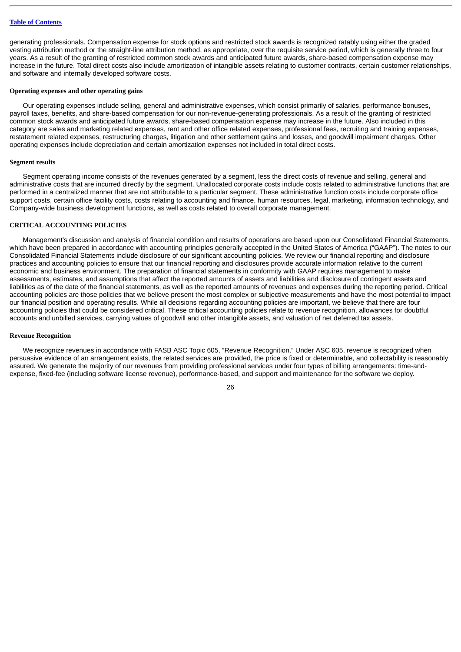generating professionals. Compensation expense for stock options and restricted stock awards is recognized ratably using either the graded vesting attribution method or the straight-line attribution method, as appropriate, over the requisite service period, which is generally three to four years. As a result of the granting of restricted common stock awards and anticipated future awards, share-based compensation expense may increase in the future. Total direct costs also include amortization of intangible assets relating to customer contracts, certain customer relationships, and software and internally developed software costs.

#### **Operating expenses and other operating gains**

Our operating expenses include selling, general and administrative expenses, which consist primarily of salaries, performance bonuses, payroll taxes, benefits, and share-based compensation for our non-revenue-generating professionals. As a result of the granting of restricted common stock awards and anticipated future awards, share-based compensation expense may increase in the future. Also included in this category are sales and marketing related expenses, rent and other office related expenses, professional fees, recruiting and training expenses, restatement related expenses, restructuring charges, litigation and other settlement gains and losses, and goodwill impairment charges. Other operating expenses include depreciation and certain amortization expenses not included in total direct costs.

#### **Segment results**

Segment operating income consists of the revenues generated by a segment, less the direct costs of revenue and selling, general and administrative costs that are incurred directly by the segment. Unallocated corporate costs include costs related to administrative functions that are performed in a centralized manner that are not attributable to a particular segment. These administrative function costs include corporate office support costs, certain office facility costs, costs relating to accounting and finance, human resources, legal, marketing, information technology, and Company-wide business development functions, as well as costs related to overall corporate management.

#### **CRITICAL ACCOUNTING POLICIES**

Management's discussion and analysis of financial condition and results of operations are based upon our Consolidated Financial Statements, which have been prepared in accordance with accounting principles generally accepted in the United States of America ("GAAP"). The notes to our Consolidated Financial Statements include disclosure of our significant accounting policies. We review our financial reporting and disclosure practices and accounting policies to ensure that our financial reporting and disclosures provide accurate information relative to the current economic and business environment. The preparation of financial statements in conformity with GAAP requires management to make assessments, estimates, and assumptions that affect the reported amounts of assets and liabilities and disclosure of contingent assets and liabilities as of the date of the financial statements, as well as the reported amounts of revenues and expenses during the reporting period. Critical accounting policies are those policies that we believe present the most complex or subjective measurements and have the most potential to impact our financial position and operating results. While all decisions regarding accounting policies are important, we believe that there are four accounting policies that could be considered critical. These critical accounting policies relate to revenue recognition, allowances for doubtful accounts and unbilled services, carrying values of goodwill and other intangible assets, and valuation of net deferred tax assets.

#### **Revenue Recognition**

We recognize revenues in accordance with FASB ASC Topic 605, "Revenue Recognition." Under ASC 605, revenue is recognized when persuasive evidence of an arrangement exists, the related services are provided, the price is fixed or determinable, and collectability is reasonably assured. We generate the majority of our revenues from providing professional services under four types of billing arrangements: time-andexpense, fixed-fee (including software license revenue), performance-based, and support and maintenance for the software we deploy.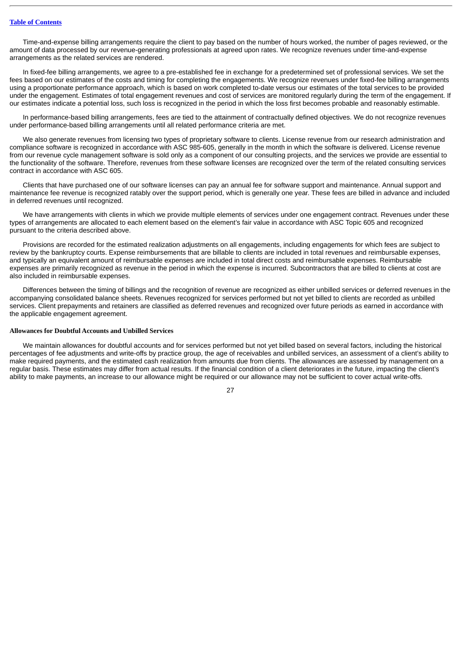Time-and-expense billing arrangements require the client to pay based on the number of hours worked, the number of pages reviewed, or the amount of data processed by our revenue-generating professionals at agreed upon rates. We recognize revenues under time-and-expense arrangements as the related services are rendered.

In fixed-fee billing arrangements, we agree to a pre-established fee in exchange for a predetermined set of professional services. We set the fees based on our estimates of the costs and timing for completing the engagements. We recognize revenues under fixed-fee billing arrangements using a proportionate performance approach, which is based on work completed to-date versus our estimates of the total services to be provided under the engagement. Estimates of total engagement revenues and cost of services are monitored regularly during the term of the engagement. If our estimates indicate a potential loss, such loss is recognized in the period in which the loss first becomes probable and reasonably estimable.

In performance-based billing arrangements, fees are tied to the attainment of contractually defined objectives. We do not recognize revenues under performance-based billing arrangements until all related performance criteria are met.

We also generate revenues from licensing two types of proprietary software to clients. License revenue from our research administration and compliance software is recognized in accordance with ASC 985-605, generally in the month in which the software is delivered. License revenue from our revenue cycle management software is sold only as a component of our consulting projects, and the services we provide are essential to the functionality of the software. Therefore, revenues from these software licenses are recognized over the term of the related consulting services contract in accordance with ASC 605.

Clients that have purchased one of our software licenses can pay an annual fee for software support and maintenance. Annual support and maintenance fee revenue is recognized ratably over the support period, which is generally one year. These fees are billed in advance and included in deferred revenues until recognized.

We have arrangements with clients in which we provide multiple elements of services under one engagement contract. Revenues under these types of arrangements are allocated to each element based on the element's fair value in accordance with ASC Topic 605 and recognized pursuant to the criteria described above.

Provisions are recorded for the estimated realization adjustments on all engagements, including engagements for which fees are subject to review by the bankruptcy courts. Expense reimbursements that are billable to clients are included in total revenues and reimbursable expenses, and typically an equivalent amount of reimbursable expenses are included in total direct costs and reimbursable expenses. Reimbursable expenses are primarily recognized as revenue in the period in which the expense is incurred. Subcontractors that are billed to clients at cost are also included in reimbursable expenses.

Differences between the timing of billings and the recognition of revenue are recognized as either unbilled services or deferred revenues in the accompanying consolidated balance sheets. Revenues recognized for services performed but not yet billed to clients are recorded as unbilled services. Client prepayments and retainers are classified as deferred revenues and recognized over future periods as earned in accordance with the applicable engagement agreement.

### **Allowances for Doubtful Accounts and Unbilled Services**

We maintain allowances for doubtful accounts and for services performed but not yet billed based on several factors, including the historical percentages of fee adjustments and write-offs by practice group, the age of receivables and unbilled services, an assessment of a client's ability to make required payments, and the estimated cash realization from amounts due from clients. The allowances are assessed by management on a regular basis. These estimates may differ from actual results. If the financial condition of a client deteriorates in the future, impacting the client's ability to make payments, an increase to our allowance might be required or our allowance may not be sufficient to cover actual write-offs.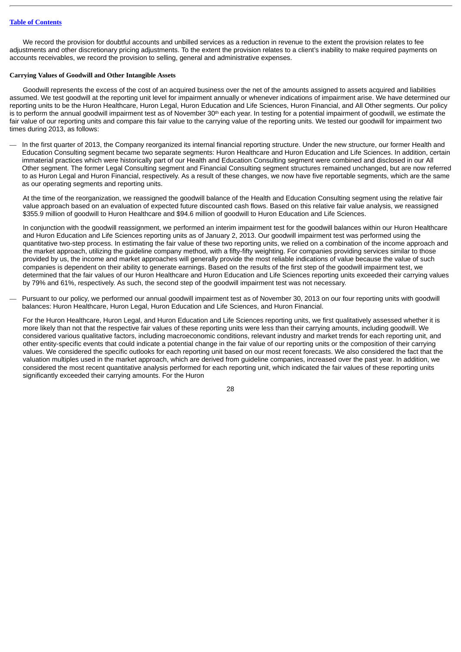We record the provision for doubtful accounts and unbilled services as a reduction in revenue to the extent the provision relates to fee adjustments and other discretionary pricing adjustments. To the extent the provision relates to a client's inability to make required payments on accounts receivables, we record the provision to selling, general and administrative expenses.

### **Carrying Values of Goodwill and Other Intangible Assets**

Goodwill represents the excess of the cost of an acquired business over the net of the amounts assigned to assets acquired and liabilities assumed. We test goodwill at the reporting unit level for impairment annually or whenever indications of impairment arise. We have determined our reporting units to be the Huron Healthcare, Huron Legal, Huron Education and Life Sciences, Huron Financial, and All Other segments. Our policy is to perform the annual goodwill impairment test as of November 30<sup>th</sup> each year. In testing for a potential impairment of goodwill, we estimate the fair value of our reporting units and compare this fair value to the carrying value of the reporting units. We tested our goodwill for impairment two times during 2013, as follows:

In the first quarter of 2013, the Company reorganized its internal financial reporting structure. Under the new structure, our former Health and Education Consulting segment became two separate segments: Huron Healthcare and Huron Education and Life Sciences. In addition, certain immaterial practices which were historically part of our Health and Education Consulting segment were combined and disclosed in our All Other segment. The former Legal Consulting segment and Financial Consulting segment structures remained unchanged, but are now referred to as Huron Legal and Huron Financial, respectively. As a result of these changes, we now have five reportable segments, which are the same as our operating segments and reporting units.

At the time of the reorganization, we reassigned the goodwill balance of the Health and Education Consulting segment using the relative fair value approach based on an evaluation of expected future discounted cash flows. Based on this relative fair value analysis, we reassigned \$355.9 million of goodwill to Huron Healthcare and \$94.6 million of goodwill to Huron Education and Life Sciences.

In conjunction with the goodwill reassignment, we performed an interim impairment test for the goodwill balances within our Huron Healthcare and Huron Education and Life Sciences reporting units as of January 2, 2013. Our goodwill impairment test was performed using the quantitative two-step process. In estimating the fair value of these two reporting units, we relied on a combination of the income approach and the market approach, utilizing the guideline company method, with a fifty-fifty weighting. For companies providing services similar to those provided by us, the income and market approaches will generally provide the most reliable indications of value because the value of such companies is dependent on their ability to generate earnings. Based on the results of the first step of the goodwill impairment test, we determined that the fair values of our Huron Healthcare and Huron Education and Life Sciences reporting units exceeded their carrying values by 79% and 61%, respectively. As such, the second step of the goodwill impairment test was not necessary.

— Pursuant to our policy, we performed our annual goodwill impairment test as of November 30, 2013 on our four reporting units with goodwill balances: Huron Healthcare, Huron Legal, Huron Education and Life Sciences, and Huron Financial.

For the Huron Healthcare, Huron Legal, and Huron Education and Life Sciences reporting units, we first qualitatively assessed whether it is more likely than not that the respective fair values of these reporting units were less than their carrying amounts, including goodwill. We considered various qualitative factors, including macroeconomic conditions, relevant industry and market trends for each reporting unit, and other entity-specific events that could indicate a potential change in the fair value of our reporting units or the composition of their carrying values. We considered the specific outlooks for each reporting unit based on our most recent forecasts. We also considered the fact that the valuation multiples used in the market approach, which are derived from guideline companies, increased over the past year. In addition, we considered the most recent quantitative analysis performed for each reporting unit, which indicated the fair values of these reporting units significantly exceeded their carrying amounts. For the Huron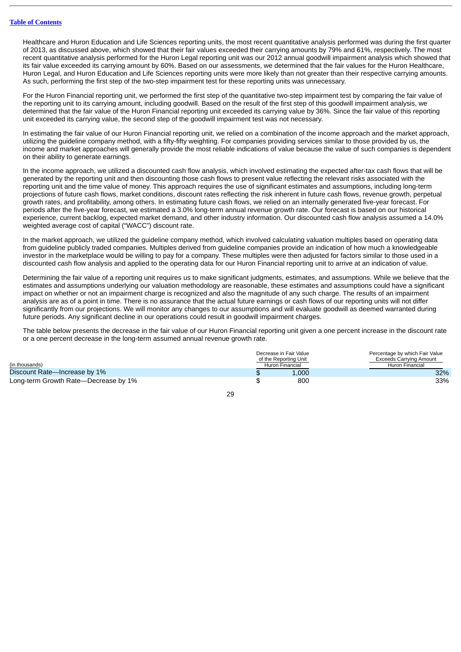Healthcare and Huron Education and Life Sciences reporting units, the most recent quantitative analysis performed was during the first quarter of 2013, as discussed above, which showed that their fair values exceeded their carrying amounts by 79% and 61%, respectively. The most recent quantitative analysis performed for the Huron Legal reporting unit was our 2012 annual goodwill impairment analysis which showed that its fair value exceeded its carrying amount by 60%. Based on our assessments, we determined that the fair values for the Huron Healthcare, Huron Legal, and Huron Education and Life Sciences reporting units were more likely than not greater than their respective carrying amounts. As such, performing the first step of the two-step impairment test for these reporting units was unnecessary.

For the Huron Financial reporting unit, we performed the first step of the quantitative two-step impairment test by comparing the fair value of the reporting unit to its carrying amount, including goodwill. Based on the result of the first step of this goodwill impairment analysis, we determined that the fair value of the Huron Financial reporting unit exceeded its carrying value by 36%. Since the fair value of this reporting unit exceeded its carrying value, the second step of the goodwill impairment test was not necessary.

In estimating the fair value of our Huron Financial reporting unit, we relied on a combination of the income approach and the market approach, utilizing the guideline company method, with a fifty-fifty weighting. For companies providing services similar to those provided by us, the income and market approaches will generally provide the most reliable indications of value because the value of such companies is dependent on their ability to generate earnings.

In the income approach, we utilized a discounted cash flow analysis, which involved estimating the expected after-tax cash flows that will be generated by the reporting unit and then discounting those cash flows to present value reflecting the relevant risks associated with the reporting unit and the time value of money. This approach requires the use of significant estimates and assumptions, including long-term projections of future cash flows, market conditions, discount rates reflecting the risk inherent in future cash flows, revenue growth, perpetual growth rates, and profitability, among others. In estimating future cash flows, we relied on an internally generated five-year forecast. For periods after the five-year forecast, we estimated a 3.0% long-term annual revenue growth rate. Our forecast is based on our historical experience, current backlog, expected market demand, and other industry information. Our discounted cash flow analysis assumed a 14.0% weighted average cost of capital ("WACC") discount rate.

In the market approach, we utilized the guideline company method, which involved calculating valuation multiples based on operating data from guideline publicly traded companies. Multiples derived from guideline companies provide an indication of how much a knowledgeable investor in the marketplace would be willing to pay for a company. These multiples were then adjusted for factors similar to those used in a discounted cash flow analysis and applied to the operating data for our Huron Financial reporting unit to arrive at an indication of value.

Determining the fair value of a reporting unit requires us to make significant judgments, estimates, and assumptions. While we believe that the estimates and assumptions underlying our valuation methodology are reasonable, these estimates and assumptions could have a significant impact on whether or not an impairment charge is recognized and also the magnitude of any such charge. The results of an impairment analysis are as of a point in time. There is no assurance that the actual future earnings or cash flows of our reporting units will not differ significantly from our projections. We will monitor any changes to our assumptions and will evaluate goodwill as deemed warranted during future periods. Any significant decline in our operations could result in goodwill impairment charges.

The table below presents the decrease in the fair value of our Huron Financial reporting unit given a one percent increase in the discount rate or a one percent decrease in the long-term assumed annual revenue growth rate.

|                                      | Decrease in Fair Value<br>of the Reporting Unit |       | Percentage by which Fair Value<br><b>Exceeds Carrying Amount</b> |
|--------------------------------------|-------------------------------------------------|-------|------------------------------------------------------------------|
| (in thousands)                       | Huron Financial                                 |       | Huron Financial                                                  |
| Discount Rate-Increase by 1%         |                                                 | 1.000 | 32%                                                              |
| Long-term Growth Rate-Decrease by 1% |                                                 | 800   | 33%                                                              |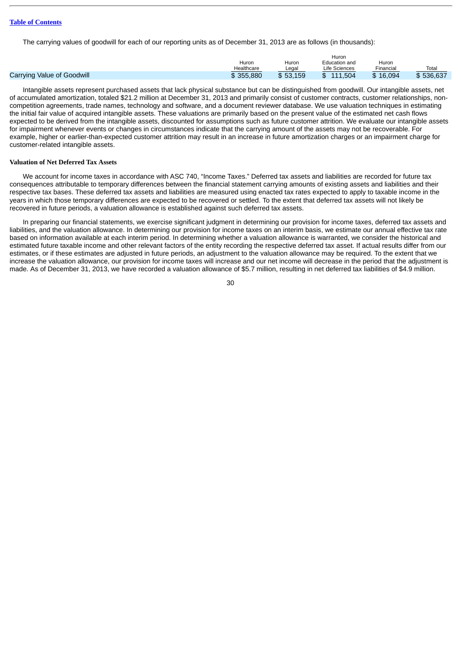The carrying values of goodwill for each of our reporting units as of December 31, 2013 are as follows (in thousands):

|                            |            | Huron    |               |           |           |  |  |
|----------------------------|------------|----------|---------------|-----------|-----------|--|--|
|                            | Huron      | Huron    | Education and | Huron     |           |  |  |
|                            | Healthcare | Legal    | Life Sciences | Financial | Total     |  |  |
| Carrying Value of Goodwill | \$355.880  | \$53.159 | 111.504<br>\$ | \$16.094  | \$536.637 |  |  |

Intangible assets represent purchased assets that lack physical substance but can be distinguished from goodwill. Our intangible assets, net of accumulated amortization, totaled \$21.2 million at December 31, 2013 and primarily consist of customer contracts, customer relationships, noncompetition agreements, trade names, technology and software, and a document reviewer database. We use valuation techniques in estimating the initial fair value of acquired intangible assets. These valuations are primarily based on the present value of the estimated net cash flows expected to be derived from the intangible assets, discounted for assumptions such as future customer attrition. We evaluate our intangible assets for impairment whenever events or changes in circumstances indicate that the carrying amount of the assets may not be recoverable. For example, higher or earlier-than-expected customer attrition may result in an increase in future amortization charges or an impairment charge for customer-related intangible assets.

#### **Valuation of Net Deferred Tax Assets**

We account for income taxes in accordance with ASC 740, "Income Taxes." Deferred tax assets and liabilities are recorded for future tax consequences attributable to temporary differences between the financial statement carrying amounts of existing assets and liabilities and their respective tax bases. These deferred tax assets and liabilities are measured using enacted tax rates expected to apply to taxable income in the years in which those temporary differences are expected to be recovered or settled. To the extent that deferred tax assets will not likely be recovered in future periods, a valuation allowance is established against such deferred tax assets.

In preparing our financial statements, we exercise significant judgment in determining our provision for income taxes, deferred tax assets and liabilities, and the valuation allowance. In determining our provision for income taxes on an interim basis, we estimate our annual effective tax rate based on information available at each interim period. In determining whether a valuation allowance is warranted, we consider the historical and estimated future taxable income and other relevant factors of the entity recording the respective deferred tax asset. If actual results differ from our estimates, or if these estimates are adjusted in future periods, an adjustment to the valuation allowance may be required. To the extent that we increase the valuation allowance, our provision for income taxes will increase and our net income will decrease in the period that the adjustment is made. As of December 31, 2013, we have recorded a valuation allowance of \$5.7 million, resulting in net deferred tax liabilities of \$4.9 million.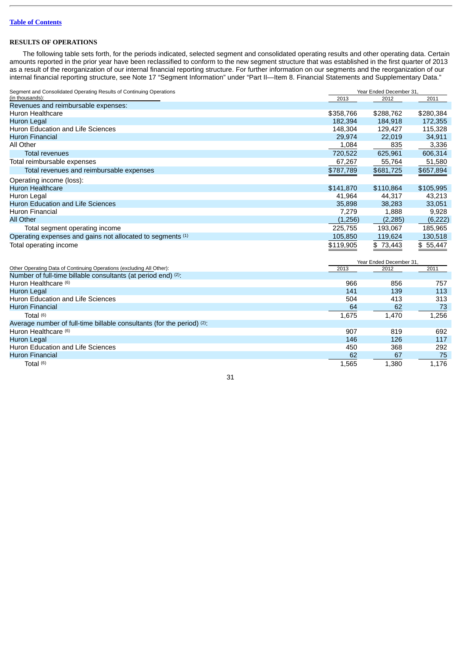# **RESULTS OF OPERATIONS**

The following table sets forth, for the periods indicated, selected segment and consolidated operating results and other operating data. Certain amounts reported in the prior year have been reclassified to conform to the new segment structure that was established in the first quarter of 2013 as a result of the reorganization of our internal financial reporting structure. For further information on our segments and the reorganization of our internal financial reporting structure, see Note 17 "Segment Information" under "Part II—Item 8. Financial Statements and Supplementary Data."

| Segment and Consolidated Operating Results of Continuing Operations |           | Year Ended December 31. |           |  |  |  |  |
|---------------------------------------------------------------------|-----------|-------------------------|-----------|--|--|--|--|
| (in thousands):                                                     | 2013      | 2012                    | 2011      |  |  |  |  |
| Revenues and reimbursable expenses:                                 |           |                         |           |  |  |  |  |
| Huron Healthcare                                                    | \$358,766 | \$288,762               | \$280,384 |  |  |  |  |
| Huron Legal                                                         | 182,394   | 184,918                 | 172,355   |  |  |  |  |
| Huron Education and Life Sciences                                   | 148,304   | 129,427                 | 115,328   |  |  |  |  |
| <b>Huron Financial</b>                                              | 29,974    | 22,019                  | 34,911    |  |  |  |  |
| All Other                                                           | 1,084     | 835                     | 3,336     |  |  |  |  |
| <b>Total revenues</b>                                               | 720,522   | 625,961                 | 606,314   |  |  |  |  |
| Total reimbursable expenses                                         | 67,267    | 55,764                  | 51,580    |  |  |  |  |
| Total revenues and reimbursable expenses                            | \$787,789 | \$681,725               | \$657,894 |  |  |  |  |
| Operating income (loss):                                            |           |                         |           |  |  |  |  |
| <b>Huron Healthcare</b>                                             | \$141,870 | \$110,864               | \$105,995 |  |  |  |  |
| Huron Legal                                                         | 41.964    | 44.317                  | 43,213    |  |  |  |  |
| Huron Education and Life Sciences                                   | 35,898    | 38,283                  | 33,051    |  |  |  |  |
| Huron Financial                                                     | 7,279     | 1,888                   | 9,928     |  |  |  |  |
| <b>All Other</b>                                                    | (1,256)   | (2, 285)                | (6, 222)  |  |  |  |  |
| Total segment operating income                                      | 225.755   | 193,067                 | 185,965   |  |  |  |  |
| Operating expenses and gains not allocated to segments (1)          | 105,850   | 119,624                 | 130,518   |  |  |  |  |
| Total operating income                                              | \$119,905 | \$73,443                | \$55,447  |  |  |  |  |

|                                                                        |       | Year Ended December 31. |       |  |  |  |  |
|------------------------------------------------------------------------|-------|-------------------------|-------|--|--|--|--|
| Other Operating Data of Continuing Operations (excluding All Other):   | 2013  | 2012                    | 2011  |  |  |  |  |
| Number of full-time billable consultants (at period end) (2):          |       |                         |       |  |  |  |  |
| Huron Healthcare (6)                                                   | 966   | 856                     | 757   |  |  |  |  |
| Huron Legal                                                            | 141   | 139                     | 113   |  |  |  |  |
| Huron Education and Life Sciences                                      | 504   | 413                     | 313   |  |  |  |  |
| <b>Huron Financial</b>                                                 | 64    | 62                      | 73    |  |  |  |  |
| Total $(6)$                                                            | 1.675 | 1,470                   | 1,256 |  |  |  |  |
| Average number of full-time billable consultants (for the period) (2): |       |                         |       |  |  |  |  |
| Huron Healthcare (6)                                                   | 907   | 819                     | 692   |  |  |  |  |
| Huron Legal                                                            | 146   | 126                     | 117   |  |  |  |  |
| Huron Education and Life Sciences                                      | 450   | 368                     | 292   |  |  |  |  |
| <b>Huron Financial</b>                                                 | 62    | 67                      | 75    |  |  |  |  |
| Total $(6)$                                                            | 1.565 | 1.380                   | 1.176 |  |  |  |  |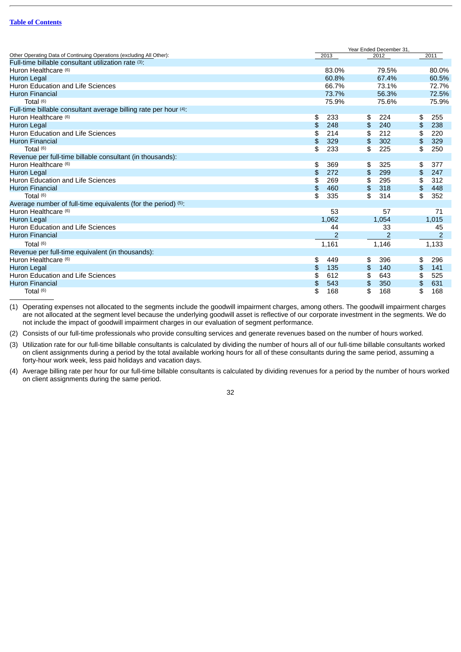|                                                                      | Year Ended December 31, |                |    |                |
|----------------------------------------------------------------------|-------------------------|----------------|----|----------------|
| Other Operating Data of Continuing Operations (excluding All Other): | 2013                    | 2012           |    | 2011           |
| Full-time billable consultant utilization rate (3):                  |                         |                |    |                |
| Huron Healthcare (6)                                                 | 83.0%                   | 79.5%          |    | 80.0%          |
| <b>Huron Legal</b>                                                   | 60.8%                   | 67.4%          |    | 60.5%          |
| <b>Huron Education and Life Sciences</b>                             | 66.7%                   | 73.1%          |    | 72.7%          |
| <b>Huron Financial</b>                                               | 73.7%                   | 56.3%          |    | 72.5%          |
| Total (6)                                                            | 75.9%                   | 75.6%          |    | 75.9%          |
| Full-time billable consultant average billing rate per hour (4):     |                         |                |    |                |
| Huron Healthcare (6)                                                 | \$<br>233               | 224<br>\$      | \$ | 255            |
| <b>Huron Legal</b>                                                   | \$<br>248               | 240<br>\$      | \$ | 238            |
| Huron Education and Life Sciences                                    | \$<br>214               | \$<br>212      | \$ | 220            |
| <b>Huron Financial</b>                                               | \$<br>329               | 302<br>\$      | \$ | 329            |
| Total (6)                                                            | \$<br>233               | \$<br>225      | \$ | 250            |
| Revenue per full-time billable consultant (in thousands):            |                         |                |    |                |
| Huron Healthcare (6)                                                 | \$<br>369               | \$<br>325      | \$ | 377            |
| <b>Huron Legal</b>                                                   | \$<br>272               | 299<br>\$      | \$ | 247            |
| <b>Huron Education and Life Sciences</b>                             | \$<br>269               | \$<br>295      | \$ | 312            |
| <b>Huron Financial</b>                                               | \$<br>460               | 318<br>\$      | \$ | 448            |
| Total $(6)$                                                          | \$<br>335               | \$<br>314      | \$ | 352            |
| Average number of full-time equivalents (for the period) (5):        |                         |                |    |                |
| Huron Healthcare (6)                                                 | 53                      | 57             |    | 71             |
| <b>Huron Legal</b>                                                   | 1,062                   | 1,054          |    | 1,015          |
| <b>Huron Education and Life Sciences</b>                             | 44                      | 33             |    | 45             |
| <b>Huron Financial</b>                                               | $\overline{2}$          | $\overline{2}$ |    | $\overline{2}$ |
| Total (6)                                                            | 1,161                   | 1,146          |    | 1,133          |
| Revenue per full-time equivalent (in thousands):                     |                         |                |    |                |
| Huron Healthcare (6)                                                 | \$<br>449               | 396<br>\$      | \$ | 296            |
| <b>Huron Legal</b>                                                   | \$<br>135               | \$<br>140      | \$ | 141            |
| <b>Huron Education and Life Sciences</b>                             | \$<br>612               | \$<br>643      | \$ | 525            |
| <b>Huron Financial</b>                                               | \$<br>543               | \$<br>350      | \$ | 631            |
| Total $(6)$                                                          | \$<br>168               | 168<br>\$      | \$ | 168            |

(1) Operating expenses not allocated to the segments include the goodwill impairment charges, among others. The goodwill impairment charges are not allocated at the segment level because the underlying goodwill asset is reflective of our corporate investment in the segments. We do not include the impact of goodwill impairment charges in our evaluation of segment performance.

(2) Consists of our full-time professionals who provide consulting services and generate revenues based on the number of hours worked.

(3) Utilization rate for our full-time billable consultants is calculated by dividing the number of hours all of our full-time billable consultants worked on client assignments during a period by the total available working hours for all of these consultants during the same period, assuming a forty-hour work week, less paid holidays and vacation days.

(4) Average billing rate per hour for our full-time billable consultants is calculated by dividing revenues for a period by the number of hours worked on client assignments during the same period.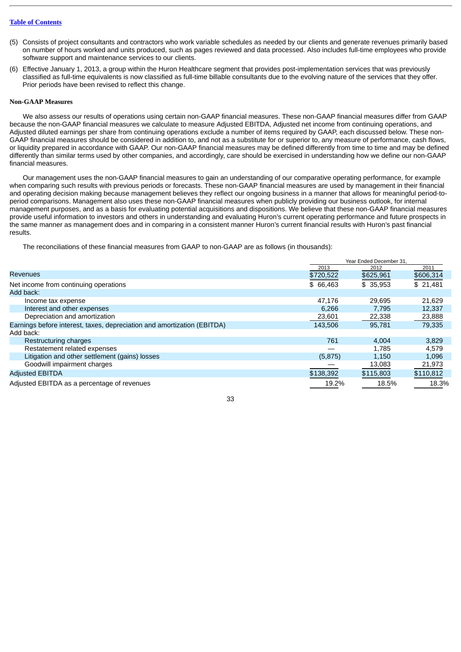- (5) Consists of project consultants and contractors who work variable schedules as needed by our clients and generate revenues primarily based on number of hours worked and units produced, such as pages reviewed and data processed. Also includes full-time employees who provide software support and maintenance services to our clients.
- (6) Effective January 1, 2013, a group within the Huron Healthcare segment that provides post-implementation services that was previously classified as full-time equivalents is now classified as full-time billable consultants due to the evolving nature of the services that they offer. Prior periods have been revised to reflect this change.

#### **Non-GAAP Measures**

We also assess our results of operations using certain non-GAAP financial measures. These non-GAAP financial measures differ from GAAP because the non-GAAP financial measures we calculate to measure Adjusted EBITDA, Adjusted net income from continuing operations, and Adjusted diluted earnings per share from continuing operations exclude a number of items required by GAAP, each discussed below. These non-GAAP financial measures should be considered in addition to, and not as a substitute for or superior to, any measure of performance, cash flows, or liquidity prepared in accordance with GAAP. Our non-GAAP financial measures may be defined differently from time to time and may be defined differently than similar terms used by other companies, and accordingly, care should be exercised in understanding how we define our non-GAAP financial measures.

Our management uses the non-GAAP financial measures to gain an understanding of our comparative operating performance, for example when comparing such results with previous periods or forecasts. These non-GAAP financial measures are used by management in their financial and operating decision making because management believes they reflect our ongoing business in a manner that allows for meaningful period-toperiod comparisons. Management also uses these non-GAAP financial measures when publicly providing our business outlook, for internal management purposes, and as a basis for evaluating potential acquisitions and dispositions. We believe that these non-GAAP financial measures provide useful information to investors and others in understanding and evaluating Huron's current operating performance and future prospects in the same manner as management does and in comparing in a consistent manner Huron's current financial results with Huron's past financial results.

The reconciliations of these financial measures from GAAP to non-GAAP are as follows (in thousands):

|                                                                         | Year Ended December 31, |           |           |  |  |
|-------------------------------------------------------------------------|-------------------------|-----------|-----------|--|--|
|                                                                         | 2013                    | 2012      | 2011      |  |  |
| <b>Revenues</b>                                                         | \$720,522               | \$625,961 | \$606,314 |  |  |
| Net income from continuing operations                                   | \$66,463                | \$35,953  | \$21,481  |  |  |
| Add back:                                                               |                         |           |           |  |  |
| Income tax expense                                                      | 47.176                  | 29.695    | 21,629    |  |  |
| Interest and other expenses                                             | 6.266                   | 7.795     | 12,337    |  |  |
| Depreciation and amortization                                           | 23,601                  | 22,338    | 23,888    |  |  |
| Earnings before interest, taxes, depreciation and amortization (EBITDA) | 143.506                 | 95.781    | 79.335    |  |  |
| Add back:                                                               |                         |           |           |  |  |
| Restructuring charges                                                   | 761                     | 4.004     | 3,829     |  |  |
| Restatement related expenses                                            |                         | 1,785     | 4,579     |  |  |
| Litigation and other settlement (gains) losses                          | (5, 875)                | 1,150     | 1,096     |  |  |
| Goodwill impairment charges                                             |                         | 13,083    | 21,973    |  |  |
| <b>Adjusted EBITDA</b>                                                  | \$138,392               | \$115,803 | \$110,812 |  |  |
| Adjusted EBITDA as a percentage of revenues                             | 19.2%                   | 18.5%     | 18.3%     |  |  |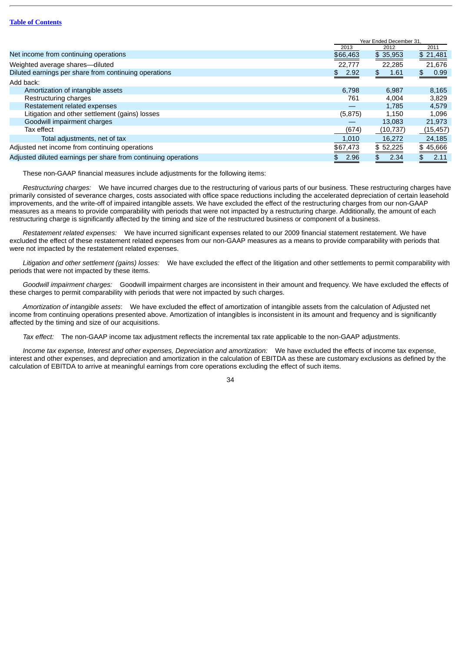|                                                                | Year Ended December 31. |            |             |
|----------------------------------------------------------------|-------------------------|------------|-------------|
|                                                                | 2013                    | 2012       | 2011        |
| Net income from continuing operations                          | \$66,463                | \$35,953   | \$21,481    |
| Weighted average shares—diluted                                | 22,777                  | 22.285     | 21,676      |
| Diluted earnings per share from continuing operations          | \$<br>2.92              | \$<br>1.61 | 0.99<br>\$. |
| Add back:                                                      |                         |            |             |
| Amortization of intangible assets                              | 6.798                   | 6.987      | 8,165       |
| Restructuring charges                                          | 761                     | 4.004      | 3,829       |
| Restatement related expenses                                   |                         | 1.785      | 4,579       |
| Litigation and other settlement (gains) losses                 | (5, 875)                | 1,150      | 1,096       |
| Goodwill impairment charges                                    |                         | 13.083     | 21,973      |
| Tax effect                                                     | (674)                   | (10, 737)  | (15, 457)   |
| Total adjustments, net of tax                                  | 1,010                   | 16,272     | 24,185      |
| Adjusted net income from continuing operations                 | \$67,473                | \$52,225   | \$45,666    |
| Adjusted diluted earnings per share from continuing operations | 2.96<br>\$              | 2.34       | 2.11        |

These non-GAAP financial measures include adjustments for the following items:

*Restructuring charges:* We have incurred charges due to the restructuring of various parts of our business. These restructuring charges have primarily consisted of severance charges, costs associated with office space reductions including the accelerated depreciation of certain leasehold improvements, and the write-off of impaired intangible assets. We have excluded the effect of the restructuring charges from our non-GAAP measures as a means to provide comparability with periods that were not impacted by a restructuring charge. Additionally, the amount of each restructuring charge is significantly affected by the timing and size of the restructured business or component of a business.

*Restatement related expenses:* We have incurred significant expenses related to our 2009 financial statement restatement. We have excluded the effect of these restatement related expenses from our non-GAAP measures as a means to provide comparability with periods that were not impacted by the restatement related expenses.

*Litigation and other settlement (gains) losses:* We have excluded the effect of the litigation and other settlements to permit comparability with periods that were not impacted by these items.

*Goodwill impairment charges:* Goodwill impairment charges are inconsistent in their amount and frequency. We have excluded the effects of these charges to permit comparability with periods that were not impacted by such charges.

*Amortization of intangible assets*: We have excluded the effect of amortization of intangible assets from the calculation of Adjusted net income from continuing operations presented above. Amortization of intangibles is inconsistent in its amount and frequency and is significantly affected by the timing and size of our acquisitions.

*Tax effect:* The non-GAAP income tax adjustment reflects the incremental tax rate applicable to the non-GAAP adjustments.

*Income tax expense, Interest and other expenses, Depreciation and amortization:* We have excluded the effects of income tax expense, interest and other expenses, and depreciation and amortization in the calculation of EBITDA as these are customary exclusions as defined by the calculation of EBITDA to arrive at meaningful earnings from core operations excluding the effect of such items.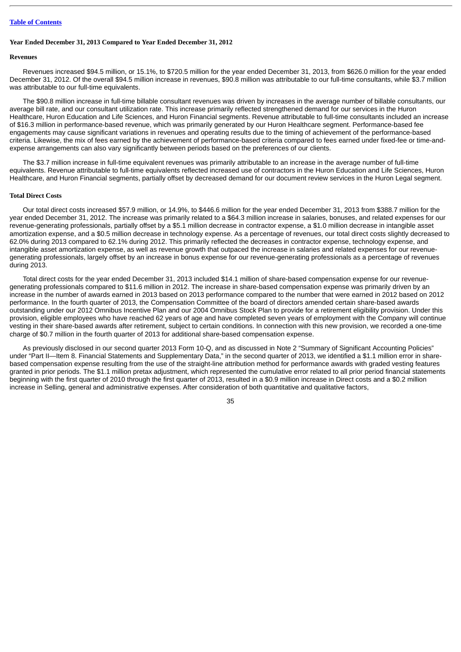#### **Year Ended December 31, 2013 Compared to Year Ended December 31, 2012**

### **Revenues**

Revenues increased \$94.5 million, or 15.1%, to \$720.5 million for the year ended December 31, 2013, from \$626.0 million for the year ended December 31, 2012. Of the overall \$94.5 million increase in revenues, \$90.8 million was attributable to our full-time consultants, while \$3.7 million was attributable to our full-time equivalents.

The \$90.8 million increase in full-time billable consultant revenues was driven by increases in the average number of billable consultants, our average bill rate, and our consultant utilization rate. This increase primarily reflected strengthened demand for our services in the Huron Healthcare, Huron Education and Life Sciences, and Huron Financial segments. Revenue attributable to full-time consultants included an increase of \$16.3 million in performance-based revenue, which was primarily generated by our Huron Healthcare segment. Performance-based fee engagements may cause significant variations in revenues and operating results due to the timing of achievement of the performance-based criteria. Likewise, the mix of fees earned by the achievement of performance-based criteria compared to fees earned under fixed-fee or time-andexpense arrangements can also vary significantly between periods based on the preferences of our clients.

The \$3.7 million increase in full-time equivalent revenues was primarily attributable to an increase in the average number of full-time equivalents. Revenue attributable to full-time equivalents reflected increased use of contractors in the Huron Education and Life Sciences, Huron Healthcare, and Huron Financial segments, partially offset by decreased demand for our document review services in the Huron Legal segment.

### **Total Direct Costs**

Our total direct costs increased \$57.9 million, or 14.9%, to \$446.6 million for the year ended December 31, 2013 from \$388.7 million for the year ended December 31, 2012. The increase was primarily related to a \$64.3 million increase in salaries, bonuses, and related expenses for our revenue-generating professionals, partially offset by a \$5.1 million decrease in contractor expense, a \$1.0 million decrease in intangible asset amortization expense, and a \$0.5 million decrease in technology expense. As a percentage of revenues, our total direct costs slightly decreased to 62.0% during 2013 compared to 62.1% during 2012. This primarily reflected the decreases in contractor expense, technology expense, and intangible asset amortization expense, as well as revenue growth that outpaced the increase in salaries and related expenses for our revenuegenerating professionals, largely offset by an increase in bonus expense for our revenue-generating professionals as a percentage of revenues during 2013.

Total direct costs for the year ended December 31, 2013 included \$14.1 million of share-based compensation expense for our revenuegenerating professionals compared to \$11.6 million in 2012. The increase in share-based compensation expense was primarily driven by an increase in the number of awards earned in 2013 based on 2013 performance compared to the number that were earned in 2012 based on 2012 performance. In the fourth quarter of 2013, the Compensation Committee of the board of directors amended certain share-based awards outstanding under our 2012 Omnibus Incentive Plan and our 2004 Omnibus Stock Plan to provide for a retirement eligibility provision. Under this provision, eligible employees who have reached 62 years of age and have completed seven years of employment with the Company will continue vesting in their share-based awards after retirement, subject to certain conditions. In connection with this new provision, we recorded a one-time charge of \$0.7 million in the fourth quarter of 2013 for additional share-based compensation expense.

As previously disclosed in our second quarter 2013 Form 10-Q, and as discussed in Note 2 "Summary of Significant Accounting Policies" under "Part II—Item 8. Financial Statements and Supplementary Data," in the second quarter of 2013, we identified a \$1.1 million error in sharebased compensation expense resulting from the use of the straight-line attribution method for performance awards with graded vesting features granted in prior periods. The \$1.1 million pretax adjustment, which represented the cumulative error related to all prior period financial statements beginning with the first quarter of 2010 through the first quarter of 2013, resulted in a \$0.9 million increase in Direct costs and a \$0.2 million increase in Selling, general and administrative expenses. After consideration of both quantitative and qualitative factors,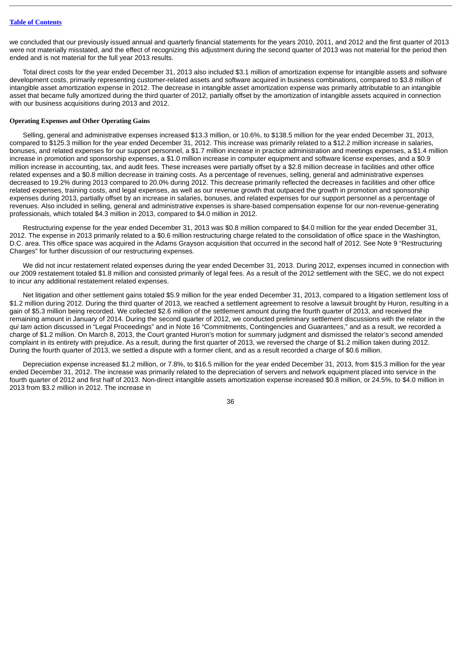we concluded that our previously issued annual and quarterly financial statements for the years 2010, 2011, and 2012 and the first quarter of 2013 were not materially misstated, and the effect of recognizing this adjustment during the second quarter of 2013 was not material for the period then ended and is not material for the full year 2013 results.

Total direct costs for the year ended December 31, 2013 also included \$3.1 million of amortization expense for intangible assets and software development costs, primarily representing customer-related assets and software acquired in business combinations, compared to \$3.8 million of intangible asset amortization expense in 2012. The decrease in intangible asset amortization expense was primarily attributable to an intangible asset that became fully amortized during the third quarter of 2012, partially offset by the amortization of intangible assets acquired in connection with our business acquisitions during 2013 and 2012.

### **Operating Expenses and Other Operating Gains**

Selling, general and administrative expenses increased \$13.3 million, or 10.6%, to \$138.5 million for the year ended December 31, 2013, compared to \$125.3 million for the year ended December 31, 2012. This increase was primarily related to a \$12.2 million increase in salaries, bonuses, and related expenses for our support personnel, a \$1.7 million increase in practice administration and meetings expenses, a \$1.4 million increase in promotion and sponsorship expenses, a \$1.0 million increase in computer equipment and software license expenses, and a \$0.9 million increase in accounting, tax, and audit fees. These increases were partially offset by a \$2.8 million decrease in facilities and other office related expenses and a \$0.8 million decrease in training costs. As a percentage of revenues, selling, general and administrative expenses decreased to 19.2% during 2013 compared to 20.0% during 2012. This decrease primarily reflected the decreases in facilities and other office related expenses, training costs, and legal expenses, as well as our revenue growth that outpaced the growth in promotion and sponsorship expenses during 2013, partially offset by an increase in salaries, bonuses, and related expenses for our support personnel as a percentage of revenues. Also included in selling, general and administrative expenses is share-based compensation expense for our non-revenue-generating professionals, which totaled \$4.3 million in 2013, compared to \$4.0 million in 2012.

Restructuring expense for the year ended December 31, 2013 was \$0.8 million compared to \$4.0 million for the year ended December 31, 2012. The expense in 2013 primarily related to a \$0.6 million restructuring charge related to the consolidation of office space in the Washington, D.C. area. This office space was acquired in the Adams Grayson acquisition that occurred in the second half of 2012. See Note 9 "Restructuring Charges" for further discussion of our restructuring expenses.

We did not incur restatement related expenses during the year ended December 31, 2013. During 2012, expenses incurred in connection with our 2009 restatement totaled \$1.8 million and consisted primarily of legal fees. As a result of the 2012 settlement with the SEC, we do not expect to incur any additional restatement related expenses.

Net litigation and other settlement gains totaled \$5.9 million for the year ended December 31, 2013, compared to a litigation settlement loss of \$1.2 million during 2012. During the third quarter of 2013, we reached a settlement agreement to resolve a lawsuit brought by Huron, resulting in a gain of \$5.3 million being recorded. We collected \$2.6 million of the settlement amount during the fourth quarter of 2013, and received the remaining amount in January of 2014. During the second quarter of 2012, we conducted preliminary settlement discussions with the relator in the *qui tam* action discussed in "Legal Proceedings" and in Note 16 "Commitments, Contingencies and Guarantees," and as a result, we recorded a charge of \$1.2 million. On March 8, 2013, the Court granted Huron's motion for summary judgment and dismissed the relator's second amended complaint in its entirety with prejudice. As a result, during the first quarter of 2013, we reversed the charge of \$1.2 million taken during 2012. During the fourth quarter of 2013, we settled a dispute with a former client, and as a result recorded a charge of \$0.6 million.

Depreciation expense increased \$1.2 million, or 7.8%, to \$16.5 million for the year ended December 31, 2013, from \$15.3 million for the year ended December 31, 2012. The increase was primarily related to the depreciation of servers and network equipment placed into service in the fourth quarter of 2012 and first half of 2013. Non-direct intangible assets amortization expense increased \$0.8 million, or 24.5%, to \$4.0 million in 2013 from \$3.2 million in 2012. The increase in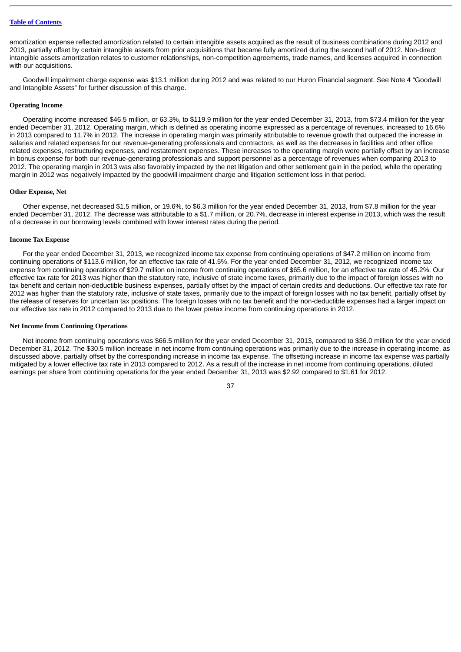amortization expense reflected amortization related to certain intangible assets acquired as the result of business combinations during 2012 and 2013, partially offset by certain intangible assets from prior acquisitions that became fully amortized during the second half of 2012. Non-direct intangible assets amortization relates to customer relationships, non-competition agreements, trade names, and licenses acquired in connection with our acquisitions.

Goodwill impairment charge expense was \$13.1 million during 2012 and was related to our Huron Financial segment. See Note 4 "Goodwill and Intangible Assets" for further discussion of this charge.

#### **Operating Income**

Operating income increased \$46.5 million, or 63.3%, to \$119.9 million for the year ended December 31, 2013, from \$73.4 million for the year ended December 31, 2012. Operating margin, which is defined as operating income expressed as a percentage of revenues, increased to 16.6% in 2013 compared to 11.7% in 2012. The increase in operating margin was primarily attributable to revenue growth that outpaced the increase in salaries and related expenses for our revenue-generating professionals and contractors, as well as the decreases in facilities and other office related expenses, restructuring expenses, and restatement expenses. These increases to the operating margin were partially offset by an increase in bonus expense for both our revenue-generating professionals and support personnel as a percentage of revenues when comparing 2013 to 2012. The operating margin in 2013 was also favorably impacted by the net litigation and other settlement gain in the period, while the operating margin in 2012 was negatively impacted by the goodwill impairment charge and litigation settlement loss in that period.

### **Other Expense, Net**

Other expense, net decreased \$1.5 million, or 19.6%, to \$6.3 million for the year ended December 31, 2013, from \$7.8 million for the year ended December 31, 2012. The decrease was attributable to a \$1.7 million, or 20.7%, decrease in interest expense in 2013, which was the result of a decrease in our borrowing levels combined with lower interest rates during the period.

#### **Income Tax Expense**

For the year ended December 31, 2013, we recognized income tax expense from continuing operations of \$47.2 million on income from continuing operations of \$113.6 million, for an effective tax rate of 41.5%. For the year ended December 31, 2012, we recognized income tax expense from continuing operations of \$29.7 million on income from continuing operations of \$65.6 million, for an effective tax rate of 45.2%. Our effective tax rate for 2013 was higher than the statutory rate, inclusive of state income taxes, primarily due to the impact of foreign losses with no tax benefit and certain non-deductible business expenses, partially offset by the impact of certain credits and deductions. Our effective tax rate for 2012 was higher than the statutory rate, inclusive of state taxes, primarily due to the impact of foreign losses with no tax benefit, partially offset by the release of reserves for uncertain tax positions. The foreign losses with no tax benefit and the non-deductible expenses had a larger impact on our effective tax rate in 2012 compared to 2013 due to the lower pretax income from continuing operations in 2012.

### **Net Income from Continuing Operations**

Net income from continuing operations was \$66.5 million for the year ended December 31, 2013, compared to \$36.0 million for the year ended December 31, 2012. The \$30.5 million increase in net income from continuing operations was primarily due to the increase in operating income, as discussed above, partially offset by the corresponding increase in income tax expense. The offsetting increase in income tax expense was partially mitigated by a lower effective tax rate in 2013 compared to 2012. As a result of the increase in net income from continuing operations, diluted earnings per share from continuing operations for the year ended December 31, 2013 was \$2.92 compared to \$1.61 for 2012.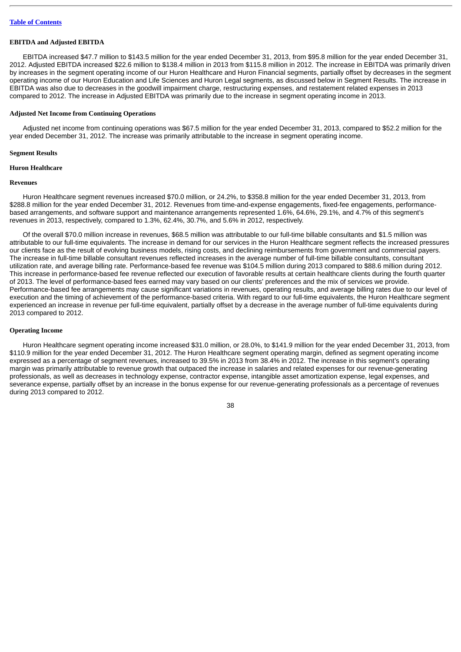### **EBITDA and Adjusted EBITDA**

EBITDA increased \$47.7 million to \$143.5 million for the year ended December 31, 2013, from \$95.8 million for the year ended December 31, 2012. Adjusted EBITDA increased \$22.6 million to \$138.4 million in 2013 from \$115.8 million in 2012. The increase in EBITDA was primarily driven by increases in the segment operating income of our Huron Healthcare and Huron Financial segments, partially offset by decreases in the segment operating income of our Huron Education and Life Sciences and Huron Legal segments, as discussed below in Segment Results. The increase in EBITDA was also due to decreases in the goodwill impairment charge, restructuring expenses, and restatement related expenses in 2013 compared to 2012. The increase in Adjusted EBITDA was primarily due to the increase in segment operating income in 2013.

### **Adjusted Net Income from Continuing Operations**

Adjusted net income from continuing operations was \$67.5 million for the year ended December 31, 2013, compared to \$52.2 million for the year ended December 31, 2012. The increase was primarily attributable to the increase in segment operating income.

#### **Segment Results**

### **Huron Healthcare**

### **Revenues**

Huron Healthcare segment revenues increased \$70.0 million, or 24.2%, to \$358.8 million for the year ended December 31, 2013, from \$288.8 million for the year ended December 31, 2012. Revenues from time-and-expense engagements, fixed-fee engagements, performancebased arrangements, and software support and maintenance arrangements represented 1.6%, 64.6%, 29.1%, and 4.7% of this segment's revenues in 2013, respectively, compared to 1.3%, 62.4%, 30.7%, and 5.6% in 2012, respectively.

Of the overall \$70.0 million increase in revenues, \$68.5 million was attributable to our full-time billable consultants and \$1.5 million was attributable to our full-time equivalents. The increase in demand for our services in the Huron Healthcare segment reflects the increased pressures our clients face as the result of evolving business models, rising costs, and declining reimbursements from government and commercial payers. The increase in full-time billable consultant revenues reflected increases in the average number of full-time billable consultants, consultant utilization rate, and average billing rate. Performance-based fee revenue was \$104.5 million during 2013 compared to \$88.6 million during 2012. This increase in performance-based fee revenue reflected our execution of favorable results at certain healthcare clients during the fourth quarter of 2013. The level of performance-based fees earned may vary based on our clients' preferences and the mix of services we provide. Performance-based fee arrangements may cause significant variations in revenues, operating results, and average billing rates due to our level of execution and the timing of achievement of the performance-based criteria. With regard to our full-time equivalents, the Huron Healthcare segment experienced an increase in revenue per full-time equivalent, partially offset by a decrease in the average number of full-time equivalents during 2013 compared to 2012.

#### **Operating Income**

Huron Healthcare segment operating income increased \$31.0 million, or 28.0%, to \$141.9 million for the year ended December 31, 2013, from \$110.9 million for the year ended December 31, 2012. The Huron Healthcare segment operating margin, defined as segment operating income expressed as a percentage of segment revenues, increased to 39.5% in 2013 from 38.4% in 2012. The increase in this segment's operating margin was primarily attributable to revenue growth that outpaced the increase in salaries and related expenses for our revenue-generating professionals, as well as decreases in technology expense, contractor expense, intangible asset amortization expense, legal expenses, and severance expense, partially offset by an increase in the bonus expense for our revenue-generating professionals as a percentage of revenues during 2013 compared to 2012.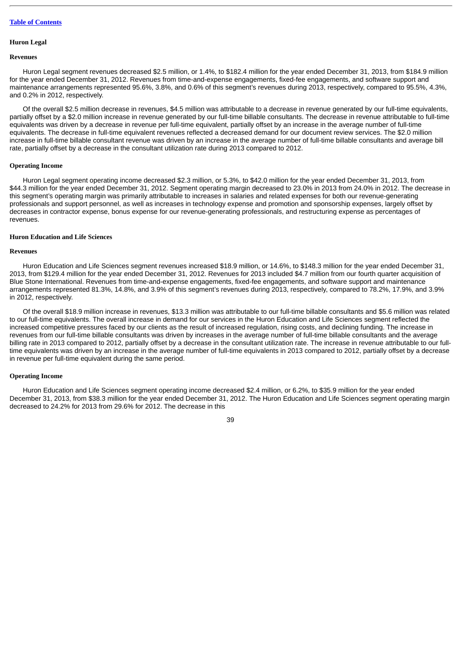### **Huron Legal**

### **Revenues**

Huron Legal segment revenues decreased \$2.5 million, or 1.4%, to \$182.4 million for the year ended December 31, 2013, from \$184.9 million for the year ended December 31, 2012. Revenues from time-and-expense engagements, fixed-fee engagements, and software support and maintenance arrangements represented 95.6%, 3.8%, and 0.6% of this segment's revenues during 2013, respectively, compared to 95.5%, 4.3%, and 0.2% in 2012, respectively.

Of the overall \$2.5 million decrease in revenues, \$4.5 million was attributable to a decrease in revenue generated by our full-time equivalents, partially offset by a \$2.0 million increase in revenue generated by our full-time billable consultants. The decrease in revenue attributable to full-time equivalents was driven by a decrease in revenue per full-time equivalent, partially offset by an increase in the average number of full-time equivalents. The decrease in full-time equivalent revenues reflected a decreased demand for our document review services. The \$2.0 million increase in full-time billable consultant revenue was driven by an increase in the average number of full-time billable consultants and average bill rate, partially offset by a decrease in the consultant utilization rate during 2013 compared to 2012.

# **Operating Income**

Huron Legal segment operating income decreased \$2.3 million, or 5.3%, to \$42.0 million for the year ended December 31, 2013, from \$44.3 million for the year ended December 31, 2012. Segment operating margin decreased to 23.0% in 2013 from 24.0% in 2012. The decrease in this segment's operating margin was primarily attributable to increases in salaries and related expenses for both our revenue-generating professionals and support personnel, as well as increases in technology expense and promotion and sponsorship expenses, largely offset by decreases in contractor expense, bonus expense for our revenue-generating professionals, and restructuring expense as percentages of revenues.

### **Huron Education and Life Sciences**

### **Revenues**

Huron Education and Life Sciences segment revenues increased \$18.9 million, or 14.6%, to \$148.3 million for the year ended December 31, 2013, from \$129.4 million for the year ended December 31, 2012. Revenues for 2013 included \$4.7 million from our fourth quarter acquisition of Blue Stone International. Revenues from time-and-expense engagements, fixed-fee engagements, and software support and maintenance arrangements represented 81.3%, 14.8%, and 3.9% of this segment's revenues during 2013, respectively, compared to 78.2%, 17.9%, and 3.9% in 2012, respectively.

Of the overall \$18.9 million increase in revenues, \$13.3 million was attributable to our full-time billable consultants and \$5.6 million was related to our full-time equivalents. The overall increase in demand for our services in the Huron Education and Life Sciences segment reflected the increased competitive pressures faced by our clients as the result of increased regulation, rising costs, and declining funding. The increase in revenues from our full-time billable consultants was driven by increases in the average number of full-time billable consultants and the average billing rate in 2013 compared to 2012, partially offset by a decrease in the consultant utilization rate. The increase in revenue attributable to our fulltime equivalents was driven by an increase in the average number of full-time equivalents in 2013 compared to 2012, partially offset by a decrease in revenue per full-time equivalent during the same period.

# **Operating Income**

Huron Education and Life Sciences segment operating income decreased \$2.4 million, or 6.2%, to \$35.9 million for the year ended December 31, 2013, from \$38.3 million for the year ended December 31, 2012. The Huron Education and Life Sciences segment operating margin decreased to 24.2% for 2013 from 29.6% for 2012. The decrease in this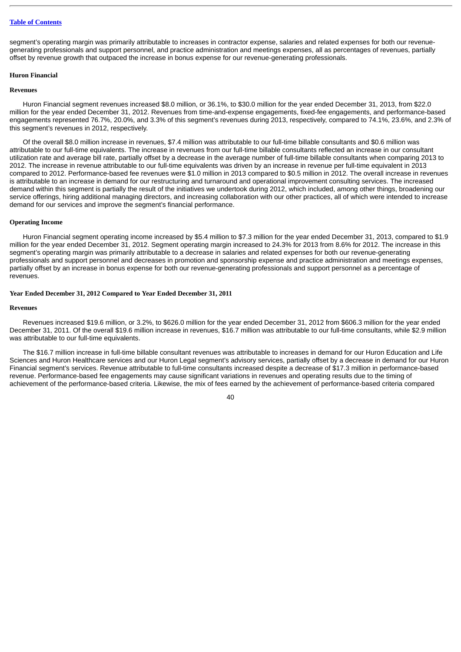segment's operating margin was primarily attributable to increases in contractor expense, salaries and related expenses for both our revenuegenerating professionals and support personnel, and practice administration and meetings expenses, all as percentages of revenues, partially offset by revenue growth that outpaced the increase in bonus expense for our revenue-generating professionals.

### **Huron Financial**

#### **Revenues**

Huron Financial segment revenues increased \$8.0 million, or 36.1%, to \$30.0 million for the year ended December 31, 2013, from \$22.0 million for the year ended December 31, 2012. Revenues from time-and-expense engagements, fixed-fee engagements, and performance-based engagements represented 76.7%, 20.0%, and 3.3% of this segment's revenues during 2013, respectively, compared to 74.1%, 23.6%, and 2.3% of this segment's revenues in 2012, respectively.

Of the overall \$8.0 million increase in revenues, \$7.4 million was attributable to our full-time billable consultants and \$0.6 million was attributable to our full-time equivalents. The increase in revenues from our full-time billable consultants reflected an increase in our consultant utilization rate and average bill rate, partially offset by a decrease in the average number of full-time billable consultants when comparing 2013 to 2012. The increase in revenue attributable to our full-time equivalents was driven by an increase in revenue per full-time equivalent in 2013 compared to 2012. Performance-based fee revenues were \$1.0 million in 2013 compared to \$0.5 million in 2012. The overall increase in revenues is attributable to an increase in demand for our restructuring and turnaround and operational improvement consulting services. The increased demand within this segment is partially the result of the initiatives we undertook during 2012, which included, among other things, broadening our service offerings, hiring additional managing directors, and increasing collaboration with our other practices, all of which were intended to increase demand for our services and improve the segment's financial performance.

### **Operating Income**

Huron Financial segment operating income increased by \$5.4 million to \$7.3 million for the year ended December 31, 2013, compared to \$1.9 million for the year ended December 31, 2012. Segment operating margin increased to 24.3% for 2013 from 8.6% for 2012. The increase in this segment's operating margin was primarily attributable to a decrease in salaries and related expenses for both our revenue-generating professionals and support personnel and decreases in promotion and sponsorship expense and practice administration and meetings expenses, partially offset by an increase in bonus expense for both our revenue-generating professionals and support personnel as a percentage of revenues.

# **Year Ended December 31, 2012 Compared to Year Ended December 31, 2011**

#### **Revenues**

Revenues increased \$19.6 million, or 3.2%, to \$626.0 million for the year ended December 31, 2012 from \$606.3 million for the year ended December 31, 2011. Of the overall \$19.6 million increase in revenues, \$16.7 million was attributable to our full-time consultants, while \$2.9 million was attributable to our full-time equivalents.

The \$16.7 million increase in full-time billable consultant revenues was attributable to increases in demand for our Huron Education and Life Sciences and Huron Healthcare services and our Huron Legal segment's advisory services, partially offset by a decrease in demand for our Huron Financial segment's services. Revenue attributable to full-time consultants increased despite a decrease of \$17.3 million in performance-based revenue. Performance-based fee engagements may cause significant variations in revenues and operating results due to the timing of achievement of the performance-based criteria. Likewise, the mix of fees earned by the achievement of performance-based criteria compared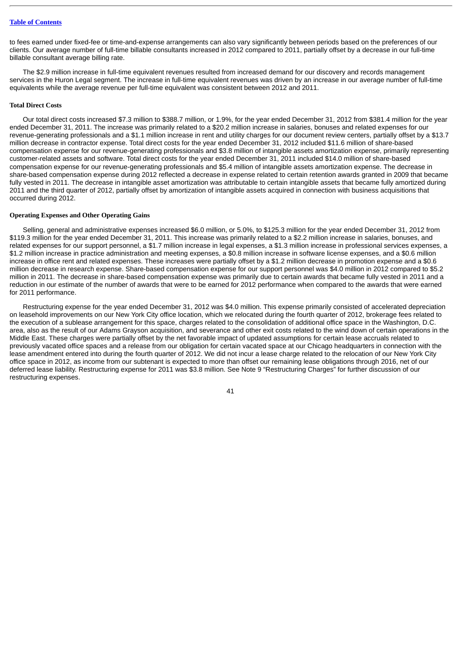to fees earned under fixed-fee or time-and-expense arrangements can also vary significantly between periods based on the preferences of our clients. Our average number of full-time billable consultants increased in 2012 compared to 2011, partially offset by a decrease in our full-time billable consultant average billing rate.

The \$2.9 million increase in full-time equivalent revenues resulted from increased demand for our discovery and records management services in the Huron Legal segment. The increase in full-time equivalent revenues was driven by an increase in our average number of full-time equivalents while the average revenue per full-time equivalent was consistent between 2012 and 2011.

### **Total Direct Costs**

Our total direct costs increased \$7.3 million to \$388.7 million, or 1.9%, for the year ended December 31, 2012 from \$381.4 million for the year ended December 31, 2011. The increase was primarily related to a \$20.2 million increase in salaries, bonuses and related expenses for our revenue-generating professionals and a \$1.1 million increase in rent and utility charges for our document review centers, partially offset by a \$13.7 million decrease in contractor expense. Total direct costs for the year ended December 31, 2012 included \$11.6 million of share-based compensation expense for our revenue-generating professionals and \$3.8 million of intangible assets amortization expense, primarily representing customer-related assets and software. Total direct costs for the year ended December 31, 2011 included \$14.0 million of share-based compensation expense for our revenue-generating professionals and \$5.4 million of intangible assets amortization expense. The decrease in share-based compensation expense during 2012 reflected a decrease in expense related to certain retention awards granted in 2009 that became fully vested in 2011. The decrease in intangible asset amortization was attributable to certain intangible assets that became fully amortized during 2011 and the third quarter of 2012, partially offset by amortization of intangible assets acquired in connection with business acquisitions that occurred during 2012.

# **Operating Expenses and Other Operating Gains**

Selling, general and administrative expenses increased \$6.0 million, or 5.0%, to \$125.3 million for the year ended December 31, 2012 from \$119.3 million for the year ended December 31, 2011. This increase was primarily related to a \$2.2 million increase in salaries, bonuses, and related expenses for our support personnel, a \$1.7 million increase in legal expenses, a \$1.3 million increase in professional services expenses, a \$1.2 million increase in practice administration and meeting expenses, a \$0.8 million increase in software license expenses, and a \$0.6 million increase in office rent and related expenses. These increases were partially offset by a \$1.2 million decrease in promotion expense and a \$0.6 million decrease in research expense. Share-based compensation expense for our support personnel was \$4.0 million in 2012 compared to \$5.2 million in 2011. The decrease in share-based compensation expense was primarily due to certain awards that became fully vested in 2011 and a reduction in our estimate of the number of awards that were to be earned for 2012 performance when compared to the awards that were earned for 2011 performance.

Restructuring expense for the year ended December 31, 2012 was \$4.0 million. This expense primarily consisted of accelerated depreciation on leasehold improvements on our New York City office location, which we relocated during the fourth quarter of 2012, brokerage fees related to the execution of a sublease arrangement for this space, charges related to the consolidation of additional office space in the Washington, D.C. area, also as the result of our Adams Grayson acquisition, and severance and other exit costs related to the wind down of certain operations in the Middle East. These charges were partially offset by the net favorable impact of updated assumptions for certain lease accruals related to previously vacated office spaces and a release from our obligation for certain vacated space at our Chicago headquarters in connection with the lease amendment entered into during the fourth quarter of 2012. We did not incur a lease charge related to the relocation of our New York City office space in 2012, as income from our subtenant is expected to more than offset our remaining lease obligations through 2016, net of our deferred lease liability. Restructuring expense for 2011 was \$3.8 million. See Note 9 "Restructuring Charges" for further discussion of our restructuring expenses.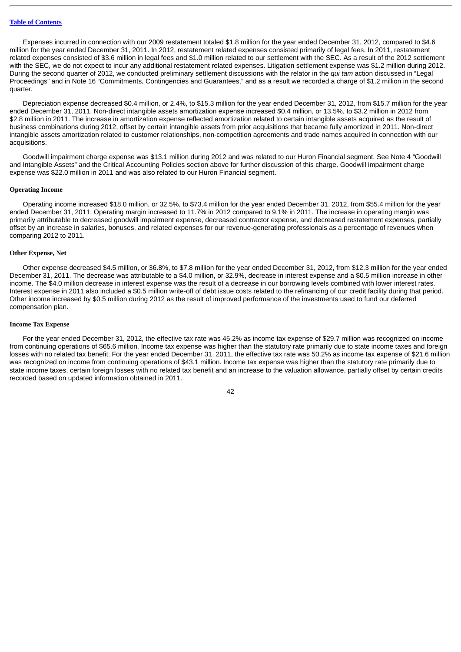Expenses incurred in connection with our 2009 restatement totaled \$1.8 million for the year ended December 31, 2012, compared to \$4.6 million for the year ended December 31, 2011. In 2012, restatement related expenses consisted primarily of legal fees. In 2011, restatement related expenses consisted of \$3.6 million in legal fees and \$1.0 million related to our settlement with the SEC. As a result of the 2012 settlement with the SEC, we do not expect to incur any additional restatement related expenses. Litigation settlement expense was \$1.2 million during 2012. During the second quarter of 2012, we conducted preliminary settlement discussions with the relator in the *qui tam* action discussed in "Legal Proceedings" and in Note 16 "Commitments, Contingencies and Guarantees," and as a result we recorded a charge of \$1.2 million in the second quarter.

Depreciation expense decreased \$0.4 million, or 2.4%, to \$15.3 million for the year ended December 31, 2012, from \$15.7 million for the year ended December 31, 2011. Non-direct intangible assets amortization expense increased \$0.4 million, or 13.5%, to \$3.2 million in 2012 from \$2.8 million in 2011. The increase in amortization expense reflected amortization related to certain intangible assets acquired as the result of business combinations during 2012, offset by certain intangible assets from prior acquisitions that became fully amortized in 2011. Non-direct intangible assets amortization related to customer relationships, non-competition agreements and trade names acquired in connection with our acquisitions.

Goodwill impairment charge expense was \$13.1 million during 2012 and was related to our Huron Financial segment. See Note 4 "Goodwill and Intangible Assets" and the Critical Accounting Policies section above for further discussion of this charge. Goodwill impairment charge expense was \$22.0 million in 2011 and was also related to our Huron Financial segment.

### **Operating Income**

Operating income increased \$18.0 million, or 32.5%, to \$73.4 million for the year ended December 31, 2012, from \$55.4 million for the year ended December 31, 2011. Operating margin increased to 11.7% in 2012 compared to 9.1% in 2011. The increase in operating margin was primarily attributable to decreased goodwill impairment expense, decreased contractor expense, and decreased restatement expenses, partially offset by an increase in salaries, bonuses, and related expenses for our revenue-generating professionals as a percentage of revenues when comparing 2012 to 2011.

#### **Other Expense, Net**

Other expense decreased \$4.5 million, or 36.8%, to \$7.8 million for the year ended December 31, 2012, from \$12.3 million for the year ended December 31, 2011. The decrease was attributable to a \$4.0 million, or 32.9%, decrease in interest expense and a \$0.5 million increase in other income. The \$4.0 million decrease in interest expense was the result of a decrease in our borrowing levels combined with lower interest rates. Interest expense in 2011 also included a \$0.5 million write-off of debt issue costs related to the refinancing of our credit facility during that period. Other income increased by \$0.5 million during 2012 as the result of improved performance of the investments used to fund our deferred compensation plan.

#### **Income Tax Expense**

For the year ended December 31, 2012, the effective tax rate was 45.2% as income tax expense of \$29.7 million was recognized on income from continuing operations of \$65.6 million. Income tax expense was higher than the statutory rate primarily due to state income taxes and foreign losses with no related tax benefit. For the year ended December 31, 2011, the effective tax rate was 50.2% as income tax expense of \$21.6 million was recognized on income from continuing operations of \$43.1 million. Income tax expense was higher than the statutory rate primarily due to state income taxes, certain foreign losses with no related tax benefit and an increase to the valuation allowance, partially offset by certain credits recorded based on updated information obtained in 2011.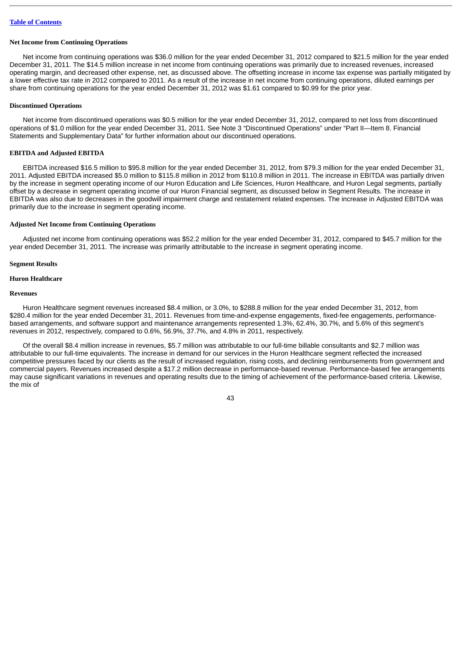### **Net Income from Continuing Operations**

Net income from continuing operations was \$36.0 million for the year ended December 31, 2012 compared to \$21.5 million for the year ended December 31, 2011. The \$14.5 million increase in net income from continuing operations was primarily due to increased revenues, increased operating margin, and decreased other expense, net, as discussed above. The offsetting increase in income tax expense was partially mitigated by a lower effective tax rate in 2012 compared to 2011. As a result of the increase in net income from continuing operations, diluted earnings per share from continuing operations for the year ended December 31, 2012 was \$1.61 compared to \$0.99 for the prior year.

#### **Discontinued Operations**

Net income from discontinued operations was \$0.5 million for the year ended December 31, 2012, compared to net loss from discontinued operations of \$1.0 million for the year ended December 31, 2011. See Note 3 "Discontinued Operations" under "Part II—Item 8. Financial Statements and Supplementary Data" for further information about our discontinued operations.

#### **EBITDA and Adjusted EBITDA**

EBITDA increased \$16.5 million to \$95.8 million for the year ended December 31, 2012, from \$79.3 million for the year ended December 31, 2011. Adjusted EBITDA increased \$5.0 million to \$115.8 million in 2012 from \$110.8 million in 2011. The increase in EBITDA was partially driven by the increase in segment operating income of our Huron Education and Life Sciences, Huron Healthcare, and Huron Legal segments, partially offset by a decrease in segment operating income of our Huron Financial segment, as discussed below in Segment Results. The increase in EBITDA was also due to decreases in the goodwill impairment charge and restatement related expenses. The increase in Adjusted EBITDA was primarily due to the increase in segment operating income.

### **Adjusted Net Income from Continuing Operations**

Adjusted net income from continuing operations was \$52.2 million for the year ended December 31, 2012, compared to \$45.7 million for the year ended December 31, 2011. The increase was primarily attributable to the increase in segment operating income.

#### **Segment Results**

### **Huron Healthcare**

#### **Revenues**

Huron Healthcare segment revenues increased \$8.4 million, or 3.0%, to \$288.8 million for the year ended December 31, 2012, from \$280.4 million for the year ended December 31, 2011. Revenues from time-and-expense engagements, fixed-fee engagements, performancebased arrangements, and software support and maintenance arrangements represented 1.3%, 62.4%, 30.7%, and 5.6% of this segment's revenues in 2012, respectively, compared to 0.6%, 56.9%, 37.7%, and 4.8% in 2011, respectively.

Of the overall \$8.4 million increase in revenues, \$5.7 million was attributable to our full-time billable consultants and \$2.7 million was attributable to our full-time equivalents. The increase in demand for our services in the Huron Healthcare segment reflected the increased competitive pressures faced by our clients as the result of increased regulation, rising costs, and declining reimbursements from government and commercial payers. Revenues increased despite a \$17.2 million decrease in performance-based revenue. Performance-based fee arrangements may cause significant variations in revenues and operating results due to the timing of achievement of the performance-based criteria. Likewise, the mix of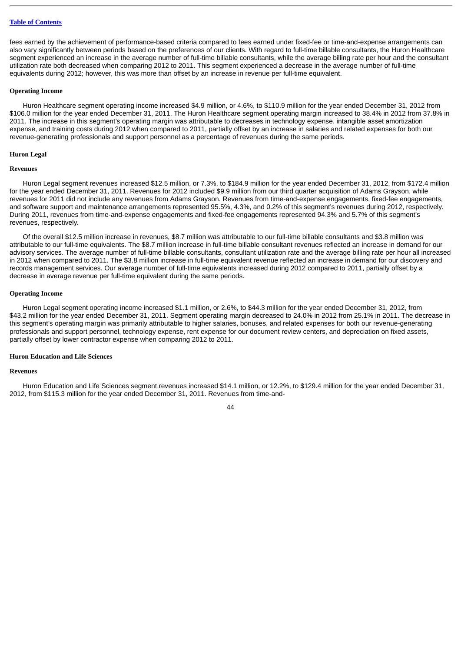fees earned by the achievement of performance-based criteria compared to fees earned under fixed-fee or time-and-expense arrangements can also vary significantly between periods based on the preferences of our clients. With regard to full-time billable consultants, the Huron Healthcare segment experienced an increase in the average number of full-time billable consultants, while the average billing rate per hour and the consultant utilization rate both decreased when comparing 2012 to 2011. This segment experienced a decrease in the average number of full-time equivalents during 2012; however, this was more than offset by an increase in revenue per full-time equivalent.

### **Operating Income**

Huron Healthcare segment operating income increased \$4.9 million, or 4.6%, to \$110.9 million for the year ended December 31, 2012 from \$106.0 million for the year ended December 31, 2011. The Huron Healthcare segment operating margin increased to 38.4% in 2012 from 37.8% in 2011. The increase in this segment's operating margin was attributable to decreases in technology expense, intangible asset amortization expense, and training costs during 2012 when compared to 2011, partially offset by an increase in salaries and related expenses for both our revenue-generating professionals and support personnel as a percentage of revenues during the same periods.

### **Huron Legal**

#### **Revenues**

Huron Legal segment revenues increased \$12.5 million, or 7.3%, to \$184.9 million for the year ended December 31, 2012, from \$172.4 million for the year ended December 31, 2011. Revenues for 2012 included \$9.9 million from our third quarter acquisition of Adams Grayson, while revenues for 2011 did not include any revenues from Adams Grayson. Revenues from time-and-expense engagements, fixed-fee engagements, and software support and maintenance arrangements represented 95.5%, 4.3%, and 0.2% of this segment's revenues during 2012, respectively. During 2011, revenues from time-and-expense engagements and fixed-fee engagements represented 94.3% and 5.7% of this segment's revenues, respectively.

Of the overall \$12.5 million increase in revenues, \$8.7 million was attributable to our full-time billable consultants and \$3.8 million was attributable to our full-time equivalents. The \$8.7 million increase in full-time billable consultant revenues reflected an increase in demand for our advisory services. The average number of full-time billable consultants, consultant utilization rate and the average billing rate per hour all increased in 2012 when compared to 2011. The \$3.8 million increase in full-time equivalent revenue reflected an increase in demand for our discovery and records management services. Our average number of full-time equivalents increased during 2012 compared to 2011, partially offset by a decrease in average revenue per full-time equivalent during the same periods.

# **Operating Income**

Huron Legal segment operating income increased \$1.1 million, or 2.6%, to \$44.3 million for the year ended December 31, 2012, from \$43.2 million for the year ended December 31, 2011. Segment operating margin decreased to 24.0% in 2012 from 25.1% in 2011. The decrease in this segment's operating margin was primarily attributable to higher salaries, bonuses, and related expenses for both our revenue-generating professionals and support personnel, technology expense, rent expense for our document review centers, and depreciation on fixed assets, partially offset by lower contractor expense when comparing 2012 to 2011.

### **Huron Education and Life Sciences**

#### **Revenues**

Huron Education and Life Sciences segment revenues increased \$14.1 million, or 12.2%, to \$129.4 million for the year ended December 31, 2012, from \$115.3 million for the year ended December 31, 2011. Revenues from time-and-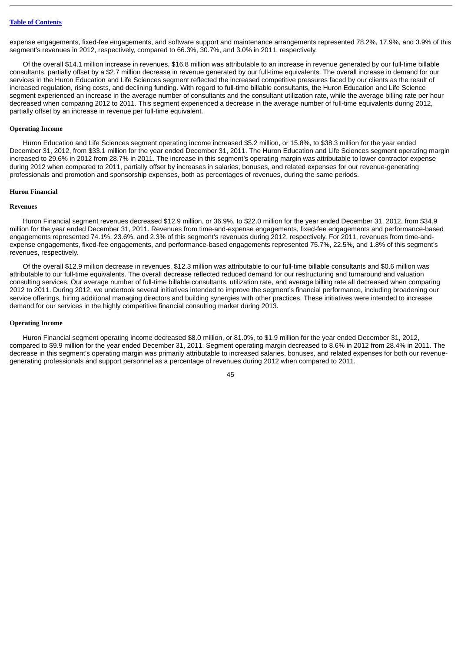expense engagements, fixed-fee engagements, and software support and maintenance arrangements represented 78.2%, 17.9%, and 3.9% of this segment's revenues in 2012, respectively, compared to 66.3%, 30.7%, and 3.0% in 2011, respectively.

Of the overall \$14.1 million increase in revenues, \$16.8 million was attributable to an increase in revenue generated by our full-time billable consultants, partially offset by a \$2.7 million decrease in revenue generated by our full-time equivalents. The overall increase in demand for our services in the Huron Education and Life Sciences segment reflected the increased competitive pressures faced by our clients as the result of increased regulation, rising costs, and declining funding. With regard to full-time billable consultants, the Huron Education and Life Science segment experienced an increase in the average number of consultants and the consultant utilization rate, while the average billing rate per hour decreased when comparing 2012 to 2011. This segment experienced a decrease in the average number of full-time equivalents during 2012, partially offset by an increase in revenue per full-time equivalent.

### **Operating Income**

Huron Education and Life Sciences segment operating income increased \$5.2 million, or 15.8%, to \$38.3 million for the year ended December 31, 2012, from \$33.1 million for the year ended December 31, 2011. The Huron Education and Life Sciences segment operating margin increased to 29.6% in 2012 from 28.7% in 2011. The increase in this segment's operating margin was attributable to lower contractor expense during 2012 when compared to 2011, partially offset by increases in salaries, bonuses, and related expenses for our revenue-generating professionals and promotion and sponsorship expenses, both as percentages of revenues, during the same periods.

# **Huron Financial**

### **Revenues**

Huron Financial segment revenues decreased \$12.9 million, or 36.9%, to \$22.0 million for the year ended December 31, 2012, from \$34.9 million for the year ended December 31, 2011. Revenues from time-and-expense engagements, fixed-fee engagements and performance-based engagements represented 74.1%, 23.6%, and 2.3% of this segment's revenues during 2012, respectively. For 2011, revenues from time-andexpense engagements, fixed-fee engagements, and performance-based engagements represented 75.7%, 22.5%, and 1.8% of this segment's revenues, respectively.

Of the overall \$12.9 million decrease in revenues, \$12.3 million was attributable to our full-time billable consultants and \$0.6 million was attributable to our full-time equivalents. The overall decrease reflected reduced demand for our restructuring and turnaround and valuation consulting services. Our average number of full-time billable consultants, utilization rate, and average billing rate all decreased when comparing 2012 to 2011. During 2012, we undertook several initiatives intended to improve the segment's financial performance, including broadening our service offerings, hiring additional managing directors and building synergies with other practices. These initiatives were intended to increase demand for our services in the highly competitive financial consulting market during 2013.

### **Operating Income**

Huron Financial segment operating income decreased \$8.0 million, or 81.0%, to \$1.9 million for the year ended December 31, 2012, compared to \$9.9 million for the year ended December 31, 2011. Segment operating margin decreased to 8.6% in 2012 from 28.4% in 2011. The decrease in this segment's operating margin was primarily attributable to increased salaries, bonuses, and related expenses for both our revenuegenerating professionals and support personnel as a percentage of revenues during 2012 when compared to 2011.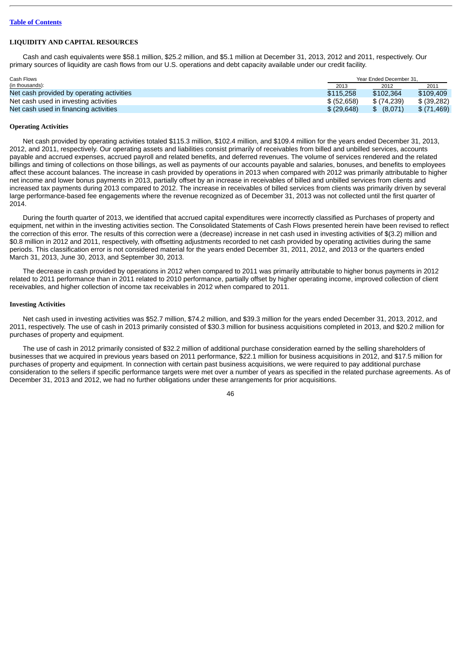# **LIQUIDITY AND CAPITAL RESOURCES**

Cash and cash equivalents were \$58.1 million, \$25.2 million, and \$5.1 million at December 31, 2013, 2012 and 2011, respectively. Our primary sources of liquidity are cash flows from our U.S. operations and debt capacity available under our credit facility.

| Cash Flows                                |             | Year Ended December 31. |              |  |  |  |
|-------------------------------------------|-------------|-------------------------|--------------|--|--|--|
| (in thousands):                           | 2013        | 2012                    | 2011         |  |  |  |
| Net cash provided by operating activities | \$115,258   | \$102.364               | \$109.409    |  |  |  |
| Net cash used in investing activities     | \$ (52,658) | \$ (74.239)             | \$ (39, 282) |  |  |  |
| Net cash used in financing activities     | \$ (29.648) | \$ (8.071)              | \$(71,469)   |  |  |  |

# **Operating Activities**

Net cash provided by operating activities totaled \$115.3 million, \$102.4 million, and \$109.4 million for the years ended December 31, 2013, 2012, and 2011, respectively. Our operating assets and liabilities consist primarily of receivables from billed and unbilled services, accounts payable and accrued expenses, accrued payroll and related benefits, and deferred revenues. The volume of services rendered and the related billings and timing of collections on those billings, as well as payments of our accounts payable and salaries, bonuses, and benefits to employees affect these account balances. The increase in cash provided by operations in 2013 when compared with 2012 was primarily attributable to higher net income and lower bonus payments in 2013, partially offset by an increase in receivables of billed and unbilled services from clients and increased tax payments during 2013 compared to 2012. The increase in receivables of billed services from clients was primarily driven by several large performance-based fee engagements where the revenue recognized as of December 31, 2013 was not collected until the first quarter of 2014.

During the fourth quarter of 2013, we identified that accrued capital expenditures were incorrectly classified as Purchases of property and equipment, net within in the investing activities section. The Consolidated Statements of Cash Flows presented herein have been revised to reflect the correction of this error. The results of this correction were a (decrease) increase in net cash used in investing activities of \$(3.2) million and \$0.8 million in 2012 and 2011, respectively, with offsetting adjustments recorded to net cash provided by operating activities during the same periods. This classification error is not considered material for the years ended December 31, 2011, 2012, and 2013 or the quarters ended March 31, 2013, June 30, 2013, and September 30, 2013.

The decrease in cash provided by operations in 2012 when compared to 2011 was primarily attributable to higher bonus payments in 2012 related to 2011 performance than in 2011 related to 2010 performance, partially offset by higher operating income, improved collection of client receivables, and higher collection of income tax receivables in 2012 when compared to 2011.

# **Investing Activities**

Net cash used in investing activities was \$52.7 million, \$74.2 million, and \$39.3 million for the years ended December 31, 2013, 2012, and 2011, respectively. The use of cash in 2013 primarily consisted of \$30.3 million for business acquisitions completed in 2013, and \$20.2 million for purchases of property and equipment.

The use of cash in 2012 primarily consisted of \$32.2 million of additional purchase consideration earned by the selling shareholders of businesses that we acquired in previous years based on 2011 performance, \$22.1 million for business acquisitions in 2012, and \$17.5 million for purchases of property and equipment. In connection with certain past business acquisitions, we were required to pay additional purchase consideration to the sellers if specific performance targets were met over a number of years as specified in the related purchase agreements. As of December 31, 2013 and 2012, we had no further obligations under these arrangements for prior acquisitions.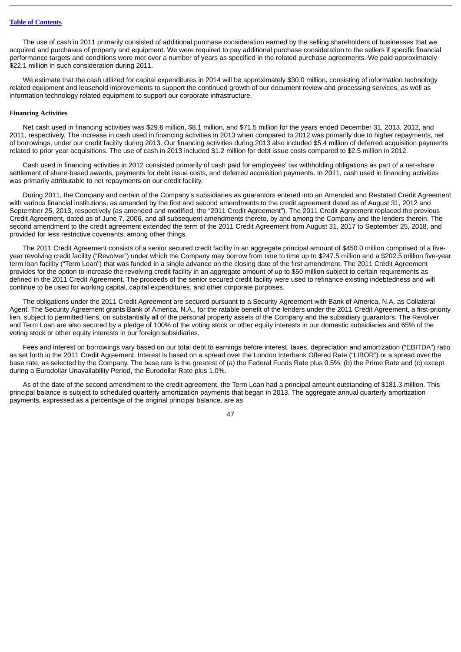The use of cash in 2011 primarily consisted of additional purchase consideration earned by the selling shareholders of businesses that we acquired and purchases of property and equipment. We were required to pay additional purchase consideration to the sellers if specific financial performance targets and conditions were met over a number of years as specified in the related purchase agreements. We paid approximately \$22.1 million in such consideration during 2011.

We estimate that the cash utilized for capital expenditures in 2014 will be approximately \$30.0 million, consisting of information technology related equipment and leasehold improvements to support the continued growth of our document review and processing services, as well as information technology related equipment to support our corporate infrastructure.

### **Financing Activities**

Net cash used in financing activities was \$29.6 million, \$8.1 million, and \$71.5 million for the years ended December 31, 2013, 2012, and 2011, respectively. The increase in cash used in financing activities in 2013 when compared to 2012 was primarily due to higher repayments, net of borrowings, under our credit facility during 2013. Our financing activities during 2013 also included \$5.4 million of deferred acquisition payments related to prior year acquisitions. The use of cash in 2013 included \$1.2 million for debt issue costs compared to \$2.5 million in 2012.

Cash used in financing activities in 2012 consisted primarily of cash paid for employees' tax withholding obligations as part of a net-share settlement of share-based awards, payments for debt issue costs, and deferred acquisition payments. In 2011, cash used in financing activities was primarily attributable to net repayments on our credit facility.

During 2011, the Company and certain of the Company's subsidiaries as guarantors entered into an Amended and Restated Credit Agreement with various financial institutions, as amended by the first and second amendments to the credit agreement dated as of August 31, 2012 and September 25, 2013, respectively (as amended and modified, the "2011 Credit Agreement"). The 2011 Credit Agreement replaced the previous Credit Agreement, dated as of June 7, 2006, and all subsequent amendments thereto, by and among the Company and the lenders therein. The second amendment to the credit agreement extended the term of the 2011 Credit Agreement from August 31, 2017 to September 25, 2018, and provided for less restrictive covenants, among other things.

The 2011 Credit Agreement consists of a senior secured credit facility in an aggregate principal amount of \$450.0 million comprised of a fiveyear revolving credit facility ("Revolver") under which the Company may borrow from time to time up to \$247.5 million and a \$202.5 million five-year term loan facility ("Term Loan") that was funded in a single advance on the closing date of the first amendment. The 2011 Credit Agreement provides for the option to increase the revolving credit facility in an aggregate amount of up to \$50 million subject to certain requirements as defined in the 2011 Credit Agreement. The proceeds of the senior secured credit facility were used to refinance existing indebtedness and will continue to be used for working capital, capital expenditures, and other corporate purposes.

The obligations under the 2011 Credit Agreement are secured pursuant to a Security Agreement with Bank of America, N.A. as Collateral Agent. The Security Agreement grants Bank of America, N.A., for the ratable benefit of the lenders under the 2011 Credit Agreement, a first-priority lien, subject to permitted liens, on substantially all of the personal property assets of the Company and the subsidiary guarantors. The Revolver and Term Loan are also secured by a pledge of 100% of the voting stock or other equity interests in our domestic subsidiaries and 65% of the voting stock or other equity interests in our foreign subsidiaries.

Fees and interest on borrowings vary based on our total debt to earnings before interest, taxes, depreciation and amortization ("EBITDA") ratio as set forth in the 2011 Credit Agreement. Interest is based on a spread over the London Interbank Offered Rate ("LIBOR") or a spread over the base rate, as selected by the Company. The base rate is the greatest of (a) the Federal Funds Rate plus 0.5%, (b) the Prime Rate and (c) except during a Eurodollar Unavailability Period, the Eurodollar Rate plus 1.0%.

As of the date of the second amendment to the credit agreement, the Term Loan had a principal amount outstanding of \$181.3 million. This principal balance is subject to scheduled quarterly amortization payments that began in 2013. The aggregate annual quarterly amortization payments, expressed as a percentage of the original principal balance, are as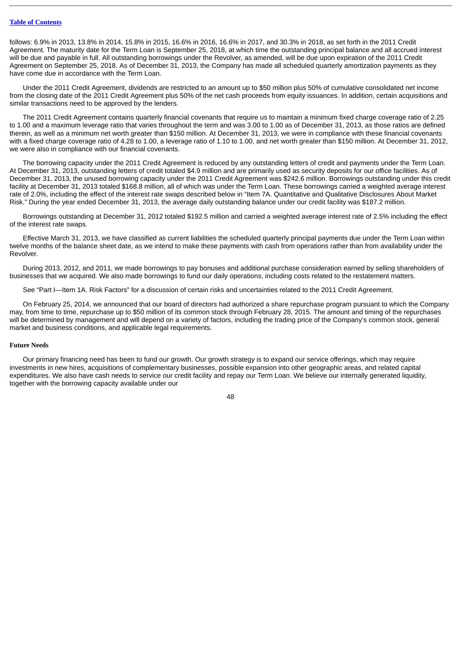follows: 6.9% in 2013, 13.8% in 2014, 15.8% in 2015, 16.6% in 2016, 16.6% in 2017, and 30.3% in 2018, as set forth in the 2011 Credit Agreement. The maturity date for the Term Loan is September 25, 2018, at which time the outstanding principal balance and all accrued interest will be due and payable in full. All outstanding borrowings under the Revolver, as amended, will be due upon expiration of the 2011 Credit Agreement on September 25, 2018. As of December 31, 2013, the Company has made all scheduled quarterly amortization payments as they have come due in accordance with the Term Loan.

Under the 2011 Credit Agreement, dividends are restricted to an amount up to \$50 million plus 50% of cumulative consolidated net income from the closing date of the 2011 Credit Agreement plus 50% of the net cash proceeds from equity issuances. In addition, certain acquisitions and similar transactions need to be approved by the lenders.

The 2011 Credit Agreement contains quarterly financial covenants that require us to maintain a minimum fixed charge coverage ratio of 2.25 to 1.00 and a maximum leverage ratio that varies throughout the term and was 3.00 to 1.00 as of December 31, 2013, as those ratios are defined therein, as well as a minimum net worth greater than \$150 million. At December 31, 2013, we were in compliance with these financial covenants with a fixed charge coverage ratio of 4.28 to 1.00, a leverage ratio of 1.10 to 1.00, and net worth greater than \$150 million. At December 31, 2012, we were also in compliance with our financial covenants.

The borrowing capacity under the 2011 Credit Agreement is reduced by any outstanding letters of credit and payments under the Term Loan. At December 31, 2013, outstanding letters of credit totaled \$4.9 million and are primarily used as security deposits for our office facilities. As of December 31, 2013, the unused borrowing capacity under the 2011 Credit Agreement was \$242.6 million. Borrowings outstanding under this credit facility at December 31, 2013 totaled \$168.8 million, all of which was under the Term Loan. These borrowings carried a weighted average interest rate of 2.0%, including the effect of the interest rate swaps described below in "Item 7A. Quantitative and Qualitative Disclosures About Market Risk." During the year ended December 31, 2013, the average daily outstanding balance under our credit facility was \$187.2 million.

Borrowings outstanding at December 31, 2012 totaled \$192.5 million and carried a weighted average interest rate of 2.5% including the effect of the interest rate swaps.

Effective March 31, 2013, we have classified as current liabilities the scheduled quarterly principal payments due under the Term Loan within twelve months of the balance sheet date, as we intend to make these payments with cash from operations rather than from availability under the Revolver.

During 2013, 2012, and 2011, we made borrowings to pay bonuses and additional purchase consideration earned by selling shareholders of businesses that we acquired. We also made borrowings to fund our daily operations, including costs related to the restatement matters.

See "Part I—Item 1A. Risk Factors" for a discussion of certain risks and uncertainties related to the 2011 Credit Agreement.

On February 25, 2014, we announced that our board of directors had authorized a share repurchase program pursuant to which the Company may, from time to time, repurchase up to \$50 million of its common stock through February 28, 2015. The amount and timing of the repurchases will be determined by management and will depend on a variety of factors, including the trading price of the Company's common stock, general market and business conditions, and applicable legal requirements.

# **Future Needs**

Our primary financing need has been to fund our growth. Our growth strategy is to expand our service offerings, which may require investments in new hires, acquisitions of complementary businesses, possible expansion into other geographic areas, and related capital expenditures. We also have cash needs to service our credit facility and repay our Term Loan. We believe our internally generated liquidity, together with the borrowing capacity available under our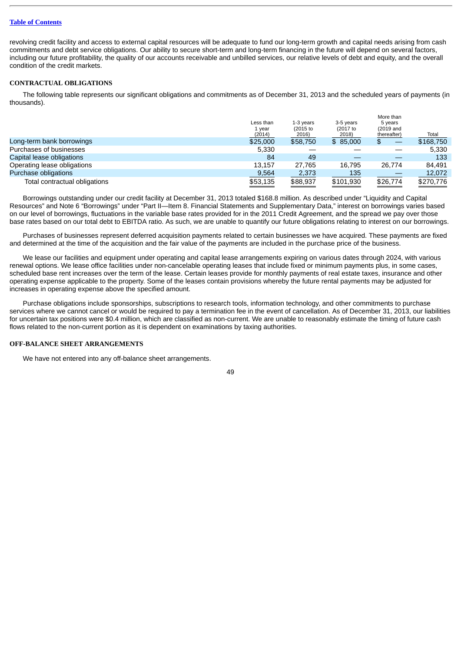revolving credit facility and access to external capital resources will be adequate to fund our long-term growth and capital needs arising from cash commitments and debt service obligations. Our ability to secure short-term and long-term financing in the future will depend on several factors, including our future profitability, the quality of our accounts receivable and unbilled services, our relative levels of debt and equity, and the overall condition of the credit markets.

# **CONTRACTUAL OBLIGATIONS**

The following table represents our significant obligations and commitments as of December 31, 2013 and the scheduled years of payments (in thousands).

|                               | Less than<br>1 year<br>(2014) | 1-3 years<br>$(2015$ to<br>2016) | 3-5 years<br>(2017 to<br>2018) | More than<br>5 years<br>(2019 and<br>thereafter) | Total     |
|-------------------------------|-------------------------------|----------------------------------|--------------------------------|--------------------------------------------------|-----------|
| Long-term bank borrowings     | \$25,000                      | \$58,750                         | \$85.000                       | \$.                                              | \$168,750 |
| Purchases of businesses       | 5.330                         |                                  |                                |                                                  | 5,330     |
| Capital lease obligations     | 84                            | 49                               |                                |                                                  | 133       |
| Operating lease obligations   | 13.157                        | 27.765                           | 16.795                         | 26.774                                           | 84,491    |
| Purchase obligations          | 9,564                         | 2,373                            | 135                            |                                                  | 12,072    |
| Total contractual obligations | \$53,135                      | \$88,937                         | \$101,930                      | \$26,774                                         | \$270,776 |

Borrowings outstanding under our credit facility at December 31, 2013 totaled \$168.8 million. As described under "Liquidity and Capital Resources" and Note 6 "Borrowings" under "Part II—Item 8. Financial Statements and Supplementary Data," interest on borrowings varies based on our level of borrowings, fluctuations in the variable base rates provided for in the 2011 Credit Agreement, and the spread we pay over those base rates based on our total debt to EBITDA ratio. As such, we are unable to quantify our future obligations relating to interest on our borrowings.

Purchases of businesses represent deferred acquisition payments related to certain businesses we have acquired. These payments are fixed and determined at the time of the acquisition and the fair value of the payments are included in the purchase price of the business.

We lease our facilities and equipment under operating and capital lease arrangements expiring on various dates through 2024, with various renewal options. We lease office facilities under non-cancelable operating leases that include fixed or minimum payments plus, in some cases, scheduled base rent increases over the term of the lease. Certain leases provide for monthly payments of real estate taxes, insurance and other operating expense applicable to the property. Some of the leases contain provisions whereby the future rental payments may be adjusted for increases in operating expense above the specified amount.

Purchase obligations include sponsorships, subscriptions to research tools, information technology, and other commitments to purchase services where we cannot cancel or would be required to pay a termination fee in the event of cancellation. As of December 31, 2013, our liabilities for uncertain tax positions were \$0.4 million, which are classified as non-current. We are unable to reasonably estimate the timing of future cash flows related to the non-current portion as it is dependent on examinations by taxing authorities.

# **OFF-BALANCE SHEET ARRANGEMENTS**

We have not entered into any off-balance sheet arrangements.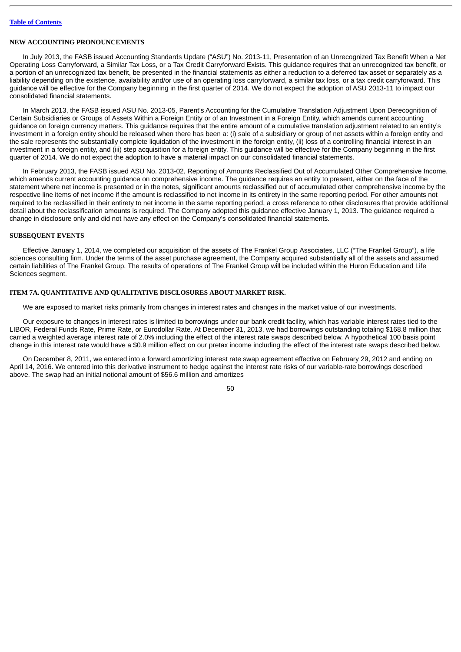# **NEW ACCOUNTING PRONOUNCEMENTS**

In July 2013, the FASB issued Accounting Standards Update ("ASU") No. 2013-11, Presentation of an Unrecognized Tax Benefit When a Net Operating Loss Carryforward, a Similar Tax Loss, or a Tax Credit Carryforward Exists. This guidance requires that an unrecognized tax benefit, or a portion of an unrecognized tax benefit, be presented in the financial statements as either a reduction to a deferred tax asset or separately as a liability depending on the existence, availability and/or use of an operating loss carryforward, a similar tax loss, or a tax credit carryforward. This guidance will be effective for the Company beginning in the first quarter of 2014. We do not expect the adoption of ASU 2013-11 to impact our consolidated financial statements.

In March 2013, the FASB issued ASU No. 2013-05, Parent's Accounting for the Cumulative Translation Adjustment Upon Derecognition of Certain Subsidiaries or Groups of Assets Within a Foreign Entity or of an Investment in a Foreign Entity, which amends current accounting guidance on foreign currency matters. This guidance requires that the entire amount of a cumulative translation adjustment related to an entity's investment in a foreign entity should be released when there has been a: (i) sale of a subsidiary or group of net assets within a foreign entity and the sale represents the substantially complete liquidation of the investment in the foreign entity, (ii) loss of a controlling financial interest in an investment in a foreign entity, and (iii) step acquisition for a foreign entity. This guidance will be effective for the Company beginning in the first quarter of 2014. We do not expect the adoption to have a material impact on our consolidated financial statements.

In February 2013, the FASB issued ASU No. 2013-02, Reporting of Amounts Reclassified Out of Accumulated Other Comprehensive Income, which amends current accounting guidance on comprehensive income. The guidance requires an entity to present, either on the face of the statement where net income is presented or in the notes, significant amounts reclassified out of accumulated other comprehensive income by the respective line items of net income if the amount is reclassified to net income in its entirety in the same reporting period. For other amounts not required to be reclassified in their entirety to net income in the same reporting period, a cross reference to other disclosures that provide additional detail about the reclassification amounts is required. The Company adopted this guidance effective January 1, 2013. The guidance required a change in disclosure only and did not have any effect on the Company's consolidated financial statements.

### **SUBSEQUENT EVENTS**

Effective January 1, 2014, we completed our acquisition of the assets of The Frankel Group Associates, LLC ("The Frankel Group"), a life sciences consulting firm. Under the terms of the asset purchase agreement, the Company acquired substantially all of the assets and assumed certain liabilities of The Frankel Group. The results of operations of The Frankel Group will be included within the Huron Education and Life Sciences segment.

# **ITEM 7A.QUANTITATIVE AND QUALITATIVE DISCLOSURES ABOUT MARKET RISK.**

We are exposed to market risks primarily from changes in interest rates and changes in the market value of our investments.

Our exposure to changes in interest rates is limited to borrowings under our bank credit facility, which has variable interest rates tied to the LIBOR, Federal Funds Rate, Prime Rate, or Eurodollar Rate. At December 31, 2013, we had borrowings outstanding totaling \$168.8 million that carried a weighted average interest rate of 2.0% including the effect of the interest rate swaps described below. A hypothetical 100 basis point change in this interest rate would have a \$0.9 million effect on our pretax income including the effect of the interest rate swaps described below.

On December 8, 2011, we entered into a forward amortizing interest rate swap agreement effective on February 29, 2012 and ending on April 14, 2016. We entered into this derivative instrument to hedge against the interest rate risks of our variable-rate borrowings described above. The swap had an initial notional amount of \$56.6 million and amortizes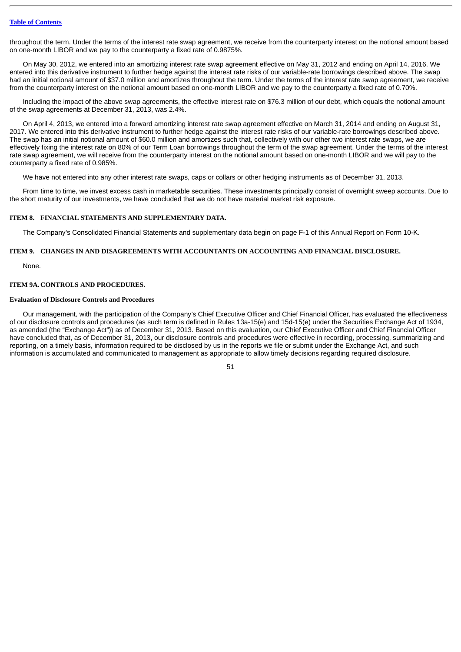throughout the term. Under the terms of the interest rate swap agreement, we receive from the counterparty interest on the notional amount based on one-month LIBOR and we pay to the counterparty a fixed rate of 0.9875%.

On May 30, 2012, we entered into an amortizing interest rate swap agreement effective on May 31, 2012 and ending on April 14, 2016. We entered into this derivative instrument to further hedge against the interest rate risks of our variable-rate borrowings described above. The swap had an initial notional amount of \$37.0 million and amortizes throughout the term. Under the terms of the interest rate swap agreement, we receive from the counterparty interest on the notional amount based on one-month LIBOR and we pay to the counterparty a fixed rate of 0.70%.

Including the impact of the above swap agreements, the effective interest rate on \$76.3 million of our debt, which equals the notional amount of the swap agreements at December 31, 2013, was 2.4%.

On April 4, 2013, we entered into a forward amortizing interest rate swap agreement effective on March 31, 2014 and ending on August 31, 2017. We entered into this derivative instrument to further hedge against the interest rate risks of our variable-rate borrowings described above. The swap has an initial notional amount of \$60.0 million and amortizes such that, collectively with our other two interest rate swaps, we are effectively fixing the interest rate on 80% of our Term Loan borrowings throughout the term of the swap agreement. Under the terms of the interest rate swap agreement, we will receive from the counterparty interest on the notional amount based on one-month LIBOR and we will pay to the counterparty a fixed rate of 0.985%.

We have not entered into any other interest rate swaps, caps or collars or other hedging instruments as of December 31, 2013.

From time to time, we invest excess cash in marketable securities. These investments principally consist of overnight sweep accounts. Due to the short maturity of our investments, we have concluded that we do not have material market risk exposure.

# **ITEM 8. FINANCIAL STATEMENTS AND SUPPLEMENTARY DATA.**

The Company's Consolidated Financial Statements and supplementary data begin on page F-1 of this Annual Report on Form 10-K.

# **ITEM 9. CHANGES IN AND DISAGREEMENTS WITH ACCOUNTANTS ON ACCOUNTING AND FINANCIAL DISCLOSURE.**

None.

# **ITEM 9A. CONTROLS AND PROCEDURES.**

# **Evaluation of Disclosure Controls and Procedures**

Our management, with the participation of the Company's Chief Executive Officer and Chief Financial Officer, has evaluated the effectiveness of our disclosure controls and procedures (as such term is defined in Rules 13a-15(e) and 15d-15(e) under the Securities Exchange Act of 1934, as amended (the "Exchange Act")) as of December 31, 2013. Based on this evaluation, our Chief Executive Officer and Chief Financial Officer have concluded that, as of December 31, 2013, our disclosure controls and procedures were effective in recording, processing, summarizing and reporting, on a timely basis, information required to be disclosed by us in the reports we file or submit under the Exchange Act, and such information is accumulated and communicated to management as appropriate to allow timely decisions regarding required disclosure.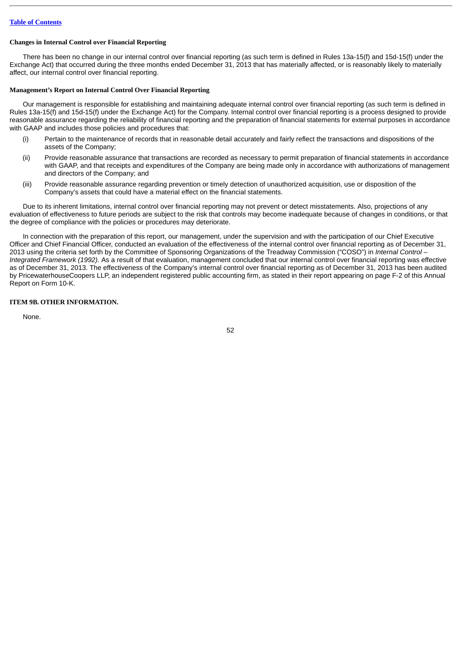# **Changes in Internal Control over Financial Reporting**

There has been no change in our internal control over financial reporting (as such term is defined in Rules 13a-15(f) and 15d-15(f) under the Exchange Act) that occurred during the three months ended December 31, 2013 that has materially affected, or is reasonably likely to materially affect, our internal control over financial reporting.

# **Management's Report on Internal Control Over Financial Reporting**

Our management is responsible for establishing and maintaining adequate internal control over financial reporting (as such term is defined in Rules 13a-15(f) and 15d-15(f) under the Exchange Act) for the Company. Internal control over financial reporting is a process designed to provide reasonable assurance regarding the reliability of financial reporting and the preparation of financial statements for external purposes in accordance with GAAP and includes those policies and procedures that:

- (i) Pertain to the maintenance of records that in reasonable detail accurately and fairly reflect the transactions and dispositions of the assets of the Company;
- (ii) Provide reasonable assurance that transactions are recorded as necessary to permit preparation of financial statements in accordance with GAAP, and that receipts and expenditures of the Company are being made only in accordance with authorizations of management and directors of the Company; and
- (iii) Provide reasonable assurance regarding prevention or timely detection of unauthorized acquisition, use or disposition of the Company's assets that could have a material effect on the financial statements.

Due to its inherent limitations, internal control over financial reporting may not prevent or detect misstatements. Also, projections of any evaluation of effectiveness to future periods are subject to the risk that controls may become inadequate because of changes in conditions, or that the degree of compliance with the policies or procedures may deteriorate.

In connection with the preparation of this report, our management, under the supervision and with the participation of our Chief Executive Officer and Chief Financial Officer, conducted an evaluation of the effectiveness of the internal control over financial reporting as of December 31, 2013 using the criteria set forth by the Committee of Sponsoring Organizations of the Treadway Commission ("COSO") in *Internal Control – Integrated Framework (1992).* As a result of that evaluation, management concluded that our internal control over financial reporting was effective as of December 31, 2013. The effectiveness of the Company's internal control over financial reporting as of December 31, 2013 has been audited by PricewaterhouseCoopers LLP, an independent registered public accounting firm, as stated in their report appearing on page F-2 of this Annual Report on Form 10-K.

# **ITEM 9B. OTHER INFORMATION.**

None.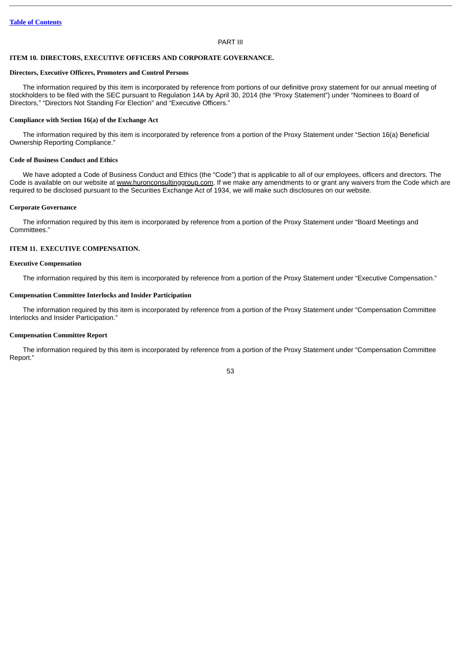### PART III

# **ITEM 10. DIRECTORS, EXECUTIVE OFFICERS AND CORPORATE GOVERNANCE.**

# **Directors, Executive Officers, Promoters and Control Persons**

The information required by this item is incorporated by reference from portions of our definitive proxy statement for our annual meeting of stockholders to be filed with the SEC pursuant to Regulation 14A by April 30, 2014 (the "Proxy Statement") under "Nominees to Board of Directors," "Directors Not Standing For Election" and "Executive Officers."

# **Compliance with Section 16(a) of the Exchange Act**

The information required by this item is incorporated by reference from a portion of the Proxy Statement under "Section 16(a) Beneficial Ownership Reporting Compliance."

# **Code of Business Conduct and Ethics**

We have adopted a Code of Business Conduct and Ethics (the "Code") that is applicable to all of our employees, officers and directors. The Code is available on our website at www.huronconsultinggroup.com. If we make any amendments to or grant any waivers from the Code which are required to be disclosed pursuant to the Securities Exchange Act of 1934, we will make such disclosures on our website.

### **Corporate Governance**

The information required by this item is incorporated by reference from a portion of the Proxy Statement under "Board Meetings and Committees."

### **ITEM 11. EXECUTIVE COMPENSATION.**

#### **Executive Compensation**

The information required by this item is incorporated by reference from a portion of the Proxy Statement under "Executive Compensation."

### **Compensation Committee Interlocks and Insider Participation**

The information required by this item is incorporated by reference from a portion of the Proxy Statement under "Compensation Committee Interlocks and Insider Participation."

### **Compensation Committee Report**

The information required by this item is incorporated by reference from a portion of the Proxy Statement under "Compensation Committee Report."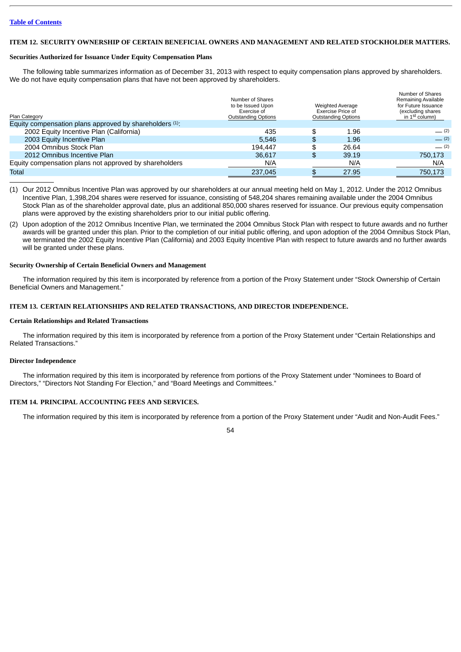# **ITEM 12. SECURITY OWNERSHIP OF CERTAIN BENEFICIAL OWNERS AND MANAGEMENT AND RELATED STOCKHOLDER MATTERS.**

## **Securities Authorized for Issuance Under Equity Compensation Plans**

The following table summarizes information as of December 31, 2013 with respect to equity compensation plans approved by shareholders. We do not have equity compensation plans that have not been approved by shareholders.

| Plan Category                                           | Number of Shares<br>to be Issued Upon<br>Exercise of<br><b>Outstanding Options</b> | <b>Weighted Average</b><br><b>Exercise Price of</b><br><b>Outstanding Options</b> | Number of Shares<br>Remaining Available<br>for Future Issuance<br>(excluding shares<br>in 1 <sup>st</sup> column) |
|---------------------------------------------------------|------------------------------------------------------------------------------------|-----------------------------------------------------------------------------------|-------------------------------------------------------------------------------------------------------------------|
| Equity compensation plans approved by shareholders (1): |                                                                                    |                                                                                   |                                                                                                                   |
| 2002 Equity Incentive Plan (California)                 | 435                                                                                | \$<br>1.96                                                                        | $-$ (2)                                                                                                           |
| 2003 Equity Incentive Plan                              | 5.546                                                                              | \$<br>1.96                                                                        | $-$ (2)                                                                                                           |
| 2004 Omnibus Stock Plan                                 | 194.447                                                                            | \$<br>26.64                                                                       | $-$ (2)                                                                                                           |
| 2012 Omnibus Incentive Plan                             | 36.617                                                                             | \$<br>39.19                                                                       | 750.173                                                                                                           |
| Equity compensation plans not approved by shareholders  | N/A                                                                                | N/A                                                                               | N/A                                                                                                               |
| Total                                                   | 237,045                                                                            | 27.95                                                                             | 750,173                                                                                                           |
|                                                         |                                                                                    |                                                                                   |                                                                                                                   |

- (1) Our 2012 Omnibus Incentive Plan was approved by our shareholders at our annual meeting held on May 1, 2012. Under the 2012 Omnibus Incentive Plan, 1,398,204 shares were reserved for issuance, consisting of 548,204 shares remaining available under the 2004 Omnibus Stock Plan as of the shareholder approval date, plus an additional 850,000 shares reserved for issuance. Our previous equity compensation plans were approved by the existing shareholders prior to our initial public offering.
- (2) Upon adoption of the 2012 Omnibus Incentive Plan, we terminated the 2004 Omnibus Stock Plan with respect to future awards and no further awards will be granted under this plan. Prior to the completion of our initial public offering, and upon adoption of the 2004 Omnibus Stock Plan, we terminated the 2002 Equity Incentive Plan (California) and 2003 Equity Incentive Plan with respect to future awards and no further awards will be granted under these plans.

### **Security Ownership of Certain Beneficial Owners and Management**

The information required by this item is incorporated by reference from a portion of the Proxy Statement under "Stock Ownership of Certain Beneficial Owners and Management."

# **ITEM 13. CERTAIN RELATIONSHIPS AND RELATED TRANSACTIONS, AND DIRECTOR INDEPENDENCE.**

### **Certain Relationships and Related Transactions**

The information required by this item is incorporated by reference from a portion of the Proxy Statement under "Certain Relationships and Related Transactions."

### **Director Independence**

The information required by this item is incorporated by reference from portions of the Proxy Statement under "Nominees to Board of Directors," "Directors Not Standing For Election," and "Board Meetings and Committees."

# **ITEM 14. PRINCIPAL ACCOUNTING FEES AND SERVICES.**

The information required by this item is incorporated by reference from a portion of the Proxy Statement under "Audit and Non-Audit Fees."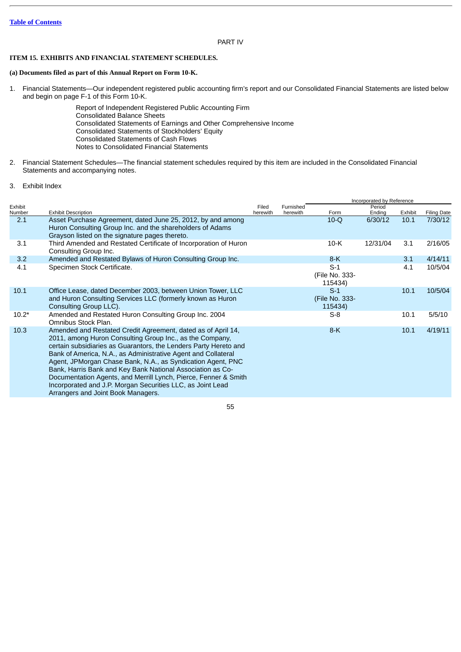# PART IV

# **ITEM 15. EXHIBITS AND FINANCIAL STATEMENT SCHEDULES.**

# **(a) Documents filed as part of this Annual Report on Form 10-K.**

1. Financial Statements—Our independent registered public accounting firm's report and our Consolidated Financial Statements are listed below and begin on page F-1 of this Form 10-K.

> Report of Independent Registered Public Accounting Firm Consolidated Balance Sheets Consolidated Statements of Earnings and Other Comprehensive Income Consolidated Statements of Stockholders' Equity Consolidated Statements of Cash Flows Notes to Consolidated Financial Statements

2. Financial Statement Schedules—The financial statement schedules required by this item are included in the Consolidated Financial Statements and accompanying notes.

# 3. Exhibit Index

|               |                                                                                                                                                                                                                                                                                                                                                                                                                                                                                                                                                                   |          |           | Incorporated by Reference                   |                   |                 |                               |
|---------------|-------------------------------------------------------------------------------------------------------------------------------------------------------------------------------------------------------------------------------------------------------------------------------------------------------------------------------------------------------------------------------------------------------------------------------------------------------------------------------------------------------------------------------------------------------------------|----------|-----------|---------------------------------------------|-------------------|-----------------|-------------------------------|
| Exhibit       |                                                                                                                                                                                                                                                                                                                                                                                                                                                                                                                                                                   | Filed    | Furnished |                                             | Period            |                 |                               |
| Number<br>2.1 | <b>Exhibit Description</b><br>Asset Purchase Agreement, dated June 25, 2012, by and among<br>Huron Consulting Group Inc. and the shareholders of Adams<br>Grayson listed on the signature pages thereto.                                                                                                                                                                                                                                                                                                                                                          | herewith | herewith  | Form<br>$10-°$                              | Ending<br>6/30/12 | Exhibit<br>10.1 | <b>Filing Date</b><br>7/30/12 |
| 3.1           | Third Amended and Restated Certificate of Incorporation of Huron<br>Consulting Group Inc.                                                                                                                                                                                                                                                                                                                                                                                                                                                                         |          |           | 10-K                                        | 12/31/04          | 3.1             | 2/16/05                       |
| 3.2<br>4.1    | Amended and Restated Bylaws of Huron Consulting Group Inc.<br>Specimen Stock Certificate.                                                                                                                                                                                                                                                                                                                                                                                                                                                                         |          |           | $8-K$<br>$S-1$<br>(File No. 333-<br>115434) |                   | 3.1<br>4.1      | 4/14/11<br>10/5/04            |
| 10.1          | Office Lease, dated December 2003, between Union Tower, LLC<br>and Huron Consulting Services LLC (formerly known as Huron<br>Consulting Group LLC).                                                                                                                                                                                                                                                                                                                                                                                                               |          |           | $S-1$<br>(File No. 333-<br>115434)          |                   | 10.1            | 10/5/04                       |
| $10.2*$       | Amended and Restated Huron Consulting Group Inc. 2004<br>Omnibus Stock Plan.                                                                                                                                                                                                                                                                                                                                                                                                                                                                                      |          |           | $S-8$                                       |                   | 10.1            | 5/5/10                        |
| 10.3          | Amended and Restated Credit Agreement, dated as of April 14,<br>2011, among Huron Consulting Group Inc., as the Company,<br>certain subsidiaries as Guarantors, the Lenders Party Hereto and<br>Bank of America, N.A., as Administrative Agent and Collateral<br>Agent, JPMorgan Chase Bank, N.A., as Syndication Agent, PNC<br>Bank, Harris Bank and Key Bank National Association as Co-<br>Documentation Agents, and Merrill Lynch, Pierce, Fenner & Smith<br>Incorporated and J.P. Morgan Securities LLC, as Joint Lead<br>Arrangers and Joint Book Managers. |          |           | $8-K$                                       |                   | 10.1            | 4/19/11                       |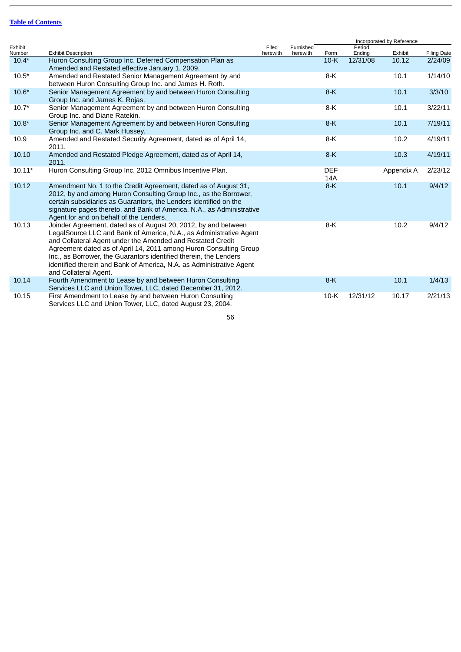|                   |                                                                                                                                                                                                                                                                                                                                                                                                                                               |                   |                       |                   |                  | Incorporated by Reference |                    |
|-------------------|-----------------------------------------------------------------------------------------------------------------------------------------------------------------------------------------------------------------------------------------------------------------------------------------------------------------------------------------------------------------------------------------------------------------------------------------------|-------------------|-----------------------|-------------------|------------------|---------------------------|--------------------|
| Exhibit<br>Number | <b>Exhibit Description</b>                                                                                                                                                                                                                                                                                                                                                                                                                    | Filed<br>herewith | Furnished<br>herewith | Form              | Period<br>Ending | Exhibit                   | <b>Filing Date</b> |
| $10.4*$           | Huron Consulting Group Inc. Deferred Compensation Plan as<br>Amended and Restated effective January 1, 2009.                                                                                                                                                                                                                                                                                                                                  |                   |                       | $10-K$            | 12/31/08         | 10.12                     | 2/24/09            |
| $10.5*$           | Amended and Restated Senior Management Agreement by and<br>between Huron Consulting Group Inc. and James H. Roth.                                                                                                                                                                                                                                                                                                                             |                   |                       | $8-K$             |                  | 10.1                      | 1/14/10            |
| $10.6*$           | Senior Management Agreement by and between Huron Consulting<br>Group Inc. and James K. Rojas.                                                                                                                                                                                                                                                                                                                                                 |                   |                       | $8-K$             |                  | 10.1                      | 3/3/10             |
| $10.7*$           | Senior Management Agreement by and between Huron Consulting<br>Group Inc. and Diane Ratekin.                                                                                                                                                                                                                                                                                                                                                  |                   |                       | $8-K$             |                  | 10.1                      | 3/22/11            |
| $10.8*$           | Senior Management Agreement by and between Huron Consulting<br>Group Inc. and C. Mark Hussey.                                                                                                                                                                                                                                                                                                                                                 |                   |                       | $8-K$             |                  | 10.1                      | 7/19/11            |
| 10.9              | Amended and Restated Security Agreement, dated as of April 14,<br>2011.                                                                                                                                                                                                                                                                                                                                                                       |                   |                       | $8-K$             |                  | 10.2                      | 4/19/11            |
| 10.10             | Amended and Restated Pledge Agreement, dated as of April 14,<br>2011.                                                                                                                                                                                                                                                                                                                                                                         |                   |                       | $8-K$             |                  | 10.3                      | 4/19/11            |
| $10.11*$          | Huron Consulting Group Inc. 2012 Omnibus Incentive Plan.                                                                                                                                                                                                                                                                                                                                                                                      |                   |                       | <b>DEF</b><br>14A |                  | Appendix A                | 2/23/12            |
| 10.12             | Amendment No. 1 to the Credit Agreement, dated as of August 31,<br>2012, by and among Huron Consulting Group Inc., as the Borrower,<br>certain subsidiaries as Guarantors, the Lenders identified on the<br>signature pages thereto, and Bank of America, N.A., as Administrative<br>Agent for and on behalf of the Lenders.                                                                                                                  |                   |                       | $8-K$             |                  | 10.1                      | 9/4/12             |
| 10.13             | Joinder Agreement, dated as of August 20, 2012, by and between<br>LegalSource LLC and Bank of America, N.A., as Administrative Agent<br>and Collateral Agent under the Amended and Restated Credit<br>Agreement dated as of April 14, 2011 among Huron Consulting Group<br>Inc., as Borrower, the Guarantors identified therein, the Lenders<br>identified therein and Bank of America, N.A. as Administrative Agent<br>and Collateral Agent. |                   |                       | $8-K$             |                  | 10.2                      | 9/4/12             |
| 10.14             | Fourth Amendment to Lease by and between Huron Consulting<br>Services LLC and Union Tower, LLC, dated December 31, 2012.                                                                                                                                                                                                                                                                                                                      |                   |                       | $8-K$             |                  | 10.1                      | 1/4/13             |
| 10.15             | First Amendment to Lease by and between Huron Consulting<br>Services LLC and Union Tower, LLC, dated August 23, 2004.                                                                                                                                                                                                                                                                                                                         |                   |                       | $10-K$            | 12/31/12         | 10.17                     | 2/21/13            |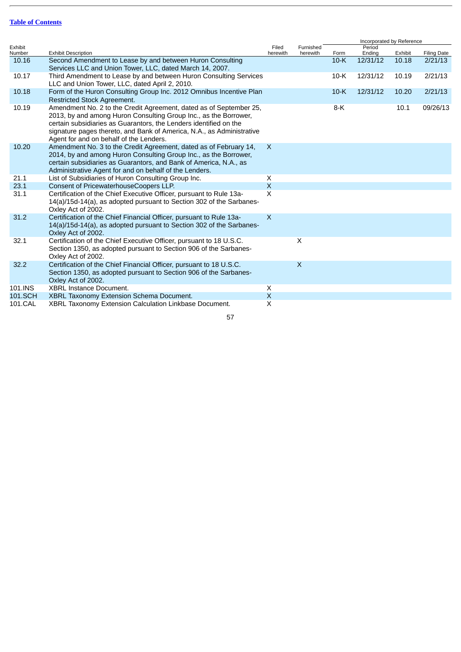Ē.

|                   |                                                                                                                                                                                                                                                                                                                                 |                   |                       |        | Incorporated by Reference |         |             |
|-------------------|---------------------------------------------------------------------------------------------------------------------------------------------------------------------------------------------------------------------------------------------------------------------------------------------------------------------------------|-------------------|-----------------------|--------|---------------------------|---------|-------------|
| Exhibit<br>Number | <b>Exhibit Description</b>                                                                                                                                                                                                                                                                                                      | Filed<br>herewith | Furnished<br>herewith | Form   | Period<br>Ending          | Exhibit | Filing Date |
| 10.16             | Second Amendment to Lease by and between Huron Consulting<br>Services LLC and Union Tower, LLC, dated March 14, 2007.                                                                                                                                                                                                           |                   |                       | $10-K$ | 12/31/12                  | 10.18   | 2/21/13     |
| 10.17             | Third Amendment to Lease by and between Huron Consulting Services<br>LLC and Union Tower, LLC, dated April 2, 2010.                                                                                                                                                                                                             |                   |                       | $10-K$ | 12/31/12                  | 10.19   | 2/21/13     |
| 10.18             | Form of the Huron Consulting Group Inc. 2012 Omnibus Incentive Plan<br><b>Restricted Stock Agreement.</b>                                                                                                                                                                                                                       |                   |                       | $10-K$ | 12/31/12                  | 10.20   | 2/21/13     |
| 10.19             | Amendment No. 2 to the Credit Agreement, dated as of September 25,<br>2013, by and among Huron Consulting Group Inc., as the Borrower,<br>certain subsidiaries as Guarantors, the Lenders identified on the<br>signature pages thereto, and Bank of America, N.A., as Administrative<br>Agent for and on behalf of the Lenders. |                   |                       | $8-K$  |                           | 10.1    | 09/26/13    |
| 10.20             | Amendment No. 3 to the Credit Agreement, dated as of February 14,<br>2014, by and among Huron Consulting Group Inc., as the Borrower,<br>certain subsidiaries as Guarantors, and Bank of America, N.A., as<br>Administrative Agent for and on behalf of the Lenders.                                                            | $\mathsf{X}$      |                       |        |                           |         |             |
| 21.1              | List of Subsidiaries of Huron Consulting Group Inc.                                                                                                                                                                                                                                                                             | $\times$          |                       |        |                           |         |             |
| 23.1              | Consent of PricewaterhouseCoopers LLP.                                                                                                                                                                                                                                                                                          | $\mathsf X$       |                       |        |                           |         |             |
| 31.1              | Certification of the Chief Executive Officer, pursuant to Rule 13a-<br>14(a)/15d-14(a), as adopted pursuant to Section 302 of the Sarbanes-<br>Oxley Act of 2002.                                                                                                                                                               | X                 |                       |        |                           |         |             |
| 31.2              | Certification of the Chief Financial Officer, pursuant to Rule 13a-<br>14(a)/15d-14(a), as adopted pursuant to Section 302 of the Sarbanes-<br>Oxley Act of 2002.                                                                                                                                                               | $\sf X$           |                       |        |                           |         |             |
| 32.1              | Certification of the Chief Executive Officer, pursuant to 18 U.S.C.<br>Section 1350, as adopted pursuant to Section 906 of the Sarbanes-<br>Oxley Act of 2002.                                                                                                                                                                  |                   | X                     |        |                           |         |             |
| 32.2              | Certification of the Chief Financial Officer, pursuant to 18 U.S.C.<br>Section 1350, as adopted pursuant to Section 906 of the Sarbanes-<br>Oxley Act of 2002.                                                                                                                                                                  |                   | $\mathsf{X}$          |        |                           |         |             |
| 101.INS           | <b>XBRL Instance Document.</b>                                                                                                                                                                                                                                                                                                  | X                 |                       |        |                           |         |             |
| 101.SCH           | XBRL Taxonomy Extension Schema Document.                                                                                                                                                                                                                                                                                        | $\mathsf{X}$      |                       |        |                           |         |             |
| 101.CAL           | XBRL Taxonomy Extension Calculation Linkbase Document.                                                                                                                                                                                                                                                                          | X                 |                       |        |                           |         |             |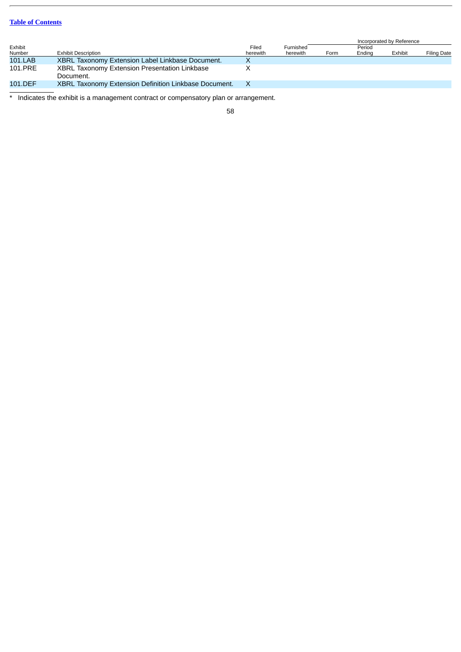|         |                                                       |          |           |      | Incorporated by Reference |         |             |
|---------|-------------------------------------------------------|----------|-----------|------|---------------------------|---------|-------------|
| Exhibit |                                                       | Filed    | Furnished |      | Period                    |         |             |
| Number  | <b>Exhibit Description</b>                            | herewith | herewith  | Form | Endina                    | Exhibit | Filing Date |
| 101.LAB | XBRL Taxonomy Extension Label Linkbase Document.      | Х        |           |      |                           |         |             |
| 101.PRE | XBRL Taxonomy Extension Presentation Linkbase         |          |           |      |                           |         |             |
|         | Document.                                             |          |           |      |                           |         |             |
| 101.DEF | XBRL Taxonomy Extension Definition Linkbase Document. |          |           |      |                           |         |             |

\* Indicates the exhibit is a management contract or compensatory plan or arrangement.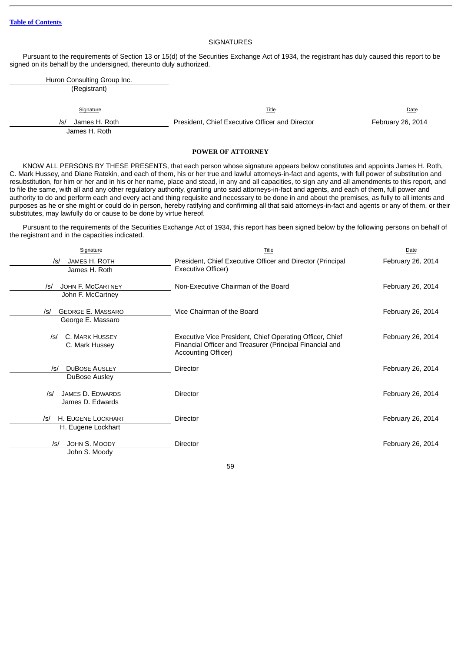# **SIGNATURES**

Pursuant to the requirements of Section 13 or 15(d) of the Securities Exchange Act of 1934, the registrant has duly caused this report to be signed on its behalf by the undersigned, thereunto duly authorized.

l.

Huron Consulting Group Inc.

(Registrant)

Signature Date Date of the Second Contract of the Title Contract of Date Date Date Date Date /s/ James H. Roth President, Chief Executive Officer and Director February 26, 2014

James H. Roth

**POWER OF ATTORNEY**

KNOW ALL PERSONS BY THESE PRESENTS, that each person whose signature appears below constitutes and appoints James H. Roth, C. Mark Hussey, and Diane Ratekin, and each of them, his or her true and lawful attorneys-in-fact and agents, with full power of substitution and resubstitution, for him or her and in his or her name, place and stead, in any and all capacities, to sign any and all amendments to this report, and to file the same, with all and any other regulatory authority, granting unto said attorneys-in-fact and agents, and each of them, full power and authority to do and perform each and every act and thing requisite and necessary to be done in and about the premises, as fully to all intents and purposes as he or she might or could do in person, hereby ratifying and confirming all that said attorneys-in-fact and agents or any of them, or their substitutes, may lawfully do or cause to be done by virtue hereof.

Pursuant to the requirements of the Securities Exchange Act of 1934, this report has been signed below by the following persons on behalf of the registrant and in the capacities indicated.

| Signature                                            | Title                                                                                                                                              | Date              |
|------------------------------------------------------|----------------------------------------------------------------------------------------------------------------------------------------------------|-------------------|
| JAMES H. ROTH<br>/s/<br>James H. Roth                | President, Chief Executive Officer and Director (Principal<br>Executive Officer)                                                                   | February 26, 2014 |
| JOHN F. MCCARTNEY<br>/s/<br>John F. McCartney        | Non-Executive Chairman of the Board                                                                                                                | February 26, 2014 |
| <b>GEORGE E. MASSARO</b><br>/s/<br>George E. Massaro | Vice Chairman of the Board                                                                                                                         | February 26, 2014 |
| <b>C. MARK HUSSEY</b><br>/s/<br>C. Mark Hussey       | Executive Vice President, Chief Operating Officer, Chief<br>Financial Officer and Treasurer (Principal Financial and<br><b>Accounting Officer)</b> | February 26, 2014 |
| <b>DUBOSE AUSLEY</b><br>/s/<br>DuBose Ausley         | <b>Director</b>                                                                                                                                    | February 26, 2014 |
| JAMES D. EDWARDS<br>/s/<br>James D. Edwards          | <b>Director</b>                                                                                                                                    | February 26, 2014 |
| H. EUGENE LOCKHART<br>/s/<br>H. Eugene Lockhart      | Director                                                                                                                                           | February 26, 2014 |
| JOHN S. MOODY<br>/s/<br>John S. Moody                | Director                                                                                                                                           | February 26, 2014 |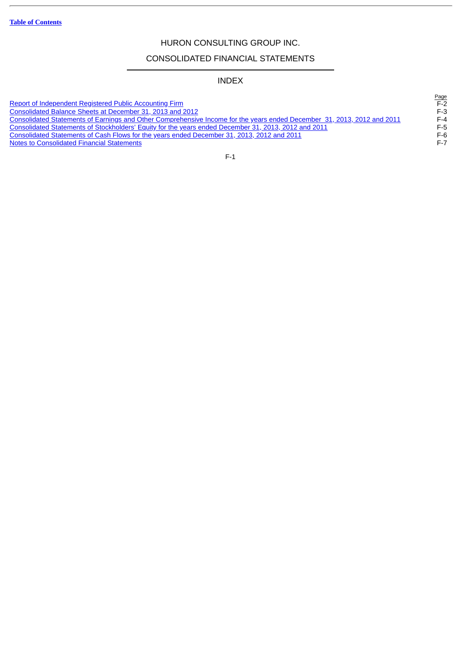# HURON CONSULTING GROUP INC.

# CONSOLIDATED FINANCIAL STATEMENTS

# INDEX

|                                                                                                                         | Page  |
|-------------------------------------------------------------------------------------------------------------------------|-------|
| <b>Report of Independent Registered Public Accounting Firm</b>                                                          | $F-2$ |
| Consolidated Balance Sheets at December 31, 2013 and 2012                                                               | $F-3$ |
| Consolidated Statements of Earnings and Other Comprehensive Income for the years ended December 31, 2013, 2012 and 2011 | $F-4$ |
| Consolidated Statements of Stockholders' Equity for the years ended December 31, 2013, 2012 and 2011                    | $F-5$ |
| Consolidated Statements of Cash Flows for the years ended December 31, 2013, 2012 and 2011                              | $F-6$ |
| Notes to Consolidated Financial Statements                                                                              | F-7   |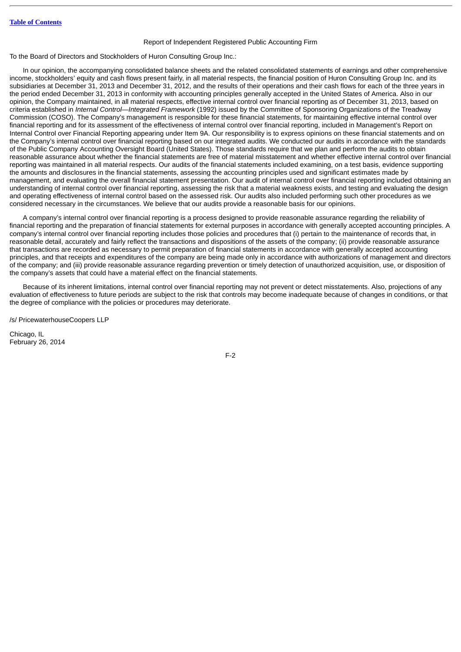### Report of Independent Registered Public Accounting Firm

<span id="page-62-0"></span>To the Board of Directors and Stockholders of Huron Consulting Group Inc.:

In our opinion, the accompanying consolidated balance sheets and the related consolidated statements of earnings and other comprehensive income, stockholders' equity and cash flows present fairly, in all material respects, the financial position of Huron Consulting Group Inc. and its subsidiaries at December 31, 2013 and December 31, 2012, and the results of their operations and their cash flows for each of the three years in the period ended December 31, 2013 in conformity with accounting principles generally accepted in the United States of America. Also in our opinion, the Company maintained, in all material respects, effective internal control over financial reporting as of December 31, 2013, based on criteria established in *Internal Control—Integrated Framework* (1992) issued by the Committee of Sponsoring Organizations of the Treadway Commission (COSO). The Company's management is responsible for these financial statements, for maintaining effective internal control over financial reporting and for its assessment of the effectiveness of internal control over financial reporting, included in Management's Report on Internal Control over Financial Reporting appearing under Item 9A. Our responsibility is to express opinions on these financial statements and on the Company's internal control over financial reporting based on our integrated audits. We conducted our audits in accordance with the standards of the Public Company Accounting Oversight Board (United States). Those standards require that we plan and perform the audits to obtain reasonable assurance about whether the financial statements are free of material misstatement and whether effective internal control over financial reporting was maintained in all material respects. Our audits of the financial statements included examining, on a test basis, evidence supporting the amounts and disclosures in the financial statements, assessing the accounting principles used and significant estimates made by management, and evaluating the overall financial statement presentation. Our audit of internal control over financial reporting included obtaining an understanding of internal control over financial reporting, assessing the risk that a material weakness exists, and testing and evaluating the design and operating effectiveness of internal control based on the assessed risk. Our audits also included performing such other procedures as we considered necessary in the circumstances. We believe that our audits provide a reasonable basis for our opinions.

A company's internal control over financial reporting is a process designed to provide reasonable assurance regarding the reliability of financial reporting and the preparation of financial statements for external purposes in accordance with generally accepted accounting principles. A company's internal control over financial reporting includes those policies and procedures that (i) pertain to the maintenance of records that, in reasonable detail, accurately and fairly reflect the transactions and dispositions of the assets of the company; (ii) provide reasonable assurance that transactions are recorded as necessary to permit preparation of financial statements in accordance with generally accepted accounting principles, and that receipts and expenditures of the company are being made only in accordance with authorizations of management and directors of the company; and (iii) provide reasonable assurance regarding prevention or timely detection of unauthorized acquisition, use, or disposition of the company's assets that could have a material effect on the financial statements.

Because of its inherent limitations, internal control over financial reporting may not prevent or detect misstatements. Also, projections of any evaluation of effectiveness to future periods are subject to the risk that controls may become inadequate because of changes in conditions, or that the degree of compliance with the policies or procedures may deteriorate.

/s/ PricewaterhouseCoopers LLP

Chicago, IL February 26, 2014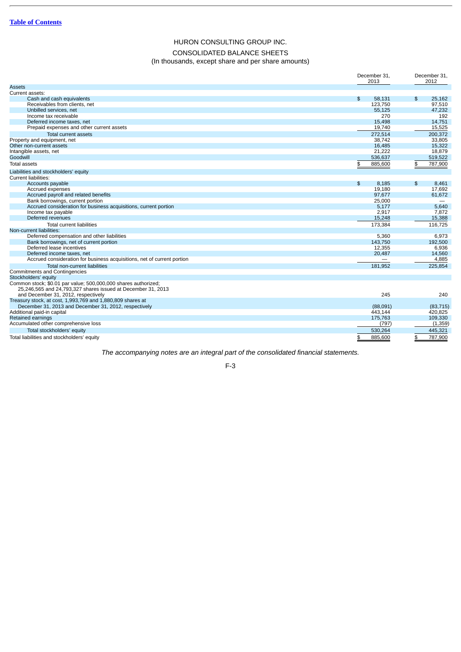# CONSOLIDATED BALANCE SHEETS

# (In thousands, except share and per share amounts)

<span id="page-63-0"></span>

|                                                                         | December 31.<br>2013     | December 31.<br>2012     |
|-------------------------------------------------------------------------|--------------------------|--------------------------|
| Assets                                                                  |                          |                          |
| Current assets:                                                         |                          |                          |
| Cash and cash equivalents                                               | $\mathfrak{S}$<br>58,131 | $\mathfrak{S}$<br>25,162 |
| Receivables from clients, net                                           | 123,750                  | 97,510                   |
| Unbilled services, net                                                  | 55,125                   | 47,232                   |
| Income tax receivable                                                   | 270                      | 192                      |
| Deferred income taxes, net                                              | 15,498                   | 14,751                   |
| Prepaid expenses and other current assets                               | 19,740                   | 15,525                   |
| <b>Total current assets</b>                                             | 272,514                  | 200,372                  |
| Property and equipment, net                                             | 38.742                   | 33.805                   |
| Other non-current assets                                                | 16,485                   | 15,322                   |
| Intangible assets, net                                                  | 21,222                   | 18,879                   |
| <b>Goodwill</b>                                                         | 536.637                  | 519.522                  |
| <b>Total assets</b>                                                     | 885,600<br>\$            | \$<br>787,900            |
| Liabilities and stockholders' equity                                    |                          |                          |
| <b>Current liabilities:</b>                                             |                          |                          |
| Accounts payable                                                        | $\mathfrak{S}$<br>8,185  | $\mathfrak{S}$<br>8,461  |
| Accrued expenses                                                        | 19,180                   | 17,692                   |
| Accrued payroll and related benefits                                    | 97,677                   | 61,672                   |
| Bank borrowings, current portion                                        | 25,000                   |                          |
| Accrued consideration for business acquisitions, current portion        | 5,177                    | 5,640                    |
| Income tax payable                                                      | 2,917                    | 7,872                    |
| Deferred revenues                                                       | 15,248                   | 15,388                   |
| <b>Total current liabilities</b>                                        | 173,384                  | 116,725                  |
| Non-current liabilities:                                                |                          |                          |
| Deferred compensation and other liabilities                             | 5,360                    | 6,973                    |
| Bank borrowings, net of current portion                                 | 143.750                  | 192,500                  |
| Deferred lease incentives                                               | 12.355                   | 6,936                    |
| Deferred income taxes, net                                              | 20,487                   | 14.560                   |
| Accrued consideration for business acquisitions, net of current portion |                          | 4,885                    |
| Total non-current liabilities                                           | 181.952                  | 225.854                  |
| <b>Commitments and Contingencies</b>                                    |                          |                          |
| Stockholders' equity                                                    |                          |                          |
| Common stock; \$0.01 par value; 500,000,000 shares authorized;          |                          |                          |
| 25,246,565 and 24,793,327 shares issued at December 31, 2013            |                          |                          |
| and December 31, 2012, respectively                                     | 245                      | 240                      |
| Treasury stock, at cost, 1,993,769 and 1,880,809 shares at              |                          |                          |
| December 31, 2013 and December 31, 2012, respectively                   | (88,091)                 | (83, 715)                |
| Additional paid-in capital                                              | 443,144                  | 420,825                  |
| <b>Retained earnings</b>                                                | 175,763                  | 109,330                  |
| Accumulated other comprehensive loss                                    | (797)                    | (1, 359)                 |
| Total stockholders' equity                                              | 530,264                  | 445,321                  |
| Total liabilities and stockholders' equity                              | \$<br>885,600            | 787,900<br>\$            |

*The accompanying notes are an integral part of the consolidated financial statements.*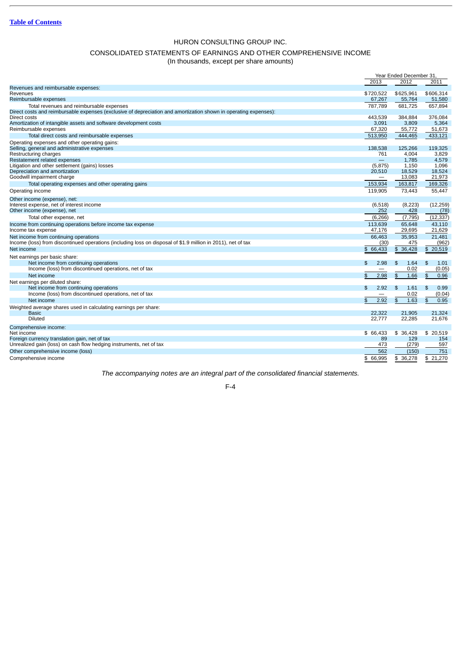# CONSOLIDATED STATEMENTS OF EARNINGS AND OTHER COMPREHENSIVE INCOME

(In thousands, except per share amounts)

<span id="page-64-0"></span>

|                                                                                                                      |                          | Year Ended December 31 |                                   |
|----------------------------------------------------------------------------------------------------------------------|--------------------------|------------------------|-----------------------------------|
|                                                                                                                      | 2013                     | 2012                   | 2011                              |
| Revenues and reimbursable expenses:                                                                                  |                          |                        |                                   |
| Revenues                                                                                                             | \$720,522                | \$625,961              | \$606,314                         |
| Reimbursable expenses                                                                                                | 67,267                   | 55,764                 | 51,580                            |
| Total revenues and reimbursable expenses                                                                             | 787,789                  | 681,725                | 657,894                           |
| Direct costs and reimbursable expenses (exclusive of depreciation and amortization shown in operating expenses):     |                          |                        |                                   |
| Direct costs                                                                                                         | 443,539                  | 384,884                | 376,084                           |
| Amortization of intangible assets and software development costs                                                     | 3,091                    | 3,809                  | 5,364                             |
| Reimbursable expenses                                                                                                | 67,320                   | 55,772                 | 51,673                            |
| Total direct costs and reimbursable expenses                                                                         | 513,950                  | 444,465                | 433,121                           |
| Operating expenses and other operating gains:                                                                        |                          |                        |                                   |
| Selling, general and administrative expenses                                                                         | 138,538                  | 125,266                | 119,325                           |
| Restructuring charges                                                                                                | 761                      | 4,004                  | 3,829                             |
| Restatement related expenses                                                                                         | $\overline{\phantom{a}}$ | 1.785                  | 4,579                             |
| Litigation and other settlement (gains) losses                                                                       | (5, 875)                 | 1.150                  | 1,096                             |
| Depreciation and amortization                                                                                        | 20,510                   | 18,529                 | 18,524                            |
| Goodwill impairment charge                                                                                           |                          | 13,083                 | 21,973                            |
| Total operating expenses and other operating gains                                                                   | 153,934                  | 163,817                | 169,326                           |
| Operating income                                                                                                     | 119,905                  | 73,443                 | 55,447                            |
| Other income (expense), net:                                                                                         |                          |                        |                                   |
| Interest expense, net of interest income                                                                             | (6,518)                  | (8, 223)               | (12, 259)                         |
| Other income (expense), net                                                                                          | 252                      | 428                    | (78)                              |
| Total other expense, net                                                                                             | (6, 266)                 | (7, 795)               | (12, 337)                         |
|                                                                                                                      |                          |                        |                                   |
| Income from continuing operations before income tax expense                                                          | 113.639                  | 65,648                 | 43,110                            |
| Income tax expense                                                                                                   | 47,176                   | 29,695                 | 21,629                            |
| Net income from continuing operations                                                                                | 66,463                   | 35,953                 | 21,481                            |
| Income (loss) from discontinued operations (including loss on disposal of \$1.9 million in 2011), net of tax         | (30)                     | 475                    | (962)                             |
| Net income                                                                                                           | \$66,433                 | \$36,428               | \$20,519                          |
| Net earnings per basic share:                                                                                        |                          |                        |                                   |
| Net income from continuing operations                                                                                | 2.98<br>\$               | \$<br>1.64             | \$<br>1.01                        |
| Income (loss) from discontinued operations, net of tax                                                               |                          | 0.02                   | (0.05)                            |
| Net income                                                                                                           | 2.98<br>\$               | \$<br>1.66             | $\boldsymbol{\mathsf{s}}$<br>0.96 |
| Net earnings per diluted share:                                                                                      |                          |                        |                                   |
| Net income from continuing operations                                                                                | 2.92<br>\$               | \$<br>1.61             | \$<br>0.99                        |
| Income (loss) from discontinued operations, net of tax                                                               |                          | 0.02                   | (0.04)                            |
| Net income                                                                                                           | 2.92                     | \$<br>1.63             | $\frac{2}{3}$<br>0.95             |
| Weighted average shares used in calculating earnings per share:                                                      |                          |                        |                                   |
| <b>Basic</b>                                                                                                         | 22,322                   | 21,905                 | 21,324                            |
| Diluted                                                                                                              | 22,777                   | 22,285                 | 21,676                            |
|                                                                                                                      |                          |                        |                                   |
| Comprehensive income:                                                                                                |                          |                        |                                   |
| Net income                                                                                                           | \$66,433                 | \$36,428               | \$20,519                          |
| Foreign currency translation gain, net of tax<br>Unrealized gain (loss) on cash flow hedging instruments, net of tax | 89<br>473                | 129<br>(279)           | 154<br>597                        |
|                                                                                                                      |                          |                        |                                   |
| Other comprehensive income (loss)                                                                                    | 562                      | (150)                  | 751                               |
| Comprehensive income                                                                                                 | \$ 66,995                | \$36,278               | \$21.270                          |

*The accompanying notes are an integral part of the consolidated financial statements.*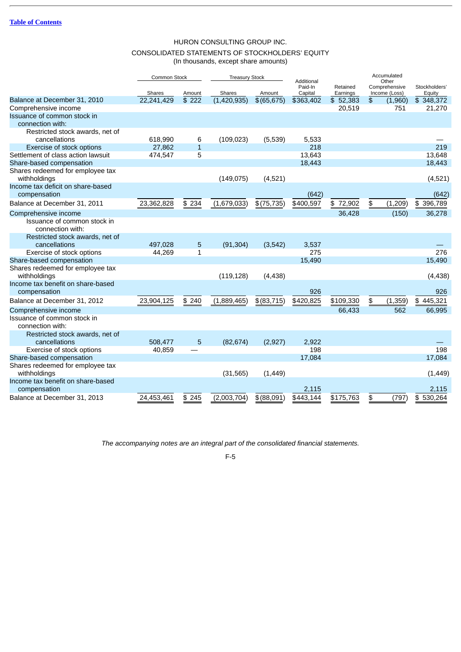# CONSOLIDATED STATEMENTS OF STOCKHOLDERS' EQUITY (In thousands, except share amounts)

<span id="page-65-0"></span>

|                                                 | Common Stock  |              | <b>Treasury Stock</b> |              |                       | Accumulated  |    | Other         |               |
|-------------------------------------------------|---------------|--------------|-----------------------|--------------|-----------------------|--------------|----|---------------|---------------|
|                                                 |               |              |                       |              | Additional<br>Paid-In | Retained     |    | Comprehensive | Stockholders' |
|                                                 | <b>Shares</b> | Amount       | <b>Shares</b>         | Amount       | Capital               | Earnings     |    | Income (Loss) | Equity        |
| Balance at December 31, 2010                    | 22,241,429    | \$222        | (1,420,935)           | \$(65, 675)  | \$363,402             | \$52,383     | \$ | (1,960)       | \$348,372     |
| Comprehensive income                            |               |              |                       |              |                       | 20,519       |    | 751           | 21,270        |
| Issuance of common stock in<br>connection with: |               |              |                       |              |                       |              |    |               |               |
| Restricted stock awards, net of                 |               |              |                       |              |                       |              |    |               |               |
| cancellations                                   | 618.990       | 6            | (109, 023)            | (5,539)      | 5,533                 |              |    |               |               |
| Exercise of stock options                       | 27,862        | $\mathbf{1}$ |                       |              | 218                   |              |    |               | 219           |
| Settlement of class action lawsuit              | 474,547       | 5            |                       |              | 13,643                |              |    |               | 13,648        |
| Share-based compensation                        |               |              |                       |              | 18,443                |              |    |               | 18,443        |
| Shares redeemed for employee tax                |               |              |                       |              |                       |              |    |               |               |
| withholdings                                    |               |              | (149, 075)            | (4,521)      |                       |              |    |               | (4,521)       |
| Income tax deficit on share-based               |               |              |                       |              |                       |              |    |               |               |
| compensation                                    |               |              |                       |              | (642)                 |              |    |               | (642)         |
| Balance at December 31, 2011                    | 23,362,828    | \$ 234       | (1,679,033)           | \$(75, 735)  | \$400,597             | \$<br>72,902 | \$ | (1, 209)      | \$396,789     |
| Comprehensive income                            |               |              |                       |              |                       | 36,428       |    | (150)         | 36,278        |
| Issuance of common stock in                     |               |              |                       |              |                       |              |    |               |               |
| connection with:                                |               |              |                       |              |                       |              |    |               |               |
| Restricted stock awards, net of                 |               |              |                       |              |                       |              |    |               |               |
| cancellations                                   | 497,028       | 5            | (91, 304)             | (3, 542)     | 3,537                 |              |    |               |               |
| Exercise of stock options                       | 44,269        | $\mathbf{1}$ |                       |              | 275                   |              |    |               | 276           |
| Share-based compensation                        |               |              |                       |              | 15,490                |              |    |               | 15,490        |
| Shares redeemed for employee tax                |               |              |                       |              |                       |              |    |               |               |
| withholdings                                    |               |              | (119, 128)            | (4, 438)     |                       |              |    |               | (4, 438)      |
| Income tax benefit on share-based               |               |              |                       |              |                       |              |    |               |               |
| compensation                                    |               |              |                       |              | 926                   |              |    |               | 926           |
| Balance at December 31, 2012                    | 23,904,125    | \$240        | (1,889,465)           | \$ (83, 715) | \$420,825             | \$109,330    | \$ | (1, 359)      | \$445,321     |
| Comprehensive income                            |               |              |                       |              |                       | 66,433       |    | 562           | 66,995        |
| Issuance of common stock in                     |               |              |                       |              |                       |              |    |               |               |
| connection with:                                |               |              |                       |              |                       |              |    |               |               |
| Restricted stock awards, net of                 |               |              |                       |              |                       |              |    |               |               |
| cancellations                                   | 508,477       | 5            | (82, 674)             | (2,927)      | 2,922                 |              |    |               |               |
| Exercise of stock options                       | 40,859        |              |                       |              | 198                   |              |    |               | 198           |
| Share-based compensation                        |               |              |                       |              | 17,084                |              |    |               | 17,084        |
| Shares redeemed for employee tax                |               |              |                       |              |                       |              |    |               |               |
| withholdings                                    |               |              | (31, 565)             | (1, 449)     |                       |              |    |               | (1, 449)      |
| Income tax benefit on share-based               |               |              |                       |              |                       |              |    |               |               |
| compensation                                    |               |              |                       |              | 2,115                 |              |    |               | 2,115         |
| Balance at December 31, 2013                    | 24,453,461    | \$245        | (2,003,704)           | \$ (88,091)  | \$443,144             | \$175,763    | \$ | (797)         | \$530,264     |

*The accompanying notes are an integral part of the consolidated financial statements.*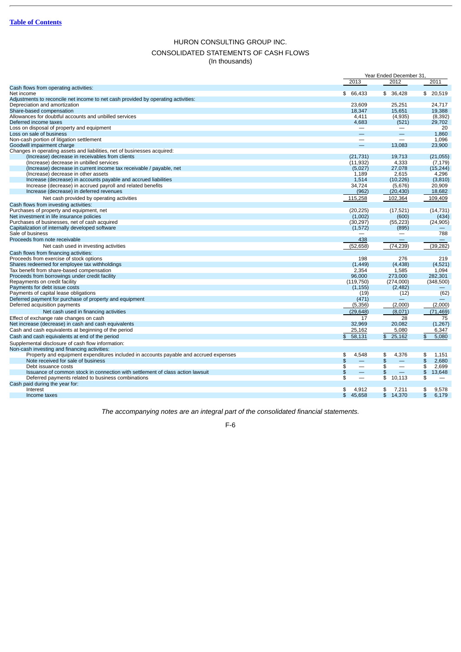# HURON CONSULTING GROUP INC. CONSOLIDATED STATEMENTS OF CASH FLOWS (In thousands)

<span id="page-66-0"></span>

|                                                                                       | Year Ended December 31.        |                |                          |
|---------------------------------------------------------------------------------------|--------------------------------|----------------|--------------------------|
|                                                                                       | 2013                           | 2012           | 2011                     |
| Cash flows from operating activities:                                                 |                                |                |                          |
| Net income                                                                            | \$66,433                       | \$36.428       | \$20.519                 |
| Adjustments to reconcile net income to net cash provided by operating activities:     |                                |                |                          |
| Depreciation and amortization                                                         | 23.609                         | 25,251         | 24.717                   |
| Share-based compensation                                                              | 18,347                         | 15,651         | 19,388                   |
| Allowances for doubtful accounts and unbilled services                                | 4,411                          | (4,935)        | (8, 392)                 |
| Deferred income taxes                                                                 | 4,683                          | (521)          | 29.702                   |
| Loss on disposal of property and equipment                                            | $\qquad \qquad \longleftarrow$ | —              | 20                       |
| Loss on sale of business                                                              |                                | $\equiv$       | 1,860                    |
| Non-cash portion of litigation settlement                                             | $\frac{1}{2}$                  |                | 1.096                    |
| Goodwill impairment charge                                                            |                                | 13,083         | 23,900                   |
| Changes in operating assets and liabilities, net of businesses acquired:              |                                |                |                          |
| (Increase) decrease in receivables from clients                                       | (21, 731)                      | 19.713         | (21,055)                 |
| (Increase) decrease in unbilled services                                              | (11, 932)                      | 4,333          | (7, 179)                 |
| (Increase) decrease in current income tax receivable / payable, net                   | (5,027)                        | 27,078         | (15, 244)                |
| (Increase) decrease in other assets                                                   | 1,189                          | 2,615          | 4,296                    |
| Increase (decrease) in accounts payable and accrued liabilities                       | 1,514                          | (10, 226)      | (3,810)                  |
| Increase (decrease) in accrued payroll and related benefits                           | 34,724                         | (5,676)        | 20,909                   |
| Increase (decrease) in deferred revenues                                              | (962)                          | (20, 430)      | 18,682                   |
| Net cash provided by operating activities                                             | 115,258                        | 102,364        | 109,409                  |
|                                                                                       |                                |                |                          |
| Cash flows from investing activities:                                                 |                                |                |                          |
| Purchases of property and equipment, net                                              | (20, 225)                      | (17, 521)      | (14, 731)                |
| Net investment in life insurance policies                                             | (1,002)                        | (600)          | (434)                    |
| Purchases of businesses, net of cash acquired                                         | (30, 297)                      | (55, 223)      | (24, 905)                |
| Capitalization of internally developed software                                       | (1, 572)                       | (895)          |                          |
| Sale of business                                                                      |                                |                | 788                      |
| Proceeds from note receivable                                                         | 438                            |                | $\overline{\phantom{0}}$ |
| Net cash used in investing activities                                                 | (52, 658)                      | (74, 239)      | (39, 282)                |
| Cash flows from financing activities:                                                 |                                |                |                          |
| Proceeds from exercise of stock options                                               | 198                            | 276            | 219                      |
| Shares redeemed for employee tax withholdings                                         | (1, 449)                       | (4, 438)       | (4,521)                  |
| Tax benefit from share-based compensation                                             | 2,354                          | 1,585          | 1,094                    |
| Proceeds from borrowings under credit facility                                        | 96.000                         | 273.000        | 282.301                  |
| Repayments on credit facility                                                         | (119, 750)                     | (274,000)      | (348,500)                |
| Payments for debt issue costs                                                         | (1, 155)                       | (2,482)        |                          |
| Payments of capital lease obligations                                                 | (19)                           | (12)           | (62)                     |
| Deferred payment for purchase of property and equipment                               | (471)                          |                |                          |
| Deferred acquisition payments                                                         | (5,356)                        | (2,000)        | (2,000)                  |
| Net cash used in financing activities                                                 | (29, 648)                      | (8,071)        | (71, 469)                |
| Effect of exchange rate changes on cash                                               | 17                             | 28             | 75                       |
| Net increase (decrease) in cash and cash equivalents                                  | 32,969                         | 20,082         | (1, 267)                 |
| Cash and cash equivalents at beginning of the period                                  | 25,162                         | 5,080          | 6,347                    |
| Cash and cash equivalents at end of the period                                        | 58,131<br>\$                   | 25,162<br>\$   | \$<br>5,080              |
|                                                                                       |                                |                |                          |
| Supplemental disclosure of cash flow information:                                     |                                |                |                          |
| Non-cash investing and financing activities:                                          |                                |                |                          |
| Property and equipment expenditures included in accounts payable and accrued expenses | \$<br>4,548                    | 4,376<br>\$    | \$<br>1,151              |
| Note received for sale of business                                                    | \$<br>$\overline{\phantom{0}}$ | \$<br>$\equiv$ | \$<br>2.680              |
| Debt issuance costs                                                                   | \$<br>$\overline{\phantom{0}}$ | \$<br>$\equiv$ | \$<br>2,699              |
| Issuance of common stock in connection with settlement of class action lawsuit        | \$                             | ÷,<br>\$       | \$<br>13.648             |
| Deferred payments related to business combinations                                    | \$                             | 10,113<br>\$   | \$                       |
| Cash paid during the year for:                                                        |                                |                |                          |
| Interest                                                                              | \$<br>4.912                    | 7.211<br>\$    | \$<br>9,578              |
| Income taxes                                                                          | \$<br>45,658                   | \$14.370       | \$<br>6,179              |

*The accompanying notes are an integral part of the consolidated financial statements.*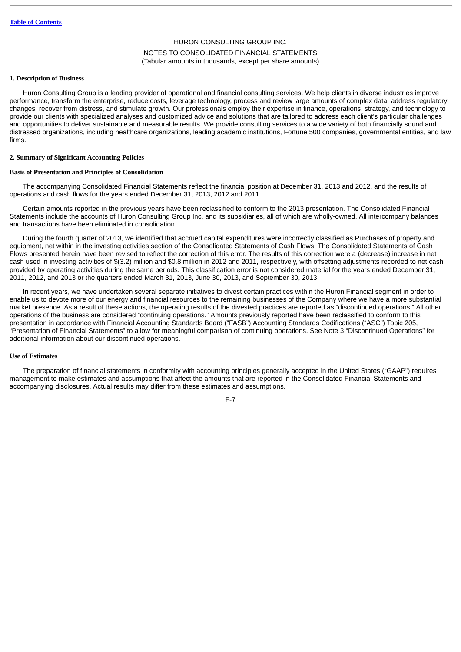### NOTES TO CONSOLIDATED FINANCIAL STATEMENTS (Tabular amounts in thousands, except per share amounts)

### <span id="page-67-0"></span>**1. Description of Business**

Huron Consulting Group is a leading provider of operational and financial consulting services. We help clients in diverse industries improve performance, transform the enterprise, reduce costs, leverage technology, process and review large amounts of complex data, address regulatory changes, recover from distress, and stimulate growth. Our professionals employ their expertise in finance, operations, strategy, and technology to provide our clients with specialized analyses and customized advice and solutions that are tailored to address each client's particular challenges and opportunities to deliver sustainable and measurable results. We provide consulting services to a wide variety of both financially sound and distressed organizations, including healthcare organizations, leading academic institutions, Fortune 500 companies, governmental entities, and law firms.

### **2. Summary of Significant Accounting Policies**

#### **Basis of Presentation and Principles of Consolidation**

The accompanying Consolidated Financial Statements reflect the financial position at December 31, 2013 and 2012, and the results of operations and cash flows for the years ended December 31, 2013, 2012 and 2011.

Certain amounts reported in the previous years have been reclassified to conform to the 2013 presentation. The Consolidated Financial Statements include the accounts of Huron Consulting Group Inc. and its subsidiaries, all of which are wholly-owned. All intercompany balances and transactions have been eliminated in consolidation.

During the fourth quarter of 2013, we identified that accrued capital expenditures were incorrectly classified as Purchases of property and equipment, net within in the investing activities section of the Consolidated Statements of Cash Flows. The Consolidated Statements of Cash Flows presented herein have been revised to reflect the correction of this error. The results of this correction were a (decrease) increase in net cash used in investing activities of \$(3.2) million and \$0.8 million in 2012 and 2011, respectively, with offsetting adjustments recorded to net cash provided by operating activities during the same periods. This classification error is not considered material for the years ended December 31, 2011, 2012, and 2013 or the quarters ended March 31, 2013, June 30, 2013, and September 30, 2013.

In recent years, we have undertaken several separate initiatives to divest certain practices within the Huron Financial segment in order to enable us to devote more of our energy and financial resources to the remaining businesses of the Company where we have a more substantial market presence. As a result of these actions, the operating results of the divested practices are reported as "discontinued operations." All other operations of the business are considered "continuing operations." Amounts previously reported have been reclassified to conform to this presentation in accordance with Financial Accounting Standards Board ("FASB") Accounting Standards Codifications ("ASC") Topic 205, "Presentation of Financial Statements" to allow for meaningful comparison of continuing operations. See Note 3 "Discontinued Operations" for additional information about our discontinued operations.

### **Use of Estimates**

The preparation of financial statements in conformity with accounting principles generally accepted in the United States ("GAAP") requires management to make estimates and assumptions that affect the amounts that are reported in the Consolidated Financial Statements and accompanying disclosures. Actual results may differ from these estimates and assumptions.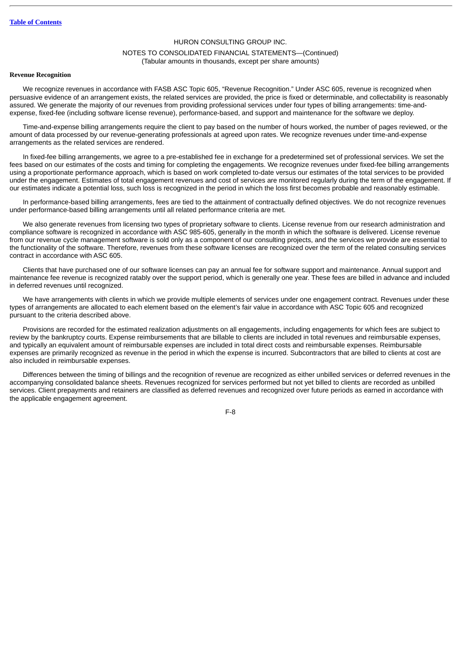### NOTES TO CONSOLIDATED FINANCIAL STATEMENTS—(Continued) (Tabular amounts in thousands, except per share amounts)

### **Revenue Recognition**

We recognize revenues in accordance with FASB ASC Topic 605, "Revenue Recognition." Under ASC 605, revenue is recognized when persuasive evidence of an arrangement exists, the related services are provided, the price is fixed or determinable, and collectability is reasonably assured. We generate the majority of our revenues from providing professional services under four types of billing arrangements: time-andexpense, fixed-fee (including software license revenue), performance-based, and support and maintenance for the software we deploy.

Time-and-expense billing arrangements require the client to pay based on the number of hours worked, the number of pages reviewed, or the amount of data processed by our revenue-generating professionals at agreed upon rates. We recognize revenues under time-and-expense arrangements as the related services are rendered.

In fixed-fee billing arrangements, we agree to a pre-established fee in exchange for a predetermined set of professional services. We set the fees based on our estimates of the costs and timing for completing the engagements. We recognize revenues under fixed-fee billing arrangements using a proportionate performance approach, which is based on work completed to-date versus our estimates of the total services to be provided under the engagement. Estimates of total engagement revenues and cost of services are monitored regularly during the term of the engagement. If our estimates indicate a potential loss, such loss is recognized in the period in which the loss first becomes probable and reasonably estimable.

In performance-based billing arrangements, fees are tied to the attainment of contractually defined objectives. We do not recognize revenues under performance-based billing arrangements until all related performance criteria are met.

We also generate revenues from licensing two types of proprietary software to clients. License revenue from our research administration and compliance software is recognized in accordance with ASC 985-605, generally in the month in which the software is delivered. License revenue from our revenue cycle management software is sold only as a component of our consulting projects, and the services we provide are essential to the functionality of the software. Therefore, revenues from these software licenses are recognized over the term of the related consulting services contract in accordance with ASC 605.

Clients that have purchased one of our software licenses can pay an annual fee for software support and maintenance. Annual support and maintenance fee revenue is recognized ratably over the support period, which is generally one year. These fees are billed in advance and included in deferred revenues until recognized.

We have arrangements with clients in which we provide multiple elements of services under one engagement contract. Revenues under these types of arrangements are allocated to each element based on the element's fair value in accordance with ASC Topic 605 and recognized pursuant to the criteria described above.

Provisions are recorded for the estimated realization adjustments on all engagements, including engagements for which fees are subject to review by the bankruptcy courts. Expense reimbursements that are billable to clients are included in total revenues and reimbursable expenses, and typically an equivalent amount of reimbursable expenses are included in total direct costs and reimbursable expenses. Reimbursable expenses are primarily recognized as revenue in the period in which the expense is incurred. Subcontractors that are billed to clients at cost are also included in reimbursable expenses.

Differences between the timing of billings and the recognition of revenue are recognized as either unbilled services or deferred revenues in the accompanying consolidated balance sheets. Revenues recognized for services performed but not yet billed to clients are recorded as unbilled services. Client prepayments and retainers are classified as deferred revenues and recognized over future periods as earned in accordance with the applicable engagement agreement.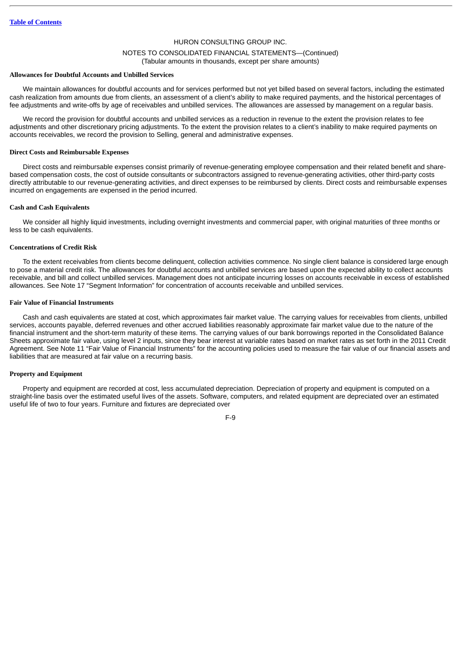# NOTES TO CONSOLIDATED FINANCIAL STATEMENTS—(Continued) (Tabular amounts in thousands, except per share amounts)

# **Allowances for Doubtful Accounts and Unbilled Services**

We maintain allowances for doubtful accounts and for services performed but not yet billed based on several factors, including the estimated cash realization from amounts due from clients, an assessment of a client's ability to make required payments, and the historical percentages of fee adjustments and write-offs by age of receivables and unbilled services. The allowances are assessed by management on a regular basis.

We record the provision for doubtful accounts and unbilled services as a reduction in revenue to the extent the provision relates to fee adjustments and other discretionary pricing adjustments. To the extent the provision relates to a client's inability to make required payments on accounts receivables, we record the provision to Selling, general and administrative expenses.

### **Direct Costs and Reimbursable Expenses**

Direct costs and reimbursable expenses consist primarily of revenue-generating employee compensation and their related benefit and sharebased compensation costs, the cost of outside consultants or subcontractors assigned to revenue-generating activities, other third-party costs directly attributable to our revenue-generating activities, and direct expenses to be reimbursed by clients. Direct costs and reimbursable expenses incurred on engagements are expensed in the period incurred.

### **Cash and Cash Equivalents**

We consider all highly liquid investments, including overnight investments and commercial paper, with original maturities of three months or less to be cash equivalents.

### **Concentrations of Credit Risk**

To the extent receivables from clients become delinquent, collection activities commence. No single client balance is considered large enough to pose a material credit risk. The allowances for doubtful accounts and unbilled services are based upon the expected ability to collect accounts receivable, and bill and collect unbilled services. Management does not anticipate incurring losses on accounts receivable in excess of established allowances. See Note 17 "Segment Information" for concentration of accounts receivable and unbilled services.

### **Fair Value of Financial Instruments**

Cash and cash equivalents are stated at cost, which approximates fair market value. The carrying values for receivables from clients, unbilled services, accounts payable, deferred revenues and other accrued liabilities reasonably approximate fair market value due to the nature of the financial instrument and the short-term maturity of these items. The carrying values of our bank borrowings reported in the Consolidated Balance Sheets approximate fair value, using level 2 inputs, since they bear interest at variable rates based on market rates as set forth in the 2011 Credit Agreement. See Note 11 "Fair Value of Financial Instruments" for the accounting policies used to measure the fair value of our financial assets and liabilities that are measured at fair value on a recurring basis.

### **Property and Equipment**

Property and equipment are recorded at cost, less accumulated depreciation. Depreciation of property and equipment is computed on a straight-line basis over the estimated useful lives of the assets. Software, computers, and related equipment are depreciated over an estimated useful life of two to four years. Furniture and fixtures are depreciated over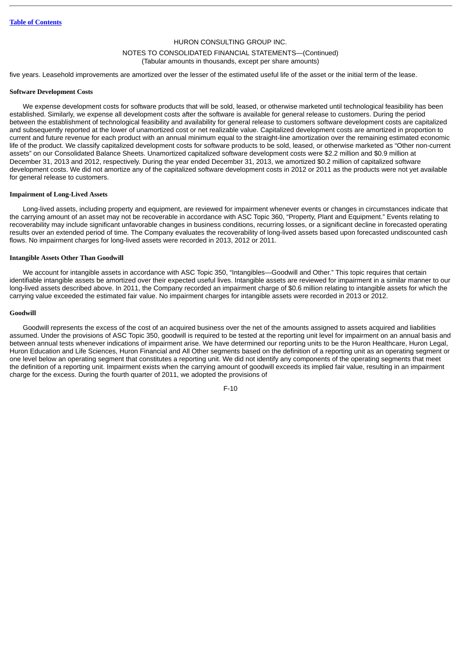# NOTES TO CONSOLIDATED FINANCIAL STATEMENTS—(Continued) (Tabular amounts in thousands, except per share amounts)

five years. Leasehold improvements are amortized over the lesser of the estimated useful life of the asset or the initial term of the lease.

#### **Software Development Costs**

We expense development costs for software products that will be sold, leased, or otherwise marketed until technological feasibility has been established. Similarly, we expense all development costs after the software is available for general release to customers. During the period between the establishment of technological feasibility and availability for general release to customers software development costs are capitalized and subsequently reported at the lower of unamortized cost or net realizable value. Capitalized development costs are amortized in proportion to current and future revenue for each product with an annual minimum equal to the straight-line amortization over the remaining estimated economic life of the product. We classify capitalized development costs for software products to be sold, leased, or otherwise marketed as "Other non-current assets" on our Consolidated Balance Sheets. Unamortized capitalized software development costs were \$2.2 million and \$0.9 million at December 31, 2013 and 2012, respectively. During the year ended December 31, 2013, we amortized \$0.2 million of capitalized software development costs. We did not amortize any of the capitalized software development costs in 2012 or 2011 as the products were not yet available for general release to customers.

#### **Impairment of Long-Lived Assets**

Long-lived assets, including property and equipment, are reviewed for impairment whenever events or changes in circumstances indicate that the carrying amount of an asset may not be recoverable in accordance with ASC Topic 360, "Property, Plant and Equipment." Events relating to recoverability may include significant unfavorable changes in business conditions, recurring losses, or a significant decline in forecasted operating results over an extended period of time. The Company evaluates the recoverability of long-lived assets based upon forecasted undiscounted cash flows. No impairment charges for long-lived assets were recorded in 2013, 2012 or 2011.

# **Intangible Assets Other Than Goodwill**

We account for intangible assets in accordance with ASC Topic 350, "Intangibles—Goodwill and Other." This topic requires that certain identifiable intangible assets be amortized over their expected useful lives. Intangible assets are reviewed for impairment in a similar manner to our long-lived assets described above. In 2011, the Company recorded an impairment charge of \$0.6 million relating to intangible assets for which the carrying value exceeded the estimated fair value. No impairment charges for intangible assets were recorded in 2013 or 2012.

### **Goodwill**

Goodwill represents the excess of the cost of an acquired business over the net of the amounts assigned to assets acquired and liabilities assumed. Under the provisions of ASC Topic 350, goodwill is required to be tested at the reporting unit level for impairment on an annual basis and between annual tests whenever indications of impairment arise. We have determined our reporting units to be the Huron Healthcare, Huron Legal, Huron Education and Life Sciences, Huron Financial and All Other segments based on the definition of a reporting unit as an operating segment or one level below an operating segment that constitutes a reporting unit. We did not identify any components of the operating segments that meet the definition of a reporting unit. Impairment exists when the carrying amount of goodwill exceeds its implied fair value, resulting in an impairment charge for the excess. During the fourth quarter of 2011, we adopted the provisions of

$$
F-10
$$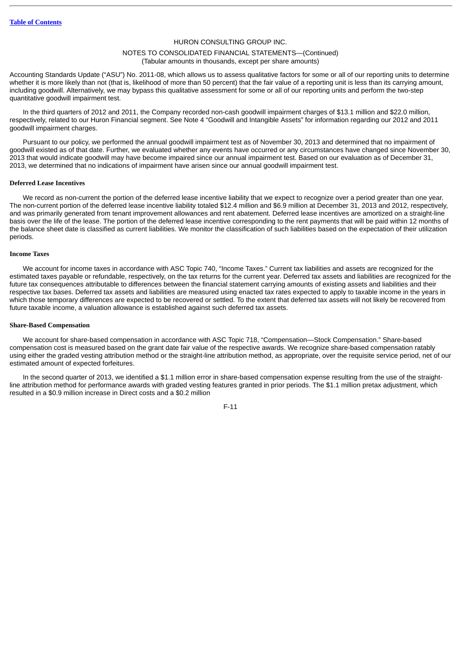### NOTES TO CONSOLIDATED FINANCIAL STATEMENTS—(Continued) (Tabular amounts in thousands, except per share amounts)

Accounting Standards Update ("ASU") No. 2011-08, which allows us to assess qualitative factors for some or all of our reporting units to determine whether it is more likely than not (that is, likelihood of more than 50 percent) that the fair value of a reporting unit is less than its carrying amount, including goodwill. Alternatively, we may bypass this qualitative assessment for some or all of our reporting units and perform the two-step quantitative goodwill impairment test.

In the third quarters of 2012 and 2011, the Company recorded non-cash goodwill impairment charges of \$13.1 million and \$22.0 million, respectively, related to our Huron Financial segment. See Note 4 "Goodwill and Intangible Assets" for information regarding our 2012 and 2011 goodwill impairment charges.

Pursuant to our policy, we performed the annual goodwill impairment test as of November 30, 2013 and determined that no impairment of goodwill existed as of that date. Further, we evaluated whether any events have occurred or any circumstances have changed since November 30, 2013 that would indicate goodwill may have become impaired since our annual impairment test. Based on our evaluation as of December 31, 2013, we determined that no indications of impairment have arisen since our annual goodwill impairment test.

# **Deferred Lease Incentives**

We record as non-current the portion of the deferred lease incentive liability that we expect to recognize over a period greater than one year. The non-current portion of the deferred lease incentive liability totaled \$12.4 million and \$6.9 million at December 31, 2013 and 2012, respectively, and was primarily generated from tenant improvement allowances and rent abatement. Deferred lease incentives are amortized on a straight-line basis over the life of the lease. The portion of the deferred lease incentive corresponding to the rent payments that will be paid within 12 months of the balance sheet date is classified as current liabilities. We monitor the classification of such liabilities based on the expectation of their utilization periods.

#### **Income Taxes**

We account for income taxes in accordance with ASC Topic 740, "Income Taxes." Current tax liabilities and assets are recognized for the estimated taxes payable or refundable, respectively, on the tax returns for the current year. Deferred tax assets and liabilities are recognized for the future tax consequences attributable to differences between the financial statement carrying amounts of existing assets and liabilities and their respective tax bases. Deferred tax assets and liabilities are measured using enacted tax rates expected to apply to taxable income in the years in which those temporary differences are expected to be recovered or settled. To the extent that deferred tax assets will not likely be recovered from future taxable income, a valuation allowance is established against such deferred tax assets.

### **Share-Based Compensation**

We account for share-based compensation in accordance with ASC Topic 718, "Compensation—Stock Compensation." Share-based compensation cost is measured based on the grant date fair value of the respective awards. We recognize share-based compensation ratably using either the graded vesting attribution method or the straight-line attribution method, as appropriate, over the requisite service period, net of our estimated amount of expected forfeitures.

In the second quarter of 2013, we identified a \$1.1 million error in share-based compensation expense resulting from the use of the straightline attribution method for performance awards with graded vesting features granted in prior periods. The \$1.1 million pretax adjustment, which resulted in a \$0.9 million increase in Direct costs and a \$0.2 million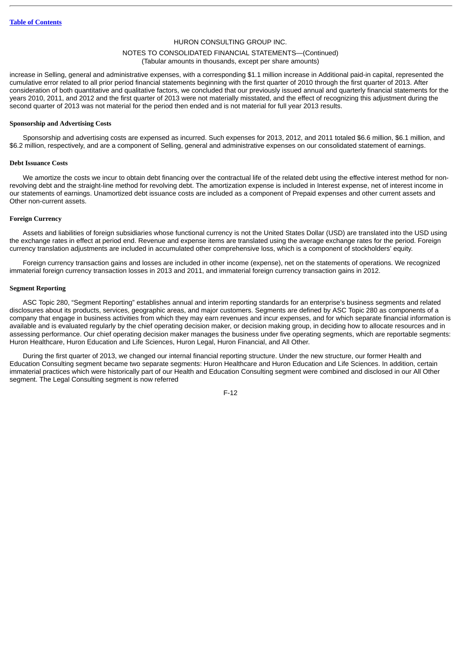#### NOTES TO CONSOLIDATED FINANCIAL STATEMENTS—(Continued) (Tabular amounts in thousands, except per share amounts)

increase in Selling, general and administrative expenses, with a corresponding \$1.1 million increase in Additional paid-in capital, represented the cumulative error related to all prior period financial statements beginning with the first quarter of 2010 through the first quarter of 2013. After consideration of both quantitative and qualitative factors, we concluded that our previously issued annual and quarterly financial statements for the years 2010, 2011, and 2012 and the first quarter of 2013 were not materially misstated, and the effect of recognizing this adjustment during the second quarter of 2013 was not material for the period then ended and is not material for full year 2013 results.

## **Sponsorship and Advertising Costs**

Sponsorship and advertising costs are expensed as incurred. Such expenses for 2013, 2012, and 2011 totaled \$6.6 million, \$6.1 million, and \$6.2 million, respectively, and are a component of Selling, general and administrative expenses on our consolidated statement of earnings.

#### **Debt Issuance Costs**

We amortize the costs we incur to obtain debt financing over the contractual life of the related debt using the effective interest method for nonrevolving debt and the straight-line method for revolving debt. The amortization expense is included in Interest expense, net of interest income in our statements of earnings. Unamortized debt issuance costs are included as a component of Prepaid expenses and other current assets and Other non-current assets.

#### **Foreign Currency**

Assets and liabilities of foreign subsidiaries whose functional currency is not the United States Dollar (USD) are translated into the USD using the exchange rates in effect at period end. Revenue and expense items are translated using the average exchange rates for the period. Foreign currency translation adjustments are included in accumulated other comprehensive loss, which is a component of stockholders' equity.

Foreign currency transaction gains and losses are included in other income (expense), net on the statements of operations. We recognized immaterial foreign currency transaction losses in 2013 and 2011, and immaterial foreign currency transaction gains in 2012.

#### **Segment Reporting**

ASC Topic 280, "Segment Reporting" establishes annual and interim reporting standards for an enterprise's business segments and related disclosures about its products, services, geographic areas, and major customers. Segments are defined by ASC Topic 280 as components of a company that engage in business activities from which they may earn revenues and incur expenses, and for which separate financial information is available and is evaluated regularly by the chief operating decision maker, or decision making group, in deciding how to allocate resources and in assessing performance. Our chief operating decision maker manages the business under five operating segments, which are reportable segments: Huron Healthcare, Huron Education and Life Sciences, Huron Legal, Huron Financial, and All Other.

During the first quarter of 2013, we changed our internal financial reporting structure. Under the new structure, our former Health and Education Consulting segment became two separate segments: Huron Healthcare and Huron Education and Life Sciences. In addition, certain immaterial practices which were historically part of our Health and Education Consulting segment were combined and disclosed in our All Other segment. The Legal Consulting segment is now referred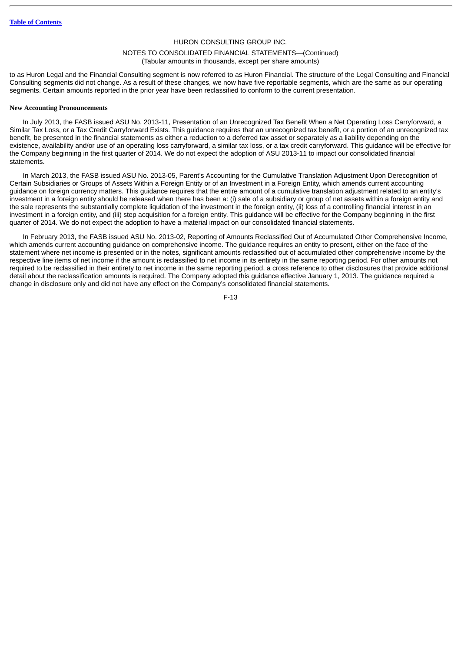### NOTES TO CONSOLIDATED FINANCIAL STATEMENTS—(Continued) (Tabular amounts in thousands, except per share amounts)

to as Huron Legal and the Financial Consulting segment is now referred to as Huron Financial. The structure of the Legal Consulting and Financial Consulting segments did not change. As a result of these changes, we now have five reportable segments, which are the same as our operating segments. Certain amounts reported in the prior year have been reclassified to conform to the current presentation.

#### **New Accounting Pronouncements**

In July 2013, the FASB issued ASU No. 2013-11, Presentation of an Unrecognized Tax Benefit When a Net Operating Loss Carryforward, a Similar Tax Loss, or a Tax Credit Carryforward Exists. This guidance requires that an unrecognized tax benefit, or a portion of an unrecognized tax benefit, be presented in the financial statements as either a reduction to a deferred tax asset or separately as a liability depending on the existence, availability and/or use of an operating loss carryforward, a similar tax loss, or a tax credit carryforward. This guidance will be effective for the Company beginning in the first quarter of 2014. We do not expect the adoption of ASU 2013-11 to impact our consolidated financial statements.

In March 2013, the FASB issued ASU No. 2013-05, Parent's Accounting for the Cumulative Translation Adjustment Upon Derecognition of Certain Subsidiaries or Groups of Assets Within a Foreign Entity or of an Investment in a Foreign Entity, which amends current accounting guidance on foreign currency matters. This guidance requires that the entire amount of a cumulative translation adjustment related to an entity's investment in a foreign entity should be released when there has been a: (i) sale of a subsidiary or group of net assets within a foreign entity and the sale represents the substantially complete liquidation of the investment in the foreign entity, (ii) loss of a controlling financial interest in an investment in a foreign entity, and (iii) step acquisition for a foreign entity. This guidance will be effective for the Company beginning in the first quarter of 2014. We do not expect the adoption to have a material impact on our consolidated financial statements.

In February 2013, the FASB issued ASU No. 2013-02, Reporting of Amounts Reclassified Out of Accumulated Other Comprehensive Income, which amends current accounting guidance on comprehensive income. The guidance requires an entity to present, either on the face of the statement where net income is presented or in the notes, significant amounts reclassified out of accumulated other comprehensive income by the respective line items of net income if the amount is reclassified to net income in its entirety in the same reporting period. For other amounts not required to be reclassified in their entirety to net income in the same reporting period, a cross reference to other disclosures that provide additional detail about the reclassification amounts is required. The Company adopted this guidance effective January 1, 2013. The guidance required a change in disclosure only and did not have any effect on the Company's consolidated financial statements.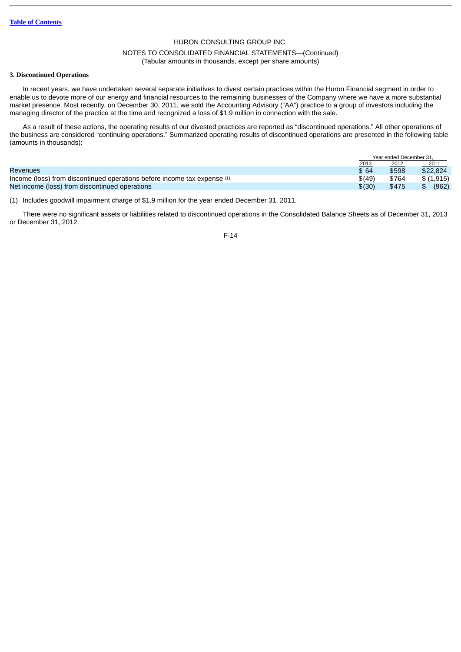## NOTES TO CONSOLIDATED FINANCIAL STATEMENTS—(Continued) (Tabular amounts in thousands, except per share amounts)

# **3. Discontinued Operations**

In recent years, we have undertaken several separate initiatives to divest certain practices within the Huron Financial segment in order to enable us to devote more of our energy and financial resources to the remaining businesses of the Company where we have a more substantial market presence. Most recently, on December 30, 2011, we sold the Accounting Advisory ("AA") practice to a group of investors including the managing director of the practice at the time and recognized a loss of \$1.9 million in connection with the sale.

As a result of these actions, the operating results of our divested practices are reported as "discontinued operations." All other operations of the business are considered "continuing operations." Summarized operating results of discontinued operations are presented in the following table (amounts in thousands):

|                                                                          |            | Year ended December 31. |             |  |  |
|--------------------------------------------------------------------------|------------|-------------------------|-------------|--|--|
|                                                                          | 2013       | 2012                    | 2011        |  |  |
| Revenues                                                                 | \$64       | \$598                   | \$22,824    |  |  |
| Income (loss) from discontinued operations before income tax expense (1) | \$(49)     | \$764                   | \$(1,915)   |  |  |
| Net income (loss) from discontinued operations                           | $$^{(30)}$ | \$475                   | (962)<br>\$ |  |  |

(1) Includes goodwill impairment charge of \$1.9 million for the year ended December 31, 2011.

There were no significant assets or liabilities related to discontinued operations in the Consolidated Balance Sheets as of December 31, 2013 or December 31, 2012.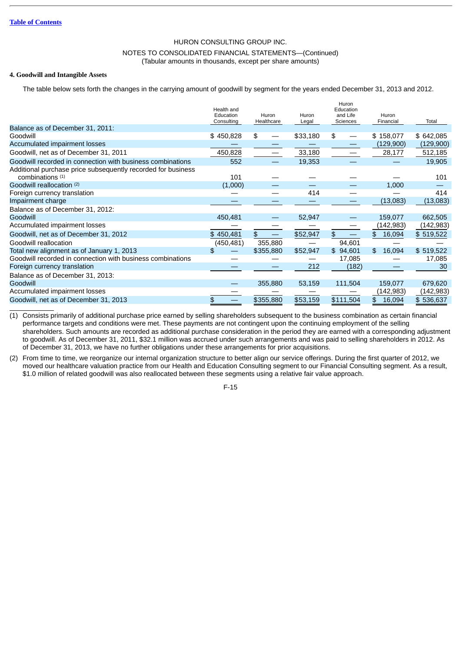NOTES TO CONSOLIDATED FINANCIAL STATEMENTS—(Continued) (Tabular amounts in thousands, except per share amounts)

# **4. Goodwill and Intangible Assets**

The table below sets forth the changes in the carrying amount of goodwill by segment for the years ended December 31, 2013 and 2012.

|                                                                                    | Health and<br>Education<br>Consulting | Huron<br>Healthcare | Huron<br>Legal | Huron<br>Education<br>and Life<br>Sciences | Huron<br>Financial | Total      |
|------------------------------------------------------------------------------------|---------------------------------------|---------------------|----------------|--------------------------------------------|--------------------|------------|
| Balance as of December 31, 2011:                                                   |                                       |                     |                |                                            |                    |            |
| Goodwill                                                                           | \$450,828                             | \$                  | \$33,180       | \$                                         | \$158,077          | \$642,085  |
| Accumulated impairment losses                                                      |                                       |                     |                |                                            | (129,900)          | (129,900)  |
| Goodwill, net as of December 31, 2011                                              | 450,828                               |                     | 33,180         |                                            | 28,177             | 512,185    |
| Goodwill recorded in connection with business combinations                         | 552                                   |                     | 19,353         |                                            |                    | 19,905     |
| Additional purchase price subsequently recorded for business<br>combinations $(1)$ | 101                                   |                     |                |                                            |                    | 101        |
| Goodwill reallocation (2)                                                          | (1,000)                               |                     |                |                                            | 1,000              |            |
| Foreign currency translation                                                       |                                       |                     | 414            |                                            |                    | 414        |
| Impairment charge                                                                  |                                       |                     |                |                                            | (13,083)           | (13,083)   |
| Balance as of December 31, 2012:                                                   |                                       |                     |                |                                            |                    |            |
| Goodwill                                                                           | 450,481                               |                     | 52,947         |                                            | 159,077            | 662,505    |
| Accumulated impairment losses                                                      |                                       |                     |                |                                            | (142,983)          | (142, 983) |
| Goodwill, net as of December 31, 2012                                              | \$450,481                             | \$                  | \$52,947       | \$                                         | \$<br>16,094       | \$519,522  |
| Goodwill reallocation                                                              | (450, 481)                            | 355,880             |                | 94,601                                     |                    |            |
| Total new alignment as of January 1, 2013                                          | \$                                    | \$355,880           | \$52,947       | \$94,601                                   | 16,094<br>\$       | \$519,522  |
| Goodwill recorded in connection with business combinations                         |                                       |                     |                | 17,085                                     |                    | 17,085     |
| Foreign currency translation                                                       |                                       |                     | 212            | (182)                                      |                    | 30         |
| Balance as of December 31, 2013:                                                   |                                       |                     |                |                                            |                    |            |
| Goodwill                                                                           |                                       | 355,880             | 53,159         | 111,504                                    | 159,077            | 679,620    |
| Accumulated impairment losses                                                      |                                       |                     |                |                                            | (142,983)          | (142, 983) |
| Goodwill, net as of December 31, 2013                                              |                                       | \$355,880           | \$53,159       | \$111,504                                  | 16,094             | \$536,637  |

(1) Consists primarily of additional purchase price earned by selling shareholders subsequent to the business combination as certain financial performance targets and conditions were met. These payments are not contingent upon the continuing employment of the selling shareholders. Such amounts are recorded as additional purchase consideration in the period they are earned with a corresponding adjustment to goodwill. As of December 31, 2011, \$32.1 million was accrued under such arrangements and was paid to selling shareholders in 2012. As of December 31, 2013, we have no further obligations under these arrangements for prior acquisitions.

(2) From time to time, we reorganize our internal organization structure to better align our service offerings. During the first quarter of 2012, we moved our healthcare valuation practice from our Health and Education Consulting segment to our Financial Consulting segment. As a result, \$1.0 million of related goodwill was also reallocated between these segments using a relative fair value approach.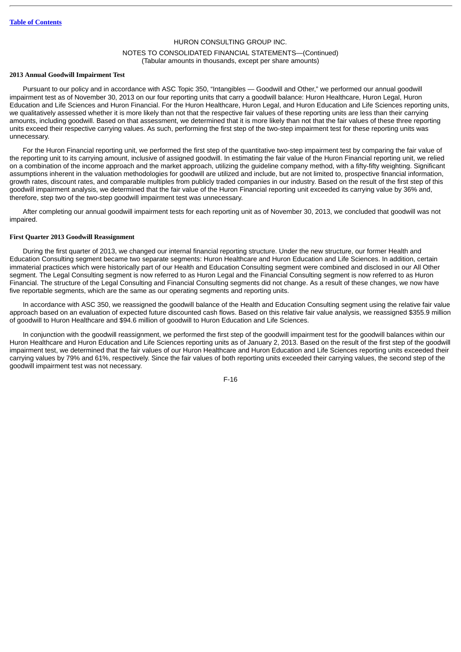#### NOTES TO CONSOLIDATED FINANCIAL STATEMENTS—(Continued) (Tabular amounts in thousands, except per share amounts)

# **2013 Annual Goodwill Impairment Test**

Pursuant to our policy and in accordance with ASC Topic 350, "Intangibles — Goodwill and Other," we performed our annual goodwill impairment test as of November 30, 2013 on our four reporting units that carry a goodwill balance: Huron Healthcare, Huron Legal, Huron Education and Life Sciences and Huron Financial. For the Huron Healthcare, Huron Legal, and Huron Education and Life Sciences reporting units, we qualitatively assessed whether it is more likely than not that the respective fair values of these reporting units are less than their carrying amounts, including goodwill. Based on that assessment, we determined that it is more likely than not that the fair values of these three reporting units exceed their respective carrying values. As such, performing the first step of the two-step impairment test for these reporting units was unnecessary.

For the Huron Financial reporting unit, we performed the first step of the quantitative two-step impairment test by comparing the fair value of the reporting unit to its carrying amount, inclusive of assigned goodwill. In estimating the fair value of the Huron Financial reporting unit, we relied on a combination of the income approach and the market approach, utilizing the guideline company method, with a fifty-fifty weighting. Significant assumptions inherent in the valuation methodologies for goodwill are utilized and include, but are not limited to, prospective financial information, growth rates, discount rates, and comparable multiples from publicly traded companies in our industry. Based on the result of the first step of this goodwill impairment analysis, we determined that the fair value of the Huron Financial reporting unit exceeded its carrying value by 36% and, therefore, step two of the two-step goodwill impairment test was unnecessary.

After completing our annual goodwill impairment tests for each reporting unit as of November 30, 2013, we concluded that goodwill was not impaired.

# **First Quarter 2013 Goodwill Reassignment**

During the first quarter of 2013, we changed our internal financial reporting structure. Under the new structure, our former Health and Education Consulting segment became two separate segments: Huron Healthcare and Huron Education and Life Sciences. In addition, certain immaterial practices which were historically part of our Health and Education Consulting segment were combined and disclosed in our All Other segment. The Legal Consulting segment is now referred to as Huron Legal and the Financial Consulting segment is now referred to as Huron Financial. The structure of the Legal Consulting and Financial Consulting segments did not change. As a result of these changes, we now have five reportable segments, which are the same as our operating segments and reporting units.

In accordance with ASC 350, we reassigned the goodwill balance of the Health and Education Consulting segment using the relative fair value approach based on an evaluation of expected future discounted cash flows. Based on this relative fair value analysis, we reassigned \$355.9 million of goodwill to Huron Healthcare and \$94.6 million of goodwill to Huron Education and Life Sciences.

In conjunction with the goodwill reassignment, we performed the first step of the goodwill impairment test for the goodwill balances within our Huron Healthcare and Huron Education and Life Sciences reporting units as of January 2, 2013. Based on the result of the first step of the goodwill impairment test, we determined that the fair values of our Huron Healthcare and Huron Education and Life Sciences reporting units exceeded their carrying values by 79% and 61%, respectively. Since the fair values of both reporting units exceeded their carrying values, the second step of the goodwill impairment test was not necessary.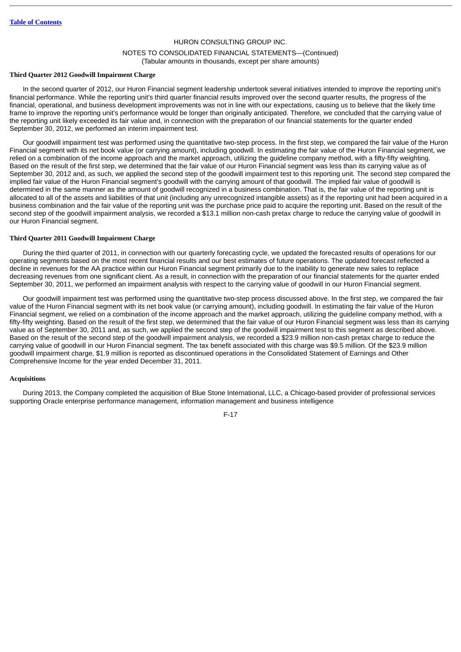# NOTES TO CONSOLIDATED FINANCIAL STATEMENTS—(Continued) (Tabular amounts in thousands, except per share amounts)

# **Third Quarter 2012 Goodwill Impairment Charge**

In the second quarter of 2012, our Huron Financial segment leadership undertook several initiatives intended to improve the reporting unit's financial performance. While the reporting unit's third quarter financial results improved over the second quarter results, the progress of the financial, operational, and business development improvements was not in line with our expectations, causing us to believe that the likely time frame to improve the reporting unit's performance would be longer than originally anticipated. Therefore, we concluded that the carrying value of the reporting unit likely exceeded its fair value and, in connection with the preparation of our financial statements for the quarter ended September 30, 2012, we performed an interim impairment test.

Our goodwill impairment test was performed using the quantitative two-step process. In the first step, we compared the fair value of the Huron Financial segment with its net book value (or carrying amount), including goodwill. In estimating the fair value of the Huron Financial segment, we relied on a combination of the income approach and the market approach, utilizing the guideline company method, with a fifty-fifty weighting. Based on the result of the first step, we determined that the fair value of our Huron Financial segment was less than its carrying value as of September 30, 2012 and, as such, we applied the second step of the goodwill impairment test to this reporting unit. The second step compared the implied fair value of the Huron Financial segment's goodwill with the carrying amount of that goodwill. The implied fair value of goodwill is determined in the same manner as the amount of goodwill recognized in a business combination. That is, the fair value of the reporting unit is allocated to all of the assets and liabilities of that unit (including any unrecognized intangible assets) as if the reporting unit had been acquired in a business combination and the fair value of the reporting unit was the purchase price paid to acquire the reporting unit. Based on the result of the second step of the goodwill impairment analysis, we recorded a \$13.1 million non-cash pretax charge to reduce the carrying value of goodwill in our Huron Financial segment.

#### **Third Quarter 2011 Goodwill Impairment Charge**

During the third quarter of 2011, in connection with our quarterly forecasting cycle, we updated the forecasted results of operations for our operating segments based on the most recent financial results and our best estimates of future operations. The updated forecast reflected a decline in revenues for the AA practice within our Huron Financial segment primarily due to the inability to generate new sales to replace decreasing revenues from one significant client. As a result, in connection with the preparation of our financial statements for the quarter ended September 30, 2011, we performed an impairment analysis with respect to the carrying value of goodwill in our Huron Financial segment.

Our goodwill impairment test was performed using the quantitative two-step process discussed above. In the first step, we compared the fair value of the Huron Financial segment with its net book value (or carrying amount), including goodwill. In estimating the fair value of the Huron Financial segment, we relied on a combination of the income approach and the market approach, utilizing the guideline company method, with a fifty-fifty weighting. Based on the result of the first step, we determined that the fair value of our Huron Financial segment was less than its carrying value as of September 30, 2011 and, as such, we applied the second step of the goodwill impairment test to this segment as described above. Based on the result of the second step of the goodwill impairment analysis, we recorded a \$23.9 million non-cash pretax charge to reduce the carrying value of goodwill in our Huron Financial segment. The tax benefit associated with this charge was \$9.5 million. Of the \$23.9 million goodwill impairment charge, \$1.9 million is reported as discontinued operations in the Consolidated Statement of Earnings and Other Comprehensive Income for the year ended December 31, 2011.

## **Acquisitions**

During 2013, the Company completed the acquisition of Blue Stone International, LLC, a Chicago-based provider of professional services supporting Oracle enterprise performance management, information management and business intelligence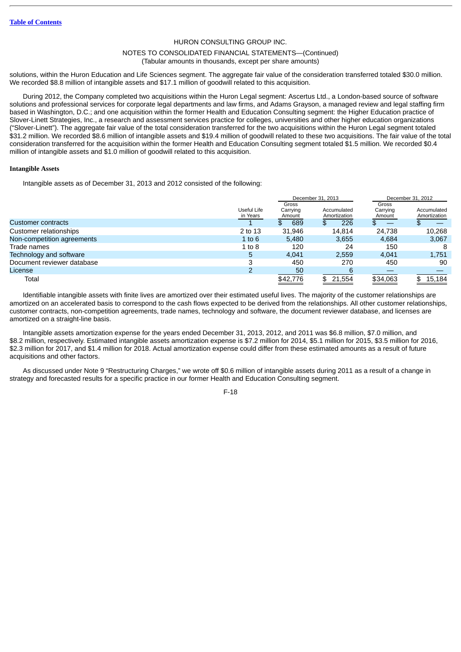#### NOTES TO CONSOLIDATED FINANCIAL STATEMENTS—(Continued) (Tabular amounts in thousands, except per share amounts)

solutions, within the Huron Education and Life Sciences segment. The aggregate fair value of the consideration transferred totaled \$30.0 million. We recorded \$8.8 million of intangible assets and \$17.1 million of goodwill related to this acquisition.

During 2012, the Company completed two acquisitions within the Huron Legal segment: Ascertus Ltd., a London-based source of software solutions and professional services for corporate legal departments and law firms, and Adams Grayson, a managed review and legal staffing firm based in Washington, D.C.; and one acquisition within the former Health and Education Consulting segment: the Higher Education practice of Slover-Linett Strategies, Inc., a research and assessment services practice for colleges, universities and other higher education organizations ("Slover-Linett"). The aggregate fair value of the total consideration transferred for the two acquisitions within the Huron Legal segment totaled \$31.2 million. We recorded \$8.6 million of intangible assets and \$19.4 million of goodwill related to these two acquisitions. The fair value of the total consideration transferred for the acquisition within the former Health and Education Consulting segment totaled \$1.5 million. We recorded \$0.4 million of intangible assets and \$1.0 million of goodwill related to this acquisition.

## **Intangible Assets**

Intangible assets as of December 31, 2013 and 2012 consisted of the following:

|                            |                         |                             | December 31, 2013           |                             | December 31, 2012           |
|----------------------------|-------------------------|-----------------------------|-----------------------------|-----------------------------|-----------------------------|
|                            | Useful Life<br>in Years | Gross<br>Carrying<br>Amount | Accumulated<br>Amortization | Gross<br>Carrying<br>Amount | Accumulated<br>Amortization |
| Customer contracts         |                         | 689<br>\$.                  | 226<br>SS.                  | \$.                         |                             |
| Customer relationships     | 2 to 13                 | 31.946                      | 14.814                      | 24.738                      | 10,268                      |
| Non-competition agreements | $1$ to 6                | 5.480                       | 3,655                       | 4.684                       | 3,067                       |
| Trade names                | $1$ to $8$              | 120                         | 24                          | 150                         | 8                           |
| Technology and software    | 5                       | 4.041                       | 2.559                       | 4.041                       | 1,751                       |
| Document reviewer database | З                       | 450                         | 270                         | 450                         | 90                          |
| License                    |                         | 50                          | h                           |                             |                             |
| Total                      |                         | \$42,776                    | 21.554<br>\$                | \$34,063                    | 15,184                      |

Identifiable intangible assets with finite lives are amortized over their estimated useful lives. The majority of the customer relationships are amortized on an accelerated basis to correspond to the cash flows expected to be derived from the relationships. All other customer relationships, customer contracts, non-competition agreements, trade names, technology and software, the document reviewer database, and licenses are amortized on a straight-line basis.

Intangible assets amortization expense for the years ended December 31, 2013, 2012, and 2011 was \$6.8 million, \$7.0 million, and \$8.2 million, respectively. Estimated intangible assets amortization expense is \$7.2 million for 2014, \$5.1 million for 2015, \$3.5 million for 2016, \$2.3 million for 2017, and \$1.4 million for 2018. Actual amortization expense could differ from these estimated amounts as a result of future acquisitions and other factors.

As discussed under Note 9 "Restructuring Charges," we wrote off \$0.6 million of intangible assets during 2011 as a result of a change in strategy and forecasted results for a specific practice in our former Health and Education Consulting segment.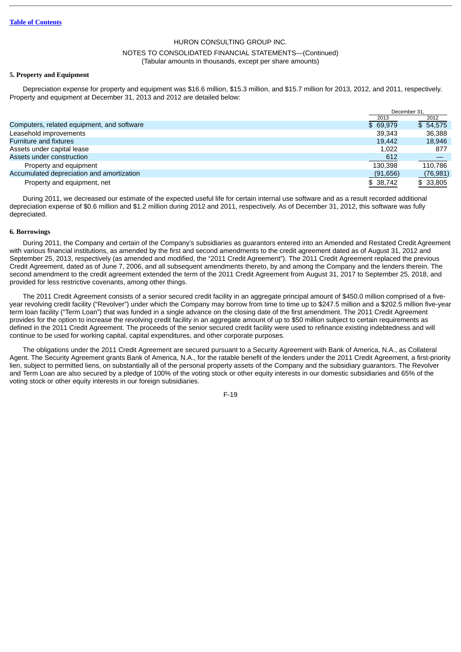# NOTES TO CONSOLIDATED FINANCIAL STATEMENTS—(Continued) (Tabular amounts in thousands, except per share amounts)

### **5. Property and Equipment**

Depreciation expense for property and equipment was \$16.6 million, \$15.3 million, and \$15.7 million for 2013, 2012, and 2011, respectively. Property and equipment at December 31, 2013 and 2012 are detailed below:

|                                            | December 31. |           |
|--------------------------------------------|--------------|-----------|
|                                            | 2013         | 2012      |
| Computers, related equipment, and software | \$69.979     | \$54.575  |
| Leasehold improvements                     | 39.343       | 36.388    |
| <b>Furniture and fixtures</b>              | 19.442       | 18,946    |
| Assets under capital lease                 | 1.022        | 877       |
| Assets under construction                  | 612          |           |
| Property and equipment                     | 130.398      | 110.786   |
| Accumulated depreciation and amortization  | (91,656)     | (76, 981) |
| Property and equipment, net                | \$38,742     | \$33,805  |

During 2011, we decreased our estimate of the expected useful life for certain internal use software and as a result recorded additional depreciation expense of \$0.6 million and \$1.2 million during 2012 and 2011, respectively. As of December 31, 2012, this software was fully depreciated.

## **6. Borrowings**

During 2011, the Company and certain of the Company's subsidiaries as guarantors entered into an Amended and Restated Credit Agreement with various financial institutions, as amended by the first and second amendments to the credit agreement dated as of August 31, 2012 and September 25, 2013, respectively (as amended and modified, the "2011 Credit Agreement"). The 2011 Credit Agreement replaced the previous Credit Agreement, dated as of June 7, 2006, and all subsequent amendments thereto, by and among the Company and the lenders therein. The second amendment to the credit agreement extended the term of the 2011 Credit Agreement from August 31, 2017 to September 25, 2018, and provided for less restrictive covenants, among other things.

The 2011 Credit Agreement consists of a senior secured credit facility in an aggregate principal amount of \$450.0 million comprised of a fiveyear revolving credit facility ("Revolver") under which the Company may borrow from time to time up to \$247.5 million and a \$202.5 million five-year term loan facility ("Term Loan") that was funded in a single advance on the closing date of the first amendment. The 2011 Credit Agreement provides for the option to increase the revolving credit facility in an aggregate amount of up to \$50 million subject to certain requirements as defined in the 2011 Credit Agreement. The proceeds of the senior secured credit facility were used to refinance existing indebtedness and will continue to be used for working capital, capital expenditures, and other corporate purposes.

The obligations under the 2011 Credit Agreement are secured pursuant to a Security Agreement with Bank of America, N.A., as Collateral Agent. The Security Agreement grants Bank of America, N.A., for the ratable benefit of the lenders under the 2011 Credit Agreement, a first-priority lien, subject to permitted liens, on substantially all of the personal property assets of the Company and the subsidiary guarantors. The Revolver and Term Loan are also secured by a pledge of 100% of the voting stock or other equity interests in our domestic subsidiaries and 65% of the voting stock or other equity interests in our foreign subsidiaries.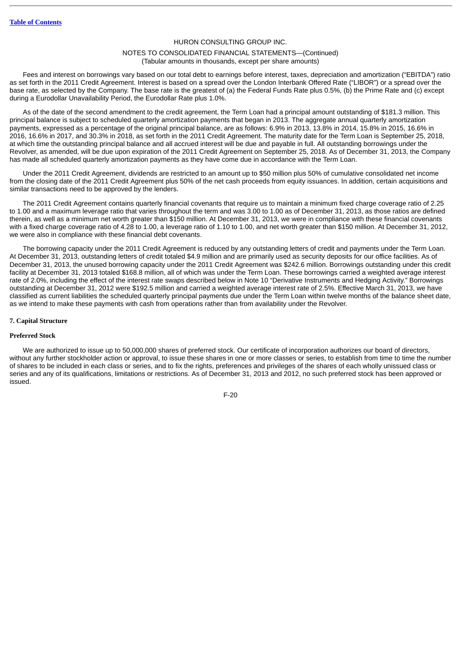#### NOTES TO CONSOLIDATED FINANCIAL STATEMENTS—(Continued) (Tabular amounts in thousands, except per share amounts)

Fees and interest on borrowings vary based on our total debt to earnings before interest, taxes, depreciation and amortization ("EBITDA") ratio as set forth in the 2011 Credit Agreement. Interest is based on a spread over the London Interbank Offered Rate ("LIBOR") or a spread over the base rate, as selected by the Company. The base rate is the greatest of (a) the Federal Funds Rate plus 0.5%, (b) the Prime Rate and (c) except during a Eurodollar Unavailability Period, the Eurodollar Rate plus 1.0%.

As of the date of the second amendment to the credit agreement, the Term Loan had a principal amount outstanding of \$181.3 million. This principal balance is subject to scheduled quarterly amortization payments that began in 2013. The aggregate annual quarterly amortization payments, expressed as a percentage of the original principal balance, are as follows: 6.9% in 2013, 13.8% in 2014, 15.8% in 2015, 16.6% in 2016, 16.6% in 2017, and 30.3% in 2018, as set forth in the 2011 Credit Agreement. The maturity date for the Term Loan is September 25, 2018, at which time the outstanding principal balance and all accrued interest will be due and payable in full. All outstanding borrowings under the Revolver, as amended, will be due upon expiration of the 2011 Credit Agreement on September 25, 2018. As of December 31, 2013, the Company has made all scheduled quarterly amortization payments as they have come due in accordance with the Term Loan.

Under the 2011 Credit Agreement, dividends are restricted to an amount up to \$50 million plus 50% of cumulative consolidated net income from the closing date of the 2011 Credit Agreement plus 50% of the net cash proceeds from equity issuances. In addition, certain acquisitions and similar transactions need to be approved by the lenders.

The 2011 Credit Agreement contains quarterly financial covenants that require us to maintain a minimum fixed charge coverage ratio of 2.25 to 1.00 and a maximum leverage ratio that varies throughout the term and was 3.00 to 1.00 as of December 31, 2013, as those ratios are defined therein, as well as a minimum net worth greater than \$150 million. At December 31, 2013, we were in compliance with these financial covenants with a fixed charge coverage ratio of 4.28 to 1.00, a leverage ratio of 1.10 to 1.00, and net worth greater than \$150 million. At December 31, 2012, we were also in compliance with these financial debt covenants.

The borrowing capacity under the 2011 Credit Agreement is reduced by any outstanding letters of credit and payments under the Term Loan. At December 31, 2013, outstanding letters of credit totaled \$4.9 million and are primarily used as security deposits for our office facilities. As of December 31, 2013, the unused borrowing capacity under the 2011 Credit Agreement was \$242.6 million. Borrowings outstanding under this credit facility at December 31, 2013 totaled \$168.8 million, all of which was under the Term Loan. These borrowings carried a weighted average interest rate of 2.0%, including the effect of the interest rate swaps described below in Note 10 "Derivative Instruments and Hedging Activity." Borrowings outstanding at December 31, 2012 were \$192.5 million and carried a weighted average interest rate of 2.5%. Effective March 31, 2013, we have classified as current liabilities the scheduled quarterly principal payments due under the Term Loan within twelve months of the balance sheet date, as we intend to make these payments with cash from operations rather than from availability under the Revolver.

#### **7. Capital Structure**

## **Preferred Stock**

We are authorized to issue up to 50,000,000 shares of preferred stock. Our certificate of incorporation authorizes our board of directors. without any further stockholder action or approval, to issue these shares in one or more classes or series, to establish from time to time the number of shares to be included in each class or series, and to fix the rights, preferences and privileges of the shares of each wholly unissued class or series and any of its qualifications, limitations or restrictions. As of December 31, 2013 and 2012, no such preferred stock has been approved or issued.

$$
F-20
$$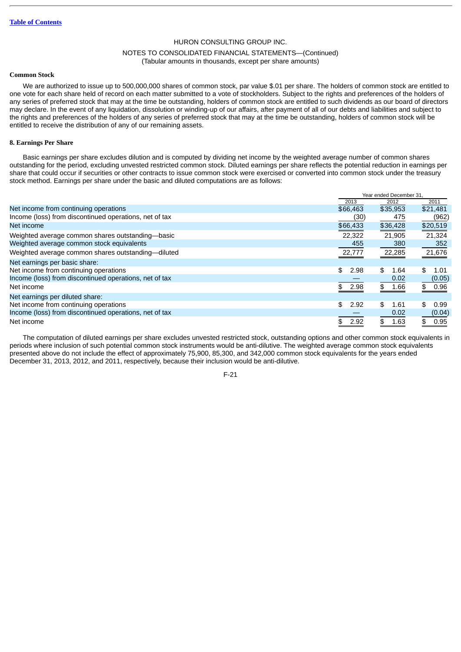### NOTES TO CONSOLIDATED FINANCIAL STATEMENTS—(Continued) (Tabular amounts in thousands, except per share amounts)

# **Common Stock**

We are authorized to issue up to 500,000,000 shares of common stock, par value \$.01 per share. The holders of common stock are entitled to one vote for each share held of record on each matter submitted to a vote of stockholders. Subject to the rights and preferences of the holders of any series of preferred stock that may at the time be outstanding, holders of common stock are entitled to such dividends as our board of directors may declare. In the event of any liquidation, dissolution or winding-up of our affairs, after payment of all of our debts and liabilities and subject to the rights and preferences of the holders of any series of preferred stock that may at the time be outstanding, holders of common stock will be entitled to receive the distribution of any of our remaining assets.

#### **8. Earnings Per Share**

Basic earnings per share excludes dilution and is computed by dividing net income by the weighted average number of common shares outstanding for the period, excluding unvested restricted common stock. Diluted earnings per share reflects the potential reduction in earnings per share that could occur if securities or other contracts to issue common stock were exercised or converted into common stock under the treasury stock method. Earnings per share under the basic and diluted computations are as follows:

|                                                        | Year ended December 31. |            |             |  |  |
|--------------------------------------------------------|-------------------------|------------|-------------|--|--|
|                                                        | 2013                    | 2012       | 2011        |  |  |
| Net income from continuing operations                  | \$66,463                | \$35,953   | \$21,481    |  |  |
| Income (loss) from discontinued operations, net of tax | (30)                    | 475        | (962)       |  |  |
| Net income                                             | \$66,433                | \$36,428   | \$20,519    |  |  |
| Weighted average common shares outstanding-basic       | 22,322                  | 21.905     | 21,324      |  |  |
| Weighted average common stock equivalents              | 455                     | 380        | 352         |  |  |
| Weighted average common shares outstanding-diluted     | 22,777                  | 22,285     | 21,676      |  |  |
| Net earnings per basic share:                          |                         |            |             |  |  |
| Net income from continuing operations                  | \$<br>2.98              | 1.64<br>\$ | \$.<br>1.01 |  |  |
| Income (loss) from discontinued operations, net of tax |                         | 0.02       | (0.05)      |  |  |
| Net income                                             | 2.98<br>\$              | \$<br>1.66 | 0.96<br>\$  |  |  |
| Net earnings per diluted share:                        |                         |            |             |  |  |
| Net income from continuing operations                  | 2.92<br>\$.             | 1.61<br>\$ | \$.<br>0.99 |  |  |
| Income (loss) from discontinued operations, net of tax |                         | 0.02       | (0.04)      |  |  |
| Net income                                             | 2.92<br>\$              | \$<br>1.63 | \$<br>0.95  |  |  |

The computation of diluted earnings per share excludes unvested restricted stock, outstanding options and other common stock equivalents in periods where inclusion of such potential common stock instruments would be anti-dilutive. The weighted average common stock equivalents presented above do not include the effect of approximately 75,900, 85,300, and 342,000 common stock equivalents for the years ended December 31, 2013, 2012, and 2011, respectively, because their inclusion would be anti-dilutive.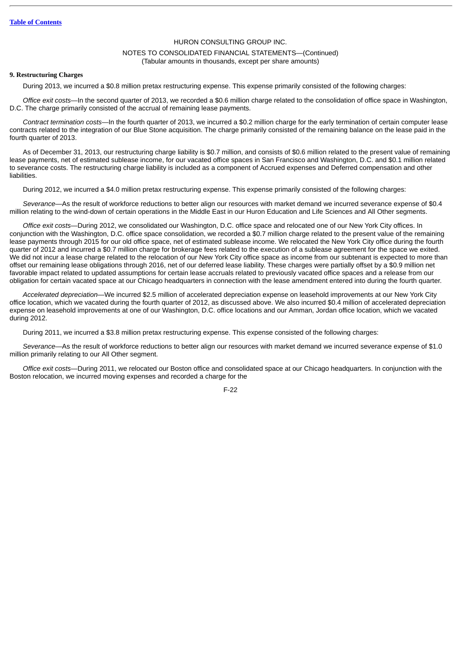## NOTES TO CONSOLIDATED FINANCIAL STATEMENTS—(Continued) (Tabular amounts in thousands, except per share amounts)

## **9. Restructuring Charges**

During 2013, we incurred a \$0.8 million pretax restructuring expense. This expense primarily consisted of the following charges:

*Office exit costs*—In the second quarter of 2013, we recorded a \$0.6 million charge related to the consolidation of office space in Washington, D.C. The charge primarily consisted of the accrual of remaining lease payments.

*Contract termination costs—*In the fourth quarter of 2013, we incurred a \$0.2 million charge for the early termination of certain computer lease contracts related to the integration of our Blue Stone acquisition. The charge primarily consisted of the remaining balance on the lease paid in the fourth quarter of 2013.

As of December 31, 2013, our restructuring charge liability is \$0.7 million, and consists of \$0.6 million related to the present value of remaining lease payments, net of estimated sublease income, for our vacated office spaces in San Francisco and Washington, D.C. and \$0.1 million related to severance costs. The restructuring charge liability is included as a component of Accrued expenses and Deferred compensation and other liabilities.

During 2012, we incurred a \$4.0 million pretax restructuring expense. This expense primarily consisted of the following charges:

*Severance*—As the result of workforce reductions to better align our resources with market demand we incurred severance expense of \$0.4 million relating to the wind-down of certain operations in the Middle East in our Huron Education and Life Sciences and All Other segments.

*Office exit costs*—During 2012, we consolidated our Washington, D.C. office space and relocated one of our New York City offices. In conjunction with the Washington, D.C. office space consolidation, we recorded a \$0.7 million charge related to the present value of the remaining lease payments through 2015 for our old office space, net of estimated sublease income. We relocated the New York City office during the fourth quarter of 2012 and incurred a \$0.7 million charge for brokerage fees related to the execution of a sublease agreement for the space we exited. We did not incur a lease charge related to the relocation of our New York City office space as income from our subtenant is expected to more than offset our remaining lease obligations through 2016, net of our deferred lease liability. These charges were partially offset by a \$0.9 million net favorable impact related to updated assumptions for certain lease accruals related to previously vacated office spaces and a release from our obligation for certain vacated space at our Chicago headquarters in connection with the lease amendment entered into during the fourth quarter.

*Accelerated depreciation*—We incurred \$2.5 million of accelerated depreciation expense on leasehold improvements at our New York City office location, which we vacated during the fourth quarter of 2012, as discussed above. We also incurred \$0.4 million of accelerated depreciation expense on leasehold improvements at one of our Washington, D.C. office locations and our Amman, Jordan office location, which we vacated during 2012.

During 2011, we incurred a \$3.8 million pretax restructuring expense. This expense consisted of the following charges:

*Severance*—As the result of workforce reductions to better align our resources with market demand we incurred severance expense of \$1.0 million primarily relating to our All Other segment.

*Office exit costs*—During 2011, we relocated our Boston office and consolidated space at our Chicago headquarters. In conjunction with the Boston relocation, we incurred moving expenses and recorded a charge for the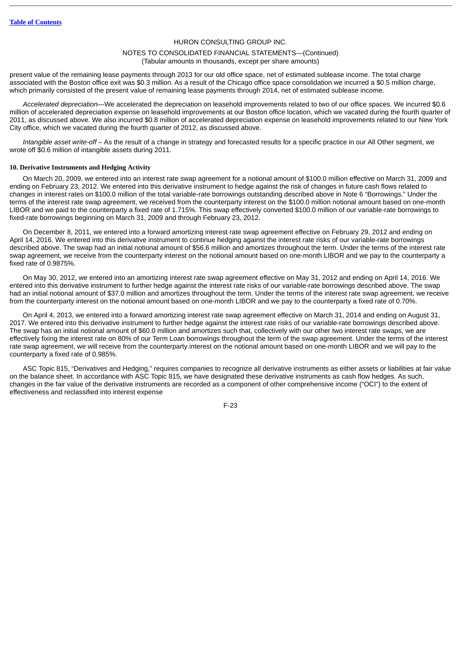#### NOTES TO CONSOLIDATED FINANCIAL STATEMENTS—(Continued) (Tabular amounts in thousands, except per share amounts)

present value of the remaining lease payments through 2013 for our old office space, net of estimated sublease income. The total charge associated with the Boston office exit was \$0.3 million. As a result of the Chicago office space consolidation we incurred a \$0.5 million charge, which primarily consisted of the present value of remaining lease payments through 2014, net of estimated sublease income.

*Accelerated depreciation*—We accelerated the depreciation on leasehold improvements related to two of our office spaces. We incurred \$0.6 million of accelerated depreciation expense on leasehold improvements at our Boston office location, which we vacated during the fourth quarter of 2011, as discussed above. We also incurred \$0.8 million of accelerated depreciation expense on leasehold improvements related to our New York City office, which we vacated during the fourth quarter of 2012, as discussed above.

*Intangible asset write-off* – As the result of a change in strategy and forecasted results for a specific practice in our All Other segment, we wrote off \$0.6 million of intangible assets during 2011.

# **10. Derivative Instruments and Hedging Activity**

On March 20, 2009, we entered into an interest rate swap agreement for a notional amount of \$100.0 million effective on March 31, 2009 and ending on February 23, 2012. We entered into this derivative instrument to hedge against the risk of changes in future cash flows related to changes in interest rates on \$100.0 million of the total variable-rate borrowings outstanding described above in Note 6 "Borrowings." Under the terms of the interest rate swap agreement, we received from the counterparty interest on the \$100.0 million notional amount based on one-month LIBOR and we paid to the counterparty a fixed rate of 1.715%. This swap effectively converted \$100.0 million of our variable-rate borrowings to fixed-rate borrowings beginning on March 31, 2009 and through February 23, 2012.

On December 8, 2011, we entered into a forward amortizing interest rate swap agreement effective on February 29, 2012 and ending on April 14, 2016. We entered into this derivative instrument to continue hedging against the interest rate risks of our variable-rate borrowings described above. The swap had an initial notional amount of \$56.6 million and amortizes throughout the term. Under the terms of the interest rate swap agreement, we receive from the counterparty interest on the notional amount based on one-month LIBOR and we pay to the counterparty a fixed rate of 0.9875%.

On May 30, 2012, we entered into an amortizing interest rate swap agreement effective on May 31, 2012 and ending on April 14, 2016. We entered into this derivative instrument to further hedge against the interest rate risks of our variable-rate borrowings described above. The swap had an initial notional amount of \$37.0 million and amortizes throughout the term. Under the terms of the interest rate swap agreement, we receive from the counterparty interest on the notional amount based on one-month LIBOR and we pay to the counterparty a fixed rate of 0.70%.

On April 4, 2013, we entered into a forward amortizing interest rate swap agreement effective on March 31, 2014 and ending on August 31, 2017. We entered into this derivative instrument to further hedge against the interest rate risks of our variable-rate borrowings described above. The swap has an initial notional amount of \$60.0 million and amortizes such that, collectively with our other two interest rate swaps, we are effectively fixing the interest rate on 80% of our Term Loan borrowings throughout the term of the swap agreement. Under the terms of the interest rate swap agreement, we will receive from the counterparty interest on the notional amount based on one-month LIBOR and we will pay to the counterparty a fixed rate of 0.985%.

ASC Topic 815, "Derivatives and Hedging," requires companies to recognize all derivative instruments as either assets or liabilities at fair value on the balance sheet. In accordance with ASC Topic 815, we have designated these derivative instruments as cash flow hedges. As such, changes in the fair value of the derivative instruments are recorded as a component of other comprehensive income ("OCI") to the extent of effectiveness and reclassified into interest expense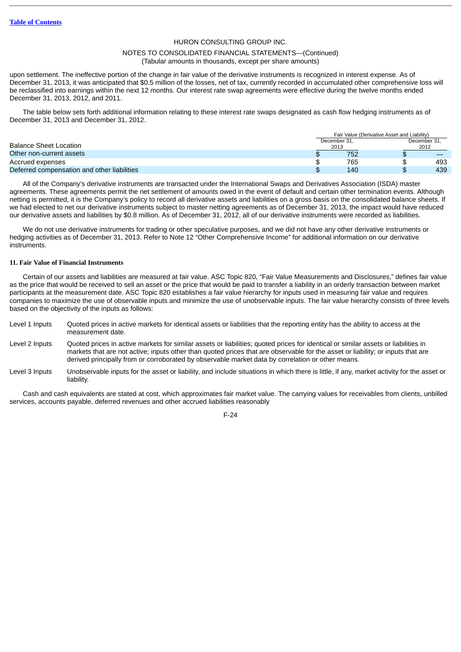#### NOTES TO CONSOLIDATED FINANCIAL STATEMENTS—(Continued) (Tabular amounts in thousands, except per share amounts)

upon settlement. The ineffective portion of the change in fair value of the derivative instruments is recognized in interest expense. As of December 31, 2013, it was anticipated that \$0.5 million of the losses, net of tax, currently recorded in accumulated other comprehensive loss will be reclassified into earnings within the next 12 months. Our interest rate swap agreements were effective during the twelve months ended December 31, 2013, 2012, and 2011.

The table below sets forth additional information relating to these interest rate swaps designated as cash flow hedging instruments as of December 31, 2013 and December 31, 2012.

|                                             | Fair Value (Derivative Asset and Liability) |                      |  |     |  |  |  |
|---------------------------------------------|---------------------------------------------|----------------------|--|-----|--|--|--|
| <b>Balance Sheet Location</b>               |                                             | December 31,<br>2013 |  |     |  |  |  |
| Other non-current assets                    |                                             | 752                  |  |     |  |  |  |
| Accrued expenses                            |                                             | 765                  |  | 493 |  |  |  |
| Deferred compensation and other liabilities |                                             | 140                  |  | 439 |  |  |  |

All of the Company's derivative instruments are transacted under the International Swaps and Derivatives Association (ISDA) master agreements. These agreements permit the net settlement of amounts owed in the event of default and certain other termination events. Although netting is permitted, it is the Company's policy to record all derivative assets and liabilities on a gross basis on the consolidated balance sheets. If we had elected to net our derivative instruments subject to master netting agreements as of December 31, 2013, the impact would have reduced our derivative assets and liabilities by \$0.8 million. As of December 31, 2012, all of our derivative instruments were recorded as liabilities.

We do not use derivative instruments for trading or other speculative purposes, and we did not have any other derivative instruments or hedging activities as of December 31, 2013. Refer to Note 12 "Other Comprehensive Income" for additional information on our derivative instruments.

#### **11. Fair Value of Financial Instruments**

Certain of our assets and liabilities are measured at fair value. ASC Topic 820, "Fair Value Measurements and Disclosures," defines fair value as the price that would be received to sell an asset or the price that would be paid to transfer a liability in an orderly transaction between market participants at the measurement date. ASC Topic 820 establishes a fair value hierarchy for inputs used in measuring fair value and requires companies to maximize the use of observable inputs and minimize the use of unobservable inputs. The fair value hierarchy consists of three levels based on the objectivity of the inputs as follows:

- Level 1 Inputs Quoted prices in active markets for identical assets or liabilities that the reporting entity has the ability to access at the measurement date.
- Level 2 Inputs Quoted prices in active markets for similar assets or liabilities; quoted prices for identical or similar assets or liabilities in markets that are not active; inputs other than quoted prices that are observable for the asset or liability; or inputs that are derived principally from or corroborated by observable market data by correlation or other means.
- Level 3 Inputs Unobservable inputs for the asset or liability, and include situations in which there is little, if any, market activity for the asset or liability.

Cash and cash equivalents are stated at cost, which approximates fair market value. The carrying values for receivables from clients, unbilled services, accounts payable, deferred revenues and other accrued liabilities reasonably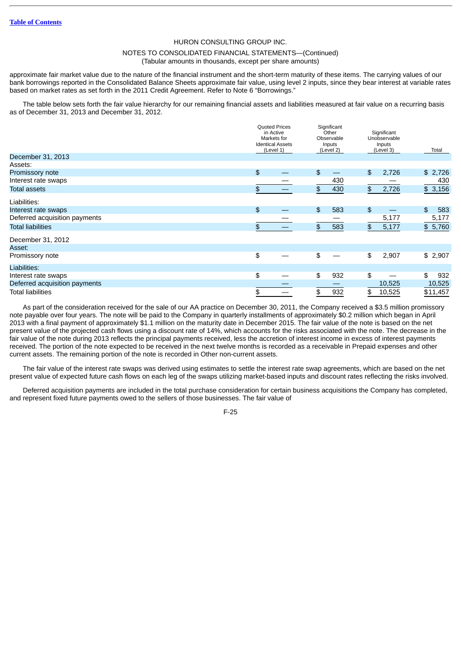#### NOTES TO CONSOLIDATED FINANCIAL STATEMENTS—(Continued) (Tabular amounts in thousands, except per share amounts)

approximate fair market value due to the nature of the financial instrument and the short-term maturity of these items. The carrying values of our bank borrowings reported in the Consolidated Balance Sheets approximate fair value, using level 2 inputs, since they bear interest at variable rates based on market rates as set forth in the 2011 Credit Agreement. Refer to Note 6 "Borrowings."

The table below sets forth the fair value hierarchy for our remaining financial assets and liabilities measured at fair value on a recurring basis as of December 31, 2013 and December 31, 2012.

|                               | <b>Quoted Prices</b><br>in Active<br>Markets for<br><b>Identical Assets</b><br>(Level 1) |               |           | Significant<br>Unobservable<br>Inputs<br>(Level 3) |        | Total     |
|-------------------------------|------------------------------------------------------------------------------------------|---------------|-----------|----------------------------------------------------|--------|-----------|
| December 31, 2013             |                                                                                          |               | (Level 2) |                                                    |        |           |
| Assets:                       |                                                                                          |               |           |                                                    |        |           |
| Promissory note               | \$                                                                                       | $\frac{2}{3}$ |           | \$                                                 | 2,726  | \$2,726   |
| Interest rate swaps           |                                                                                          |               | 430       |                                                    |        | 430       |
| <b>Total assets</b>           | \$                                                                                       | \$            | 430       | \$                                                 | 2,726  | \$3,156   |
| Liabilities:                  |                                                                                          |               |           |                                                    |        |           |
| Interest rate swaps           | \$                                                                                       | \$            | 583       | \$                                                 |        | \$<br>583 |
| Deferred acquisition payments |                                                                                          |               |           |                                                    | 5,177  | 5,177     |
| <b>Total liabilities</b>      | \$                                                                                       | $\frac{1}{2}$ | 583       | \$                                                 | 5,177  | \$5,760   |
| December 31, 2012             |                                                                                          |               |           |                                                    |        |           |
| Asset:                        |                                                                                          |               |           |                                                    |        |           |
| Promissory note               | \$                                                                                       | \$            |           | \$                                                 | 2,907  | \$2,907   |
| Liabilities:                  |                                                                                          |               |           |                                                    |        |           |
| Interest rate swaps           | \$                                                                                       | \$            | 932       | \$                                                 |        | \$<br>932 |
| Deferred acquisition payments |                                                                                          |               |           |                                                    | 10,525 | 10,525    |
| <b>Total liabilities</b>      | \$                                                                                       | \$            | 932       | \$                                                 | 10,525 | \$11,457  |

As part of the consideration received for the sale of our AA practice on December 30, 2011, the Company received a \$3.5 million promissory note payable over four years. The note will be paid to the Company in quarterly installments of approximately \$0.2 million which began in April 2013 with a final payment of approximately \$1.1 million on the maturity date in December 2015. The fair value of the note is based on the net present value of the projected cash flows using a discount rate of 14%, which accounts for the risks associated with the note. The decrease in the fair value of the note during 2013 reflects the principal payments received, less the accretion of interest income in excess of interest payments received. The portion of the note expected to be received in the next twelve months is recorded as a receivable in Prepaid expenses and other current assets. The remaining portion of the note is recorded in Other non-current assets.

The fair value of the interest rate swaps was derived using estimates to settle the interest rate swap agreements, which are based on the net present value of expected future cash flows on each leg of the swaps utilizing market-based inputs and discount rates reflecting the risks involved.

Deferred acquisition payments are included in the total purchase consideration for certain business acquisitions the Company has completed, and represent fixed future payments owed to the sellers of those businesses. The fair value of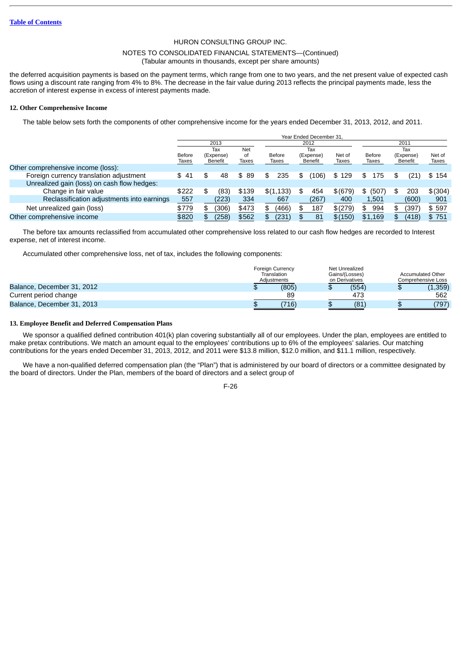#### NOTES TO CONSOLIDATED FINANCIAL STATEMENTS—(Continued) (Tabular amounts in thousands, except per share amounts)

the deferred acquisition payments is based on the payment terms, which range from one to two years, and the net present value of expected cash flows using a discount rate ranging from 4% to 8%. The decrease in the fair value during 2013 reflects the principal payments made, less the accretion of interest expense in excess of interest payments made.

# **12. Other Comprehensive Income**

The table below sets forth the components of other comprehensive income for the years ended December 31, 2013, 2012, and 2011.

|                                             |        |     |           |            |    |               | Year Ended December 31. |          |               |     |           |         |
|---------------------------------------------|--------|-----|-----------|------------|----|---------------|-------------------------|----------|---------------|-----|-----------|---------|
|                                             |        |     | 2013      |            |    |               | 2012                    |          |               |     | 2011      |         |
|                                             |        |     | Tax       | <b>Net</b> |    |               | Tax                     |          |               |     | Tax       |         |
|                                             | Before |     | (Expense) | of         |    | <b>Before</b> | (Expense)               | Net of   | <b>Before</b> |     | (Expense) | Net of  |
|                                             | Taxes  |     | Benefit   | Taxes      |    | Taxes         | Benefit                 | Taxes    | Taxes         |     | Benefit   | Taxes   |
| Other comprehensive income (loss):          |        |     |           |            |    |               |                         |          |               |     |           |         |
| Foreign currency translation adjustment     | \$41   | \$  | 48        | \$ 89      | S  | 235           | \$<br>(106)             | \$129    | \$<br>175     | \$  | (21)      | \$154   |
| Unrealized gain (loss) on cash flow hedges: |        |     |           |            |    |               |                         |          |               |     |           |         |
| Change in fair value                        | \$222  | \$  | (83)      | \$139      |    | \$(1,133)     | \$<br>454               | \$ (679) | \$ (507)      | \$  | 203       | \$(304) |
| Reclassification adjustments into earnings  | 557    |     | (223)     | 334        |    | 667           | (267)                   | 400      | 1,501         |     | (600)     | 901     |
| Net unrealized gain (loss)                  | \$779  | \$  | (306)     | \$473      | \$ | (466)         | \$<br>187               | \$(279)  | \$<br>994     | \$  | (397)     | \$597   |
| Other comprehensive income                  | \$820  | \$. | (258)     | \$562      | £  | (231)         | 81                      | \$(150)  | \$1,169       | \$. | (418)     | \$751   |

The before tax amounts reclassified from accumulated other comprehensive loss related to our cash flow hedges are recorded to Interest expense, net of interest income.

Accumulated other comprehensive loss, net of tax, includes the following components:

|                            | <b>Foreign Currency</b><br>Translation<br>Adiustments |       | Net Unrealized<br>Gains/(Losses)<br>on Derivatives | <b>Accumulated Other</b><br>Comprehensive Loss |
|----------------------------|-------------------------------------------------------|-------|----------------------------------------------------|------------------------------------------------|
| Balance, December 31, 2012 |                                                       | (805) | (554)                                              | (1, 359)                                       |
| Current period change      |                                                       | 89    | 473                                                | 562                                            |
| Balance, December 31, 2013 |                                                       | (716) | (81)                                               | (797)                                          |

#### **13. Employee Benefit and Deferred Compensation Plans**

We sponsor a qualified defined contribution 401(k) plan covering substantially all of our employees. Under the plan, employees are entitled to make pretax contributions. We match an amount equal to the employees' contributions up to 6% of the employees' salaries. Our matching contributions for the years ended December 31, 2013, 2012, and 2011 were \$13.8 million, \$12.0 million, and \$11.1 million, respectively.

We have a non-qualified deferred compensation plan (the "Plan") that is administered by our board of directors or a committee designated by the board of directors. Under the Plan, members of the board of directors and a select group of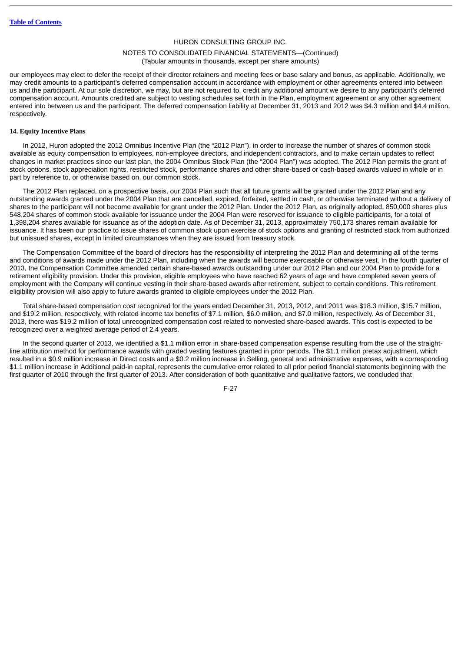#### NOTES TO CONSOLIDATED FINANCIAL STATEMENTS—(Continued) (Tabular amounts in thousands, except per share amounts)

our employees may elect to defer the receipt of their director retainers and meeting fees or base salary and bonus, as applicable. Additionally, we may credit amounts to a participant's deferred compensation account in accordance with employment or other agreements entered into between us and the participant. At our sole discretion, we may, but are not required to, credit any additional amount we desire to any participant's deferred compensation account. Amounts credited are subject to vesting schedules set forth in the Plan, employment agreement or any other agreement entered into between us and the participant. The deferred compensation liability at December 31, 2013 and 2012 was \$4.3 million and \$4.4 million, respectively.

### **14. Equity Incentive Plans**

In 2012, Huron adopted the 2012 Omnibus Incentive Plan (the "2012 Plan"), in order to increase the number of shares of common stock available as equity compensation to employees, non-employee directors, and independent contractors, and to make certain updates to reflect changes in market practices since our last plan, the 2004 Omnibus Stock Plan (the "2004 Plan") was adopted. The 2012 Plan permits the grant of stock options, stock appreciation rights, restricted stock, performance shares and other share-based or cash-based awards valued in whole or in part by reference to, or otherwise based on, our common stock.

The 2012 Plan replaced, on a prospective basis, our 2004 Plan such that all future grants will be granted under the 2012 Plan and any outstanding awards granted under the 2004 Plan that are cancelled, expired, forfeited, settled in cash, or otherwise terminated without a delivery of shares to the participant will not become available for grant under the 2012 Plan. Under the 2012 Plan, as originally adopted, 850,000 shares plus 548,204 shares of common stock available for issuance under the 2004 Plan were reserved for issuance to eligible participants, for a total of 1,398,204 shares available for issuance as of the adoption date. As of December 31, 2013, approximately 750,173 shares remain available for issuance. It has been our practice to issue shares of common stock upon exercise of stock options and granting of restricted stock from authorized but unissued shares, except in limited circumstances when they are issued from treasury stock.

The Compensation Committee of the board of directors has the responsibility of interpreting the 2012 Plan and determining all of the terms and conditions of awards made under the 2012 Plan, including when the awards will become exercisable or otherwise vest. In the fourth quarter of 2013, the Compensation Committee amended certain share-based awards outstanding under our 2012 Plan and our 2004 Plan to provide for a retirement eligibility provision. Under this provision, eligible employees who have reached 62 years of age and have completed seven years of employment with the Company will continue vesting in their share-based awards after retirement, subject to certain conditions. This retirement eligibility provision will also apply to future awards granted to eligible employees under the 2012 Plan.

Total share-based compensation cost recognized for the years ended December 31, 2013, 2012, and 2011 was \$18.3 million, \$15.7 million, and \$19.2 million, respectively, with related income tax benefits of \$7.1 million, \$6.0 million, and \$7.0 million, respectively. As of December 31, 2013, there was \$19.2 million of total unrecognized compensation cost related to nonvested share-based awards. This cost is expected to be recognized over a weighted average period of 2.4 years.

In the second quarter of 2013, we identified a \$1.1 million error in share-based compensation expense resulting from the use of the straightline attribution method for performance awards with graded vesting features granted in prior periods. The \$1.1 million pretax adjustment, which resulted in a \$0.9 million increase in Direct costs and a \$0.2 million increase in Selling, general and administrative expenses, with a corresponding \$1.1 million increase in Additional paid-in capital, represents the cumulative error related to all prior period financial statements beginning with the first quarter of 2010 through the first quarter of 2013. After consideration of both quantitative and qualitative factors, we concluded that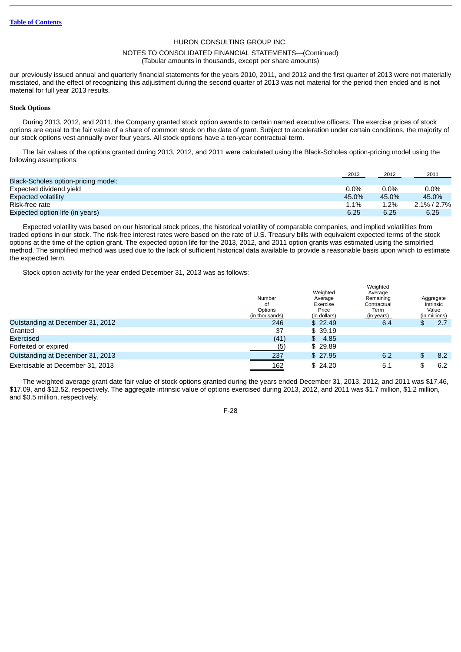## NOTES TO CONSOLIDATED FINANCIAL STATEMENTS—(Continued) (Tabular amounts in thousands, except per share amounts)

our previously issued annual and quarterly financial statements for the years 2010, 2011, and 2012 and the first quarter of 2013 were not materially misstated, and the effect of recognizing this adjustment during the second quarter of 2013 was not material for the period then ended and is not material for full year 2013 results.

# **Stock Options**

During 2013, 2012, and 2011, the Company granted stock option awards to certain named executive officers. The exercise prices of stock options are equal to the fair value of a share of common stock on the date of grant. Subject to acceleration under certain conditions, the majority of our stock options vest annually over four years. All stock options have a ten-year contractual term.

The fair values of the options granted during 2013, 2012, and 2011 were calculated using the Black-Scholes option-pricing model using the following assumptions:

|                                     | 2013    | 2012    | 2011        |
|-------------------------------------|---------|---------|-------------|
| Black-Scholes option-pricing model: |         |         |             |
| Expected dividend yield             | $0.0\%$ | $0.0\%$ | $0.0\%$     |
| <b>Expected volatility</b>          | 45.0%   | 45.0%   | 45.0%       |
| Risk-free rate                      | 1.1%    | $.2\%$  | 2.1% / 2.7% |
| Expected option life (in years)     | 6.25    | 6.25    | 6.25        |

Expected volatility was based on our historical stock prices, the historical volatility of comparable companies, and implied volatilities from traded options in our stock. The risk-free interest rates were based on the rate of U.S. Treasury bills with equivalent expected terms of the stock options at the time of the option grant. The expected option life for the 2013, 2012, and 2011 option grants was estimated using the simplified method. The simplified method was used due to the lack of sufficient historical data available to provide a reasonable basis upon which to estimate the expected term.

Stock option activity for the year ended December 31, 2013 was as follows:

|                                  | Number<br>οf<br>Options<br>(in thousands) | Weighted<br>Average<br>Exercise<br>Price<br>(in dollars) | Weighted<br>Average<br>Remaining<br>Contractual<br>Term<br>(in years) | Aggregate<br>Intrinsic<br>Value<br>(in millions) |
|----------------------------------|-------------------------------------------|----------------------------------------------------------|-----------------------------------------------------------------------|--------------------------------------------------|
| Outstanding at December 31, 2012 | 246                                       | \$22.49                                                  | 6.4                                                                   | 2.7                                              |
| Granted                          | 37                                        | \$39.19                                                  |                                                                       |                                                  |
| Exercised                        | (41)                                      | 4.85<br>\$                                               |                                                                       |                                                  |
| Forfeited or expired             | (5)                                       | \$29.89                                                  |                                                                       |                                                  |
| Outstanding at December 31, 2013 | 237                                       | \$27.95                                                  | 6.2                                                                   | \$<br>8.2                                        |
| Exercisable at December 31, 2013 | 162                                       | \$24.20                                                  | 5.1                                                                   | \$<br>6.2                                        |

The weighted average grant date fair value of stock options granted during the years ended December 31, 2013, 2012, and 2011 was \$17.46, \$17.09, and \$12.52, respectively. The aggregate intrinsic value of options exercised during 2013, 2012, and 2011 was \$1.7 million, \$1.2 million, and \$0.5 million, respectively.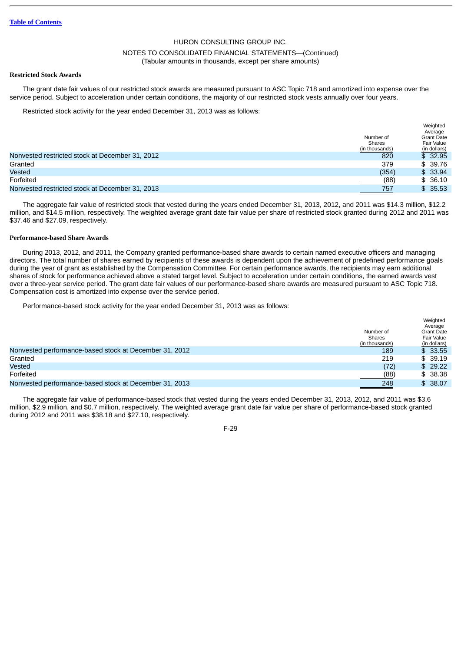### NOTES TO CONSOLIDATED FINANCIAL STATEMENTS—(Continued) (Tabular amounts in thousands, except per share amounts)

# **Restricted Stock Awards**

The grant date fair values of our restricted stock awards are measured pursuant to ASC Topic 718 and amortized into expense over the service period. Subject to acceleration under certain conditions, the majority of our restricted stock vests annually over four years.

Restricted stock activity for the year ended December 31, 2013 was as follows:

|                                                 |                | <u>vvciyincu</u><br>Average |
|-------------------------------------------------|----------------|-----------------------------|
|                                                 | Number of      | <b>Grant Date</b>           |
|                                                 | <b>Shares</b>  | Fair Value                  |
|                                                 | (in thousands) | (in dollars)                |
| Nonvested restricted stock at December 31, 2012 | 820            | \$32.95                     |
| Granted                                         | 379            | \$ 39.76                    |
| Vested                                          | (354)          | \$33.94                     |
| Forfeited                                       | (88)           | \$36.10                     |
| Nonvested restricted stock at December 31, 2013 | 757            | \$35.53                     |

Weighted

The aggregate fair value of restricted stock that vested during the years ended December 31, 2013, 2012, and 2011 was \$14.3 million, \$12.2 million, and \$14.5 million, respectively. The weighted average grant date fair value per share of restricted stock granted during 2012 and 2011 was \$37.46 and \$27.09, respectively.

#### **Performance-based Share Awards**

During 2013, 2012, and 2011, the Company granted performance-based share awards to certain named executive officers and managing directors. The total number of shares earned by recipients of these awards is dependent upon the achievement of predefined performance goals during the year of grant as established by the Compensation Committee. For certain performance awards, the recipients may earn additional shares of stock for performance achieved above a stated target level. Subject to acceleration under certain conditions, the earned awards vest over a three-year service period. The grant date fair values of our performance-based share awards are measured pursuant to ASC Topic 718. Compensation cost is amortized into expense over the service period.

Performance-based stock activity for the year ended December 31, 2013 was as follows:

|                                                        |                | Weighted<br>Average |
|--------------------------------------------------------|----------------|---------------------|
|                                                        | Number of      | <b>Grant Date</b>   |
|                                                        | Shares         | Fair Value          |
|                                                        | (in thousands) | (in dollars)        |
| Nonvested performance-based stock at December 31, 2012 | 189            | \$33.55             |
| Granted                                                | 219            | \$39.19             |
| Vested                                                 | (72)           | \$29.22             |
| Forfeited                                              | (88)           | \$38.38             |
| Nonvested performance-based stock at December 31, 2013 | 248            | \$38.07             |

The aggregate fair value of performance-based stock that vested during the years ended December 31, 2013, 2012, and 2011 was \$3.6 million, \$2.9 million, and \$0.7 million, respectively. The weighted average grant date fair value per share of performance-based stock granted during 2012 and 2011 was \$38.18 and \$27.10, respectively.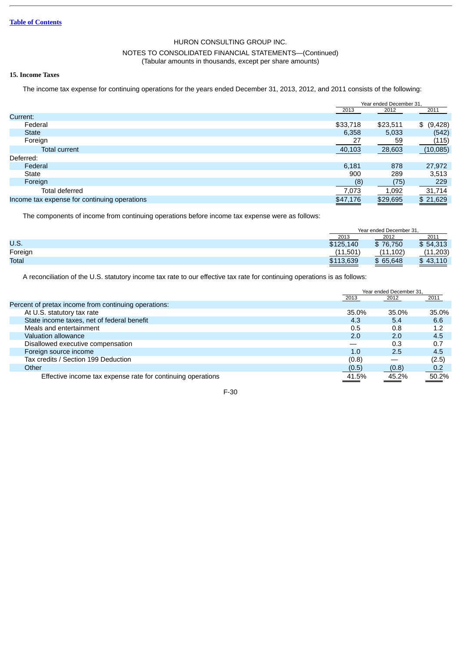# NOTES TO CONSOLIDATED FINANCIAL STATEMENTS—(Continued) (Tabular amounts in thousands, except per share amounts)

# **15. Income Taxes**

The income tax expense for continuing operations for the years ended December 31, 2013, 2012, and 2011 consists of the following:

|                                              |          | Year ended December 31, |            |  |
|----------------------------------------------|----------|-------------------------|------------|--|
|                                              | 2013     | 2012                    | 2011       |  |
| Current:                                     |          |                         |            |  |
| Federal                                      | \$33,718 | \$23,511                | \$ (9,428) |  |
| <b>State</b>                                 | 6,358    | 5,033                   | (542)      |  |
| Foreign                                      | 27       | 59                      | (115)      |  |
| <b>Total current</b>                         | 40,103   | 28,603                  | (10,085)   |  |
| Deferred:                                    |          |                         |            |  |
| Federal                                      | 6,181    | 878                     | 27,972     |  |
| <b>State</b>                                 | 900      | 289                     | 3,513      |  |
| Foreign                                      | (8)      | (75)                    | 229        |  |
| <b>Total deferred</b>                        | 7,073    | 1,092                   | 31,714     |  |
| Income tax expense for continuing operations | \$47,176 | \$29,695                | \$21,629   |  |

The components of income from continuing operations before income tax expense were as follows:

|         |           | Year ended December 31, |                                                                                                                                                                                                                                                  |  |  |
|---------|-----------|-------------------------|--------------------------------------------------------------------------------------------------------------------------------------------------------------------------------------------------------------------------------------------------|--|--|
|         | 2013      | 2012                    | 2011                                                                                                                                                                                                                                             |  |  |
| U.S.    | \$125.140 | \$76.750                | \$54,313                                                                                                                                                                                                                                         |  |  |
| Foreign | (11,501   | (11, 102)               | (11, 203)                                                                                                                                                                                                                                        |  |  |
| Total   | \$113,639 | \$65,648                | \$43,110<br><u>and the state of the state of the state of the state of the state of the state of the state of the state of the state of the state of the state of the state of the state of the state of the state of the state of the state</u> |  |  |

A reconciliation of the U.S. statutory income tax rate to our effective tax rate for continuing operations is as follows:

|                                                             |       | Year ended December 31. |       |  |
|-------------------------------------------------------------|-------|-------------------------|-------|--|
|                                                             | 2013  | 2012                    | 2011  |  |
| Percent of pretax income from continuing operations:        |       |                         |       |  |
| At U.S. statutory tax rate                                  | 35.0% | 35.0%                   | 35.0% |  |
| State income taxes, net of federal benefit                  | 4.3   | 5.4                     | 6.6   |  |
| Meals and entertainment                                     | 0.5   | 0.8                     | 1.2   |  |
| Valuation allowance                                         | 2.0   | 2.0                     | 4.5   |  |
| Disallowed executive compensation                           |       | 0.3                     | 0.7   |  |
| Foreign source income                                       | 1.0   | 2.5                     | 4.5   |  |
| Tax credits / Section 199 Deduction                         | (0.8) |                         | (2.5) |  |
| Other                                                       | (0.5) | (0.8)                   | 0.2   |  |
| Effective income tax expense rate for continuing operations | 41.5% | 45.2%                   | 50.2% |  |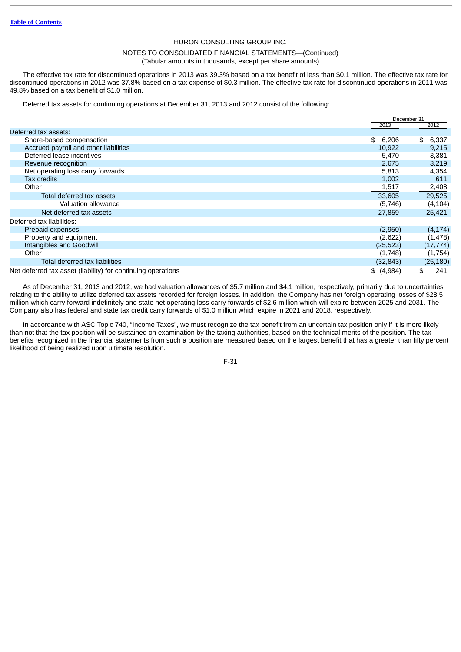### NOTES TO CONSOLIDATED FINANCIAL STATEMENTS—(Continued) (Tabular amounts in thousands, except per share amounts)

The effective tax rate for discontinued operations in 2013 was 39.3% based on a tax benefit of less than \$0.1 million. The effective tax rate for discontinued operations in 2012 was 37.8% based on a tax expense of \$0.3 million. The effective tax rate for discontinued operations in 2011 was 49.8% based on a tax benefit of \$1.0 million.

Deferred tax assets for continuing operations at December 31, 2013 and 2012 consist of the following:

|                                                              | December 31,  |             |
|--------------------------------------------------------------|---------------|-------------|
|                                                              | 2013          | 2012        |
| Deferred tax assets:                                         |               |             |
| Share-based compensation                                     | \$<br>6,206   | 6,337<br>\$ |
| Accrued payroll and other liabilities                        | 10.922        | 9,215       |
| Deferred lease incentives                                    | 5,470         | 3,381       |
| Revenue recognition                                          | 2,675         | 3,219       |
| Net operating loss carry forwards                            | 5,813         | 4,354       |
| <b>Tax credits</b>                                           | 1,002         | 611         |
| Other                                                        | 1,517         | 2,408       |
| Total deferred tax assets                                    | 33,605        | 29,525      |
| Valuation allowance                                          | (5,746)       | (4, 104)    |
| Net deferred tax assets                                      | 27,859        | 25,421      |
| Deferred tax liabilities:                                    |               |             |
| Prepaid expenses                                             | (2,950)       | (4, 174)    |
| Property and equipment                                       | (2,622)       | (1, 478)    |
| Intangibles and Goodwill                                     | (25, 523)     | (17, 774)   |
| Other                                                        | (1,748)       | (1,754)     |
| Total deferred tax liabilities                               | (32, 843)     | (25, 180)   |
| Net deferred tax asset (liability) for continuing operations | \$<br>(4,984) | 241<br>\$   |

As of December 31, 2013 and 2012, we had valuation allowances of \$5.7 million and \$4.1 million, respectively, primarily due to uncertainties relating to the ability to utilize deferred tax assets recorded for foreign losses. In addition, the Company has net foreign operating losses of \$28.5 million which carry forward indefinitely and state net operating loss carry forwards of \$2.6 million which will expire between 2025 and 2031. The Company also has federal and state tax credit carry forwards of \$1.0 million which expire in 2021 and 2018, respectively.

In accordance with ASC Topic 740, "Income Taxes", we must recognize the tax benefit from an uncertain tax position only if it is more likely than not that the tax position will be sustained on examination by the taxing authorities, based on the technical merits of the position. The tax benefits recognized in the financial statements from such a position are measured based on the largest benefit that has a greater than fifty percent likelihood of being realized upon ultimate resolution.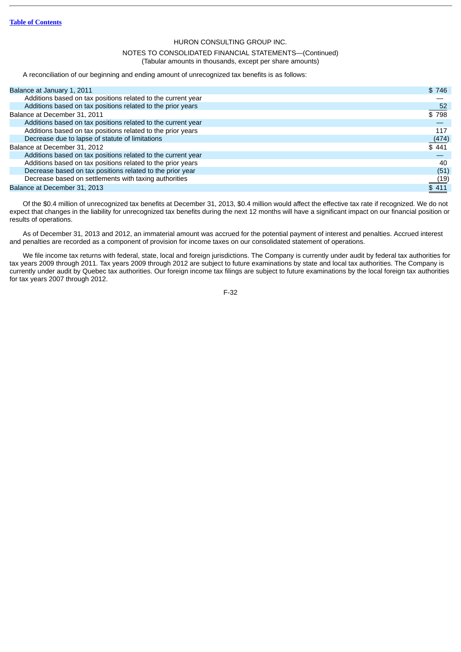#### NOTES TO CONSOLIDATED FINANCIAL STATEMENTS—(Continued) (Tabular amounts in thousands, except per share amounts)

A reconciliation of our beginning and ending amount of unrecognized tax benefits is as follows:

| Balance at January 1, 2011                                   | \$746              |
|--------------------------------------------------------------|--------------------|
| Additions based on tax positions related to the current year |                    |
| Additions based on tax positions related to the prior years  |                    |
| Balance at December 31, 2011                                 | $\frac{52}{\$798}$ |
| Additions based on tax positions related to the current year |                    |
| Additions based on tax positions related to the prior years  | 117                |
| Decrease due to lapse of statute of limitations              | (474)              |
| Balance at December 31, 2012                                 | \$441              |
| Additions based on tax positions related to the current year |                    |
| Additions based on tax positions related to the prior years  | 40                 |
| Decrease based on tax positions related to the prior year    | (51)               |
| Decrease based on settlements with taxing authorities        | (19)               |
| Balance at December 31, 2013                                 | \$411              |

Of the \$0.4 million of unrecognized tax benefits at December 31, 2013, \$0.4 million would affect the effective tax rate if recognized. We do not expect that changes in the liability for unrecognized tax benefits during the next 12 months will have a significant impact on our financial position or results of operations.

As of December 31, 2013 and 2012, an immaterial amount was accrued for the potential payment of interest and penalties. Accrued interest and penalties are recorded as a component of provision for income taxes on our consolidated statement of operations.

We file income tax returns with federal, state, local and foreign jurisdictions. The Company is currently under audit by federal tax authorities for tax years 2009 through 2011. Tax years 2009 through 2012 are subject to future examinations by state and local tax authorities. The Company is currently under audit by Quebec tax authorities. Our foreign income tax filings are subject to future examinations by the local foreign tax authorities for tax years 2007 through 2012.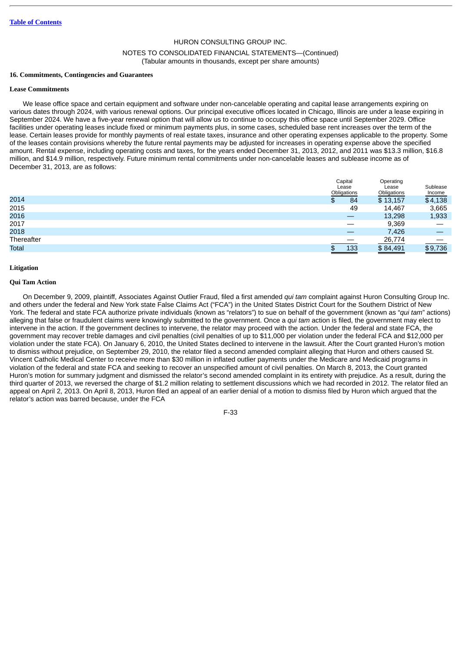# NOTES TO CONSOLIDATED FINANCIAL STATEMENTS—(Continued) (Tabular amounts in thousands, except per share amounts)

#### **16. Commitments, Contingencies and Guarantees**

#### **Lease Commitments**

We lease office space and certain equipment and software under non-cancelable operating and capital lease arrangements expiring on various dates through 2024, with various renewal options. Our principal executive offices located in Chicago, Illinois are under a lease expiring in September 2024. We have a five-year renewal option that will allow us to continue to occupy this office space until September 2029. Office facilities under operating leases include fixed or minimum payments plus, in some cases, scheduled base rent increases over the term of the lease. Certain leases provide for monthly payments of real estate taxes, insurance and other operating expenses applicable to the property. Some of the leases contain provisions whereby the future rental payments may be adjusted for increases in operating expense above the specified amount. Rental expense, including operating costs and taxes, for the years ended December 31, 2013, 2012, and 2011 was \$13.3 million, \$16.8 million, and \$14.9 million, respectively. Future minimum rental commitments under non-cancelable leases and sublease income as of December 31, 2013, are as follows:

|              |     | Capital<br>Lease<br>Obligations | Operating<br>Lease<br>Obligations | Sublease<br>Income |
|--------------|-----|---------------------------------|-----------------------------------|--------------------|
| 2014         |     | 84                              | \$13,157                          | \$4,138            |
| 2015         |     | 49                              | 14,467                            | 3,665              |
| 2016         |     |                                 | 13,298                            | 1,933              |
| 2017         |     |                                 | 9,369                             |                    |
| 2018         |     |                                 | 7,426                             |                    |
| Thereafter   |     |                                 | 26,774                            |                    |
| <b>Total</b> | \$. | 133                             | \$84,491                          | \$9,736            |

# **Litigation**

#### **Qui Tam Action**

On December 9, 2009, plaintiff, Associates Against Outlier Fraud, filed a first amended *qui tam* complaint against Huron Consulting Group Inc. and others under the federal and New York state False Claims Act ("FCA") in the United States District Court for the Southern District of New York. The federal and state FCA authorize private individuals (known as "relators") to sue on behalf of the government (known as "*qui tam*" actions) alleging that false or fraudulent claims were knowingly submitted to the government. Once a *qui tam* action is filed, the government may elect to intervene in the action. If the government declines to intervene, the relator may proceed with the action. Under the federal and state FCA, the government may recover treble damages and civil penalties (civil penalties of up to \$11,000 per violation under the federal FCA and \$12,000 per violation under the state FCA). On January 6, 2010, the United States declined to intervene in the lawsuit. After the Court granted Huron's motion to dismiss without prejudice, on September 29, 2010, the relator filed a second amended complaint alleging that Huron and others caused St. Vincent Catholic Medical Center to receive more than \$30 million in inflated outlier payments under the Medicare and Medicaid programs in violation of the federal and state FCA and seeking to recover an unspecified amount of civil penalties. On March 8, 2013, the Court granted Huron's motion for summary judgment and dismissed the relator's second amended complaint in its entirety with prejudice. As a result, during the third quarter of 2013, we reversed the charge of \$1.2 million relating to settlement discussions which we had recorded in 2012. The relator filed an appeal on April 2, 2013. On April 8, 2013, Huron filed an appeal of an earlier denial of a motion to dismiss filed by Huron which argued that the relator's action was barred because, under the FCA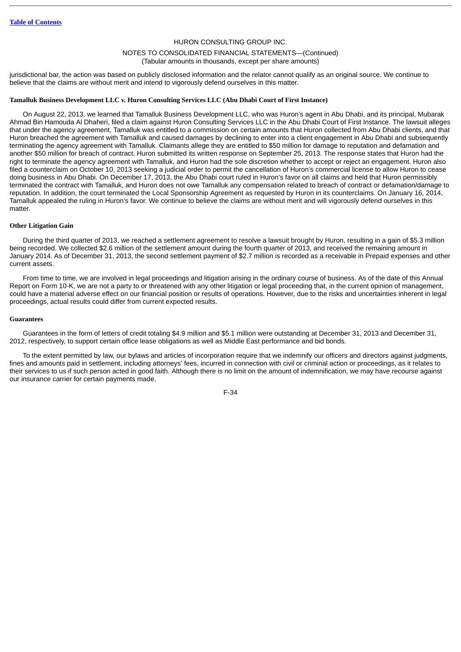### NOTES TO CONSOLIDATED FINANCIAL STATEMENTS—(Continued) (Tabular amounts in thousands, except per share amounts)

jurisdictional bar, the action was based on publicly disclosed information and the relator cannot qualify as an original source. We continue to believe that the claims are without merit and intend to vigorously defend ourselves in this matter.

# **Tamalluk Business Development LLC v. Huron Consulting Services LLC (Abu Dhabi Court of First Instance)**

On August 22, 2013, we learned that Tamalluk Business Development LLC, who was Huron's agent in Abu Dhabi, and its principal, Mubarak Ahmad Bin Hamouda Al Dhaheri, filed a claim against Huron Consulting Services LLC in the Abu Dhabi Court of First Instance. The lawsuit alleges that under the agency agreement, Tamalluk was entitled to a commission on certain amounts that Huron collected from Abu Dhabi clients, and that Huron breached the agreement with Tamalluk and caused damages by declining to enter into a client engagement in Abu Dhabi and subsequently terminating the agency agreement with Tamalluk. Claimants allege they are entitled to \$50 million for damage to reputation and defamation and another \$50 million for breach of contract. Huron submitted its written response on September 25, 2013. The response states that Huron had the right to terminate the agency agreement with Tamalluk, and Huron had the sole discretion whether to accept or reject an engagement. Huron also filed a counterclaim on October 10, 2013 seeking a judicial order to permit the cancellation of Huron's commercial license to allow Huron to cease doing business in Abu Dhabi. On December 17, 2013, the Abu Dhabi court ruled in Huron's favor on all claims and held that Huron permissibly terminated the contract with Tamalluk, and Huron does not owe Tamalluk any compensation related to breach of contract or defamation/damage to reputation. In addition, the court terminated the Local Sponsorship Agreement as requested by Huron in its counterclaims. On January 16, 2014, Tamalluk appealed the ruling in Huron's favor. We continue to believe the claims are without merit and will vigorously defend ourselves in this matter.

#### **Other Litigation Gain**

During the third quarter of 2013, we reached a settlement agreement to resolve a lawsuit brought by Huron, resulting in a gain of \$5.3 million being recorded. We collected \$2.6 million of the settlement amount during the fourth quarter of 2013, and received the remaining amount in January 2014. As of December 31, 2013, the second settlement payment of \$2.7 million is recorded as a receivable in Prepaid expenses and other current assets.

From time to time, we are involved in legal proceedings and litigation arising in the ordinary course of business. As of the date of this Annual Report on Form 10-K, we are not a party to or threatened with any other litigation or legal proceeding that, in the current opinion of management, could have a material adverse effect on our financial position or results of operations. However, due to the risks and uncertainties inherent in legal proceedings, actual results could differ from current expected results.

#### **Guarantees**

Guarantees in the form of letters of credit totaling \$4.9 million and \$5.1 million were outstanding at December 31, 2013 and December 31, 2012, respectively, to support certain office lease obligations as well as Middle East performance and bid bonds.

To the extent permitted by law, our bylaws and articles of incorporation require that we indemnify our officers and directors against judgments, fines and amounts paid in settlement, including attorneys' fees, incurred in connection with civil or criminal action or proceedings, as it relates to their services to us if such person acted in good faith. Although there is no limit on the amount of indemnification, we may have recourse against our insurance carrier for certain payments made.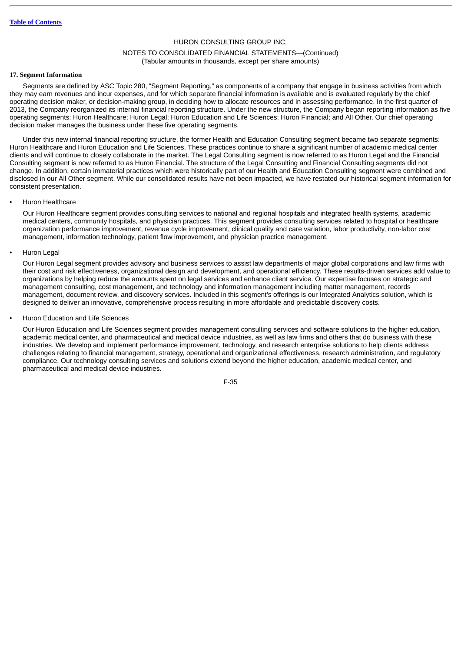## NOTES TO CONSOLIDATED FINANCIAL STATEMENTS—(Continued) (Tabular amounts in thousands, except per share amounts)

# **17. Segment Information**

Segments are defined by ASC Topic 280, "Segment Reporting," as components of a company that engage in business activities from which they may earn revenues and incur expenses, and for which separate financial information is available and is evaluated regularly by the chief operating decision maker, or decision-making group, in deciding how to allocate resources and in assessing performance. In the first quarter of 2013, the Company reorganized its internal financial reporting structure. Under the new structure, the Company began reporting information as five operating segments: Huron Healthcare; Huron Legal; Huron Education and Life Sciences; Huron Financial; and All Other. Our chief operating decision maker manages the business under these five operating segments.

Under this new internal financial reporting structure, the former Health and Education Consulting segment became two separate segments: Huron Healthcare and Huron Education and Life Sciences. These practices continue to share a significant number of academic medical center clients and will continue to closely collaborate in the market. The Legal Consulting segment is now referred to as Huron Legal and the Financial Consulting segment is now referred to as Huron Financial. The structure of the Legal Consulting and Financial Consulting segments did not change. In addition, certain immaterial practices which were historically part of our Health and Education Consulting segment were combined and disclosed in our All Other segment. While our consolidated results have not been impacted, we have restated our historical segment information for consistent presentation.

#### • Huron Healthcare

Our Huron Healthcare segment provides consulting services to national and regional hospitals and integrated health systems, academic medical centers, community hospitals, and physician practices. This segment provides consulting services related to hospital or healthcare organization performance improvement, revenue cycle improvement, clinical quality and care variation, labor productivity, non-labor cost management, information technology, patient flow improvement, and physician practice management.

**Huron Legal** 

 Our Huron Legal segment provides advisory and business services to assist law departments of major global corporations and law firms with their cost and risk effectiveness, organizational design and development, and operational efficiency. These results-driven services add value to organizations by helping reduce the amounts spent on legal services and enhance client service. Our expertise focuses on strategic and management consulting, cost management, and technology and information management including matter management, records management, document review, and discovery services. Included in this segment's offerings is our Integrated Analytics solution, which is designed to deliver an innovative, comprehensive process resulting in more affordable and predictable discovery costs.

• Huron Education and Life Sciences

 Our Huron Education and Life Sciences segment provides management consulting services and software solutions to the higher education, academic medical center, and pharmaceutical and medical device industries, as well as law firms and others that do business with these industries. We develop and implement performance improvement, technology, and research enterprise solutions to help clients address challenges relating to financial management, strategy, operational and organizational effectiveness, research administration, and regulatory compliance. Our technology consulting services and solutions extend beyond the higher education, academic medical center, and pharmaceutical and medical device industries.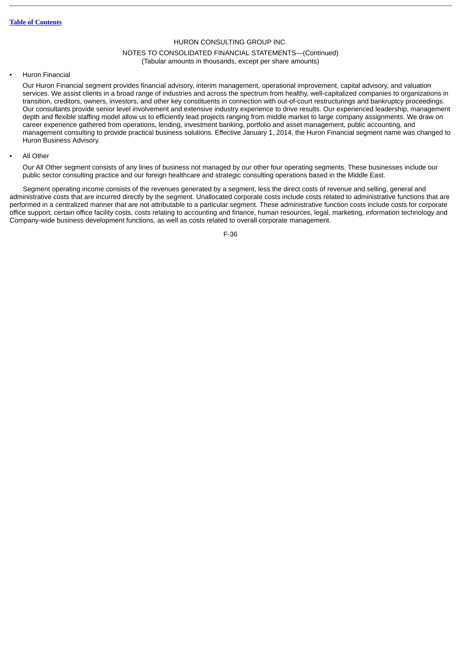# NOTES TO CONSOLIDATED FINANCIAL STATEMENTS—(Continued) (Tabular amounts in thousands, except per share amounts)

# • Huron Financial

 Our Huron Financial segment provides financial advisory, interim management, operational improvement, capital advisory, and valuation services. We assist clients in a broad range of industries and across the spectrum from healthy, well-capitalized companies to organizations in transition, creditors, owners, investors, and other key constituents in connection with out-of-court restructurings and bankruptcy proceedings. Our consultants provide senior level involvement and extensive industry experience to drive results. Our experienced leadership, management depth and flexible staffing model allow us to efficiently lead projects ranging from middle market to large company assignments. We draw on career experience gathered from operations, lending, investment banking, portfolio and asset management, public accounting, and management consulting to provide practical business solutions. Effective January 1, 2014, the Huron Financial segment name was changed to Huron Business Advisory.

#### All Other

 Our All Other segment consists of any lines of business not managed by our other four operating segments. These businesses include our public sector consulting practice and our foreign healthcare and strategic consulting operations based in the Middle East.

Segment operating income consists of the revenues generated by a segment, less the direct costs of revenue and selling, general and administrative costs that are incurred directly by the segment. Unallocated corporate costs include costs related to administrative functions that are performed in a centralized manner that are not attributable to a particular segment. These administrative function costs include costs for corporate office support, certain office facility costs, costs relating to accounting and finance, human resources, legal, marketing, information technology and Company-wide business development functions, as well as costs related to overall corporate management.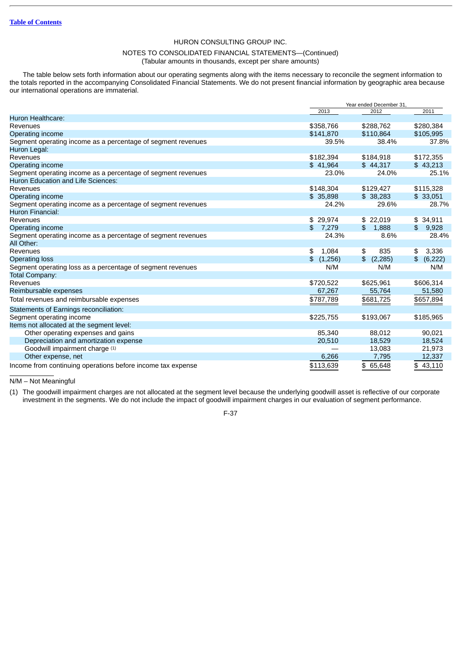#### NOTES TO CONSOLIDATED FINANCIAL STATEMENTS—(Continued) (Tabular amounts in thousands, except per share amounts)

The table below sets forth information about our operating segments along with the items necessary to reconcile the segment information to the totals reported in the accompanying Consolidated Financial Statements. We do not present financial information by geographic area because our international operations are immaterial.

|                                                              |               | Year ended December 31,   |                            |  |  |  |  |
|--------------------------------------------------------------|---------------|---------------------------|----------------------------|--|--|--|--|
|                                                              | 2013          | 2012                      | 2011                       |  |  |  |  |
| Huron Healthcare:                                            |               |                           |                            |  |  |  |  |
| Revenues                                                     | \$358.766     | \$288,762                 | \$280,384                  |  |  |  |  |
| Operating income                                             | \$141,870     | \$110,864                 | \$105,995                  |  |  |  |  |
| Segment operating income as a percentage of segment revenues | 39.5%         | 38.4%                     | 37.8%                      |  |  |  |  |
| Huron Legal:                                                 |               |                           |                            |  |  |  |  |
| Revenues                                                     | \$182,394     | \$184,918                 | \$172,355                  |  |  |  |  |
| Operating income                                             | \$41,964      | \$44,317                  | \$43,213                   |  |  |  |  |
| Segment operating income as a percentage of segment revenues | 23.0%         | 24.0%                     | 25.1%                      |  |  |  |  |
| Huron Education and Life Sciences:                           |               |                           |                            |  |  |  |  |
| Revenues                                                     | \$148,304     | \$129,427                 | \$115,328                  |  |  |  |  |
| Operating income                                             | \$35,898      | \$38,283                  | \$33,051                   |  |  |  |  |
| Segment operating income as a percentage of segment revenues | 24.2%         | 29.6%                     | 28.7%                      |  |  |  |  |
| <b>Huron Financial:</b>                                      |               |                           |                            |  |  |  |  |
| Revenues                                                     | \$29,974      | \$22,019                  | \$34,911                   |  |  |  |  |
| Operating income                                             | 7,279<br>\$   | $\frac{2}{3}$<br>1,888    | $\mathfrak{D}$<br>9,928    |  |  |  |  |
| Segment operating income as a percentage of segment revenues | 24.3%         | 8.6%                      | 28.4%                      |  |  |  |  |
| All Other:                                                   |               |                           |                            |  |  |  |  |
| Revenues                                                     | 1.084<br>\$   | \$<br>835                 | 3,336<br>\$                |  |  |  |  |
| <b>Operating loss</b>                                        | \$<br>(1,256) | $\frac{2}{3}$<br>(2, 285) | (6, 222)<br>$\mathfrak{S}$ |  |  |  |  |
| Segment operating loss as a percentage of segment revenues   | N/M           | N/M                       | N/M                        |  |  |  |  |
| Total Company:                                               |               |                           |                            |  |  |  |  |
| Revenues                                                     | \$720,522     | \$625,961                 | \$606,314                  |  |  |  |  |
| Reimbursable expenses                                        | 67,267        | 55,764                    | 51,580                     |  |  |  |  |
| Total revenues and reimbursable expenses                     | \$787,789     | \$681,725                 | \$657,894                  |  |  |  |  |
| Statements of Earnings reconciliation:                       |               |                           |                            |  |  |  |  |
| Segment operating income                                     | \$225,755     | \$193,067                 | \$185,965                  |  |  |  |  |
| Items not allocated at the segment level:                    |               |                           |                            |  |  |  |  |
| Other operating expenses and gains                           | 85.340        | 88.012                    | 90.021                     |  |  |  |  |
| Depreciation and amortization expense                        | 20,510        | 18,529                    | 18,524                     |  |  |  |  |
| Goodwill impairment charge (1)                               |               | 13,083                    | 21,973                     |  |  |  |  |
| Other expense, net                                           | 6,266         | 7,795                     | 12,337                     |  |  |  |  |
| Income from continuing operations before income tax expense  | \$113,639     | \$65,648                  | \$43,110                   |  |  |  |  |

N/M – Not Meaningful

(1) The goodwill impairment charges are not allocated at the segment level because the underlying goodwill asset is reflective of our corporate investment in the segments. We do not include the impact of goodwill impairment charges in our evaluation of segment performance.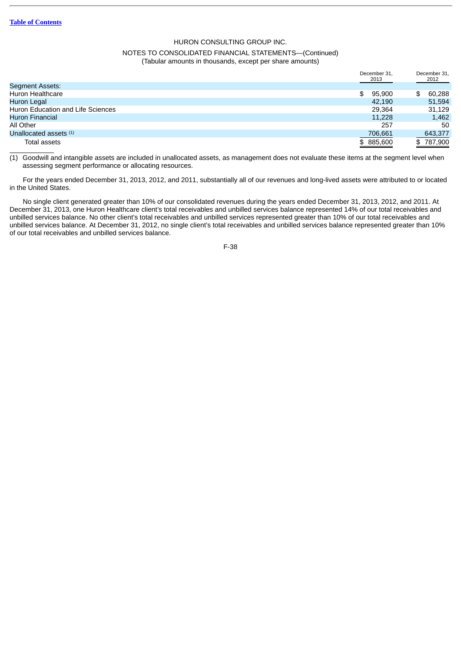#### NOTES TO CONSOLIDATED FINANCIAL STATEMENTS—(Continued) (Tabular amounts in thousands, except per share amounts)

|                                   | December 31,<br>2013 | December 31,<br>2012 |  |  |
|-----------------------------------|----------------------|----------------------|--|--|
| Segment Assets:                   |                      |                      |  |  |
| Huron Healthcare                  | 95,900<br>\$         | 60,288<br>\$         |  |  |
| Huron Legal                       | 42.190               | 51,594               |  |  |
| Huron Education and Life Sciences | 29.364               | 31.129               |  |  |
| <b>Huron Financial</b>            | 11,228               | 1,462                |  |  |
| All Other                         | 257                  | 50                   |  |  |
| Unallocated assets (1)            | 706,661              | 643,377              |  |  |
| Total assets                      | \$ 885,600           | 787,900<br>\$.       |  |  |

(1) Goodwill and intangible assets are included in unallocated assets, as management does not evaluate these items at the segment level when assessing segment performance or allocating resources.

For the years ended December 31, 2013, 2012, and 2011, substantially all of our revenues and long-lived assets were attributed to or located in the United States.

No single client generated greater than 10% of our consolidated revenues during the years ended December 31, 2013, 2012, and 2011. At December 31, 2013, one Huron Healthcare client's total receivables and unbilled services balance represented 14% of our total receivables and unbilled services balance. No other client's total receivables and unbilled services represented greater than 10% of our total receivables and unbilled services balance. At December 31, 2012, no single client's total receivables and unbilled services balance represented greater than 10% of our total receivables and unbilled services balance.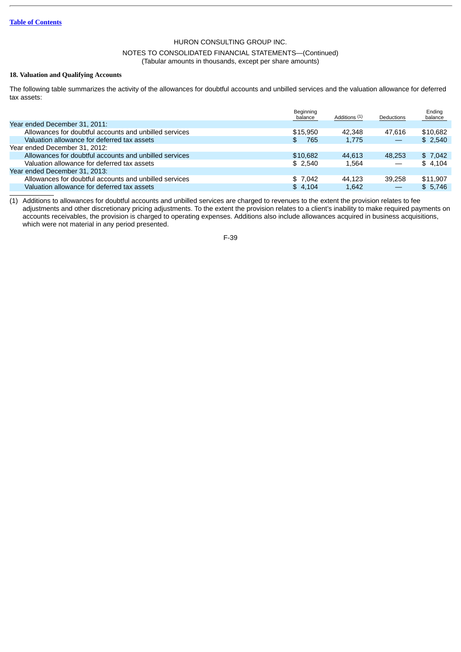# NOTES TO CONSOLIDATED FINANCIAL STATEMENTS—(Continued) (Tabular amounts in thousands, except per share amounts)

# **18. Valuation and Qualifying Accounts**

The following table summarizes the activity of the allowances for doubtful accounts and unbilled services and the valuation allowance for deferred tax assets:

|                                                        | Beginning<br>balance | Additions (1) | Deductions                      | Ending<br>balance |
|--------------------------------------------------------|----------------------|---------------|---------------------------------|-------------------|
| Year ended December 31, 2011:                          |                      |               |                                 |                   |
| Allowances for doubtful accounts and unbilled services | \$15,950             | 42.348        | 47.616                          | \$10.682          |
| Valuation allowance for deferred tax assets            | \$<br>765            | 1.775         | $\hspace{0.05cm}$               | \$2,540           |
| Year ended December 31, 2012:                          |                      |               |                                 |                   |
| Allowances for doubtful accounts and unbilled services | \$10.682             | 44.613        | 48.253                          | \$7,042           |
| Valuation allowance for deferred tax assets            | \$2.540              | 1.564         | $\hspace{0.1mm}-\hspace{0.1mm}$ | \$4.104           |
| Year ended December 31, 2013:                          |                      |               |                                 |                   |
| Allowances for doubtful accounts and unbilled services | \$ 7.042             | 44.123        | 39.258                          | \$11,907          |
| Valuation allowance for deferred tax assets            | \$4.104              | 1.642         |                                 | \$5.746           |

(1) Additions to allowances for doubtful accounts and unbilled services are charged to revenues to the extent the provision relates to fee adjustments and other discretionary pricing adjustments. To the extent the provision relates to a client's inability to make required payments on accounts receivables, the provision is charged to operating expenses. Additions also include allowances acquired in business acquisitions, which were not material in any period presented.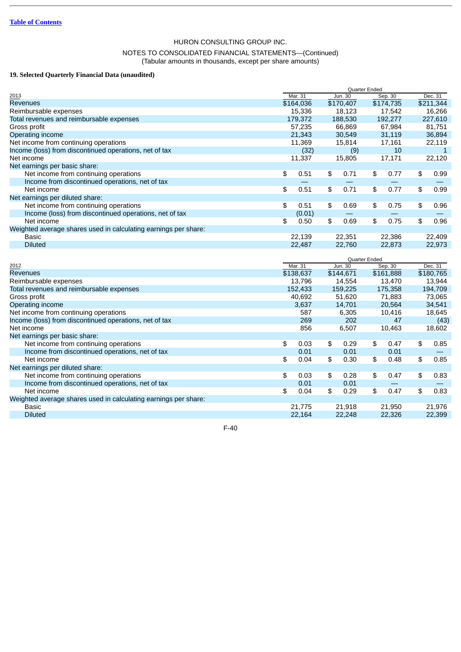# NOTES TO CONSOLIDATED FINANCIAL STATEMENTS—(Continued) (Tabular amounts in thousands, except per share amounts)

# **19. Selected Quarterly Financial Data (unaudited)**

|                                                                 | <b>Quarter Ended</b> |    |                  |         |           |         |           |        |  |
|-----------------------------------------------------------------|----------------------|----|------------------|---------|-----------|---------|-----------|--------|--|
| 2013                                                            | Mar. 31              |    | Jun. 30          | Sep. 30 |           | Dec. 31 |           |        |  |
| Revenues                                                        | \$164,036            |    | \$170,407        |         | \$174,735 |         | \$211,344 |        |  |
| Reimbursable expenses                                           | 15,336               |    | 18,123           |         | 17,542    |         | 16,266    |        |  |
| Total revenues and reimbursable expenses                        | 179,372              |    | 188,530          |         | 192,277   | 227,610 |           |        |  |
| Gross profit                                                    | 57,235               |    | 67,984<br>66,869 |         |           | 81,751  |           |        |  |
| Operating income                                                | 21,343               |    | 30,549           |         | 31,119    |         | 36,894    |        |  |
| Net income from continuing operations                           | 11,369               |    | 15,814           | 17,161  |           | 22,119  |           |        |  |
| Income (loss) from discontinued operations, net of tax          | (32)                 |    | (9)              |         | 10        |         |           |        |  |
| Net income                                                      | 11,337               |    | 15,805           |         | 17,171    |         |           | 22,120 |  |
| Net earnings per basic share:                                   |                      |    |                  |         |           |         |           |        |  |
| Net income from continuing operations                           | \$<br>0.51           | \$ | 0.71             | \$      | 0.77      | \$      | 0.99      |        |  |
| Income from discontinued operations, net of tax                 |                      |    |                  |         |           |         |           |        |  |
| Net income                                                      | \$<br>0.51           | \$ | 0.71             | \$      | 0.77      | \$      | 0.99      |        |  |
| Net earnings per diluted share:                                 |                      |    |                  |         |           |         |           |        |  |
| Net income from continuing operations                           | \$<br>0.51           | \$ | 0.69             | \$      | 0.75      | \$      | 0.96      |        |  |
| Income (loss) from discontinued operations, net of tax          | (0.01)               |    |                  |         |           |         |           |        |  |
| Net income                                                      | \$<br>0.50           | \$ | 0.69             | \$      | 0.75      | \$      | 0.96      |        |  |
| Weighted average shares used in calculating earnings per share: |                      |    |                  |         |           |         |           |        |  |
| <b>Basic</b>                                                    | 22,139               |    | 22,351           |         | 22,386    |         | 22,409    |        |  |
| <b>Diluted</b>                                                  | 22,487               |    | 22,760           |         | 22,873    |         | 22,973    |        |  |

|                                                                 | <b>Ouarter Ended</b> |           |         |                    |        |           |           |        |
|-----------------------------------------------------------------|----------------------|-----------|---------|--------------------|--------|-----------|-----------|--------|
| 2012                                                            |                      | Mar. 31   | Sep. 30 |                    |        | Dec. 31   |           |        |
| <b>Revenues</b>                                                 |                      | \$138,637 |         | \$144,671          |        | \$161,888 | \$180,765 |        |
| Reimbursable expenses                                           |                      | 13,796    |         | 14.554             |        | 13.470    |           | 13,944 |
| Total revenues and reimbursable expenses                        |                      | 152,433   |         | 175,358<br>159,225 |        |           | 194,709   |        |
| Gross profit                                                    |                      | 40,692    |         | 51,620             |        | 71,883    | 73,065    |        |
| Operating income                                                |                      | 3,637     |         | 14,701             |        | 20,564    | 34,541    |        |
| Net income from continuing operations                           |                      | 587       |         | 6,305              |        | 10,416    | 18,645    |        |
| Income (loss) from discontinued operations, net of tax          |                      | 269       |         | 202                |        | 47        | (43)      |        |
| Net income                                                      |                      | 856       |         | 6,507              | 10,463 |           | 18,602    |        |
| Net earnings per basic share:                                   |                      |           |         |                    |        |           |           |        |
| Net income from continuing operations                           | \$                   | 0.03      | \$      | 0.29               | \$     | 0.47      | \$        | 0.85   |
| Income from discontinued operations, net of tax                 |                      | 0.01      |         | 0.01               |        | 0.01      |           |        |
| Net income                                                      | \$                   | 0.04      | \$      | 0.30               | \$     | 0.48      | \$        | 0.85   |
| Net earnings per diluted share:                                 |                      |           |         |                    |        |           |           |        |
| Net income from continuing operations                           | \$                   | 0.03      | \$      | 0.28               | \$     | 0.47      | \$        | 0.83   |
| Income from discontinued operations, net of tax                 |                      | 0.01      |         | 0.01               |        |           |           |        |
| Net income                                                      | \$                   | 0.04      | \$      | 0.29               | \$     | 0.47      | \$        | 0.83   |
| Weighted average shares used in calculating earnings per share: |                      |           |         |                    |        |           |           |        |
| Basic                                                           |                      | 21,775    |         | 21,918             |        | 21,950    | 21,976    |        |
| Diluted                                                         |                      | 22,164    |         | 22,248             |        | 22,326    | 22,399    |        |
|                                                                 |                      |           |         |                    |        |           |           |        |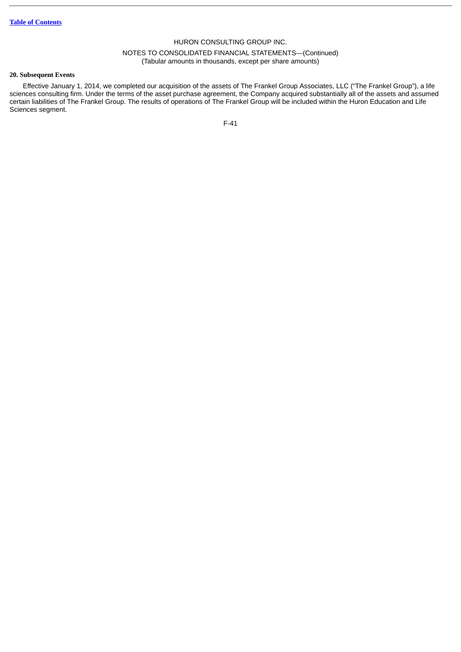# NOTES TO CONSOLIDATED FINANCIAL STATEMENTS—(Continued) (Tabular amounts in thousands, except per share amounts)

# **20. Subsequent Events**

Effective January 1, 2014, we completed our acquisition of the assets of The Frankel Group Associates, LLC ("The Frankel Group"), a life sciences consulting firm. Under the terms of the asset purchase agreement, the Company acquired substantially all of the assets and assumed certain liabilities of The Frankel Group. The results of operations of The Frankel Group will be included within the Huron Education and Life Sciences segment.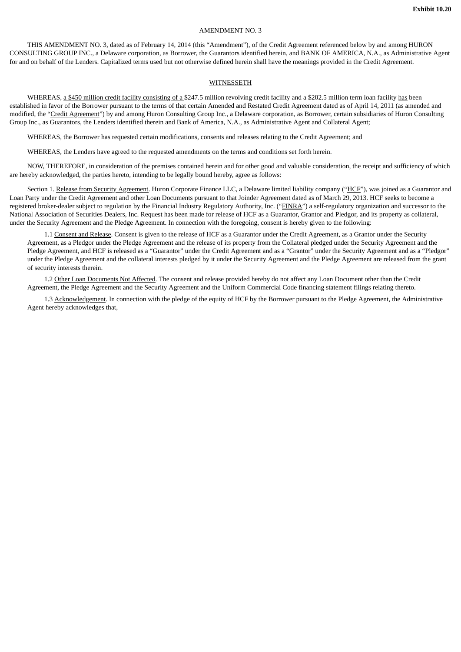## AMENDMENT NO. 3

THIS AMENDMENT NO. 3, dated as of February 14, 2014 (this "Amendment"), of the Credit Agreement referenced below by and among HURON CONSULTING GROUP INC., a Delaware corporation, as Borrower, the Guarantors identified herein, and BANK OF AMERICA, N.A., as Administrative Agent for and on behalf of the Lenders. Capitalized terms used but not otherwise defined herein shall have the meanings provided in the Credit Agreement.

#### WITNESSETH

WHEREAS, a \$450 million credit facility consisting of a \$247.5 million revolving credit facility and a \$202.5 million term loan facility has been established in favor of the Borrower pursuant to the terms of that certain Amended and Restated Credit Agreement dated as of April 14, 2011 (as amended and modified, the "Credit Agreement") by and among Huron Consulting Group Inc., a Delaware corporation, as Borrower, certain subsidiaries of Huron Consulting Group Inc., as Guarantors, the Lenders identified therein and Bank of America, N.A., as Administrative Agent and Collateral Agent;

WHEREAS, the Borrower has requested certain modifications, consents and releases relating to the Credit Agreement; and

WHEREAS, the Lenders have agreed to the requested amendments on the terms and conditions set forth herein.

NOW, THEREFORE, in consideration of the premises contained herein and for other good and valuable consideration, the receipt and sufficiency of which are hereby acknowledged, the parties hereto, intending to be legally bound hereby, agree as follows:

Section 1. Release from Security Agreement. Huron Corporate Finance LLC, a Delaware limited liability company ("HCF"), was joined as a Guarantor and Loan Party under the Credit Agreement and other Loan Documents pursuant to that Joinder Agreement dated as of March 29, 2013. HCF seeks to become a registered broker-dealer subject to regulation by the Financial Industry Regulatory Authority, Inc. ("FINRA") a self-regulatory organization and successor to the National Association of Securities Dealers, Inc. Request has been made for release of HCF as a Guarantor, Grantor and Pledgor, and its property as collateral, under the Security Agreement and the Pledge Agreement. In connection with the foregoing, consent is hereby given to the following:

1.1 Consent and Release. Consent is given to the release of HCF as a Guarantor under the Credit Agreement, as a Grantor under the Security Agreement, as a Pledgor under the Pledge Agreement and the release of its property from the Collateral pledged under the Security Agreement and the Pledge Agreement, and HCF is released as a "Guarantor" under the Credit Agreement and as a "Grantor" under the Security Agreement and as a "Pledgor" under the Pledge Agreement and the collateral interests pledged by it under the Security Agreement and the Pledge Agreement are released from the grant of security interests therein.

1.2 Other Loan Documents Not Affected. The consent and release provided hereby do not affect any Loan Document other than the Credit Agreement, the Pledge Agreement and the Security Agreement and the Uniform Commercial Code financing statement filings relating thereto.

1.3 Acknowledgement. In connection with the pledge of the equity of HCF by the Borrower pursuant to the Pledge Agreement, the Administrative Agent hereby acknowledges that,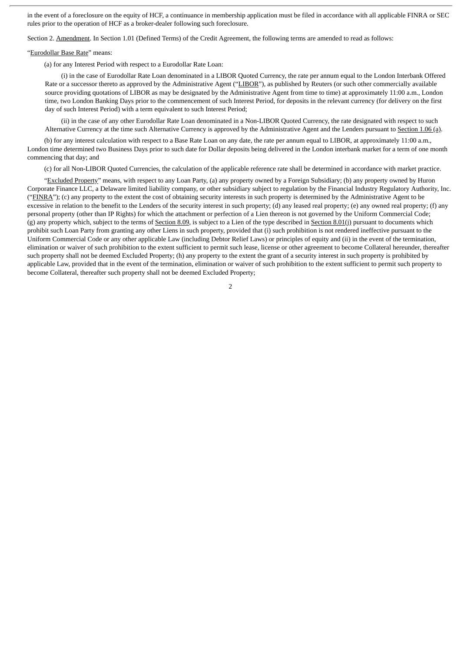in the event of a foreclosure on the equity of HCF, a continuance in membership application must be filed in accordance with all applicable FINRA or SEC rules prior to the operation of HCF as a broker-dealer following such foreclosure.

Section 2. Amendment. In Section 1.01 (Defined Terms) of the Credit Agreement, the following terms are amended to read as follows:

#### "Eurodollar Base Rate" means:

(a) for any Interest Period with respect to a Eurodollar Rate Loan:

(i) in the case of Eurodollar Rate Loan denominated in a LIBOR Quoted Currency, the rate per annum equal to the London Interbank Offered Rate or a successor thereto as approved by the Administrative Agent ("LIBOR"), as published by Reuters (or such other commercially available source providing quotations of LIBOR as may be designated by the Administrative Agent from time to time) at approximately 11:00 a.m., London time, two London Banking Days prior to the commencement of such Interest Period, for deposits in the relevant currency (for delivery on the first day of such Interest Period) with a term equivalent to such Interest Period;

(ii) in the case of any other Eurodollar Rate Loan denominated in a Non-LIBOR Quoted Currency, the rate designated with respect to such Alternative Currency at the time such Alternative Currency is approved by the Administrative Agent and the Lenders pursuant to Section 1.06 (a).

(b) for any interest calculation with respect to a Base Rate Loan on any date, the rate per annum equal to LIBOR, at approximately 11:00 a.m., London time determined two Business Days prior to such date for Dollar deposits being delivered in the London interbank market for a term of one month commencing that day; and

(c) for all Non-LIBOR Quoted Currencies, the calculation of the applicable reference rate shall be determined in accordance with market practice.

"Excluded Property" means, with respect to any Loan Party, (a) any property owned by a Foreign Subsidiary; (b) any property owned by Huron Corporate Finance LLC, a Delaware limited liability company, or other subsidiary subject to regulation by the Financial Industry Regulatory Authority, Inc. ("FINRA"); (c) any property to the extent the cost of obtaining security interests in such property is determined by the Administrative Agent to be excessive in relation to the benefit to the Lenders of the security interest in such property; (d) any leased real property; (e) any owned real property; (f) any personal property (other than IP Rights) for which the attachment or perfection of a Lien thereon is not governed by the Uniform Commercial Code; (g) any property which, subject to the terms of Section 8.09, is subject to a Lien of the type described in Section 8.01(j) pursuant to documents which prohibit such Loan Party from granting any other Liens in such property, provided that (i) such prohibition is not rendered ineffective pursuant to the Uniform Commercial Code or any other applicable Law (including Debtor Relief Laws) or principles of equity and (ii) in the event of the termination, elimination or waiver of such prohibition to the extent sufficient to permit such lease, license or other agreement to become Collateral hereunder, thereafter such property shall not be deemed Excluded Property; (h) any property to the extent the grant of a security interest in such property is prohibited by applicable Law, provided that in the event of the termination, elimination or waiver of such prohibition to the extent sufficient to permit such property to become Collateral, thereafter such property shall not be deemed Excluded Property;

 $\overline{2}$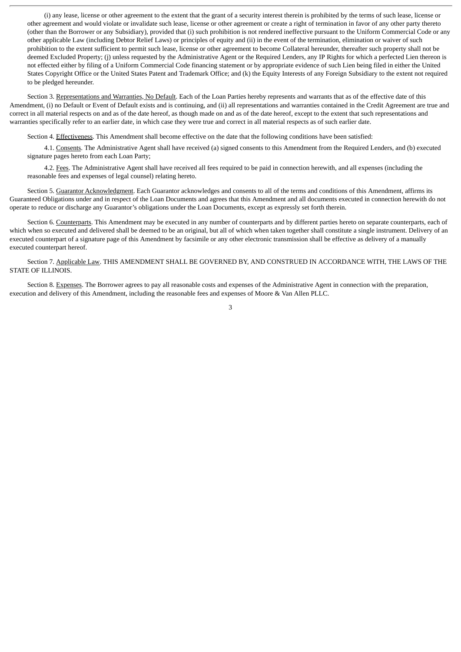(i) any lease, license or other agreement to the extent that the grant of a security interest therein is prohibited by the terms of such lease, license or other agreement and would violate or invalidate such lease, license or other agreement or create a right of termination in favor of any other party thereto (other than the Borrower or any Subsidiary), provided that (i) such prohibition is not rendered ineffective pursuant to the Uniform Commercial Code or any other applicable Law (including Debtor Relief Laws) or principles of equity and (ii) in the event of the termination, elimination or waiver of such prohibition to the extent sufficient to permit such lease, license or other agreement to become Collateral hereunder, thereafter such property shall not be deemed Excluded Property; (j) unless requested by the Administrative Agent or the Required Lenders, any IP Rights for which a perfected Lien thereon is not effected either by filing of a Uniform Commercial Code financing statement or by appropriate evidence of such Lien being filed in either the United States Copyright Office or the United States Patent and Trademark Office; and (k) the Equity Interests of any Foreign Subsidiary to the extent not required to be pledged hereunder.

Section 3. Representations and Warranties, No Default. Each of the Loan Parties hereby represents and warrants that as of the effective date of this Amendment, (i) no Default or Event of Default exists and is continuing, and (ii) all representations and warranties contained in the Credit Agreement are true and correct in all material respects on and as of the date hereof, as though made on and as of the date hereof, except to the extent that such representations and warranties specifically refer to an earlier date, in which case they were true and correct in all material respects as of such earlier date.

Section 4. Effectiveness. This Amendment shall become effective on the date that the following conditions have been satisfied:

4.1. Consents. The Administrative Agent shall have received (a) signed consents to this Amendment from the Required Lenders, and (b) executed signature pages hereto from each Loan Party;

4.2. Fees. The Administrative Agent shall have received all fees required to be paid in connection herewith, and all expenses (including the reasonable fees and expenses of legal counsel) relating hereto.

Section 5. Guarantor Acknowledgment. Each Guarantor acknowledges and consents to all of the terms and conditions of this Amendment, affirms its Guaranteed Obligations under and in respect of the Loan Documents and agrees that this Amendment and all documents executed in connection herewith do not operate to reduce or discharge any Guarantor's obligations under the Loan Documents, except as expressly set forth therein.

Section 6. Counterparts. This Amendment may be executed in any number of counterparts and by different parties hereto on separate counterparts, each of which when so executed and delivered shall be deemed to be an original, but all of which when taken together shall constitute a single instrument. Delivery of an executed counterpart of a signature page of this Amendment by facsimile or any other electronic transmission shall be effective as delivery of a manually executed counterpart hereof.

Section 7. Applicable Law. THIS AMENDMENT SHALL BE GOVERNED BY, AND CONSTRUED IN ACCORDANCE WITH, THE LAWS OF THE STATE OF ILLINOIS.

Section 8. Expenses. The Borrower agrees to pay all reasonable costs and expenses of the Administrative Agent in connection with the preparation, execution and delivery of this Amendment, including the reasonable fees and expenses of Moore & Van Allen PLLC.

3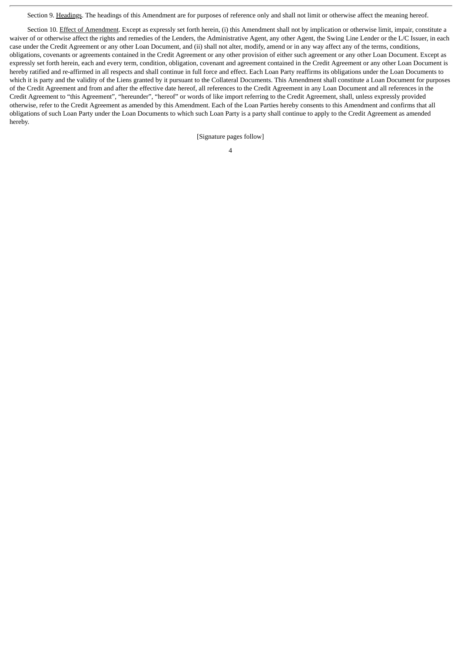Section 9. Headings. The headings of this Amendment are for purposes of reference only and shall not limit or otherwise affect the meaning hereof.

Section 10. Effect of Amendment. Except as expressly set forth herein, (i) this Amendment shall not by implication or otherwise limit, impair, constitute a waiver of or otherwise affect the rights and remedies of the Lenders, the Administrative Agent, any other Agent, the Swing Line Lender or the L/C Issuer, in each case under the Credit Agreement or any other Loan Document, and (ii) shall not alter, modify, amend or in any way affect any of the terms, conditions, obligations, covenants or agreements contained in the Credit Agreement or any other provision of either such agreement or any other Loan Document. Except as expressly set forth herein, each and every term, condition, obligation, covenant and agreement contained in the Credit Agreement or any other Loan Document is hereby ratified and re-affirmed in all respects and shall continue in full force and effect. Each Loan Party reaffirms its obligations under the Loan Documents to which it is party and the validity of the Liens granted by it pursuant to the Collateral Documents. This Amendment shall constitute a Loan Document for purposes of the Credit Agreement and from and after the effective date hereof, all references to the Credit Agreement in any Loan Document and all references in the Credit Agreement to "this Agreement", "hereunder", "hereof" or words of like import referring to the Credit Agreement, shall, unless expressly provided otherwise, refer to the Credit Agreement as amended by this Amendment. Each of the Loan Parties hereby consents to this Amendment and confirms that all obligations of such Loan Party under the Loan Documents to which such Loan Party is a party shall continue to apply to the Credit Agreement as amended hereby.

[Signature pages follow]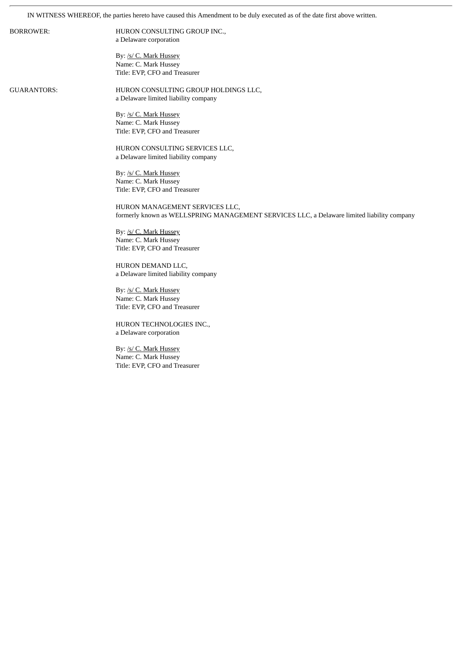IN WITNESS WHEREOF, the parties hereto have caused this Amendment to be duly executed as of the date first above written.

BORROWER:

HURON CONSULTING GROUP INC., a Delaware corporation

By: /s/ C. Mark Hussey Name: C. Mark Hussey Title: EVP, CFO and Treasurer

GUARANTORS:

HURON CONSULTING GROUP HOLDINGS LLC, a Delaware limited liability company

By: /s/ C. Mark Hussey Name: C. Mark Hussey Title: EVP, CFO and Treasurer

HURON CONSULTING SERVICES LLC, a Delaware limited liability company

By: /s/ C. Mark Hussey Name: C. Mark Hussey Title: EVP, CFO and Treasurer

HURON MANAGEMENT SERVICES LLC, formerly known as WELLSPRING MANAGEMENT SERVICES LLC, a Delaware limited liability company

By: /s/ C. Mark Hussey Name: C. Mark Hussey Title: EVP, CFO and Treasurer

HURON DEMAND LLC, a Delaware limited liability company

By: /s/ C. Mark Hussey Name: C. Mark Hussey Title: EVP, CFO and Treasurer

HURON TECHNOLOGIES INC., a Delaware corporation

By: /s/ C. Mark Hussey Name: C. Mark Hussey Title: EVP, CFO and Treasurer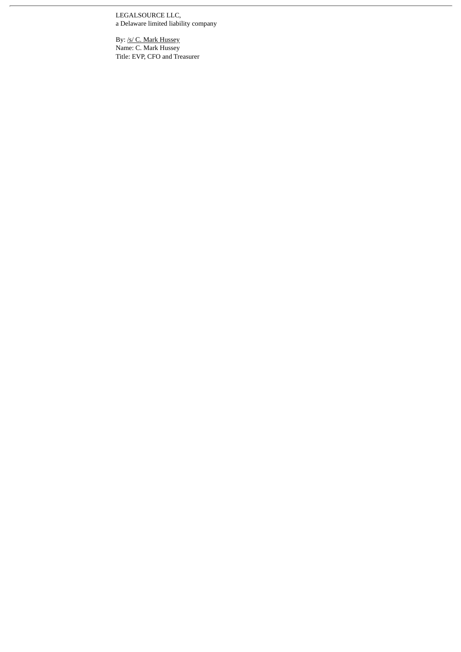LEGALSOURCE LLC, a Delaware limited liability company

By: /s/ C. Mark Hussey Name: C. Mark Hussey Title: EVP, CFO and Treasurer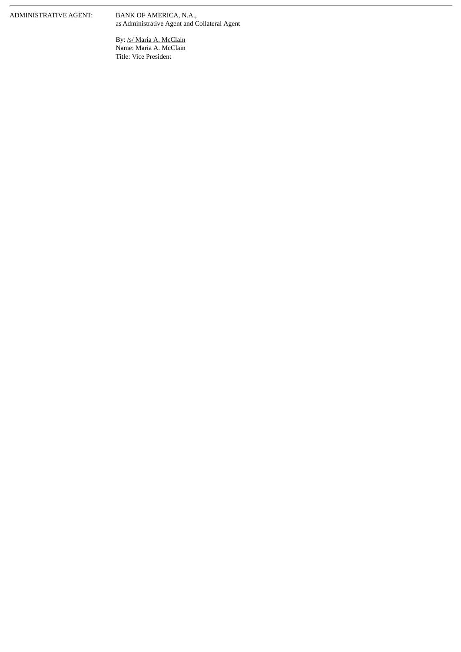## ADMINISTRATIVE AGENT:

BANK OF AMERICA, N.A., as Administrative Agent and Collateral Agent

By: /s/ Maria A. McClain Name: Maria A. McClain Title: Vice President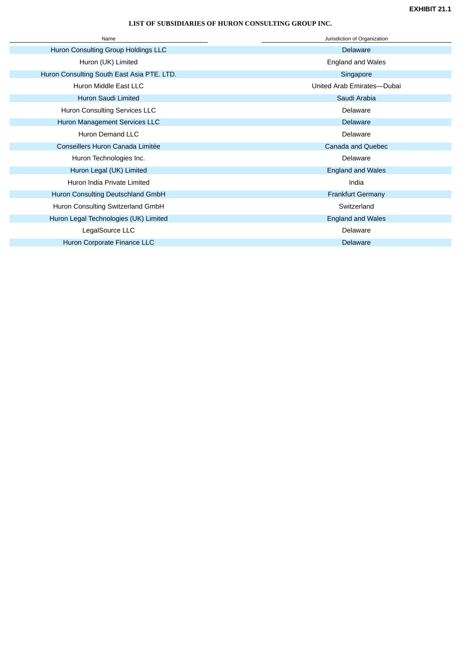# **LIST OF SUBSIDIARIES OF HURON CONSULTING GROUP INC.**

| Name                                       | Jurisdiction of Organization |
|--------------------------------------------|------------------------------|
| Huron Consulting Group Holdings LLC        | <b>Delaware</b>              |
| Huron (UK) Limited                         | England and Wales            |
| Huron Consulting South East Asia PTE. LTD. | Singapore                    |
| Huron Middle East LLC                      | United Arab Emirates-Dubai   |
| Huron Saudi Limited                        | Saudi Arabia                 |
| Huron Consulting Services LLC              | Delaware                     |
| Huron Management Services LLC              | <b>Delaware</b>              |
| Huron Demand LLC                           | Delaware                     |
| Conseillers Huron Canada Limitée           | Canada and Quebec            |
| Huron Technologies Inc.                    | Delaware                     |
| Huron Legal (UK) Limited                   | <b>England and Wales</b>     |
| Huron India Private Limited                | India                        |
| Huron Consulting Deutschland GmbH          | <b>Frankfurt Germany</b>     |
| Huron Consulting Switzerland GmbH          | Switzerland                  |
| Huron Legal Technologies (UK) Limited      | <b>England and Wales</b>     |
| LegalSource LLC                            | Delaware                     |
| Huron Corporate Finance LLC                | <b>Delaware</b>              |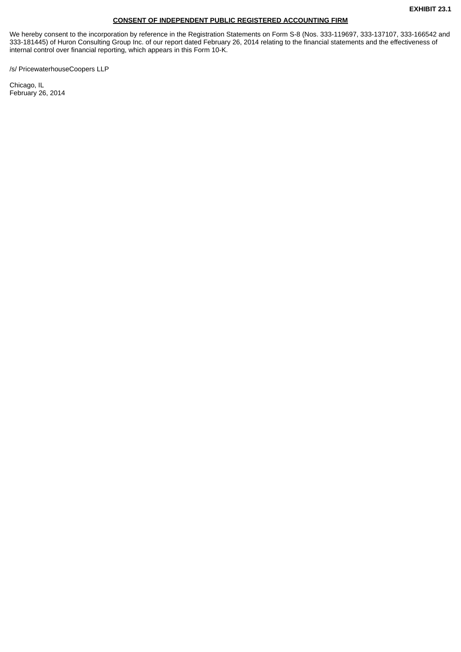### **CONSENT OF INDEPENDENT PUBLIC REGISTERED ACCOUNTING FIRM**

We hereby consent to the incorporation by reference in the Registration Statements on Form S-8 (Nos. 333-119697, 333-137107, 333-166542 and 333-181445) of Huron Consulting Group Inc. of our report dated February 26, 2014 relating to the financial statements and the effectiveness of internal control over financial reporting, which appears in this Form 10-K.

/s/ PricewaterhouseCoopers LLP

Chicago, IL February 26, 2014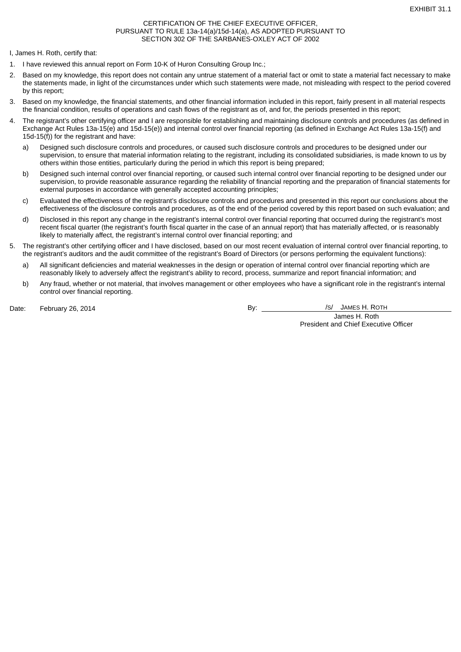#### CERTIFICATION OF THE CHIEF EXECUTIVE OFFICER, PURSUANT TO RULE 13a-14(a)/15d-14(a), AS ADOPTED PURSUANT TO SECTION 302 OF THE SARBANES-OXLEY ACT OF 2002

I, James H. Roth, certify that:

- 1. I have reviewed this annual report on Form 10-K of Huron Consulting Group Inc.;
- 2. Based on my knowledge, this report does not contain any untrue statement of a material fact or omit to state a material fact necessary to make the statements made, in light of the circumstances under which such statements were made, not misleading with respect to the period covered by this report;
- 3. Based on my knowledge, the financial statements, and other financial information included in this report, fairly present in all material respects the financial condition, results of operations and cash flows of the registrant as of, and for, the periods presented in this report;
- 4. The registrant's other certifying officer and I are responsible for establishing and maintaining disclosure controls and procedures (as defined in Exchange Act Rules 13a-15(e) and 15d-15(e)) and internal control over financial reporting (as defined in Exchange Act Rules 13a-15(f) and 15d-15(f)) for the registrant and have:
	- a) Designed such disclosure controls and procedures, or caused such disclosure controls and procedures to be designed under our supervision, to ensure that material information relating to the registrant, including its consolidated subsidiaries, is made known to us by others within those entities, particularly during the period in which this report is being prepared;
	- b) Designed such internal control over financial reporting, or caused such internal control over financial reporting to be designed under our supervision, to provide reasonable assurance regarding the reliability of financial reporting and the preparation of financial statements for external purposes in accordance with generally accepted accounting principles;
	- c) Evaluated the effectiveness of the registrant's disclosure controls and procedures and presented in this report our conclusions about the effectiveness of the disclosure controls and procedures, as of the end of the period covered by this report based on such evaluation; and
	- d) Disclosed in this report any change in the registrant's internal control over financial reporting that occurred during the registrant's most recent fiscal quarter (the registrant's fourth fiscal quarter in the case of an annual report) that has materially affected, or is reasonably likely to materially affect, the registrant's internal control over financial reporting; and
- 5. The registrant's other certifying officer and I have disclosed, based on our most recent evaluation of internal control over financial reporting, to the registrant's auditors and the audit committee of the registrant's Board of Directors (or persons performing the equivalent functions):
	- a) All significant deficiencies and material weaknesses in the design or operation of internal control over financial reporting which are reasonably likely to adversely affect the registrant's ability to record, process, summarize and report financial information; and
	- b) Any fraud, whether or not material, that involves management or other employees who have a significant role in the registrant's internal control over financial reporting.

Date: February 26, 2014 **By:** By: <u>By:</u> By: *S/ JAMES H. ROTH* 

James H. Roth President and Chief Executive Officer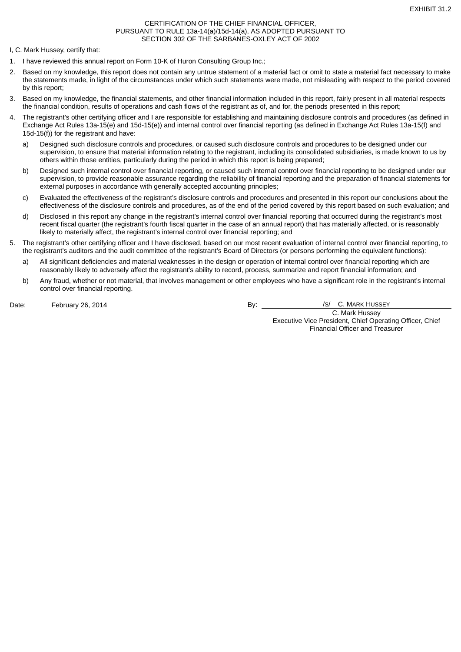#### CERTIFICATION OF THE CHIEF FINANCIAL OFFICER, PURSUANT TO RULE 13a-14(a)/15d-14(a), AS ADOPTED PURSUANT TO SECTION 302 OF THE SARBANES-OXLEY ACT OF 2002

I, C. Mark Hussey, certify that:

- 1. I have reviewed this annual report on Form 10-K of Huron Consulting Group Inc.;
- 2. Based on my knowledge, this report does not contain any untrue statement of a material fact or omit to state a material fact necessary to make the statements made, in light of the circumstances under which such statements were made, not misleading with respect to the period covered by this report;
- 3. Based on my knowledge, the financial statements, and other financial information included in this report, fairly present in all material respects the financial condition, results of operations and cash flows of the registrant as of, and for, the periods presented in this report;
- 4. The registrant's other certifying officer and I are responsible for establishing and maintaining disclosure controls and procedures (as defined in Exchange Act Rules 13a-15(e) and 15d-15(e)) and internal control over financial reporting (as defined in Exchange Act Rules 13a-15(f) and 15d-15(f)) for the registrant and have:
	- a) Designed such disclosure controls and procedures, or caused such disclosure controls and procedures to be designed under our supervision, to ensure that material information relating to the registrant, including its consolidated subsidiaries, is made known to us by others within those entities, particularly during the period in which this report is being prepared;
	- b) Designed such internal control over financial reporting, or caused such internal control over financial reporting to be designed under our supervision, to provide reasonable assurance regarding the reliability of financial reporting and the preparation of financial statements for external purposes in accordance with generally accepted accounting principles:
	- c) Evaluated the effectiveness of the registrant's disclosure controls and procedures and presented in this report our conclusions about the effectiveness of the disclosure controls and procedures, as of the end of the period covered by this report based on such evaluation; and
	- d) Disclosed in this report any change in the registrant's internal control over financial reporting that occurred during the registrant's most recent fiscal quarter (the registrant's fourth fiscal quarter in the case of an annual report) that has materially affected, or is reasonably likely to materially affect, the registrant's internal control over financial reporting; and
- 5. The registrant's other certifying officer and I have disclosed, based on our most recent evaluation of internal control over financial reporting, to the registrant's auditors and the audit committee of the registrant's Board of Directors (or persons performing the equivalent functions):
	- a) All significant deficiencies and material weaknesses in the design or operation of internal control over financial reporting which are reasonably likely to adversely affect the registrant's ability to record, process, summarize and report financial information; and
	- b) Any fraud, whether or not material, that involves management or other employees who have a significant role in the registrant's internal control over financial reporting.

Date: February 26, 2014 **By:** By: /S/ C. MARK HUSSEY

C. Mark Hussey Executive Vice President, Chief Operating Officer, Chief Financial Officer and Treasurer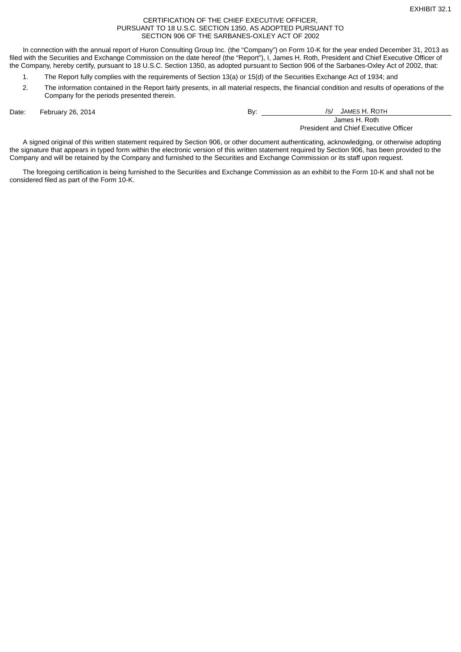#### CERTIFICATION OF THE CHIEF EXECUTIVE OFFICER, PURSUANT TO 18 U.S.C. SECTION 1350, AS ADOPTED PURSUANT TO SECTION 906 OF THE SARBANES-OXLEY ACT OF 2002

In connection with the annual report of Huron Consulting Group Inc. (the "Company") on Form 10-K for the year ended December 31, 2013 as filed with the Securities and Exchange Commission on the date hereof (the "Report"), I, James H. Roth, President and Chief Executive Officer of the Company, hereby certify, pursuant to 18 U.S.C. Section 1350, as adopted pursuant to Section 906 of the Sarbanes-Oxley Act of 2002, that:

- 1. The Report fully complies with the requirements of Section 13(a) or 15(d) of the Securities Exchange Act of 1934; and
- 2. The information contained in the Report fairly presents, in all material respects, the financial condition and results of operations of the Company for the periods presented therein.

Date: February 26, 2014 **By:** By: **/S/ JAMES H. ROTH** 

James H. Roth President and Chief Executive Officer

A signed original of this written statement required by Section 906, or other document authenticating, acknowledging, or otherwise adopting the signature that appears in typed form within the electronic version of this written statement required by Section 906, has been provided to the Company and will be retained by the Company and furnished to the Securities and Exchange Commission or its staff upon request.

The foregoing certification is being furnished to the Securities and Exchange Commission as an exhibit to the Form 10-K and shall not be considered filed as part of the Form 10-K.